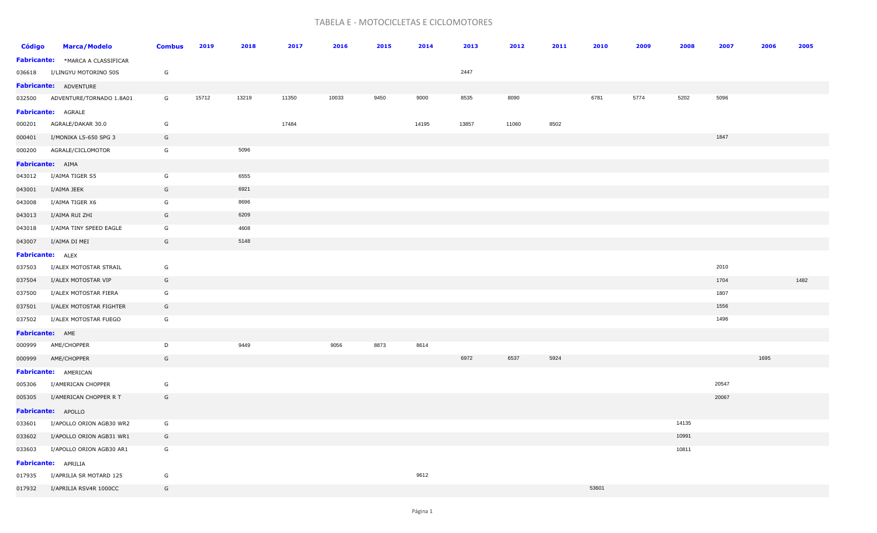## TABELA E - MOTOCICLETAS E CICLOMOTORES

| Código          | <b>Marca/Modelo</b>               | <b>Combus</b> | 2019  | 2018  | 2017  | 2016  | 2015 | 2014  | 2013  | 2012  | 2011 | 2010  | 2009 | 2008  | 2007  | 2006 | 2005 |
|-----------------|-----------------------------------|---------------|-------|-------|-------|-------|------|-------|-------|-------|------|-------|------|-------|-------|------|------|
|                 | Fabricante: * MARCA A CLASSIFICAR |               |       |       |       |       |      |       |       |       |      |       |      |       |       |      |      |
|                 | 036618 I/LINGYU MOTORINO 50S      | G             |       |       |       |       |      |       | 2447  |       |      |       |      |       |       |      |      |
|                 | <b>Fabricante:</b> ADVENTURE      |               |       |       |       |       |      |       |       |       |      |       |      |       |       |      |      |
|                 | 032500 ADVENTURE/TORNADO 1.8A01   | G             | 15712 | 13219 | 11350 | 10033 | 9450 | 9000  | 8535  | 8090  |      | 6781  | 5774 | 5202  | 5096  |      |      |
|                 | Fabricante: AGRALE                |               |       |       |       |       |      |       |       |       |      |       |      |       |       |      |      |
|                 | 000201    AGRALE/DAKAR    30.0    | G             |       |       | 17484 |       |      | 14195 | 13857 | 11060 | 8502 |       |      |       |       |      |      |
| 000401          | I/MONIKA L5-650 SPG 3             | G             |       |       |       |       |      |       |       |       |      |       |      |       | 1847  |      |      |
| 000200          | AGRALE/CICLOMOTOR                 | G             |       | 5096  |       |       |      |       |       |       |      |       |      |       |       |      |      |
|                 | <b>Fabricante:</b> AIMA           |               |       |       |       |       |      |       |       |       |      |       |      |       |       |      |      |
| 043012          | I/AIMA TIGER S5                   | G             |       | 6555  |       |       |      |       |       |       |      |       |      |       |       |      |      |
| 043001          | I/AIMA JEEK                       | G             |       | 6921  |       |       |      |       |       |       |      |       |      |       |       |      |      |
| 043008          | I/AIMA TIGER X6                   | G             |       | 8696  |       |       |      |       |       |       |      |       |      |       |       |      |      |
| 043013          | I/AIMA RUI ZHI                    | G             |       | 6209  |       |       |      |       |       |       |      |       |      |       |       |      |      |
| 043018          | I/AIMA TINY SPEED EAGLE           | G             |       | 4608  |       |       |      |       |       |       |      |       |      |       |       |      |      |
| 043007          | I/AIMA DI MEI                     | G             |       | 5148  |       |       |      |       |       |       |      |       |      |       |       |      |      |
|                 | <b>Fabricante:</b> ALEX           |               |       |       |       |       |      |       |       |       |      |       |      |       |       |      |      |
| 037503          | I/ALEX MOTOSTAR STRAIL            | G             |       |       |       |       |      |       |       |       |      |       |      |       | 2010  |      |      |
| 037504          | I/ALEX MOTOSTAR VIP               | G             |       |       |       |       |      |       |       |       |      |       |      |       | 1704  |      | 1482 |
| 037500          | I/ALEX MOTOSTAR FIERA             | G             |       |       |       |       |      |       |       |       |      |       |      |       | 1807  |      |      |
| 037501          | I/ALEX MOTOSTAR FIGHTER           | G             |       |       |       |       |      |       |       |       |      |       |      |       | 1556  |      |      |
| 037502          | I/ALEX MOTOSTAR FUEGO             | G             |       |       |       |       |      |       |       |       |      |       |      |       | 1496  |      |      |
| Fabricante: AME |                                   |               |       |       |       |       |      |       |       |       |      |       |      |       |       |      |      |
|                 | 000999 AME/CHOPPER                | D             |       | 9449  |       | 9056  | 8873 | 8614  |       |       |      |       |      |       |       |      |      |
| 000999          | AME/CHOPPER                       | G             |       |       |       |       |      |       | 6972  | 6537  | 5924 |       |      |       |       | 1695 |      |
|                 | Fabricante: AMERICAN              |               |       |       |       |       |      |       |       |       |      |       |      |       |       |      |      |
| 005306          | I/AMERICAN CHOPPER                | G             |       |       |       |       |      |       |       |       |      |       |      |       | 20547 |      |      |
| 005305          | I/AMERICAN CHOPPER R T            | G             |       |       |       |       |      |       |       |       |      |       |      |       | 20067 |      |      |
|                 | Fabricante: APOLLO                |               |       |       |       |       |      |       |       |       |      |       |      |       |       |      |      |
| 033601          | I/APOLLO ORION AGB30 WR2          | G             |       |       |       |       |      |       |       |       |      |       |      | 14135 |       |      |      |
| 033602          | I/APOLLO ORION AGB31 WR1          | G             |       |       |       |       |      |       |       |       |      |       |      | 10991 |       |      |      |
| 033603          | I/APOLLO ORION AGB30 AR1          | G             |       |       |       |       |      |       |       |       |      |       |      | 10811 |       |      |      |
|                 | Fabricante: APRILIA               |               |       |       |       |       |      |       |       |       |      |       |      |       |       |      |      |
|                 | 017935 I/APRILIA SR MOTARD 125    | G             |       |       |       |       |      | 9612  |       |       |      |       |      |       |       |      |      |
|                 | 017932 I/APRILIA RSV4R 1000CC     | G             |       |       |       |       |      |       |       |       |      | 53601 |      |       |       |      |      |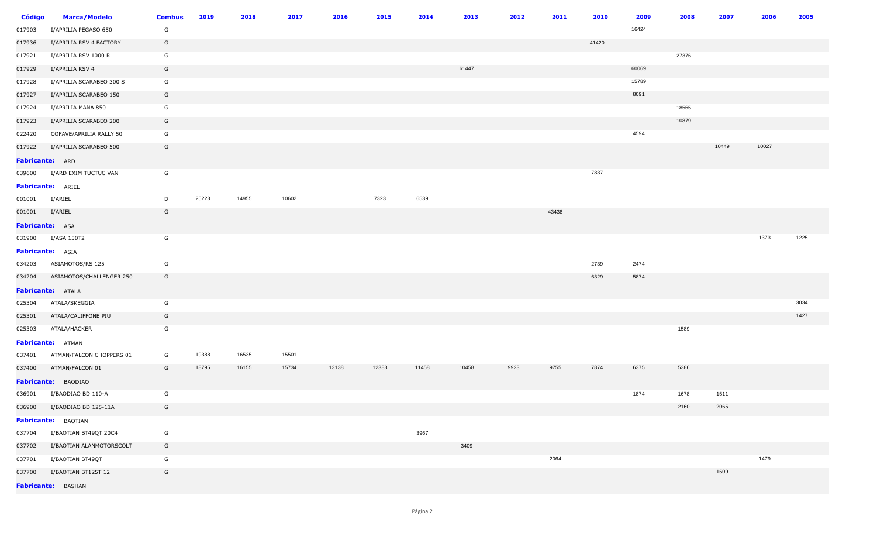| <b>Código</b>            | <b>Marca/Modelo</b>       | <b>Combus</b> | 2019  | 2018  | 2017  | 2016  | 2015  | 2014  | 2013  | 2012 | 2011  | 2010  | 2009  | 2008  | 2007  | 2006  | 2005 |
|--------------------------|---------------------------|---------------|-------|-------|-------|-------|-------|-------|-------|------|-------|-------|-------|-------|-------|-------|------|
| 017903                   | I/APRILIA PEGASO 650      | G             |       |       |       |       |       |       |       |      |       |       | 16424 |       |       |       |      |
| 017936                   | I/APRILIA RSV 4 FACTORY   | G             |       |       |       |       |       |       |       |      |       | 41420 |       |       |       |       |      |
| 017921                   | I/APRILIA RSV 1000 R      | G             |       |       |       |       |       |       |       |      |       |       |       | 27376 |       |       |      |
| 017929                   | I/APRILIA RSV 4           | G             |       |       |       |       |       |       | 61447 |      |       |       | 60069 |       |       |       |      |
| 017928                   | I/APRILIA SCARABEO 300 S  | G             |       |       |       |       |       |       |       |      |       |       | 15789 |       |       |       |      |
| 017927                   | I/APRILIA SCARABEO 150    | G             |       |       |       |       |       |       |       |      |       |       | 8091  |       |       |       |      |
| 017924                   | I/APRILIA MANA 850        | G             |       |       |       |       |       |       |       |      |       |       |       | 18565 |       |       |      |
| 017923                   | I/APRILIA SCARABEO 200    | G             |       |       |       |       |       |       |       |      |       |       |       | 10879 |       |       |      |
| 022420                   | COFAVE/APRILIA RALLY 50   | G             |       |       |       |       |       |       |       |      |       |       | 4594  |       |       |       |      |
| 017922                   | I/APRILIA SCARABEO 500    | G             |       |       |       |       |       |       |       |      |       |       |       |       | 10449 | 10027 |      |
| Fabricante: ARD          |                           |               |       |       |       |       |       |       |       |      |       |       |       |       |       |       |      |
| 039600                   | I/ARD EXIM TUCTUC VAN     | G             |       |       |       |       |       |       |       |      |       | 7837  |       |       |       |       |      |
| <b>Fabricante: ARIEL</b> |                           |               |       |       |       |       |       |       |       |      |       |       |       |       |       |       |      |
| 001001                   | I/ARIEL                   | D             | 25223 | 14955 | 10602 |       | 7323  | 6539  |       |      |       |       |       |       |       |       |      |
| 001001                   | I/ARIEL                   | G             |       |       |       |       |       |       |       |      | 43438 |       |       |       |       |       |      |
| <b>Fabricante:</b> ASA   |                           |               |       |       |       |       |       |       |       |      |       |       |       |       |       |       |      |
|                          | 031900 I/ASA 150T2        | G             |       |       |       |       |       |       |       |      |       |       |       |       |       | 1373  | 1225 |
| Fabricante: ASIA         |                           |               |       |       |       |       |       |       |       |      |       |       |       |       |       |       |      |
| 034203                   | ASIAMOTOS/RS 125          | G             |       |       |       |       |       |       |       |      |       | 2739  | 2474  |       |       |       |      |
| 034204                   | ASIAMOTOS/CHALLENGER 250  | G             |       |       |       |       |       |       |       |      |       | 6329  | 5874  |       |       |       |      |
|                          | Fabricante: ATALA         |               |       |       |       |       |       |       |       |      |       |       |       |       |       |       |      |
| 025304                   | ATALA/SKEGGIA             | G             |       |       |       |       |       |       |       |      |       |       |       |       |       |       | 3034 |
| 025301                   | ATALA/CALIFFONE PIU       | G             |       |       |       |       |       |       |       |      |       |       |       |       |       |       | 1427 |
| 025303                   | ATALA/HACKER              | G             |       |       |       |       |       |       |       |      |       |       |       | 1589  |       |       |      |
|                          | <b>Fabricante: ATMAN</b>  |               |       |       |       |       |       |       |       |      |       |       |       |       |       |       |      |
| 037401                   | ATMAN/FALCON CHOPPERS 01  | G             | 19388 | 16535 | 15501 |       |       |       |       |      |       |       |       |       |       |       |      |
| 037400                   | ATMAN/FALCON 01           | G             | 18795 | 16155 | 15734 | 13138 | 12383 | 11458 | 10458 | 9923 | 9755  | 7874  | 6375  | 5386  |       |       |      |
|                          | Fabricante: BAODIAO       |               |       |       |       |       |       |       |       |      |       |       |       |       |       |       |      |
|                          | 036901 I/BAODIAO BD 110-A | G             |       |       |       |       |       |       |       |      |       |       | 1874  | 1678  | 1511  |       |      |
| 036900                   | I/BAODIAO BD 125-11A      | G             |       |       |       |       |       |       |       |      |       |       |       | 2160  | 2065  |       |      |
|                          | Fabricante: BAOTIAN       |               |       |       |       |       |       |       |       |      |       |       |       |       |       |       |      |
| 037704                   | I/BAOTIAN BT49QT 20C4     | G             |       |       |       |       |       | 3967  |       |      |       |       |       |       |       |       |      |
| 037702                   | I/BAOTIAN ALANMOTORSCOLT  | G             |       |       |       |       |       |       | 3409  |      |       |       |       |       |       |       |      |
| 037701                   | I/BAOTIAN BT49QT          | G             |       |       |       |       |       |       |       |      | 2064  |       |       |       |       | 1479  |      |
| 037700                   | I/BAOTIAN BT125T 12       | G             |       |       |       |       |       |       |       |      |       |       |       |       | 1509  |       |      |
|                          | Fabricante: BASHAN        |               |       |       |       |       |       |       |       |      |       |       |       |       |       |       |      |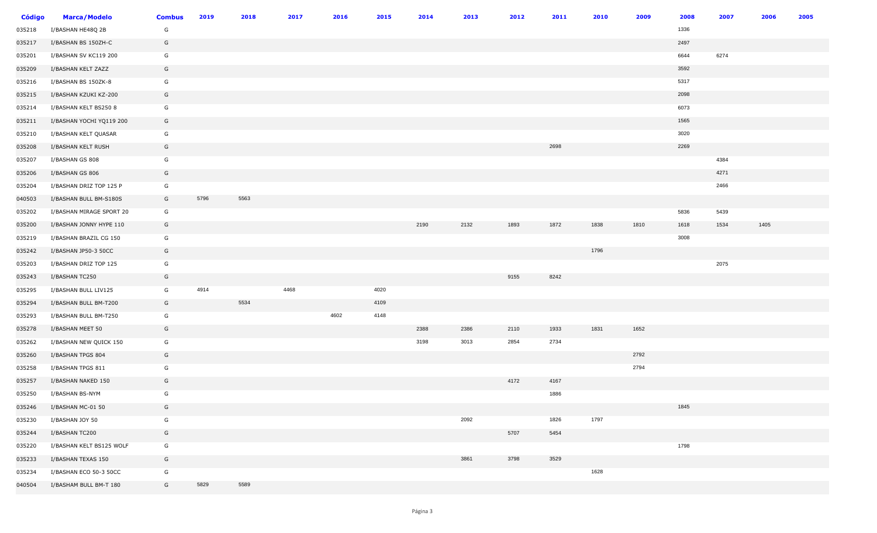| <b>Código</b> | <b>Marca/Modelo</b>      | <b>Combus</b> | 2019 | 2018 | 2017 | 2016 | 2015 | 2014 | 2013 | 2012 | 2011 | 2010 | 2009 | 2008 | 2007 | 2006 | 2005 |
|---------------|--------------------------|---------------|------|------|------|------|------|------|------|------|------|------|------|------|------|------|------|
| 035218        | I/BASHAN HE48Q 2B        | G             |      |      |      |      |      |      |      |      |      |      |      | 1336 |      |      |      |
| 035217        | I/BASHAN BS 150ZH-C      | G             |      |      |      |      |      |      |      |      |      |      |      | 2497 |      |      |      |
| 035201        | I/BASHAN SV KC119 200    | G             |      |      |      |      |      |      |      |      |      |      |      | 6644 | 6274 |      |      |
| 035209        | I/BASHAN KELT ZAZZ       | G             |      |      |      |      |      |      |      |      |      |      |      | 3592 |      |      |      |
| 035216        | I/BASHAN BS 150ZK-8      | G             |      |      |      |      |      |      |      |      |      |      |      | 5317 |      |      |      |
| 035215        | I/BASHAN KZUKI KZ-200    | G             |      |      |      |      |      |      |      |      |      |      |      | 2098 |      |      |      |
| 035214        | I/BASHAN KELT BS250 8    | G             |      |      |      |      |      |      |      |      |      |      |      | 6073 |      |      |      |
| 035211        | I/BASHAN YOCHI YQ119 200 | G             |      |      |      |      |      |      |      |      |      |      |      | 1565 |      |      |      |
| 035210        | I/BASHAN KELT QUASAR     | G             |      |      |      |      |      |      |      |      |      |      |      | 3020 |      |      |      |
| 035208        | I/BASHAN KELT RUSH       | G             |      |      |      |      |      |      |      |      | 2698 |      |      | 2269 |      |      |      |
| 035207        | I/BASHAN GS 808          | G             |      |      |      |      |      |      |      |      |      |      |      |      | 4384 |      |      |
| 035206        | I/BASHAN GS 806          | G             |      |      |      |      |      |      |      |      |      |      |      |      | 4271 |      |      |
| 035204        | I/BASHAN DRIZ TOP 125 P  | G             |      |      |      |      |      |      |      |      |      |      |      |      | 2466 |      |      |
| 040503        | I/BASHAN BULL BM-S180S   | G             | 5796 | 5563 |      |      |      |      |      |      |      |      |      |      |      |      |      |
| 035202        | I/BASHAN MIRAGE SPORT 20 | G             |      |      |      |      |      |      |      |      |      |      |      | 5836 | 5439 |      |      |
| 035200        | I/BASHAN JONNY HYPE 110  | G             |      |      |      |      |      | 2190 | 2132 | 1893 | 1872 | 1838 | 1810 | 1618 | 1534 | 1405 |      |
| 035219        | I/BASHAN BRAZIL CG 150   | G             |      |      |      |      |      |      |      |      |      |      |      | 3008 |      |      |      |
| 035242        | I/BASHAN JP50-3 50CC     | G             |      |      |      |      |      |      |      |      |      | 1796 |      |      |      |      |      |
| 035203        | I/BASHAN DRIZ TOP 125    | G             |      |      |      |      |      |      |      |      |      |      |      |      | 2075 |      |      |
| 035243        | I/BASHAN TC250           | G             |      |      |      |      |      |      |      | 9155 | 8242 |      |      |      |      |      |      |
| 035295        | I/BASHAN BULL LIV125     | G             | 4914 |      | 4468 |      | 4020 |      |      |      |      |      |      |      |      |      |      |
| 035294        | I/BASHAN BULL BM-T200    | G             |      | 5534 |      |      | 4109 |      |      |      |      |      |      |      |      |      |      |
| 035293        | I/BASHAN BULL BM-T250    | G             |      |      |      | 4602 | 4148 |      |      |      |      |      |      |      |      |      |      |
| 035278        | I/BASHAN MEET 50         | G             |      |      |      |      |      | 2388 | 2386 | 2110 | 1933 | 1831 | 1652 |      |      |      |      |
| 035262        | I/BASHAN NEW QUICK 150   | G             |      |      |      |      |      | 3198 | 3013 | 2854 | 2734 |      |      |      |      |      |      |
| 035260        | I/BASHAN TPGS 804        | G             |      |      |      |      |      |      |      |      |      |      | 2792 |      |      |      |      |
| 035258        | I/BASHAN TPGS 811        | G             |      |      |      |      |      |      |      |      |      |      | 2794 |      |      |      |      |
| 035257        | I/BASHAN NAKED 150       | G             |      |      |      |      |      |      |      | 4172 | 4167 |      |      |      |      |      |      |
| 035250        | I/BASHAN BS-NYM          | G             |      |      |      |      |      |      |      |      | 1886 |      |      |      |      |      |      |
| 035246        | I/BASHAN MC-01 50        | G             |      |      |      |      |      |      |      |      |      |      |      | 1845 |      |      |      |
| 035230        | I/BASHAN JOY 50          | G             |      |      |      |      |      |      | 2092 |      | 1826 | 1797 |      |      |      |      |      |
| 035244        | I/BASHAN TC200           | G             |      |      |      |      |      |      |      | 5707 | 5454 |      |      |      |      |      |      |
| 035220        | I/BASHAN KELT BS125 WOLF | G             |      |      |      |      |      |      |      |      |      |      |      | 1798 |      |      |      |
| 035233        | I/BASHAN TEXAS 150       | G             |      |      |      |      |      |      | 3861 | 3798 | 3529 |      |      |      |      |      |      |
| 035234        | I/BASHAN ECO 50-3 50CC   | G             |      |      |      |      |      |      |      |      |      | 1628 |      |      |      |      |      |
| 040504        | I/BASHAM BULL BM-T 180   | G             | 5829 | 5589 |      |      |      |      |      |      |      |      |      |      |      |      |      |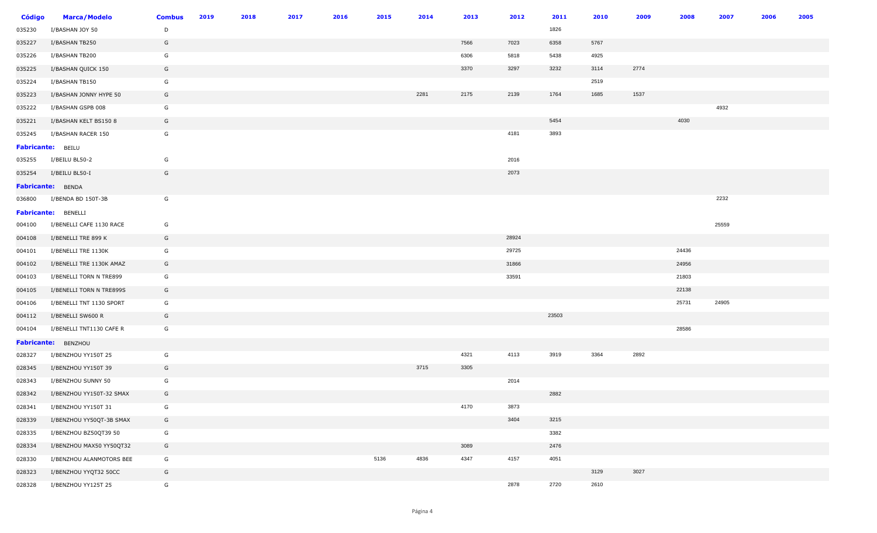| <b>Código</b>     | <b>Marca/Modelo</b>        | <b>Combus</b> | 2019 | 2018 | 2017 | 2016 | 2015 | 2014 | 2013 | 2012  | 2011  | 2010 | 2009 | 2008  | 2007  | 2006 | 2005 |
|-------------------|----------------------------|---------------|------|------|------|------|------|------|------|-------|-------|------|------|-------|-------|------|------|
| 035230            | I/BASHAN JOY 50            | D             |      |      |      |      |      |      |      |       | 1826  |      |      |       |       |      |      |
| 035227            | I/BASHAN TB250             | G             |      |      |      |      |      |      | 7566 | 7023  | 6358  | 5767 |      |       |       |      |      |
| 035226            | I/BASHAN TB200             | G             |      |      |      |      |      |      | 6306 | 5818  | 5438  | 4925 |      |       |       |      |      |
| 035225            | I/BASHAN QUICK 150         | G             |      |      |      |      |      |      | 3370 | 3297  | 3232  | 3114 | 2774 |       |       |      |      |
| 035224            | I/BASHAN TB150             | G             |      |      |      |      |      |      |      |       |       | 2519 |      |       |       |      |      |
| 035223            | I/BASHAN JONNY HYPE 50     | G             |      |      |      |      |      | 2281 | 2175 | 2139  | 1764  | 1685 | 1537 |       |       |      |      |
| 035222            | I/BASHAN GSPB 008          | G             |      |      |      |      |      |      |      |       |       |      |      |       | 4932  |      |      |
| 035221            | I/BASHAN KELT BS150 8      | G             |      |      |      |      |      |      |      |       | 5454  |      |      | 4030  |       |      |      |
| 035245            | I/BASHAN RACER 150         | G             |      |      |      |      |      |      |      | 4181  | 3893  |      |      |       |       |      |      |
| Fabricante: BEILU |                            |               |      |      |      |      |      |      |      |       |       |      |      |       |       |      |      |
| 035255            | I/BEILU BL50-2             | G             |      |      |      |      |      |      |      | 2016  |       |      |      |       |       |      |      |
| 035254            | I/BEILU BL50-I             | G             |      |      |      |      |      |      |      | 2073  |       |      |      |       |       |      |      |
|                   | <b>Fabricante: BENDA</b>   |               |      |      |      |      |      |      |      |       |       |      |      |       |       |      |      |
| 036800            | I/BENDA BD 150T-3B         | G             |      |      |      |      |      |      |      |       |       |      |      |       | 2232  |      |      |
|                   | <b>Fabricante:</b> BENELLI |               |      |      |      |      |      |      |      |       |       |      |      |       |       |      |      |
| 004100            | I/BENELLI CAFE 1130 RACE   | G             |      |      |      |      |      |      |      |       |       |      |      |       | 25559 |      |      |
| 004108            | I/BENELLI TRE 899 K        | G             |      |      |      |      |      |      |      | 28924 |       |      |      |       |       |      |      |
| 004101            | I/BENELLI TRE 1130K        | G             |      |      |      |      |      |      |      | 29725 |       |      |      | 24436 |       |      |      |
| 004102            | I/BENELLI TRE 1130K AMAZ   | G             |      |      |      |      |      |      |      | 31866 |       |      |      | 24956 |       |      |      |
| 004103            | I/BENELLI TORN N TRE899    | G             |      |      |      |      |      |      |      | 33591 |       |      |      | 21803 |       |      |      |
| 004105            | I/BENELLI TORN N TRE899S   | G             |      |      |      |      |      |      |      |       |       |      |      | 22138 |       |      |      |
| 004106            | I/BENELLI TNT 1130 SPORT   | G             |      |      |      |      |      |      |      |       |       |      |      | 25731 | 24905 |      |      |
| 004112            | I/BENELLI SW600 R          | G             |      |      |      |      |      |      |      |       | 23503 |      |      |       |       |      |      |
| 004104            | I/BENELLI TNT1130 CAFE R   | G             |      |      |      |      |      |      |      |       |       |      |      | 28586 |       |      |      |
|                   | Fabricante: BENZHOU        |               |      |      |      |      |      |      |      |       |       |      |      |       |       |      |      |
| 028327            | I/BENZHOU YY150T 25        | G             |      |      |      |      |      |      | 4321 | 4113  | 3919  | 3364 | 2892 |       |       |      |      |
| 028345            | I/BENZHOU YY150T 39        | G             |      |      |      |      |      | 3715 | 3305 |       |       |      |      |       |       |      |      |
| 028343            | I/BENZHOU SUNNY 50         | G             |      |      |      |      |      |      |      | 2014  |       |      |      |       |       |      |      |
| 028342            | I/BENZHOU YY150T-32 SMAX   | G             |      |      |      |      |      |      |      |       | 2882  |      |      |       |       |      |      |
| 028341            | I/BENZHOU YY150T 31        | G             |      |      |      |      |      |      | 4170 | 3873  |       |      |      |       |       |      |      |
| 028339            | I/BENZHOU YY50QT-3B SMAX   | G             |      |      |      |      |      |      |      | 3404  | 3215  |      |      |       |       |      |      |
| 028335            | I/BENZHOU BZ50QT39 50      | G             |      |      |      |      |      |      |      |       | 3382  |      |      |       |       |      |      |
| 028334            | I/BENZHOU MAX50 YY50QT32   | G             |      |      |      |      |      |      | 3089 |       | 2476  |      |      |       |       |      |      |
| 028330            | I/BENZHOU ALANMOTORS BEE   | G             |      |      |      |      | 5136 | 4836 | 4347 | 4157  | 4051  |      |      |       |       |      |      |
| 028323            | I/BENZHOU YYQT32 50CC      | G             |      |      |      |      |      |      |      |       |       | 3129 | 3027 |       |       |      |      |
| 028328            | I/BENZHOU YY125T 25        | G             |      |      |      |      |      |      |      | 2878  | 2720  | 2610 |      |       |       |      |      |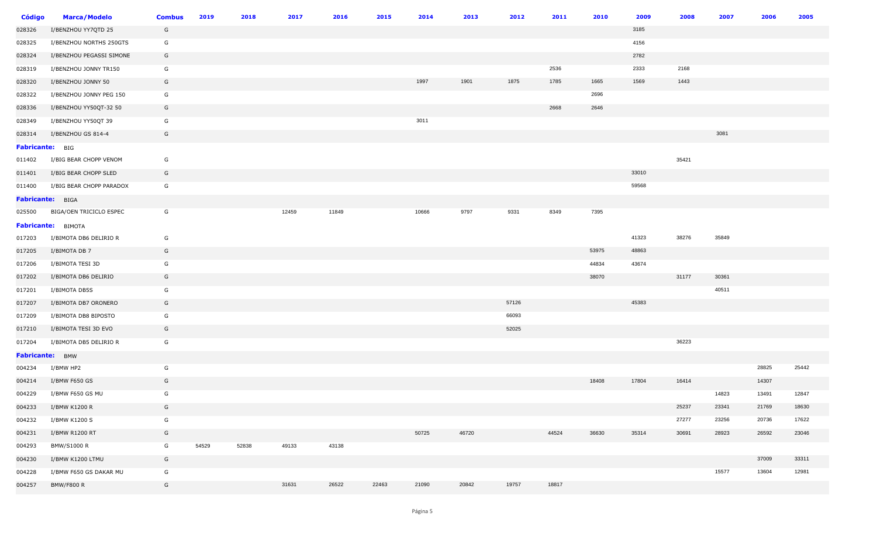| Código                 | <b>Marca/Modelo</b>      | <b>Combus</b> | 2019  | 2018  | 2017  | 2016  | 2015  | 2014  | 2013  | 2012  | 2011  | 2010  | 2009  | 2008  | 2007  | 2006  | 2005  |
|------------------------|--------------------------|---------------|-------|-------|-------|-------|-------|-------|-------|-------|-------|-------|-------|-------|-------|-------|-------|
| 028326                 | I/BENZHOU YY7QTD 25      | G             |       |       |       |       |       |       |       |       |       |       | 3185  |       |       |       |       |
| 028325                 | I/BENZHOU NORTHS 250GTS  | G             |       |       |       |       |       |       |       |       |       |       | 4156  |       |       |       |       |
| 028324                 | I/BENZHOU PEGASSI SIMONE | G             |       |       |       |       |       |       |       |       |       |       | 2782  |       |       |       |       |
| 028319                 | I/BENZHOU JONNY TR150    | G             |       |       |       |       |       |       |       |       | 2536  |       | 2333  | 2168  |       |       |       |
| 028320                 | I/BENZHOU JONNY 50       | G             |       |       |       |       |       | 1997  | 1901  | 1875  | 1785  | 1665  | 1569  | 1443  |       |       |       |
| 028322                 | I/BENZHOU JONNY PEG 150  | G             |       |       |       |       |       |       |       |       |       | 2696  |       |       |       |       |       |
| 028336                 | I/BENZHOU YY50QT-32 50   | G             |       |       |       |       |       |       |       |       | 2668  | 2646  |       |       |       |       |       |
| 028349                 | I/BENZHOU YY50QT 39      | G             |       |       |       |       |       | 3011  |       |       |       |       |       |       |       |       |       |
| 028314                 | I/BENZHOU GS 814-4       | G             |       |       |       |       |       |       |       |       |       |       |       |       | 3081  |       |       |
| <b>Fabricante: BIG</b> |                          |               |       |       |       |       |       |       |       |       |       |       |       |       |       |       |       |
| 011402                 | I/BIG BEAR CHOPP VENOM   | G             |       |       |       |       |       |       |       |       |       |       |       | 35421 |       |       |       |
| 011401                 | I/BIG BEAR CHOPP SLED    | G             |       |       |       |       |       |       |       |       |       |       | 33010 |       |       |       |       |
| 011400                 | I/BIG BEAR CHOPP PARADOX | G             |       |       |       |       |       |       |       |       |       |       | 59568 |       |       |       |       |
| Fabricante: BIGA       |                          |               |       |       |       |       |       |       |       |       |       |       |       |       |       |       |       |
| 025500                 | BIGA/OEN TRICICLO ESPEC  | G             |       |       | 12459 | 11849 |       | 10666 | 9797  | 9331  | 8349  | 7395  |       |       |       |       |       |
|                        | Fabricante: BIMOTA       |               |       |       |       |       |       |       |       |       |       |       |       |       |       |       |       |
| 017203                 | I/BIMOTA DB6 DELIRIO R   | G             |       |       |       |       |       |       |       |       |       |       | 41323 | 38276 | 35849 |       |       |
| 017205                 | I/BIMOTA DB 7            | G             |       |       |       |       |       |       |       |       |       | 53975 | 48863 |       |       |       |       |
| 017206                 | I/BIMOTA TESI 3D         | G             |       |       |       |       |       |       |       |       |       | 44834 | 43674 |       |       |       |       |
| 017202                 | I/BIMOTA DB6 DELIRIO     | G             |       |       |       |       |       |       |       |       |       | 38070 |       | 31177 | 30361 |       |       |
| 017201                 | I/BIMOTA DB5S            | G             |       |       |       |       |       |       |       |       |       |       |       |       | 40511 |       |       |
| 017207                 | I/BIMOTA DB7 ORONERO     | G             |       |       |       |       |       |       |       | 57126 |       |       | 45383 |       |       |       |       |
| 017209                 | I/BIMOTA DB8 BIPOSTO     | G             |       |       |       |       |       |       |       | 66093 |       |       |       |       |       |       |       |
| 017210                 | I/BIMOTA TESI 3D EVO     | G             |       |       |       |       |       |       |       | 52025 |       |       |       |       |       |       |       |
| 017204                 | I/BIMOTA DB5 DELIRIO R   | G             |       |       |       |       |       |       |       |       |       |       |       | 36223 |       |       |       |
| Fabricante: BMW        |                          |               |       |       |       |       |       |       |       |       |       |       |       |       |       |       |       |
| 004234                 | I/BMW HP2                | G             |       |       |       |       |       |       |       |       |       |       |       |       |       | 28825 | 25442 |
| 004214                 | I/BMW F650 GS            | G             |       |       |       |       |       |       |       |       |       | 18408 | 17804 | 16414 |       | 14307 |       |
| 004229                 | I/BMW F650 GS MU         | G             |       |       |       |       |       |       |       |       |       |       |       |       | 14823 | 13491 | 12847 |
| 004233                 | I/BMW K1200 R            | G             |       |       |       |       |       |       |       |       |       |       |       | 25237 | 23341 | 21769 | 18630 |
| 004232                 | I/BMW K1200 S            | G             |       |       |       |       |       |       |       |       |       |       |       | 27277 | 23256 | 20736 | 17622 |
| 004231                 | I/BMW R1200 RT           | G             |       |       |       |       |       | 50725 | 46720 |       | 44524 | 36630 | 35314 | 30691 | 28923 | 26592 | 23046 |
| 004293                 | BMW/S1000 R              | G             | 54529 | 52838 | 49133 | 43138 |       |       |       |       |       |       |       |       |       |       |       |
| 004230                 | I/BMW K1200 LTMU         | G             |       |       |       |       |       |       |       |       |       |       |       |       |       | 37009 | 33311 |
| 004228                 | I/BMW F650 GS DAKAR MU   | G             |       |       |       |       |       |       |       |       |       |       |       |       | 15577 | 13604 | 12981 |
| 004257                 | <b>BMW/F800 R</b>        | G             |       |       | 31631 | 26522 | 22463 | 21090 | 20842 | 19757 | 18817 |       |       |       |       |       |       |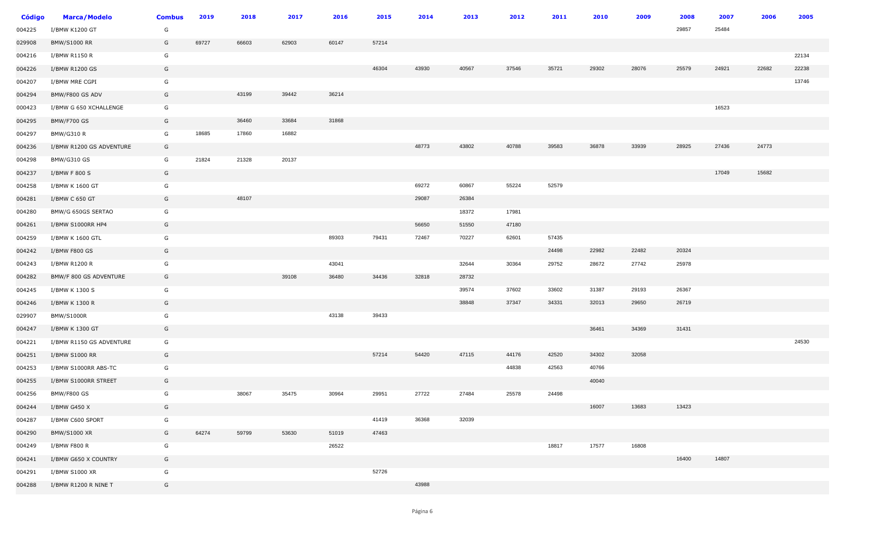| <b>Código</b> | <b>Marca/Modelo</b>      | <b>Combus</b> | 2019  | 2018  | 2017  | 2016  | 2015  | 2014  | 2013  | 2012  | 2011  | 2010  | 2009  | 2008  | 2007  | 2006  | 2005  |
|---------------|--------------------------|---------------|-------|-------|-------|-------|-------|-------|-------|-------|-------|-------|-------|-------|-------|-------|-------|
| 004225        | I/BMW K1200 GT           | G             |       |       |       |       |       |       |       |       |       |       |       | 29857 | 25484 |       |       |
| 029908        | <b>BMW/S1000 RR</b>      | G             | 69727 | 66603 | 62903 | 60147 | 57214 |       |       |       |       |       |       |       |       |       |       |
| 004216        | I/BMW R1150 R            | G             |       |       |       |       |       |       |       |       |       |       |       |       |       |       | 22134 |
| 004226        | I/BMW R1200 GS           | G             |       |       |       |       | 46304 | 43930 | 40567 | 37546 | 35721 | 29302 | 28076 | 25579 | 24921 | 22682 | 22238 |
| 004207        | I/BMW MRE CGPI           | G             |       |       |       |       |       |       |       |       |       |       |       |       |       |       | 13746 |
| 004294        | BMW/F800 GS ADV          | G             |       | 43199 | 39442 | 36214 |       |       |       |       |       |       |       |       |       |       |       |
| 000423        | I/BMW G 650 XCHALLENGE   | G             |       |       |       |       |       |       |       |       |       |       |       |       | 16523 |       |       |
| 004295        | <b>BMW/F700 GS</b>       | G             |       | 36460 | 33684 | 31868 |       |       |       |       |       |       |       |       |       |       |       |
| 004297        | <b>BMW/G310 R</b>        | G             | 18685 | 17860 | 16882 |       |       |       |       |       |       |       |       |       |       |       |       |
| 004236        | I/BMW R1200 GS ADVENTURE | G             |       |       |       |       |       | 48773 | 43802 | 40788 | 39583 | 36878 | 33939 | 28925 | 27436 | 24773 |       |
| 004298        | <b>BMW/G310 GS</b>       | G             | 21824 | 21328 | 20137 |       |       |       |       |       |       |       |       |       |       |       |       |
| 004237        | I/BMW F 800 S            | G             |       |       |       |       |       |       |       |       |       |       |       |       | 17049 | 15682 |       |
| 004258        | I/BMW K 1600 GT          | G             |       |       |       |       |       | 69272 | 60867 | 55224 | 52579 |       |       |       |       |       |       |
| 004281        | I/BMW C 650 GT           | G             |       | 48107 |       |       |       | 29087 | 26384 |       |       |       |       |       |       |       |       |
| 004280        | BMW/G 650GS SERTAO       | G             |       |       |       |       |       |       | 18372 | 17981 |       |       |       |       |       |       |       |
| 004261        | I/BMW S1000RR HP4        | G             |       |       |       |       |       | 56650 | 51550 | 47180 |       |       |       |       |       |       |       |
| 004259        | I/BMW K 1600 GTL         | G             |       |       |       | 89303 | 79431 | 72467 | 70227 | 62601 | 57435 |       |       |       |       |       |       |
| 004242        | I/BMW F800 GS            | G             |       |       |       |       |       |       |       |       | 24498 | 22982 | 22482 | 20324 |       |       |       |
| 004243        | I/BMW R1200 R            | G             |       |       |       | 43041 |       |       | 32644 | 30364 | 29752 | 28672 | 27742 | 25978 |       |       |       |
| 004282        | BMW/F 800 GS ADVENTURE   | G             |       |       | 39108 | 36480 | 34436 | 32818 | 28732 |       |       |       |       |       |       |       |       |
| 004245        | I/BMW K 1300 S           | G             |       |       |       |       |       |       | 39574 | 37602 | 33602 | 31387 | 29193 | 26367 |       |       |       |
| 004246        | I/BMW K 1300 R           | G             |       |       |       |       |       |       | 38848 | 37347 | 34331 | 32013 | 29650 | 26719 |       |       |       |
| 029907        | <b>BMW/S1000R</b>        | G             |       |       |       | 43138 | 39433 |       |       |       |       |       |       |       |       |       |       |
| 004247        | I/BMW K 1300 GT          | G             |       |       |       |       |       |       |       |       |       | 36461 | 34369 | 31431 |       |       |       |
| 004221        | I/BMW R1150 GS ADVENTURE | G             |       |       |       |       |       |       |       |       |       |       |       |       |       |       | 24530 |
| 004251        | I/BMW S1000 RR           | G             |       |       |       |       | 57214 | 54420 | 47115 | 44176 | 42520 | 34302 | 32058 |       |       |       |       |
| 004253        | I/BMW S1000RR ABS-TC     | G             |       |       |       |       |       |       |       | 44838 | 42563 | 40766 |       |       |       |       |       |
| 004255        | I/BMW S1000RR STREET     | G             |       |       |       |       |       |       |       |       |       | 40040 |       |       |       |       |       |
| 004256        | <b>BMW/F800 GS</b>       | G             |       | 38067 | 35475 | 30964 | 29951 | 27722 | 27484 | 25578 | 24498 |       |       |       |       |       |       |
| 004244        | I/BMW G450 X             | G             |       |       |       |       |       |       |       |       |       | 16007 | 13683 | 13423 |       |       |       |
| 004287        | I/BMW C600 SPORT         | G             |       |       |       |       | 41419 | 36368 | 32039 |       |       |       |       |       |       |       |       |
| 004290        | <b>BMW/S1000 XR</b>      | G             | 64274 | 59799 | 53630 | 51019 | 47463 |       |       |       |       |       |       |       |       |       |       |
| 004249        | I/BMW F800 R             | G             |       |       |       | 26522 |       |       |       |       | 18817 | 17577 | 16808 |       |       |       |       |
| 004241        | I/BMW G650 X COUNTRY     | G             |       |       |       |       |       |       |       |       |       |       |       | 16400 | 14807 |       |       |
| 004291        | I/BMW S1000 XR           | G             |       |       |       |       | 52726 |       |       |       |       |       |       |       |       |       |       |
| 004288        | I/BMW R1200 R NINE T     | G             |       |       |       |       |       | 43988 |       |       |       |       |       |       |       |       |       |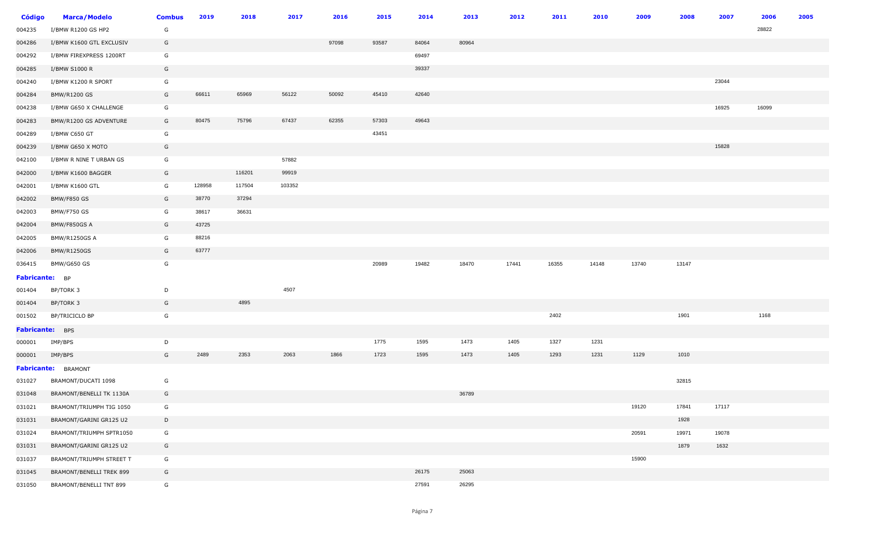| Código          | <b>Marca/Modelo</b>      | <b>Combus</b> | 2019   | 2018   | 2017   | 2016  | 2015  | 2014  | 2013  | 2012  | 2011  | 2010  | 2009  | 2008  | 2007  | 2006  | 2005 |
|-----------------|--------------------------|---------------|--------|--------|--------|-------|-------|-------|-------|-------|-------|-------|-------|-------|-------|-------|------|
| 004235          | I/BMW R1200 GS HP2       | G             |        |        |        |       |       |       |       |       |       |       |       |       |       | 28822 |      |
| 004286          | I/BMW K1600 GTL EXCLUSIV | G             |        |        |        | 97098 | 93587 | 84064 | 80964 |       |       |       |       |       |       |       |      |
| 004292          | I/BMW FIREXPRESS 1200RT  | G             |        |        |        |       |       | 69497 |       |       |       |       |       |       |       |       |      |
| 004285          | I/BMW S1000 R            | G             |        |        |        |       |       | 39337 |       |       |       |       |       |       |       |       |      |
| 004240          | I/BMW K1200 R SPORT      | G             |        |        |        |       |       |       |       |       |       |       |       |       | 23044 |       |      |
| 004284          | <b>BMW/R1200 GS</b>      | G             | 66611  | 65969  | 56122  | 50092 | 45410 | 42640 |       |       |       |       |       |       |       |       |      |
| 004238          | I/BMW G650 X CHALLENGE   | G             |        |        |        |       |       |       |       |       |       |       |       |       | 16925 | 16099 |      |
| 004283          | BMW/R1200 GS ADVENTURE   | G             | 80475  | 75796  | 67437  | 62355 | 57303 | 49643 |       |       |       |       |       |       |       |       |      |
| 004289          | I/BMW C650 GT            | G             |        |        |        |       | 43451 |       |       |       |       |       |       |       |       |       |      |
| 004239          | I/BMW G650 X MOTO        | G             |        |        |        |       |       |       |       |       |       |       |       |       | 15828 |       |      |
| 042100          | I/BMW R NINE T URBAN GS  | G             |        |        | 57882  |       |       |       |       |       |       |       |       |       |       |       |      |
| 042000          | I/BMW K1600 BAGGER       | G             |        | 116201 | 99919  |       |       |       |       |       |       |       |       |       |       |       |      |
| 042001          | I/BMW K1600 GTL          | G             | 128958 | 117504 | 103352 |       |       |       |       |       |       |       |       |       |       |       |      |
| 042002          | <b>BMW/F850 GS</b>       | G             | 38770  | 37294  |        |       |       |       |       |       |       |       |       |       |       |       |      |
| 042003          | BMW/F750 GS              | G             | 38617  | 36631  |        |       |       |       |       |       |       |       |       |       |       |       |      |
| 042004          | BMW/F850GS A             | G             | 43725  |        |        |       |       |       |       |       |       |       |       |       |       |       |      |
| 042005          | BMW/R1250GS A            | G             | 88216  |        |        |       |       |       |       |       |       |       |       |       |       |       |      |
| 042006          | <b>BMW/R1250GS</b>       | G             | 63777  |        |        |       |       |       |       |       |       |       |       |       |       |       |      |
| 036415          | BMW/G650 GS              | G             |        |        |        |       | 20989 | 19482 | 18470 | 17441 | 16355 | 14148 | 13740 | 13147 |       |       |      |
| Fabricante: BP  |                          |               |        |        |        |       |       |       |       |       |       |       |       |       |       |       |      |
| 001404          | BP/TORK 3                | D             |        |        | 4507   |       |       |       |       |       |       |       |       |       |       |       |      |
| 001404          | BP/TORK 3                | G             |        | 4895   |        |       |       |       |       |       |       |       |       |       |       |       |      |
| 001502          | BP/TRICICLO BP           | G             |        |        |        |       |       |       |       |       | 2402  |       |       | 1901  |       | 1168  |      |
| Fabricante: BPS |                          |               |        |        |        |       |       |       |       |       |       |       |       |       |       |       |      |
| 000001          | IMP/BPS                  | D             |        |        |        |       | 1775  | 1595  | 1473  | 1405  | 1327  | 1231  |       |       |       |       |      |
| 000001          | IMP/BPS                  | G             | 2489   | 2353   | 2063   | 1866  | 1723  | 1595  | 1473  | 1405  | 1293  | 1231  | 1129  | 1010  |       |       |      |
|                 | Fabricante: BRAMONT      |               |        |        |        |       |       |       |       |       |       |       |       |       |       |       |      |
| 031027          | BRAMONT/DUCATI 1098      | G             |        |        |        |       |       |       |       |       |       |       |       | 32815 |       |       |      |
| 031048          | BRAMONT/BENELLI TK 1130A | G             |        |        |        |       |       |       | 36789 |       |       |       |       |       |       |       |      |
| 031021          | BRAMONT/TRIUMPH TIG 1050 | G             |        |        |        |       |       |       |       |       |       |       | 19120 | 17841 | 17117 |       |      |
| 031031          | BRAMONT/GARINI GR125 U2  | D             |        |        |        |       |       |       |       |       |       |       |       | 1928  |       |       |      |
| 031024          | BRAMONT/TRIUMPH SPTR1050 | G             |        |        |        |       |       |       |       |       |       |       | 20591 | 19971 | 19078 |       |      |
| 031031          | BRAMONT/GARINI GR125 U2  | G             |        |        |        |       |       |       |       |       |       |       |       | 1879  | 1632  |       |      |
| 031037          | BRAMONT/TRIUMPH STREET T | G             |        |        |        |       |       |       |       |       |       |       | 15900 |       |       |       |      |
| 031045          | BRAMONT/BENELLI TREK 899 | G             |        |        |        |       |       | 26175 | 25063 |       |       |       |       |       |       |       |      |
| 031050          | BRAMONT/BENELLI TNT 899  | G             |        |        |        |       |       | 27591 | 26295 |       |       |       |       |       |       |       |      |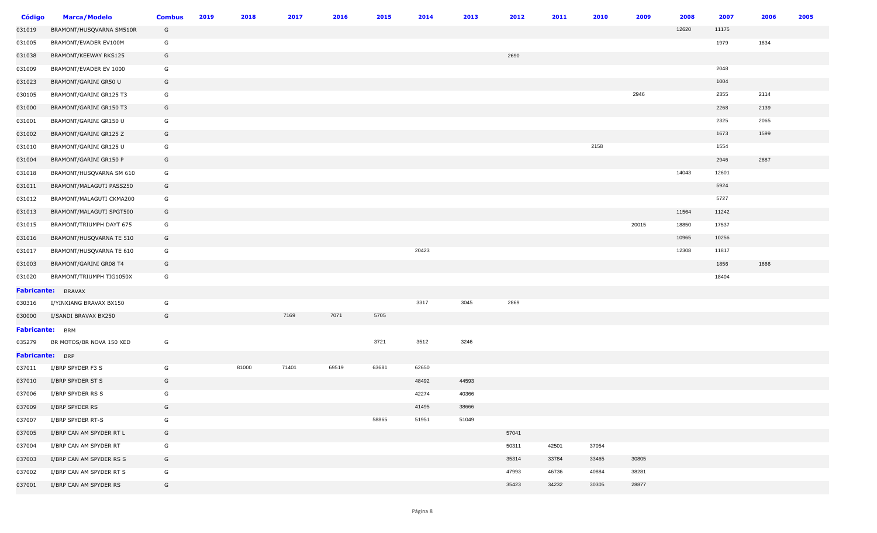| <b>Código</b>          | <b>Marca/Modelo</b>      | <b>Combus</b> | 2019 | 2018  | 2017  | 2016  | 2015  | 2014  | 2013  | 2012  | 2011  | 2010  | 2009  | 2008  | 2007  | 2006 | 2005 |
|------------------------|--------------------------|---------------|------|-------|-------|-------|-------|-------|-------|-------|-------|-------|-------|-------|-------|------|------|
| 031019                 | BRAMONT/HUSQVARNA SM510R | G             |      |       |       |       |       |       |       |       |       |       |       | 12620 | 11175 |      |      |
| 031005                 | BRAMONT/EVADER EV100M    | G             |      |       |       |       |       |       |       |       |       |       |       |       | 1979  | 1834 |      |
| 031038                 | BRAMONT/KEEWAY RKS125    | G             |      |       |       |       |       |       |       | 2690  |       |       |       |       |       |      |      |
| 031009                 | BRAMONT/EVADER EV 1000   | G             |      |       |       |       |       |       |       |       |       |       |       |       | 2048  |      |      |
| 031023                 | BRAMONT/GARINI GR50 U    | G             |      |       |       |       |       |       |       |       |       |       |       |       | 1004  |      |      |
| 030105                 | BRAMONT/GARINI GR125 T3  | G             |      |       |       |       |       |       |       |       |       |       | 2946  |       | 2355  | 2114 |      |
| 031000                 | BRAMONT/GARINI GR150 T3  | G             |      |       |       |       |       |       |       |       |       |       |       |       | 2268  | 2139 |      |
| 031001                 | BRAMONT/GARINI GR150 U   | G             |      |       |       |       |       |       |       |       |       |       |       |       | 2325  | 2065 |      |
| 031002                 | BRAMONT/GARINI GR125 Z   | G             |      |       |       |       |       |       |       |       |       |       |       |       | 1673  | 1599 |      |
| 031010                 | BRAMONT/GARINI GR125 U   | G             |      |       |       |       |       |       |       |       |       | 2158  |       |       | 1554  |      |      |
| 031004                 | BRAMONT/GARINI GR150 P   | G             |      |       |       |       |       |       |       |       |       |       |       |       | 2946  | 2887 |      |
| 031018                 | BRAMONT/HUSQVARNA SM 610 | G             |      |       |       |       |       |       |       |       |       |       |       | 14043 | 12601 |      |      |
| 031011                 | BRAMONT/MALAGUTI PASS250 | G             |      |       |       |       |       |       |       |       |       |       |       |       | 5924  |      |      |
| 031012                 | BRAMONT/MALAGUTI CKMA200 | G             |      |       |       |       |       |       |       |       |       |       |       |       | 5727  |      |      |
| 031013                 | BRAMONT/MALAGUTI SPGT500 | G             |      |       |       |       |       |       |       |       |       |       |       | 11564 | 11242 |      |      |
| 031015                 | BRAMONT/TRIUMPH DAYT 675 | G             |      |       |       |       |       |       |       |       |       |       | 20015 | 18850 | 17537 |      |      |
| 031016                 | BRAMONT/HUSQVARNA TE 510 | G             |      |       |       |       |       |       |       |       |       |       |       | 10965 | 10256 |      |      |
| 031017                 | BRAMONT/HUSQVARNA TE 610 | G             |      |       |       |       |       | 20423 |       |       |       |       |       | 12308 | 11817 |      |      |
| 031003                 | BRAMONT/GARINI GR08 T4   | G             |      |       |       |       |       |       |       |       |       |       |       |       | 1856  | 1666 |      |
| 031020                 | BRAMONT/TRIUMPH TIG1050X | G             |      |       |       |       |       |       |       |       |       |       |       |       | 18404 |      |      |
| <b>Fabricante:</b>     | <b>BRAVAX</b>            |               |      |       |       |       |       |       |       |       |       |       |       |       |       |      |      |
| 030316                 | I/YINXIANG BRAVAX BX150  | G             |      |       |       |       |       | 3317  | 3045  | 2869  |       |       |       |       |       |      |      |
| 030000                 | I/SANDI BRAVAX BX250     | G             |      |       | 7169  | 7071  | 5705  |       |       |       |       |       |       |       |       |      |      |
| <b>Fabricante:</b> BRM |                          |               |      |       |       |       |       |       |       |       |       |       |       |       |       |      |      |
| 035279                 | BR MOTOS/BR NOVA 150 XED | G             |      |       |       |       | 3721  | 3512  | 3246  |       |       |       |       |       |       |      |      |
| <b>Fabricante:</b> BRP |                          |               |      |       |       |       |       |       |       |       |       |       |       |       |       |      |      |
| 037011                 | I/BRP SPYDER F3 S        | G             |      | 81000 | 71401 | 69519 | 63681 | 62650 |       |       |       |       |       |       |       |      |      |
| 037010                 | I/BRP SPYDER ST S        | G             |      |       |       |       |       | 48492 | 44593 |       |       |       |       |       |       |      |      |
| 037006                 | I/BRP SPYDER RS S        | G             |      |       |       |       |       | 42274 | 40366 |       |       |       |       |       |       |      |      |
| 037009                 | I/BRP SPYDER RS          | G             |      |       |       |       |       | 41495 | 38666 |       |       |       |       |       |       |      |      |
| 037007                 | I/BRP SPYDER RT-S        | G             |      |       |       |       | 58865 | 51951 | 51049 |       |       |       |       |       |       |      |      |
| 037005                 | I/BRP CAN AM SPYDER RT L | G             |      |       |       |       |       |       |       | 57041 |       |       |       |       |       |      |      |
| 037004                 | I/BRP CAN AM SPYDER RT   | G             |      |       |       |       |       |       |       | 50311 | 42501 | 37054 |       |       |       |      |      |
| 037003                 | I/BRP CAN AM SPYDER RS S | G             |      |       |       |       |       |       |       | 35314 | 33784 | 33465 | 30805 |       |       |      |      |
| 037002                 | I/BRP CAN AM SPYDER RT S | G             |      |       |       |       |       |       |       | 47993 | 46736 | 40884 | 38281 |       |       |      |      |
| 037001                 | I/BRP CAN AM SPYDER RS   | G             |      |       |       |       |       |       |       | 35423 | 34232 | 30305 | 28877 |       |       |      |      |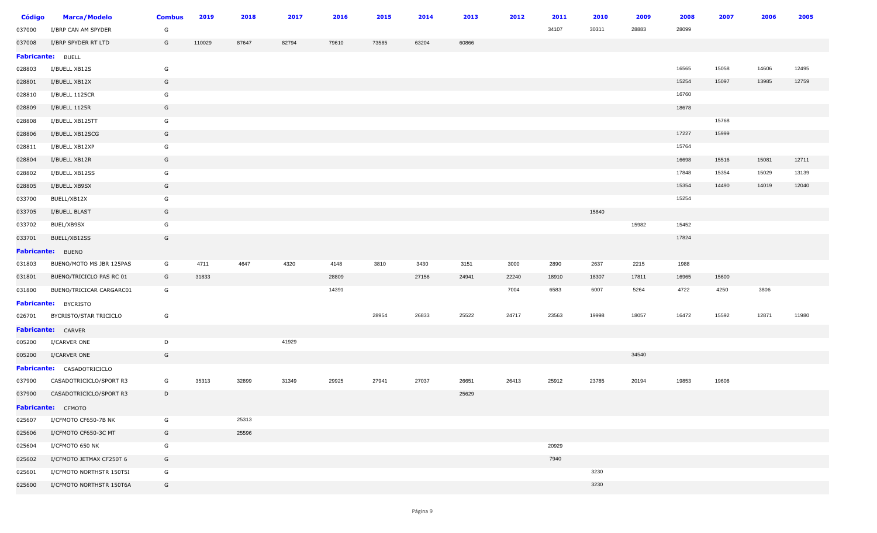| Código                   | <b>Marca/Modelo</b>               | <b>Combus</b> | 2019   | 2018  | 2017  | 2016  | 2015  | 2014  | 2013  | 2012  | 2011  | 2010  | 2009  | 2008  | 2007  | 2006  | 2005  |
|--------------------------|-----------------------------------|---------------|--------|-------|-------|-------|-------|-------|-------|-------|-------|-------|-------|-------|-------|-------|-------|
| 037000                   | I/BRP CAN AM SPYDER               | G             |        |       |       |       |       |       |       |       | 34107 | 30311 | 28883 | 28099 |       |       |       |
| 037008                   | I/BRP SPYDER RT LTD               | G             | 110029 | 87647 | 82794 | 79610 | 73585 | 63204 | 60866 |       |       |       |       |       |       |       |       |
| <b>Fabricante: BUELL</b> |                                   |               |        |       |       |       |       |       |       |       |       |       |       |       |       |       |       |
| 028803                   | I/BUELL XB12S                     | G             |        |       |       |       |       |       |       |       |       |       |       | 16565 | 15058 | 14606 | 12495 |
| 028801                   | I/BUELL XB12X                     | G             |        |       |       |       |       |       |       |       |       |       |       | 15254 | 15097 | 13985 | 12759 |
| 028810                   | I/BUELL 1125CR                    | G             |        |       |       |       |       |       |       |       |       |       |       | 16760 |       |       |       |
| 028809                   | I/BUELL 1125R                     | G             |        |       |       |       |       |       |       |       |       |       |       | 18678 |       |       |       |
| 028808                   | I/BUELL XB125TT                   | G             |        |       |       |       |       |       |       |       |       |       |       |       | 15768 |       |       |
| 028806                   | I/BUELL XB12SCG                   | G             |        |       |       |       |       |       |       |       |       |       |       | 17227 | 15999 |       |       |
| 028811                   | I/BUELL XB12XP                    | G             |        |       |       |       |       |       |       |       |       |       |       | 15764 |       |       |       |
| 028804                   | I/BUELL XB12R                     | G             |        |       |       |       |       |       |       |       |       |       |       | 16698 | 15516 | 15081 | 12711 |
| 028802                   | I/BUELL XB12SS                    | G             |        |       |       |       |       |       |       |       |       |       |       | 17848 | 15354 | 15029 | 13139 |
| 028805                   | I/BUELL XB9SX                     | G             |        |       |       |       |       |       |       |       |       |       |       | 15354 | 14490 | 14019 | 12040 |
| 033700                   | BUELL/XB12X                       | G             |        |       |       |       |       |       |       |       |       |       |       | 15254 |       |       |       |
| 033705                   | I/BUELL BLAST                     | G             |        |       |       |       |       |       |       |       |       | 15840 |       |       |       |       |       |
| 033702                   | BUEL/XB9SX                        | G             |        |       |       |       |       |       |       |       |       |       | 15982 | 15452 |       |       |       |
| 033701                   | BUELL/XB12SS                      | G             |        |       |       |       |       |       |       |       |       |       |       | 17824 |       |       |       |
|                          | <b>Fabricante:</b> BUENO          |               |        |       |       |       |       |       |       |       |       |       |       |       |       |       |       |
| 031803                   | BUENO/MOTO MS JBR 125PAS          | G             | 4711   | 4647  | 4320  | 4148  | 3810  | 3430  | 3151  | 3000  | 2890  | 2637  | 2215  | 1988  |       |       |       |
| 031801                   | BUENO/TRICICLO PAS RC 01          | G             | 31833  |       |       | 28809 |       | 27156 | 24941 | 22240 | 18910 | 18307 | 17811 | 16965 | 15600 |       |       |
| 031800                   | BUENO/TRICICAR CARGARC01          | G             |        |       |       | 14391 |       |       |       | 7004  | 6583  | 6007  | 5264  | 4722  | 4250  | 3806  |       |
|                          | <b>Fabricante:</b> BYCRISTO       |               |        |       |       |       |       |       |       |       |       |       |       |       |       |       |       |
| 026701                   | BYCRISTO/STAR TRICICLO            | G             |        |       |       |       | 28954 | 26833 | 25522 | 24717 | 23563 | 19998 | 18057 | 16472 | 15592 | 12871 | 11980 |
|                          | Fabricante: CARVER                |               |        |       |       |       |       |       |       |       |       |       |       |       |       |       |       |
| 005200                   | I/CARVER ONE                      | D             |        |       | 41929 |       |       |       |       |       |       |       |       |       |       |       |       |
| 005200                   | I/CARVER ONE                      | G             |        |       |       |       |       |       |       |       |       |       | 34540 |       |       |       |       |
|                          | <b>Fabricante:</b> CASADOTRICICLO |               |        |       |       |       |       |       |       |       |       |       |       |       |       |       |       |
| 037900                   | CASADOTRICICLO/SPORT R3           | G             | 35313  | 32899 | 31349 | 29925 | 27941 | 27037 | 26651 | 26413 | 25912 | 23785 | 20194 | 19853 | 19608 |       |       |
| 037900                   | CASADOTRICICLO/SPORT R3           | D             |        |       |       |       |       |       | 25629 |       |       |       |       |       |       |       |       |
|                          | Fabricante: CFMOTO                |               |        |       |       |       |       |       |       |       |       |       |       |       |       |       |       |
| 025607                   | I/CFMOTO CF650-7B NK              | G             |        | 25313 |       |       |       |       |       |       |       |       |       |       |       |       |       |
| 025606                   | I/CFMOTO CF650-3C MT              | G             |        | 25596 |       |       |       |       |       |       |       |       |       |       |       |       |       |
| 025604                   | I/CFMOTO 650 NK                   | G             |        |       |       |       |       |       |       |       | 20929 |       |       |       |       |       |       |
| 025602                   | I/CFMOTO JETMAX CF250T 6          | G             |        |       |       |       |       |       |       |       | 7940  |       |       |       |       |       |       |
| 025601                   | I/CFMOTO NORTHSTR 150T5I          | G             |        |       |       |       |       |       |       |       |       | 3230  |       |       |       |       |       |
| 025600                   | I/CFMOTO NORTHSTR 150T6A          | G             |        |       |       |       |       |       |       |       |       | 3230  |       |       |       |       |       |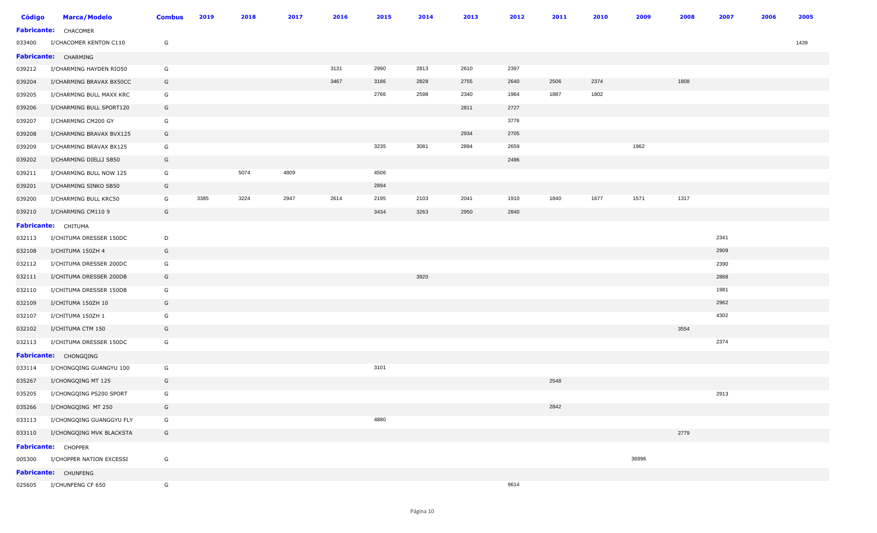| <b>Código</b> | <b>Marca/Modelo</b>      | <b>Combus</b> | 2019 | 2018 | 2017 | 2016 | 2015 | 2014 | 2013 | 2012 | 2011 | 2010 | 2009  | 2008 | 2007 | 2006 | 2005 |
|---------------|--------------------------|---------------|------|------|------|------|------|------|------|------|------|------|-------|------|------|------|------|
|               | Fabricante: CHACOMER     |               |      |      |      |      |      |      |      |      |      |      |       |      |      |      |      |
| 033400        | I/CHACOMER KENTON C110   | G             |      |      |      |      |      |      |      |      |      |      |       |      |      |      | 1439 |
|               | Fabricante: CHARMING     |               |      |      |      |      |      |      |      |      |      |      |       |      |      |      |      |
| 039212        | I/CHARMING HAYDEN RIO50  | G             |      |      |      | 3131 | 2990 | 2813 | 2610 | 2397 |      |      |       |      |      |      |      |
| 039204        | I/CHARMING BRAVAX BX50CC | G             |      |      |      | 3467 | 3186 | 2828 | 2755 | 2640 | 2506 | 2374 |       | 1808 |      |      |      |
| 039205        | I/CHARMING BULL MAXX KRC | G             |      |      |      |      | 2766 | 2598 | 2340 | 1964 | 1887 | 1802 |       |      |      |      |      |
| 039206        | I/CHARMING BULL SPORT120 | G             |      |      |      |      |      |      | 2811 | 2727 |      |      |       |      |      |      |      |
| 039207        | I/CHARMING CM200 GY      | G             |      |      |      |      |      |      |      | 3776 |      |      |       |      |      |      |      |
| 039208        | I/CHARMING BRAVAX BVX125 | G             |      |      |      |      |      |      | 2934 | 2705 |      |      |       |      |      |      |      |
| 039209        | I/CHARMING BRAVAX BX125  | G             |      |      |      |      | 3235 | 3081 | 2894 | 2659 |      |      | 1962  |      |      |      |      |
| 039202        | I/CHARMING DIELLI SB50   | G             |      |      |      |      |      |      |      | 2496 |      |      |       |      |      |      |      |
| 039211        | I/CHARMING BULL NOW 125  | G             |      | 5074 | 4809 |      | 4506 |      |      |      |      |      |       |      |      |      |      |
| 039201        | I/CHARMING SINKO SB50    | G             |      |      |      |      | 2894 |      |      |      |      |      |       |      |      |      |      |
| 039200        | I/CHARMING BULL KRC50    | G             | 3385 | 3224 | 2947 | 2614 | 2195 | 2103 | 2041 | 1910 | 1840 | 1677 | 1571  | 1317 |      |      |      |
| 039210        | I/CHARMING CM110 9       | G             |      |      |      |      | 3434 | 3263 | 2950 | 2840 |      |      |       |      |      |      |      |
|               | Fabricante: CHITUMA      |               |      |      |      |      |      |      |      |      |      |      |       |      |      |      |      |
| 032113        | I/CHITUMA DRESSER 150DC  | D             |      |      |      |      |      |      |      |      |      |      |       |      | 2341 |      |      |
| 032108        | I/CHITUMA 150ZH 4        | G             |      |      |      |      |      |      |      |      |      |      |       |      | 2909 |      |      |
| 032112        | I/CHITUMA DRESSER 200DC  | G             |      |      |      |      |      |      |      |      |      |      |       |      | 2390 |      |      |
| 032111        | I/CHITUMA DRESSER 200DB  | G             |      |      |      |      |      | 3920 |      |      |      |      |       |      | 2868 |      |      |
| 032110        | I/CHITUMA DRESSER 150DB  | G             |      |      |      |      |      |      |      |      |      |      |       |      | 1981 |      |      |
| 032109        | I/CHITUMA 150ZH 10       | G             |      |      |      |      |      |      |      |      |      |      |       |      | 2962 |      |      |
| 032107        | I/CHITUMA 150ZH 1        | G             |      |      |      |      |      |      |      |      |      |      |       |      | 4302 |      |      |
| 032102        | I/CHITUMA CTM 150        | G             |      |      |      |      |      |      |      |      |      |      |       | 3554 |      |      |      |
| 032113        | I/CHITUMA DRESSER 150DC  | G             |      |      |      |      |      |      |      |      |      |      |       |      | 2374 |      |      |
|               | Fabricante: CHONGQING    |               |      |      |      |      |      |      |      |      |      |      |       |      |      |      |      |
| 033114        | I/CHONGQING GUANGYU 100  | G             |      |      |      |      | 3101 |      |      |      |      |      |       |      |      |      |      |
| 035267        | I/CHONGQING MT 125       | G             |      |      |      |      |      |      |      |      | 2548 |      |       |      |      |      |      |
| 035205        | I/CHONGQING PS200 SPORT  | G             |      |      |      |      |      |      |      |      |      |      |       |      | 2913 |      |      |
| 035266        | I/CHONGQING MT 250       | G             |      |      |      |      |      |      |      |      | 2842 |      |       |      |      |      |      |
| 033113        | I/CHONGQING GUANGGYU FLY | G             |      |      |      |      | 4880 |      |      |      |      |      |       |      |      |      |      |
| 033110        | I/CHONGQING MVK BLACKSTA | G             |      |      |      |      |      |      |      |      |      |      |       | 2779 |      |      |      |
|               | Fabricante: CHOPPER      |               |      |      |      |      |      |      |      |      |      |      |       |      |      |      |      |
| 005300        | I/CHOPPER NATION EXCESSI | G             |      |      |      |      |      |      |      |      |      |      | 36996 |      |      |      |      |
|               | Fabricante: CHUNFENG     |               |      |      |      |      |      |      |      |      |      |      |       |      |      |      |      |
|               | 025605 I/CHUNFENG CF 650 | G             |      |      |      |      |      |      |      | 9614 |      |      |       |      |      |      |      |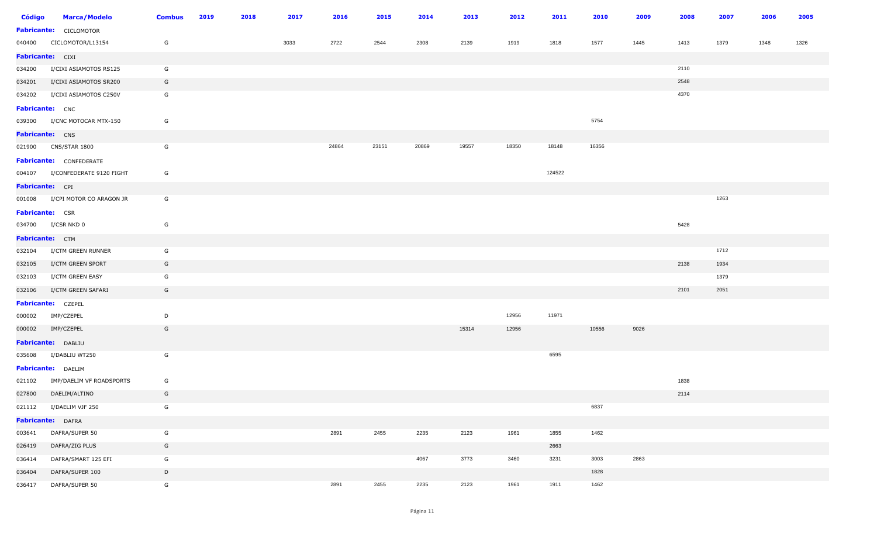| <b>Código</b>          | <b>Marca/Modelo</b>             | <b>Combus</b> | 2019 | 2018 | 2017 | 2016  | 2015  | 2014  | 2013  | 2012  | 2011   | 2010  | 2009 | 2008 | 2007 | 2006 | 2005 |
|------------------------|---------------------------------|---------------|------|------|------|-------|-------|-------|-------|-------|--------|-------|------|------|------|------|------|
|                        | <b>Fabricante:</b> CICLOMOTOR   |               |      |      |      |       |       |       |       |       |        |       |      |      |      |      |      |
|                        | 040400 CICLOMOTOR/L13154        | G             |      |      | 3033 | 2722  | 2544  | 2308  | 2139  | 1919  | 1818   | 1577  | 1445 | 1413 | 1379 | 1348 | 1326 |
| Fabricante: CIXI       |                                 |               |      |      |      |       |       |       |       |       |        |       |      |      |      |      |      |
| 034200                 | I/CIXI ASIAMOTOS RS125          | G             |      |      |      |       |       |       |       |       |        |       |      | 2110 |      |      |      |
|                        | 034201 I/CIXI ASIAMOTOS SR200   | G             |      |      |      |       |       |       |       |       |        |       |      | 2548 |      |      |      |
|                        | 034202 I/CIXI ASIAMOTOS C250V   | G             |      |      |      |       |       |       |       |       |        |       |      | 4370 |      |      |      |
| <b>Fabricante:</b> CNC |                                 |               |      |      |      |       |       |       |       |       |        |       |      |      |      |      |      |
|                        | 039300 I/CNC MOTOCAR MTX-150    | G             |      |      |      |       |       |       |       |       |        | 5754  |      |      |      |      |      |
| Fabricante: CNS        |                                 |               |      |      |      |       |       |       |       |       |        |       |      |      |      |      |      |
|                        | 021900 CNS/STAR 1800            | G             |      |      |      | 24864 | 23151 | 20869 | 19557 | 18350 | 18148  | 16356 |      |      |      |      |      |
|                        | <b>Fabricante: CONFEDERATE</b>  |               |      |      |      |       |       |       |       |       |        |       |      |      |      |      |      |
|                        | 004107 I/CONFEDERATE 9120 FIGHT | G             |      |      |      |       |       |       |       |       | 124522 |       |      |      |      |      |      |
| Fabricante: CPI        |                                 |               |      |      |      |       |       |       |       |       |        |       |      |      |      |      |      |
|                        | 001008 I/CPI MOTOR CO ARAGON JR | G             |      |      |      |       |       |       |       |       |        |       |      |      | 1263 |      |      |
| <b>Fabricante:</b> CSR |                                 |               |      |      |      |       |       |       |       |       |        |       |      |      |      |      |      |
|                        | 034700 I/CSR NKD 0              | G             |      |      |      |       |       |       |       |       |        |       |      | 5428 |      |      |      |
| Fabricante: CTM        |                                 |               |      |      |      |       |       |       |       |       |        |       |      |      |      |      |      |
|                        | 032104 I/CTM GREEN RUNNER       | G             |      |      |      |       |       |       |       |       |        |       |      |      | 1712 |      |      |
|                        | 032105 I/CTM GREEN SPORT        | G             |      |      |      |       |       |       |       |       |        |       |      | 2138 | 1934 |      |      |
| 032103                 | I/CTM GREEN EASY                | G             |      |      |      |       |       |       |       |       |        |       |      |      | 1379 |      |      |
| 032106                 | I/CTM GREEN SAFARI              | G             |      |      |      |       |       |       |       |       |        |       |      | 2101 | 2051 |      |      |
|                        | Fabricante: CZEPEL              |               |      |      |      |       |       |       |       |       |        |       |      |      |      |      |      |
|                        | 000002 IMP/CZEPEL               | D             |      |      |      |       |       |       |       | 12956 | 11971  |       |      |      |      |      |      |
|                        | 000002 IMP/CZEPEL               | G             |      |      |      |       |       |       | 15314 | 12956 |        | 10556 | 9026 |      |      |      |      |
|                        | Fabricante: DABLIU              |               |      |      |      |       |       |       |       |       |        |       |      |      |      |      |      |
|                        | 035608 I/DABLIU WT250           | G             |      |      |      |       |       |       |       |       | 6595   |       |      |      |      |      |      |
|                        | Fabricante: DAELIM              |               |      |      |      |       |       |       |       |       |        |       |      |      |      |      |      |
|                        | 021102 IMP/DAELIM VF ROADSPORTS | G             |      |      |      |       |       |       |       |       |        |       |      | 1838 |      |      |      |
|                        | 027800 DAELIM/ALTINO            | G             |      |      |      |       |       |       |       |       |        |       |      | 2114 |      |      |      |
| 021112                 | I/DAELIM VJF 250                | G             |      |      |      |       |       |       |       |       |        | 6837  |      |      |      |      |      |
|                        | Fabricante: DAFRA               |               |      |      |      |       |       |       |       |       |        |       |      |      |      |      |      |
| 003641                 | DAFRA/SUPER 50                  | G             |      |      |      | 2891  | 2455  | 2235  | 2123  | 1961  | 1855   | 1462  |      |      |      |      |      |
| 026419                 | DAFRA/ZIG PLUS                  | G             |      |      |      |       |       |       |       |       | 2663   |       |      |      |      |      |      |
| 036414                 | DAFRA/SMART 125 EFI             | G             |      |      |      |       |       | 4067  | 3773  | 3460  | 3231   | 3003  | 2863 |      |      |      |      |
| 036404                 | DAFRA/SUPER 100                 | D             |      |      |      |       |       |       |       |       |        | 1828  |      |      |      |      |      |
| 036417                 | DAFRA/SUPER 50                  | G             |      |      |      | 2891  | 2455  | 2235  | 2123  | 1961  | 1911   | 1462  |      |      |      |      |      |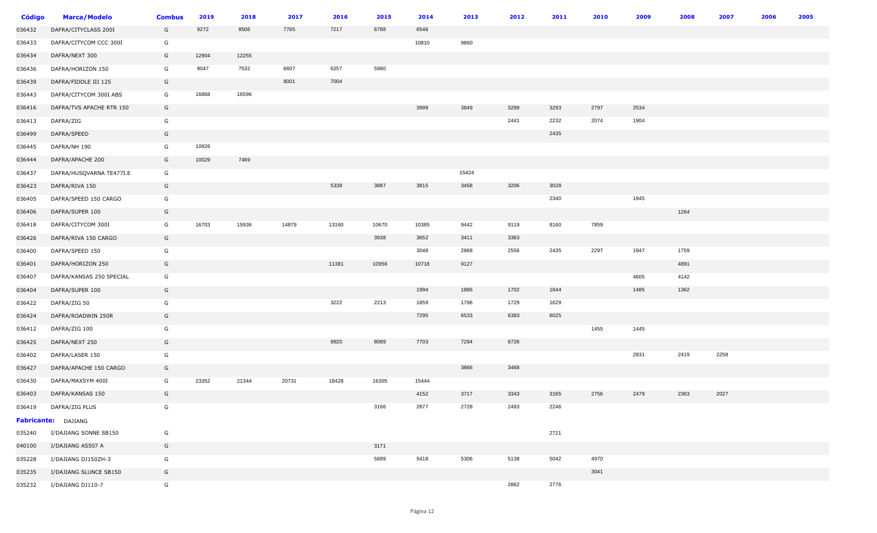| Código | <b>Marca/Modelo</b>      | <b>Combus</b> | 2019  | 2018  | 2017  | 2016  | 2015  | 2014  | 2013  | 2012 | 2011 | 2010 | 2009 | 2008 | 2007 | 2006 | 2005 |
|--------|--------------------------|---------------|-------|-------|-------|-------|-------|-------|-------|------|------|------|------|------|------|------|------|
| 036432 | DAFRA/CITYCLASS 200I     | G             | 9272  | 8506  | 7765  | 7217  | 6788  | 6546  |       |      |      |      |      |      |      |      |      |
| 036433 | DAFRA/CITYCOM CCC 300I   | G             |       |       |       |       |       | 10810 | 9860  |      |      |      |      |      |      |      |      |
| 036434 | DAFRA/NEXT 300           | G             | 12904 | 12255 |       |       |       |       |       |      |      |      |      |      |      |      |      |
| 036436 | DAFRA/HORIZON 150        | G             | 8047  | 7532  | 6607  | 6257  | 5980  |       |       |      |      |      |      |      |      |      |      |
| 036439 | DAFRA/FIDDLE III 125     | G             |       |       | 8001  | 7004  |       |       |       |      |      |      |      |      |      |      |      |
| 036443 | DAFRA/CITYCOM 300I ABS   | G             | 16868 | 16596 |       |       |       |       |       |      |      |      |      |      |      |      |      |
| 036416 | DAFRA/TVS APACHE RTR 150 | G             |       |       |       |       |       | 3999  | 3849  | 3299 | 3293 | 2797 | 2534 |      |      |      |      |
| 036413 | DAFRA/ZIG                | G             |       |       |       |       |       |       |       | 2441 | 2232 | 2074 | 1904 |      |      |      |      |
| 036499 | DAFRA/SPEED              | G             |       |       |       |       |       |       |       |      | 2435 |      |      |      |      |      |      |
| 036445 | DAFRA/NH 190             | G             | 10926 |       |       |       |       |       |       |      |      |      |      |      |      |      |      |
| 036444 | DAFRA/APACHE 200         | G             | 10029 | 7469  |       |       |       |       |       |      |      |      |      |      |      |      |      |
| 036437 | DAFRA/HUSQVARNA TE477I.E | G             |       |       |       |       |       |       | 15424 |      |      |      |      |      |      |      |      |
| 036423 | DAFRA/RIVA 150           | G             |       |       |       | 5338  | 3887  | 3815  | 3458  | 3206 | 3028 |      |      |      |      |      |      |
| 036405 | DAFRA/SPEED 150 CARGO    | G             |       |       |       |       |       |       |       |      | 2340 |      | 1945 |      |      |      |      |
| 036406 | DAFRA/SUPER 100          | G             |       |       |       |       |       |       |       |      |      |      |      | 1264 |      |      |      |
| 036418 | DAFRA/CITYCOM 300I       | G             | 16703 | 15936 | 14879 | 13160 | 10670 | 10385 | 9442  | 9119 | 8160 | 7859 |      |      |      |      |      |
| 036426 | DAFRA/RIVA 150 CARGO     | G             |       |       |       |       | 3938  | 3652  | 3411  | 3363 |      |      |      |      |      |      |      |
| 036400 | DAFRA/SPEED 150          | G             |       |       |       |       |       | 3048  | 2868  | 2556 | 2435 | 2297 | 1947 | 1759 |      |      |      |
| 036401 | DAFRA/HORIZON 250        | G             |       |       |       | 11381 | 10956 | 10718 | 9127  |      |      |      |      | 4891 |      |      |      |
| 036407 | DAFRA/KANSAS 250 SPECIAL | G             |       |       |       |       |       |       |       |      |      |      | 4605 | 4142 |      |      |      |
| 036404 | DAFRA/SUPER 100          | G             |       |       |       |       |       | 1994  | 1886  | 1702 | 1644 |      | 1485 | 1362 |      |      |      |
| 036422 | DAFRA/ZIG 50             | G             |       |       |       | 3222  | 2213  | 1859  | 1796  | 1729 | 1629 |      |      |      |      |      |      |
| 036424 | DAFRA/ROADWIN 250R       | G             |       |       |       |       |       | 7295  | 6533  | 6383 | 6025 |      |      |      |      |      |      |
| 036412 | DAFRA/ZIG 100            | G             |       |       |       |       |       |       |       |      |      | 1455 | 1445 |      |      |      |      |
| 036425 | DAFRA/NEXT 250           | G             |       |       |       | 9920  | 8089  | 7703  | 7294  | 6726 |      |      |      |      |      |      |      |
| 036402 | DAFRA/LASER 150          | G             |       |       |       |       |       |       |       |      |      |      | 2831 | 2419 | 2258 |      |      |
| 036427 | DAFRA/APACHE 150 CARGO   | G             |       |       |       |       |       |       | 3866  | 3468 |      |      |      |      |      |      |      |
| 036430 | DAFRA/MAXSYM 400I        | G             | 23352 | 21344 | 20731 | 18428 | 16305 | 15444 |       |      |      |      |      |      |      |      |      |
| 036403 | DAFRA/KANSAS 150         | G             |       |       |       |       |       | 4152  | 3717  | 3343 | 3165 | 2756 | 2479 | 2363 | 2027 |      |      |
| 036419 | DAFRA/ZIG PLUS           | G             |       |       |       |       | 3166  | 2877  | 2728  | 2493 | 2246 |      |      |      |      |      |      |
|        | Fabricante: DAJIANG      |               |       |       |       |       |       |       |       |      |      |      |      |      |      |      |      |
| 035240 | I/DAJIANG SONNE SB150    | G             |       |       |       |       |       |       |       |      | 2721 |      |      |      |      |      |      |
| 040100 | I/DAJIANG AS507 A        | G             |       |       |       |       | 3171  |       |       |      |      |      |      |      |      |      |      |
| 035228 | I/DAJIANG DJ150ZH-3      | G             |       |       |       |       | 5689  | 5418  | 5306  | 5138 | 5042 | 4970 |      |      |      |      |      |
| 035235 | I/DAJIANG SLUNCE SB150   | G             |       |       |       |       |       |       |       |      |      | 3041 |      |      |      |      |      |
| 035232 | I/DAJIANG DJ110-7        | G             |       |       |       |       |       |       |       | 2862 | 2776 |      |      |      |      |      |      |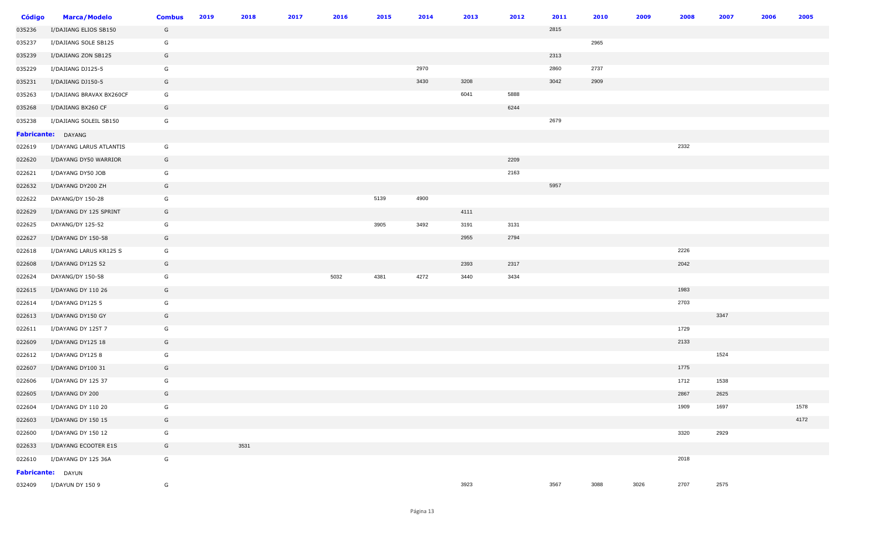| <b>Código</b> | <b>Marca/Modelo</b>      | <b>Combus</b> | 2019 | 2018 | 2017 | 2016 | 2015 | 2014 | 2013 | 2012 | 2011 | 2010 | 2009 | 2008 | 2007<br>2006 | 2005 |  |
|---------------|--------------------------|---------------|------|------|------|------|------|------|------|------|------|------|------|------|--------------|------|--|
| 035236        | I/DAJIANG ELIOS SB150    | G             |      |      |      |      |      |      |      |      | 2815 |      |      |      |              |      |  |
| 035237        | I/DAJIANG SOLE SB125     | G             |      |      |      |      |      |      |      |      |      | 2965 |      |      |              |      |  |
| 035239        | I/DAJIANG ZON SB125      | G             |      |      |      |      |      |      |      |      | 2313 |      |      |      |              |      |  |
| 035229        | I/DAJIANG DJ125-5        | G             |      |      |      |      |      | 2970 |      |      | 2860 | 2737 |      |      |              |      |  |
| 035231        | I/DAJIANG DJ150-5        | G             |      |      |      |      |      | 3430 | 3208 |      | 3042 | 2909 |      |      |              |      |  |
| 035263        | I/DAJIANG BRAVAX BX260CF | G             |      |      |      |      |      |      | 6041 | 5888 |      |      |      |      |              |      |  |
| 035268        | I/DAJIANG BX260 CF       | G             |      |      |      |      |      |      |      | 6244 |      |      |      |      |              |      |  |
| 035238        | I/DAJIANG SOLEIL SB150   | G             |      |      |      |      |      |      |      |      | 2679 |      |      |      |              |      |  |
|               | Fabricante: DAYANG       |               |      |      |      |      |      |      |      |      |      |      |      |      |              |      |  |
| 022619        | I/DAYANG LARUS ATLANTIS  | G             |      |      |      |      |      |      |      |      |      |      |      | 2332 |              |      |  |
| 022620        | I/DAYANG DY50 WARRIOR    | G             |      |      |      |      |      |      |      | 2209 |      |      |      |      |              |      |  |
| 022621        | I/DAYANG DY50 JOB        | G             |      |      |      |      |      |      |      | 2163 |      |      |      |      |              |      |  |
| 022632        | I/DAYANG DY200 ZH        | G             |      |      |      |      |      |      |      |      | 5957 |      |      |      |              |      |  |
| 022622        | DAYANG/DY 150-28         | G             |      |      |      |      | 5139 | 4900 |      |      |      |      |      |      |              |      |  |
| 022629        | I/DAYANG DY 125 SPRINT   | G             |      |      |      |      |      |      | 4111 |      |      |      |      |      |              |      |  |
| 022625        | DAYANG/DY 125-52         | G             |      |      |      |      | 3905 | 3492 | 3191 | 3131 |      |      |      |      |              |      |  |
| 022627        | I/DAYANG DY 150-58       | G             |      |      |      |      |      |      | 2955 | 2794 |      |      |      |      |              |      |  |
| 022618        | I/DAYANG LARUS KR125 S   | G             |      |      |      |      |      |      |      |      |      |      |      | 2226 |              |      |  |
| 022608        | I/DAYANG DY125 52        | G             |      |      |      |      |      |      | 2393 | 2317 |      |      |      | 2042 |              |      |  |
| 022624        | DAYANG/DY 150-58         | G             |      |      |      | 5032 | 4381 | 4272 | 3440 | 3434 |      |      |      |      |              |      |  |
| 022615        | I/DAYANG DY 110 26       | G             |      |      |      |      |      |      |      |      |      |      |      | 1983 |              |      |  |
| 022614        | I/DAYANG DY125 5         | G             |      |      |      |      |      |      |      |      |      |      |      | 2703 |              |      |  |
| 022613        | I/DAYANG DY150 GY        | G             |      |      |      |      |      |      |      |      |      |      |      |      | 3347         |      |  |
| 022611        | I/DAYANG DY 125T 7       | G             |      |      |      |      |      |      |      |      |      |      |      | 1729 |              |      |  |
| 022609        | I/DAYANG DY125 18        | G             |      |      |      |      |      |      |      |      |      |      |      | 2133 |              |      |  |
| 022612        | I/DAYANG DY125 8         | G             |      |      |      |      |      |      |      |      |      |      |      |      | 1524         |      |  |
| 022607        | I/DAYANG DY100 31        | G             |      |      |      |      |      |      |      |      |      |      |      | 1775 |              |      |  |
| 022606        | I/DAYANG DY 125 37       | G             |      |      |      |      |      |      |      |      |      |      |      | 1712 | 1538         |      |  |
| 022605        | I/DAYANG DY 200          | G             |      |      |      |      |      |      |      |      |      |      |      | 2867 | 2625         |      |  |
| 022604        | I/DAYANG DY 110 20       | G             |      |      |      |      |      |      |      |      |      |      |      | 1909 | 1697         | 1578 |  |
| 022603        | I/DAYANG DY 150 15       | G             |      |      |      |      |      |      |      |      |      |      |      |      |              | 4172 |  |
| 022600        | I/DAYANG DY 150 12       | G             |      |      |      |      |      |      |      |      |      |      |      | 3320 | 2929         |      |  |
| 022633        | I/DAYANG ECOOTER E1S     | G             |      | 3531 |      |      |      |      |      |      |      |      |      |      |              |      |  |
| 022610        | I/DAYANG DY 125 36A      | G             |      |      |      |      |      |      |      |      |      |      |      | 2018 |              |      |  |
|               | Fabricante: DAYUN        |               |      |      |      |      |      |      |      |      |      |      |      |      |              |      |  |
| 032409        | I/DAYUN DY 150 9         | G             |      |      |      |      |      |      | 3923 |      | 3567 | 3088 | 3026 | 2707 | 2575         |      |  |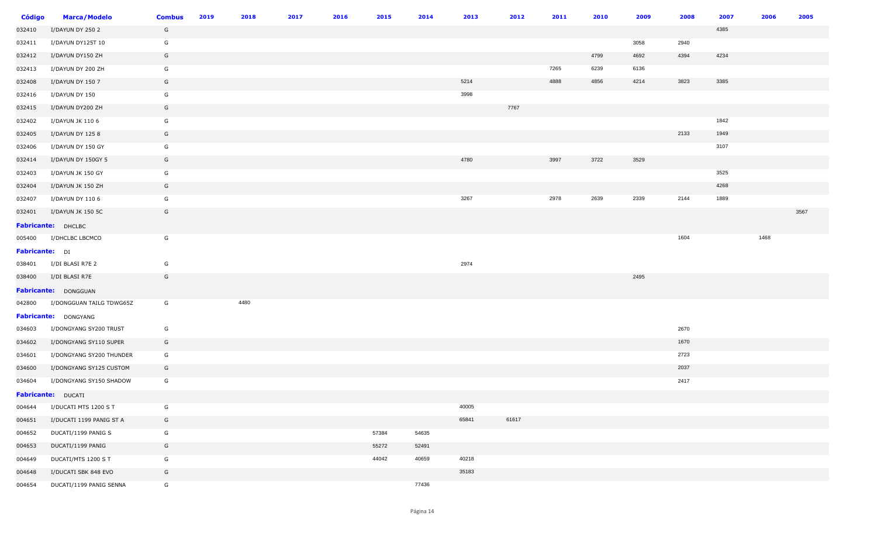| <b>Código</b>  | <b>Marca/Modelo</b>      | <b>Combus</b> | 2019 | 2018 | 2017 | 2016 | 2015  | 2014  | 2013  | 2012  | 2011 | 2010 | 2009 | 2008 | 2007 | 2006 | 2005 |
|----------------|--------------------------|---------------|------|------|------|------|-------|-------|-------|-------|------|------|------|------|------|------|------|
| 032410         | I/DAYUN DY 250 2         | G             |      |      |      |      |       |       |       |       |      |      |      |      | 4385 |      |      |
| 032411         | I/DAYUN DY125T 10        | G             |      |      |      |      |       |       |       |       |      |      | 3058 | 2940 |      |      |      |
| 032412         | I/DAYUN DY150 ZH         | G             |      |      |      |      |       |       |       |       |      | 4799 | 4692 | 4394 | 4234 |      |      |
| 032413         | I/DAYUN DY 200 ZH        | G             |      |      |      |      |       |       |       |       | 7265 | 6239 | 6136 |      |      |      |      |
| 032408         | I/DAYUN DY 150 7         | G             |      |      |      |      |       |       | 5214  |       | 4888 | 4856 | 4214 | 3823 | 3385 |      |      |
| 032416         | I/DAYUN DY 150           | G             |      |      |      |      |       |       | 3998  |       |      |      |      |      |      |      |      |
| 032415         | I/DAYUN DY200 ZH         | G             |      |      |      |      |       |       |       | 7767  |      |      |      |      |      |      |      |
| 032402         | I/DAYUN JK 110 6         | G             |      |      |      |      |       |       |       |       |      |      |      |      | 1842 |      |      |
| 032405         | I/DAYUN DY 1258          | G             |      |      |      |      |       |       |       |       |      |      |      | 2133 | 1949 |      |      |
| 032406         | I/DAYUN DY 150 GY        | G             |      |      |      |      |       |       |       |       |      |      |      |      | 3107 |      |      |
| 032414         | I/DAYUN DY 150GY 5       | G             |      |      |      |      |       |       | 4780  |       | 3997 | 3722 | 3529 |      |      |      |      |
| 032403         | I/DAYUN JK 150 GY        | G             |      |      |      |      |       |       |       |       |      |      |      |      | 3525 |      |      |
| 032404         | I/DAYUN JK 150 ZH        | G             |      |      |      |      |       |       |       |       |      |      |      |      | 4268 |      |      |
| 032407         | I/DAYUN DY 110 6         | G             |      |      |      |      |       |       | 3267  |       | 2978 | 2639 | 2339 | 2144 | 1889 |      |      |
| 032401         | I/DAYUN JK 150 5C        | G             |      |      |      |      |       |       |       |       |      |      |      |      |      |      | 3567 |
|                | Fabricante: DHCLBC       |               |      |      |      |      |       |       |       |       |      |      |      |      |      |      |      |
| 005400         | I/DHCLBC LBCMCO          | G             |      |      |      |      |       |       |       |       |      |      |      | 1604 |      | 1468 |      |
| Fabricante: DI |                          |               |      |      |      |      |       |       |       |       |      |      |      |      |      |      |      |
| 038401         | I/DI BLASI R7E 2         | G             |      |      |      |      |       |       | 2974  |       |      |      |      |      |      |      |      |
| 038400         | I/DI BLASI R7E           | G             |      |      |      |      |       |       |       |       |      |      | 2495 |      |      |      |      |
|                | Fabricante: DONGGUAN     |               |      |      |      |      |       |       |       |       |      |      |      |      |      |      |      |
| 042800         | I/DONGGUAN TAILG TDWG65Z | G             |      | 4480 |      |      |       |       |       |       |      |      |      |      |      |      |      |
|                | Fabricante: DONGYANG     |               |      |      |      |      |       |       |       |       |      |      |      |      |      |      |      |
| 034603         | I/DONGYANG SY200 TRUST   | G             |      |      |      |      |       |       |       |       |      |      |      | 2670 |      |      |      |
| 034602         | I/DONGYANG SY110 SUPER   | G             |      |      |      |      |       |       |       |       |      |      |      | 1670 |      |      |      |
| 034601         | I/DONGYANG SY200 THUNDER | G             |      |      |      |      |       |       |       |       |      |      |      | 2723 |      |      |      |
| 034600         | I/DONGYANG SY125 CUSTOM  | G             |      |      |      |      |       |       |       |       |      |      |      | 2037 |      |      |      |
| 034604         | I/DONGYANG SY150 SHADOW  | G             |      |      |      |      |       |       |       |       |      |      |      | 2417 |      |      |      |
|                | Fabricante: DUCATI       |               |      |      |      |      |       |       |       |       |      |      |      |      |      |      |      |
| 004644         | I/DUCATI MTS 1200 S T    | G             |      |      |      |      |       |       | 40005 |       |      |      |      |      |      |      |      |
| 004651         | I/DUCATI 1199 PANIG ST A | G             |      |      |      |      |       |       | 65841 | 61617 |      |      |      |      |      |      |      |
| 004652         | DUCATI/1199 PANIG S      | G             |      |      |      |      | 57384 | 54635 |       |       |      |      |      |      |      |      |      |
| 004653         | DUCATI/1199 PANIG        | G             |      |      |      |      | 55272 | 52491 |       |       |      |      |      |      |      |      |      |
| 004649         | DUCATI/MTS 1200 S T      | G             |      |      |      |      | 44042 | 40659 | 40218 |       |      |      |      |      |      |      |      |
| 004648         | I/DUCATI SBK 848 EVO     | G             |      |      |      |      |       |       | 35183 |       |      |      |      |      |      |      |      |
| 004654         | DUCATI/1199 PANIG SENNA  | G             |      |      |      |      |       | 77436 |       |       |      |      |      |      |      |      |      |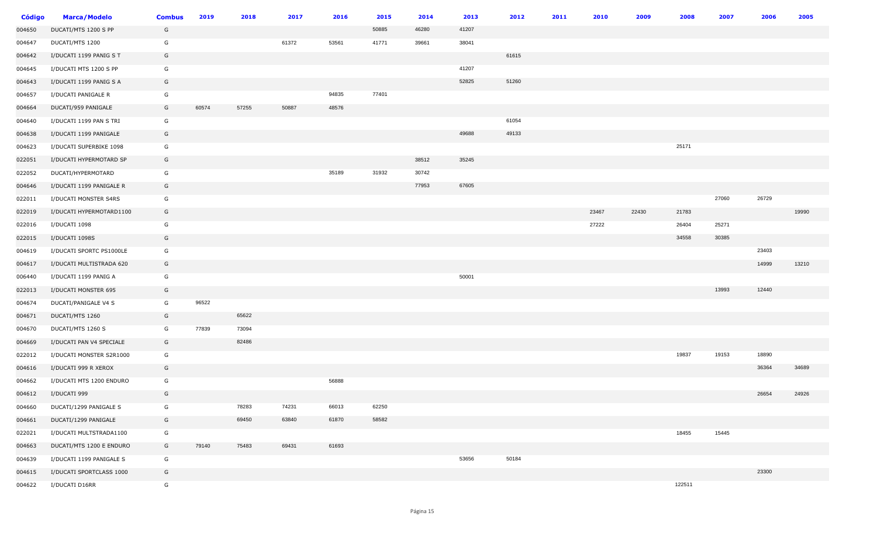| <b>Código</b> | <b>Marca/Modelo</b>      | <b>Combus</b> | 2019  | 2018  | 2017  | 2016  | 2015  | 2014  | 2013  | 2012  | 2011 | 2010  | 2009  | 2008   | 2007  | 2006  | 2005  |
|---------------|--------------------------|---------------|-------|-------|-------|-------|-------|-------|-------|-------|------|-------|-------|--------|-------|-------|-------|
| 004650        | DUCATI/MTS 1200 S PP     | G             |       |       |       |       | 50885 | 46280 | 41207 |       |      |       |       |        |       |       |       |
| 004647        | DUCATI/MTS 1200          | G             |       |       | 61372 | 53561 | 41771 | 39661 | 38041 |       |      |       |       |        |       |       |       |
| 004642        | I/DUCATI 1199 PANIG S T  | G             |       |       |       |       |       |       |       | 61615 |      |       |       |        |       |       |       |
| 004645        | I/DUCATI MTS 1200 S PP   | G             |       |       |       |       |       |       | 41207 |       |      |       |       |        |       |       |       |
| 004643        | I/DUCATI 1199 PANIG S A  | G             |       |       |       |       |       |       | 52825 | 51260 |      |       |       |        |       |       |       |
| 004657        | I/DUCATI PANIGALE R      | G             |       |       |       | 94835 | 77401 |       |       |       |      |       |       |        |       |       |       |
| 004664        | DUCATI/959 PANIGALE      | G             | 60574 | 57255 | 50887 | 48576 |       |       |       |       |      |       |       |        |       |       |       |
| 004640        | I/DUCATI 1199 PAN S TRI  | G             |       |       |       |       |       |       |       | 61054 |      |       |       |        |       |       |       |
| 004638        | I/DUCATI 1199 PANIGALE   | G             |       |       |       |       |       |       | 49688 | 49133 |      |       |       |        |       |       |       |
| 004623        | I/DUCATI SUPERBIKE 1098  | G             |       |       |       |       |       |       |       |       |      |       |       | 25171  |       |       |       |
| 022051        | I/DUCATI HYPERMOTARD SP  | G             |       |       |       |       |       | 38512 | 35245 |       |      |       |       |        |       |       |       |
| 022052        | DUCATI/HYPERMOTARD       | G             |       |       |       | 35189 | 31932 | 30742 |       |       |      |       |       |        |       |       |       |
| 004646        | I/DUCATI 1199 PANIGALE R | G             |       |       |       |       |       | 77953 | 67605 |       |      |       |       |        |       |       |       |
| 022011        | I/DUCATI MONSTER S4RS    | G             |       |       |       |       |       |       |       |       |      |       |       |        | 27060 | 26729 |       |
| 022019        | I/DUCATI HYPERMOTARD1100 | G             |       |       |       |       |       |       |       |       |      | 23467 | 22430 | 21783  |       |       | 19990 |
| 022016        | I/DUCATI 1098            | G             |       |       |       |       |       |       |       |       |      | 27222 |       | 26404  | 25271 |       |       |
| 022015        | I/DUCATI 1098S           | G             |       |       |       |       |       |       |       |       |      |       |       | 34558  | 30385 |       |       |
| 004619        | I/DUCATI SPORTC PS1000LE | G             |       |       |       |       |       |       |       |       |      |       |       |        |       | 23403 |       |
| 004617        | I/DUCATI MULTISTRADA 620 | G             |       |       |       |       |       |       |       |       |      |       |       |        |       | 14999 | 13210 |
| 006440        | I/DUCATI 1199 PANIG A    | G             |       |       |       |       |       |       | 50001 |       |      |       |       |        |       |       |       |
| 022013        | I/DUCATI MONSTER 695     | G             |       |       |       |       |       |       |       |       |      |       |       |        | 13993 | 12440 |       |
| 004674        | DUCATI/PANIGALE V4 S     | G             | 96522 |       |       |       |       |       |       |       |      |       |       |        |       |       |       |
| 004671        | DUCATI/MTS 1260          | G             |       | 65622 |       |       |       |       |       |       |      |       |       |        |       |       |       |
| 004670        | DUCATI/MTS 1260 S        | G             | 77839 | 73094 |       |       |       |       |       |       |      |       |       |        |       |       |       |
| 004669        | I/DUCATI PAN V4 SPECIALE | G             |       | 82486 |       |       |       |       |       |       |      |       |       |        |       |       |       |
| 022012        | I/DUCATI MONSTER S2R1000 | G             |       |       |       |       |       |       |       |       |      |       |       | 19837  | 19153 | 18890 |       |
| 004616        | I/DUCATI 999 R XEROX     | G             |       |       |       |       |       |       |       |       |      |       |       |        |       | 36364 | 34689 |
| 004662        | I/DUCATI MTS 1200 ENDURO | G             |       |       |       | 56888 |       |       |       |       |      |       |       |        |       |       |       |
| 004612        | I/DUCATI 999             | G             |       |       |       |       |       |       |       |       |      |       |       |        |       | 26654 | 24926 |
| 004660        | DUCATI/1299 PANIGALE S   | G             |       | 78283 | 74231 | 66013 | 62250 |       |       |       |      |       |       |        |       |       |       |
| 004661        | DUCATI/1299 PANIGALE     | G             |       | 69450 | 63840 | 61870 | 58582 |       |       |       |      |       |       |        |       |       |       |
| 022021        | I/DUCATI MULTSTRADA1100  | G             |       |       |       |       |       |       |       |       |      |       |       | 18455  | 15445 |       |       |
| 004663        | DUCATI/MTS 1200 E ENDURO | G             | 79140 | 75483 | 69431 | 61693 |       |       |       |       |      |       |       |        |       |       |       |
| 004639        | I/DUCATI 1199 PANIGALE S | G             |       |       |       |       |       |       | 53656 | 50184 |      |       |       |        |       |       |       |
| 004615        | I/DUCATI SPORTCLASS 1000 | G             |       |       |       |       |       |       |       |       |      |       |       |        |       | 23300 |       |
| 004622        | I/DUCATI D16RR           | G             |       |       |       |       |       |       |       |       |      |       |       | 122511 |       |       |       |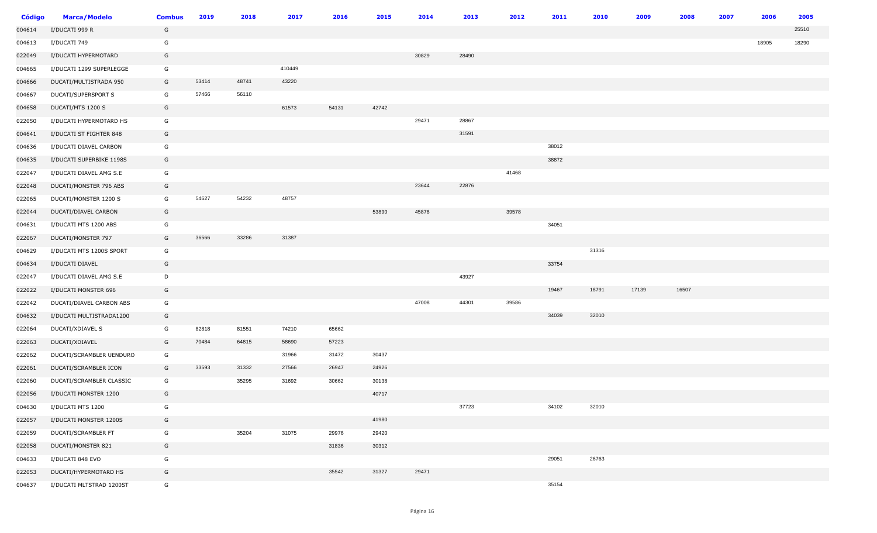| <b>Código</b> | <b>Marca/Modelo</b>      | <b>Combus</b> | 2019  | 2018  | 2017   | 2016  | 2015  | 2014  | 2013  | 2012  | 2011  | 2010  | 2009  | 2008  | 2007 | 2006  | 2005  |
|---------------|--------------------------|---------------|-------|-------|--------|-------|-------|-------|-------|-------|-------|-------|-------|-------|------|-------|-------|
| 004614        | I/DUCATI 999 R           | G             |       |       |        |       |       |       |       |       |       |       |       |       |      |       | 25510 |
| 004613        | I/DUCATI 749             | G             |       |       |        |       |       |       |       |       |       |       |       |       |      | 18905 | 18290 |
| 022049        | I/DUCATI HYPERMOTARD     | G             |       |       |        |       |       | 30829 | 28490 |       |       |       |       |       |      |       |       |
| 004665        | I/DUCATI 1299 SUPERLEGGE | G             |       |       | 410449 |       |       |       |       |       |       |       |       |       |      |       |       |
| 004666        | DUCATI/MULTISTRADA 950   | G             | 53414 | 48741 | 43220  |       |       |       |       |       |       |       |       |       |      |       |       |
| 004667        | DUCATI/SUPERSPORT S      | G             | 57466 | 56110 |        |       |       |       |       |       |       |       |       |       |      |       |       |
| 004658        | DUCATI/MTS 1200 S        | G             |       |       | 61573  | 54131 | 42742 |       |       |       |       |       |       |       |      |       |       |
| 022050        | I/DUCATI HYPERMOTARD HS  | G             |       |       |        |       |       | 29471 | 28867 |       |       |       |       |       |      |       |       |
| 004641        | I/DUCATI ST FIGHTER 848  | G             |       |       |        |       |       |       | 31591 |       |       |       |       |       |      |       |       |
| 004636        | I/DUCATI DIAVEL CARBON   | G             |       |       |        |       |       |       |       |       | 38012 |       |       |       |      |       |       |
| 004635        | I/DUCATI SUPERBIKE 1198S | G             |       |       |        |       |       |       |       |       | 38872 |       |       |       |      |       |       |
| 022047        | I/DUCATI DIAVEL AMG S.E  | G             |       |       |        |       |       |       |       | 41468 |       |       |       |       |      |       |       |
| 022048        | DUCATI/MONSTER 796 ABS   | G             |       |       |        |       |       | 23644 | 22876 |       |       |       |       |       |      |       |       |
| 022065        | DUCATI/MONSTER 1200 S    | G             | 54627 | 54232 | 48757  |       |       |       |       |       |       |       |       |       |      |       |       |
| 022044        | DUCATI/DIAVEL CARBON     | G             |       |       |        |       | 53890 | 45878 |       | 39578 |       |       |       |       |      |       |       |
| 004631        | I/DUCATI MTS 1200 ABS    | G             |       |       |        |       |       |       |       |       | 34051 |       |       |       |      |       |       |
| 022067        | DUCATI/MONSTER 797       | G             | 36566 | 33286 | 31387  |       |       |       |       |       |       |       |       |       |      |       |       |
| 004629        | I/DUCATI MTS 1200S SPORT | G             |       |       |        |       |       |       |       |       |       | 31316 |       |       |      |       |       |
| 004634        | I/DUCATI DIAVEL          | G             |       |       |        |       |       |       |       |       | 33754 |       |       |       |      |       |       |
| 022047        | I/DUCATI DIAVEL AMG S.E  | D             |       |       |        |       |       |       | 43927 |       |       |       |       |       |      |       |       |
| 022022        | I/DUCATI MONSTER 696     | G             |       |       |        |       |       |       |       |       | 19467 | 18791 | 17139 | 16507 |      |       |       |
| 022042        | DUCATI/DIAVEL CARBON ABS | G             |       |       |        |       |       | 47008 | 44301 | 39586 |       |       |       |       |      |       |       |
| 004632        | I/DUCATI MULTISTRADA1200 | G             |       |       |        |       |       |       |       |       | 34039 | 32010 |       |       |      |       |       |
| 022064        | DUCATI/XDIAVEL S         | G             | 82818 | 81551 | 74210  | 65662 |       |       |       |       |       |       |       |       |      |       |       |
| 022063        | DUCATI/XDIAVEL           | G             | 70484 | 64815 | 58690  | 57223 |       |       |       |       |       |       |       |       |      |       |       |
| 022062        | DUCATI/SCRAMBLER UENDURO | G             |       |       | 31966  | 31472 | 30437 |       |       |       |       |       |       |       |      |       |       |
| 022061        | DUCATI/SCRAMBLER ICON    | G             | 33593 | 31332 | 27566  | 26947 | 24926 |       |       |       |       |       |       |       |      |       |       |
| 022060        | DUCATI/SCRAMBLER CLASSIC | G             |       | 35295 | 31692  | 30662 | 30138 |       |       |       |       |       |       |       |      |       |       |
| 022056        | I/DUCATI MONSTER 1200    | G             |       |       |        |       | 40717 |       |       |       |       |       |       |       |      |       |       |
| 004630        | I/DUCATI MTS 1200        | G             |       |       |        |       |       |       | 37723 |       | 34102 | 32010 |       |       |      |       |       |
| 022057        | I/DUCATI MONSTER 1200S   | G             |       |       |        |       | 41980 |       |       |       |       |       |       |       |      |       |       |
| 022059        | DUCATI/SCRAMBLER FT      | G             |       | 35204 | 31075  | 29976 | 29420 |       |       |       |       |       |       |       |      |       |       |
| 022058        | DUCATI/MONSTER 821       | G             |       |       |        | 31836 | 30312 |       |       |       |       |       |       |       |      |       |       |
| 004633        | I/DUCATI 848 EVO         | G             |       |       |        |       |       |       |       |       | 29051 | 26763 |       |       |      |       |       |
| 022053        | DUCATI/HYPERMOTARD HS    | G             |       |       |        | 35542 | 31327 | 29471 |       |       |       |       |       |       |      |       |       |
| 004637        | I/DUCATI MLTSTRAD 1200ST | G             |       |       |        |       |       |       |       |       | 35154 |       |       |       |      |       |       |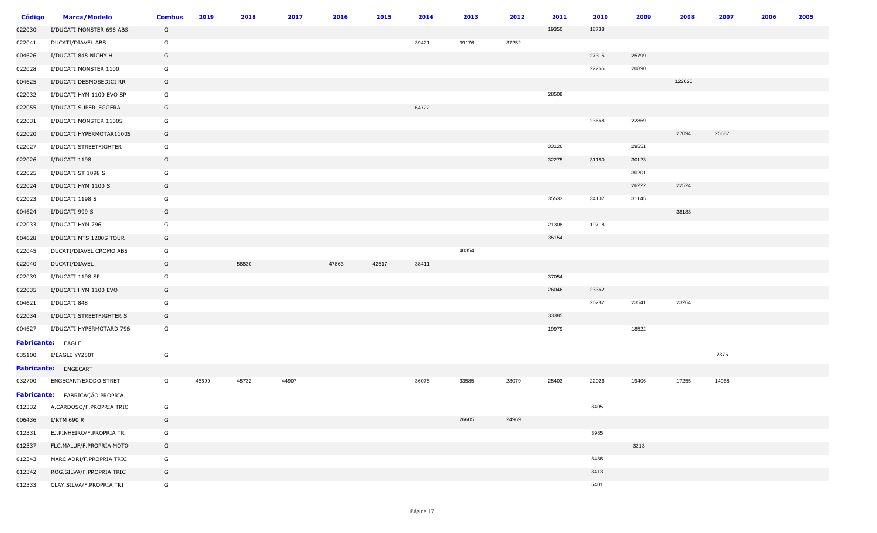| <b>Código</b> | <b>Marca/Modelo</b>            | <b>Combus</b> | 2019  | 2018  | 2017  | 2016  | 2015  | 2014  | 2013  | 2012  | 2011  | 2010  | 2009  | 2008   | 2007  | 2006 | 2005 |
|---------------|--------------------------------|---------------|-------|-------|-------|-------|-------|-------|-------|-------|-------|-------|-------|--------|-------|------|------|
| 022030        | I/DUCATI MONSTER 696 ABS       | G             |       |       |       |       |       |       |       |       | 19350 | 18738 |       |        |       |      |      |
| 022041        | DUCATI/DIAVEL ABS              | G             |       |       |       |       |       | 39421 | 39176 | 37252 |       |       |       |        |       |      |      |
| 004626        | I/DUCATI 848 NICHY H           | G             |       |       |       |       |       |       |       |       |       | 27315 | 25799 |        |       |      |      |
| 022028        | I/DUCATI MONSTER 1100          | G             |       |       |       |       |       |       |       |       |       | 22265 | 20890 |        |       |      |      |
| 004625        | I/DUCATI DESMOSEDICI RR        | G             |       |       |       |       |       |       |       |       |       |       |       | 122620 |       |      |      |
| 022032        | I/DUCATI HYM 1100 EVO SP       | G             |       |       |       |       |       |       |       |       | 28508 |       |       |        |       |      |      |
| 022055        | I/DUCATI SUPERLEGGERA          | G             |       |       |       |       |       | 64722 |       |       |       |       |       |        |       |      |      |
| 022031        | I/DUCATI MONSTER 1100S         | G             |       |       |       |       |       |       |       |       |       | 23668 | 22869 |        |       |      |      |
| 022020        | I/DUCATI HYPERMOTAR1100S       | G             |       |       |       |       |       |       |       |       |       |       |       | 27094  | 25687 |      |      |
| 022027        | I/DUCATI STREETFIGHTER         | G             |       |       |       |       |       |       |       |       | 33126 |       | 29551 |        |       |      |      |
| 022026        | I/DUCATI 1198                  | G             |       |       |       |       |       |       |       |       | 32275 | 31180 | 30123 |        |       |      |      |
| 022025        | I/DUCATI ST 1098 S             | G             |       |       |       |       |       |       |       |       |       |       | 30201 |        |       |      |      |
| 022024        | I/DUCATI HYM 1100 S            | G             |       |       |       |       |       |       |       |       |       |       | 26222 | 22524  |       |      |      |
| 022023        | I/DUCATI 1198 S                | G             |       |       |       |       |       |       |       |       | 35533 | 34107 | 31145 |        |       |      |      |
| 004624        | I/DUCATI 999 S                 | G             |       |       |       |       |       |       |       |       |       |       |       | 38183  |       |      |      |
| 022033        | I/DUCATI HYM 796               | G             |       |       |       |       |       |       |       |       | 21308 | 19718 |       |        |       |      |      |
| 004628        | I/DUCATI MTS 1200S TOUR        | G             |       |       |       |       |       |       |       |       | 35154 |       |       |        |       |      |      |
| 022045        | DUCATI/DIAVEL CROMO ABS        | G             |       |       |       |       |       |       | 40354 |       |       |       |       |        |       |      |      |
| 022040        | DUCATI/DIAVEL                  | G             |       | 58830 |       | 47863 | 42517 | 38411 |       |       |       |       |       |        |       |      |      |
| 022039        | I/DUCATI 1198 SP               | G             |       |       |       |       |       |       |       |       | 37054 |       |       |        |       |      |      |
| 022035        | I/DUCATI HYM 1100 EVO          | G             |       |       |       |       |       |       |       |       | 26046 | 23362 |       |        |       |      |      |
| 004621        | I/DUCATI 848                   | G             |       |       |       |       |       |       |       |       |       | 26282 | 23541 | 23264  |       |      |      |
| 022034        | I/DUCATI STREETFIGHTER S       | G             |       |       |       |       |       |       |       |       | 33385 |       |       |        |       |      |      |
| 004627        | I/DUCATI HYPERMOTARD 796       | G             |       |       |       |       |       |       |       |       | 19979 |       | 18522 |        |       |      |      |
|               | <b>Fabricante:</b> EAGLE       |               |       |       |       |       |       |       |       |       |       |       |       |        |       |      |      |
| 035100        | I/EAGLE YY250T                 | G             |       |       |       |       |       |       |       |       |       |       |       |        | 7376  |      |      |
|               | Fabricante: ENGECART           |               |       |       |       |       |       |       |       |       |       |       |       |        |       |      |      |
| 032700        | ENGECART/EXODO STRET           | G             | 46699 | 45732 | 44907 |       |       | 36078 | 33585 | 28079 | 25403 | 22026 | 19406 | 17255  | 14968 |      |      |
|               | Fabricante: FABRICAÇÃO PROPRIA |               |       |       |       |       |       |       |       |       |       |       |       |        |       |      |      |
| 012332        | A.CARDOSO/F.PROPRIA TRIC       | G             |       |       |       |       |       |       |       |       |       | 3405  |       |        |       |      |      |
| 006436        | I/KTM 690 R                    | G             |       |       |       |       |       |       | 26605 | 24969 |       |       |       |        |       |      |      |
| 012331        | EJ.PINHEIRO/F.PROPRIA TR       | G             |       |       |       |       |       |       |       |       |       | 3985  |       |        |       |      |      |
| 012337        | FLC.MALUF/F.PROPRIA MOTO       | G             |       |       |       |       |       |       |       |       |       |       | 3313  |        |       |      |      |
| 012343        | MARC.ADRI/F.PROPRIA TRIC       | G             |       |       |       |       |       |       |       |       |       | 3436  |       |        |       |      |      |
| 012342        | ROG.SILVA/F.PROPRIA TRIC       | G             |       |       |       |       |       |       |       |       |       | 3413  |       |        |       |      |      |
| 012333        | CLAY.SILVA/F.PROPRIA TRI       | G             |       |       |       |       |       |       |       |       |       | 5401  |       |        |       |      |      |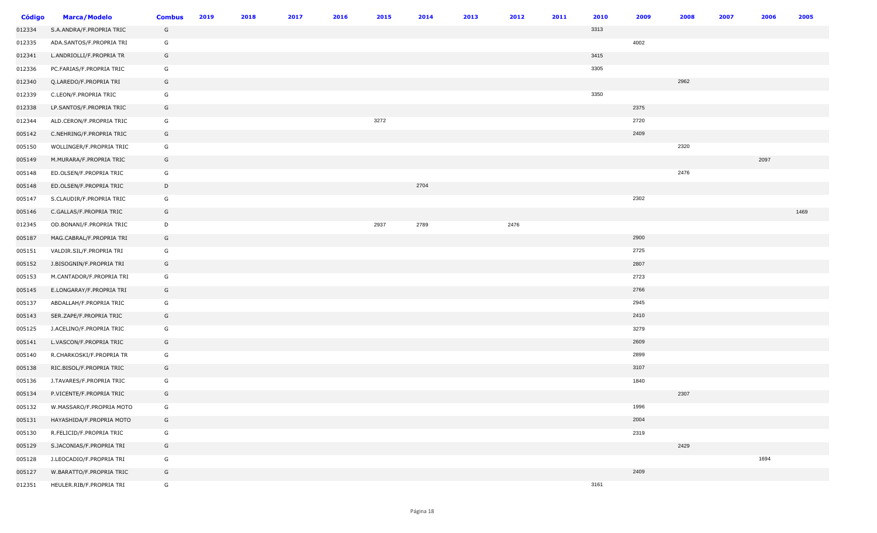| <b>Código</b> | <b>Marca/Modelo</b>      | <b>Combus</b> | 2019 | 2018 | 2017 | 2016 | 2015 | 2014 | 2013 | 2012 | 2011 | 2010 | 2009 | 2008 | 2007 | 2006 | 2005 |
|---------------|--------------------------|---------------|------|------|------|------|------|------|------|------|------|------|------|------|------|------|------|
| 012334        | S.A.ANDRA/F.PROPRIA TRIC | G             |      |      |      |      |      |      |      |      |      | 3313 |      |      |      |      |      |
| 012335        | ADA.SANTOS/F.PROPRIA TRI | G             |      |      |      |      |      |      |      |      |      |      | 4002 |      |      |      |      |
| 012341        | L.ANDRIOLLI/F.PROPRIA TR | G             |      |      |      |      |      |      |      |      |      | 3415 |      |      |      |      |      |
| 012336        | PC.FARIAS/F.PROPRIA TRIC | G             |      |      |      |      |      |      |      |      |      | 3305 |      |      |      |      |      |
| 012340        | Q.LAREDO/F.PROPRIA TRI   | G             |      |      |      |      |      |      |      |      |      |      |      | 2962 |      |      |      |
| 012339        | C.LEON/F.PROPRIA TRIC    | G             |      |      |      |      |      |      |      |      |      | 3350 |      |      |      |      |      |
| 012338        | LP.SANTOS/F.PROPRIA TRIC | G             |      |      |      |      |      |      |      |      |      |      | 2375 |      |      |      |      |
| 012344        | ALD.CERON/F.PROPRIA TRIC | G             |      |      |      |      | 3272 |      |      |      |      |      | 2720 |      |      |      |      |
| 005142        | C.NEHRING/F.PROPRIA TRIC | G             |      |      |      |      |      |      |      |      |      |      | 2409 |      |      |      |      |
| 005150        | WOLLINGER/F.PROPRIA TRIC | G             |      |      |      |      |      |      |      |      |      |      |      | 2320 |      |      |      |
| 005149        | M.MURARA/F.PROPRIA TRIC  | G             |      |      |      |      |      |      |      |      |      |      |      |      |      | 2097 |      |
| 005148        | ED.OLSEN/F.PROPRIA TRIC  | G             |      |      |      |      |      |      |      |      |      |      |      | 2476 |      |      |      |
| 005148        | ED.OLSEN/F.PROPRIA TRIC  | D             |      |      |      |      |      | 2704 |      |      |      |      |      |      |      |      |      |
| 005147        | S.CLAUDIR/F.PROPRIA TRIC | G             |      |      |      |      |      |      |      |      |      |      | 2302 |      |      |      |      |
| 005146        | C.GALLAS/F.PROPRIA TRIC  | G             |      |      |      |      |      |      |      |      |      |      |      |      |      |      | 1469 |
| 012345        | OD.BONANI/F.PROPRIA TRIC | D             |      |      |      |      | 2937 | 2789 |      | 2476 |      |      |      |      |      |      |      |
| 005187        | MAG.CABRAL/F.PROPRIA TRI | G             |      |      |      |      |      |      |      |      |      |      | 2900 |      |      |      |      |
| 005151        | VALDIR.SIL/F.PROPRIA TRI | G             |      |      |      |      |      |      |      |      |      |      | 2725 |      |      |      |      |
| 005152        | J.BISOGNIN/F.PROPRIA TRI | G             |      |      |      |      |      |      |      |      |      |      | 2807 |      |      |      |      |
| 005153        | M.CANTADOR/F.PROPRIA TRI | G             |      |      |      |      |      |      |      |      |      |      | 2723 |      |      |      |      |
| 005145        | E.LONGARAY/F.PROPRIA TRI | G             |      |      |      |      |      |      |      |      |      |      | 2766 |      |      |      |      |
| 005137        | ABDALLAH/F.PROPRIA TRIC  | G             |      |      |      |      |      |      |      |      |      |      | 2945 |      |      |      |      |
| 005143        | SER.ZAPE/F.PROPRIA TRIC  | G             |      |      |      |      |      |      |      |      |      |      | 2410 |      |      |      |      |
| 005125        | J.ACELINO/F.PROPRIA TRIC | G             |      |      |      |      |      |      |      |      |      |      | 3279 |      |      |      |      |
| 005141        | L.VASCON/F.PROPRIA TRIC  | G             |      |      |      |      |      |      |      |      |      |      | 2609 |      |      |      |      |
| 005140        | R.CHARKOSKI/F.PROPRIA TR | G             |      |      |      |      |      |      |      |      |      |      | 2899 |      |      |      |      |
| 005138        | RIC.BISOL/F.PROPRIA TRIC | G             |      |      |      |      |      |      |      |      |      |      | 3107 |      |      |      |      |
| 005136        | J.TAVARES/F.PROPRIA TRIC | G             |      |      |      |      |      |      |      |      |      |      | 1840 |      |      |      |      |
| 005134        | P.VICENTE/F.PROPRIA TRIC | G             |      |      |      |      |      |      |      |      |      |      |      | 2307 |      |      |      |
| 005132        | W.MASSARO/F.PROPRIA MOTO | G             |      |      |      |      |      |      |      |      |      |      | 1996 |      |      |      |      |
| 005131        | HAYASHIDA/F.PROPRIA MOTO | G             |      |      |      |      |      |      |      |      |      |      | 2004 |      |      |      |      |
| 005130        | R.FELICID/F.PROPRIA TRIC | G             |      |      |      |      |      |      |      |      |      |      | 2319 |      |      |      |      |
| 005129        | S.JACONIAS/F.PROPRIA TRI | G             |      |      |      |      |      |      |      |      |      |      |      | 2429 |      |      |      |
| 005128        | J.LEOCADIO/F.PROPRIA TRI | G             |      |      |      |      |      |      |      |      |      |      |      |      |      | 1694 |      |
| 005127        | W.BARATTO/F.PROPRIA TRIC | G             |      |      |      |      |      |      |      |      |      |      | 2409 |      |      |      |      |
| 012351        | HEULER.RIB/F.PROPRIA TRI | G             |      |      |      |      |      |      |      |      |      | 3161 |      |      |      |      |      |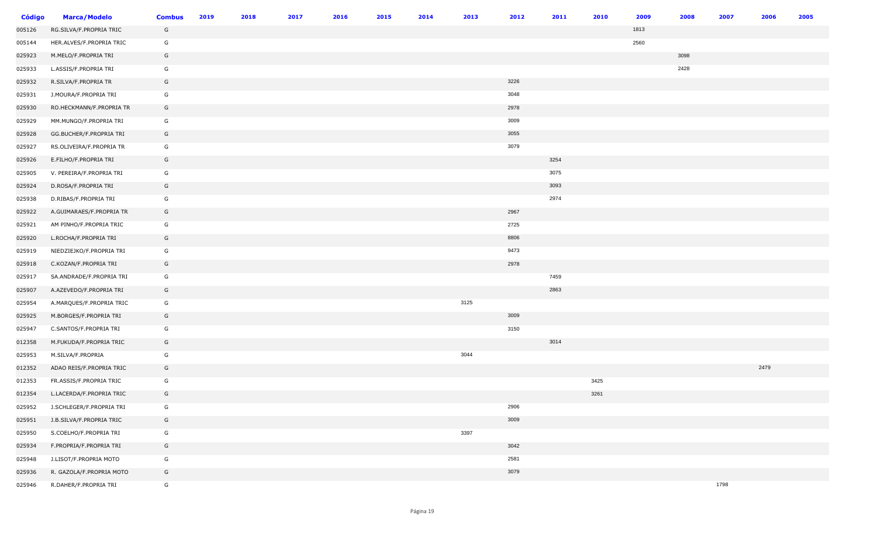| <b>Código</b> | <b>Marca/Modelo</b>      | <b>Combus</b> | 2019 | 2018 | 2017 | 2016 | 2015 | 2014 | 2013 | 2012 | 2011 | 2010 | 2009 | 2008 | 2007 | 2006 | 2005 |
|---------------|--------------------------|---------------|------|------|------|------|------|------|------|------|------|------|------|------|------|------|------|
| 005126        | RG.SILVA/F.PROPRIA TRIC  | G             |      |      |      |      |      |      |      |      |      |      | 1813 |      |      |      |      |
| 005144        | HER.ALVES/F.PROPRIA TRIC | G             |      |      |      |      |      |      |      |      |      |      | 2560 |      |      |      |      |
| 025923        | M.MELO/F.PROPRIA TRI     | G             |      |      |      |      |      |      |      |      |      |      |      | 3098 |      |      |      |
| 025933        | L.ASSIS/F.PROPRIA TRI    | G             |      |      |      |      |      |      |      |      |      |      |      | 2428 |      |      |      |
| 025932        | R.SILVA/F.PROPRIA TR     | G             |      |      |      |      |      |      |      | 3226 |      |      |      |      |      |      |      |
| 025931        | J.MOURA/F.PROPRIA TRI    | G             |      |      |      |      |      |      |      | 3048 |      |      |      |      |      |      |      |
| 025930        | RO.HECKMANN/F.PROPRIA TR | G             |      |      |      |      |      |      |      | 2978 |      |      |      |      |      |      |      |
| 025929        | MM.MUNGO/F.PROPRIA TRI   | G             |      |      |      |      |      |      |      | 3009 |      |      |      |      |      |      |      |
| 025928        | GG.BUCHER/F.PROPRIA TRI  | G             |      |      |      |      |      |      |      | 3055 |      |      |      |      |      |      |      |
| 025927        | RS.OLIVEIRA/F.PROPRIA TR | G             |      |      |      |      |      |      |      | 3079 |      |      |      |      |      |      |      |
| 025926        | E.FILHO/F.PROPRIA TRI    | G             |      |      |      |      |      |      |      |      | 3254 |      |      |      |      |      |      |
| 025905        | V. PEREIRA/F.PROPRIA TRI | G             |      |      |      |      |      |      |      |      | 3075 |      |      |      |      |      |      |
| 025924        | D.ROSA/F.PROPRIA TRI     | G             |      |      |      |      |      |      |      |      | 3093 |      |      |      |      |      |      |
| 025938        | D.RIBAS/F.PROPRIA TRI    | G             |      |      |      |      |      |      |      |      | 2974 |      |      |      |      |      |      |
| 025922        | A.GUIMARAES/F.PROPRIA TR | G             |      |      |      |      |      |      |      | 2967 |      |      |      |      |      |      |      |
| 025921        | AM PINHO/F.PROPRIA TRIC  | G             |      |      |      |      |      |      |      | 2725 |      |      |      |      |      |      |      |
| 025920        | L.ROCHA/F.PROPRIA TRI    | G             |      |      |      |      |      |      |      | 8806 |      |      |      |      |      |      |      |
| 025919        | NIEDZIEJKO/F.PROPRIA TRI | G             |      |      |      |      |      |      |      | 9473 |      |      |      |      |      |      |      |
| 025918        | C.KOZAN/F.PROPRIA TRI    | G             |      |      |      |      |      |      |      | 2978 |      |      |      |      |      |      |      |
| 025917        | SA.ANDRADE/F.PROPRIA TRI | G             |      |      |      |      |      |      |      |      | 7459 |      |      |      |      |      |      |
| 025907        | A.AZEVEDO/F.PROPRIA TRI  | G             |      |      |      |      |      |      |      |      | 2863 |      |      |      |      |      |      |
| 025954        | A.MARQUES/F.PROPRIA TRIC | G             |      |      |      |      |      |      | 3125 |      |      |      |      |      |      |      |      |
| 025925        | M.BORGES/F.PROPRIA TRI   | G             |      |      |      |      |      |      |      | 3009 |      |      |      |      |      |      |      |
| 025947        | C.SANTOS/F.PROPRIA TRI   | G             |      |      |      |      |      |      |      | 3150 |      |      |      |      |      |      |      |
| 012358        | M.FUKUDA/F.PROPRIA TRIC  | G             |      |      |      |      |      |      |      |      | 3014 |      |      |      |      |      |      |
| 025953        | M.SILVA/F.PROPRIA        | G             |      |      |      |      |      |      | 3044 |      |      |      |      |      |      |      |      |
| 012352        | ADAO REIS/F.PROPRIA TRIC | G             |      |      |      |      |      |      |      |      |      |      |      |      |      | 2479 |      |
| 012353        | FR.ASSIS/F.PROPRIA TRIC  | G             |      |      |      |      |      |      |      |      |      | 3425 |      |      |      |      |      |
| 012354        | L.LACERDA/F.PROPRIA TRIC | G             |      |      |      |      |      |      |      |      |      | 3261 |      |      |      |      |      |
| 025952        | J.SCHLEGER/F.PROPRIA TRI | G             |      |      |      |      |      |      |      | 2906 |      |      |      |      |      |      |      |
| 025951        | J.B.SILVA/F.PROPRIA TRIC | G             |      |      |      |      |      |      |      | 3009 |      |      |      |      |      |      |      |
| 025950        | S.COELHO/F.PROPRIA TRI   | G             |      |      |      |      |      |      | 3397 |      |      |      |      |      |      |      |      |
| 025934        | F.PROPRIA/F.PROPRIA TRI  | G             |      |      |      |      |      |      |      | 3042 |      |      |      |      |      |      |      |
| 025948        | J.LISOT/F.PROPRIA MOTO   | G             |      |      |      |      |      |      |      | 2581 |      |      |      |      |      |      |      |
| 025936        | R. GAZOLA/F.PROPRIA MOTO | G             |      |      |      |      |      |      |      | 3079 |      |      |      |      |      |      |      |
| 025946        | R.DAHER/F.PROPRIA TRI    | G             |      |      |      |      |      |      |      |      |      |      |      |      | 1798 |      |      |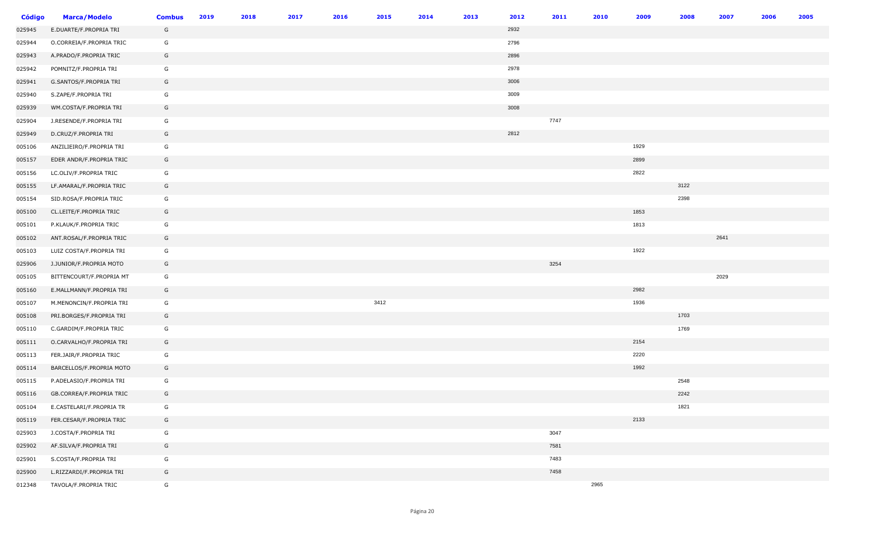| <b>Código</b> | <b>Marca/Modelo</b>      | <b>Combus</b> | 2019 | 2018 | 2017 | 2016 | 2015 | 2014 | 2013 | 2012 | 2011 | 2010 | 2009 | 2008 | 2007 | 2006 | 2005 |
|---------------|--------------------------|---------------|------|------|------|------|------|------|------|------|------|------|------|------|------|------|------|
| 025945        | E.DUARTE/F.PROPRIA TRI   | G             |      |      |      |      |      |      |      | 2932 |      |      |      |      |      |      |      |
| 025944        | O.CORREIA/F.PROPRIA TRIC | G             |      |      |      |      |      |      |      | 2796 |      |      |      |      |      |      |      |
| 025943        | A.PRADO/F.PROPRIA TRIC   | G             |      |      |      |      |      |      |      | 2896 |      |      |      |      |      |      |      |
| 025942        | POMNITZ/F.PROPRIA TRI    | G             |      |      |      |      |      |      |      | 2978 |      |      |      |      |      |      |      |
| 025941        | G.SANTOS/F.PROPRIA TRI   | G             |      |      |      |      |      |      |      | 3006 |      |      |      |      |      |      |      |
| 025940        | S.ZAPE/F.PROPRIA TRI     | G             |      |      |      |      |      |      |      | 3009 |      |      |      |      |      |      |      |
| 025939        | WM.COSTA/F.PROPRIA TRI   | G             |      |      |      |      |      |      |      | 3008 |      |      |      |      |      |      |      |
| 025904        | J.RESENDE/F.PROPRIA TRI  | G             |      |      |      |      |      |      |      |      | 7747 |      |      |      |      |      |      |
| 025949        | D.CRUZ/F.PROPRIA TRI     | G             |      |      |      |      |      |      |      | 2812 |      |      |      |      |      |      |      |
| 005106        | ANZILIEIRO/F.PROPRIA TRI | G             |      |      |      |      |      |      |      |      |      |      | 1929 |      |      |      |      |
| 005157        | EDER ANDR/F.PROPRIA TRIC | G             |      |      |      |      |      |      |      |      |      |      | 2899 |      |      |      |      |
| 005156        | LC.OLIV/F.PROPRIA TRIC   | G             |      |      |      |      |      |      |      |      |      |      | 2822 |      |      |      |      |
| 005155        | LF.AMARAL/F.PROPRIA TRIC | G             |      |      |      |      |      |      |      |      |      |      |      | 3122 |      |      |      |
| 005154        | SID.ROSA/F.PROPRIA TRIC  | G             |      |      |      |      |      |      |      |      |      |      |      | 2398 |      |      |      |
| 005100        | CL.LEITE/F.PROPRIA TRIC  | G             |      |      |      |      |      |      |      |      |      |      | 1853 |      |      |      |      |
| 005101        | P.KLAUK/F.PROPRIA TRIC   | G             |      |      |      |      |      |      |      |      |      |      | 1813 |      |      |      |      |
| 005102        | ANT.ROSAL/F.PROPRIA TRIC | G             |      |      |      |      |      |      |      |      |      |      |      |      | 2641 |      |      |
| 005103        | LUIZ COSTA/F.PROPRIA TRI | G             |      |      |      |      |      |      |      |      |      |      | 1922 |      |      |      |      |
| 025906        | J.JUNIOR/F.PROPRIA MOTO  | G             |      |      |      |      |      |      |      |      | 3254 |      |      |      |      |      |      |
| 005105        | BITTENCOURT/F.PROPRIA MT | G             |      |      |      |      |      |      |      |      |      |      |      |      | 2029 |      |      |
| 005160        | E.MALLMANN/F.PROPRIA TRI | G             |      |      |      |      |      |      |      |      |      |      | 2982 |      |      |      |      |
| 005107        | M.MENONCIN/F.PROPRIA TRI | G             |      |      |      |      | 3412 |      |      |      |      |      | 1936 |      |      |      |      |
| 005108        | PRI.BORGES/F.PROPRIA TRI | G             |      |      |      |      |      |      |      |      |      |      |      | 1703 |      |      |      |
| 005110        | C.GARDIM/F.PROPRIA TRIC  | G             |      |      |      |      |      |      |      |      |      |      |      | 1769 |      |      |      |
| 005111        | O.CARVALHO/F.PROPRIA TRI | G             |      |      |      |      |      |      |      |      |      |      | 2154 |      |      |      |      |
| 005113        | FER.JAIR/F.PROPRIA TRIC  | G             |      |      |      |      |      |      |      |      |      |      | 2220 |      |      |      |      |
| 005114        | BARCELLOS/F.PROPRIA MOTO | G             |      |      |      |      |      |      |      |      |      |      | 1992 |      |      |      |      |
| 005115        | P.ADELASIO/F.PROPRIA TRI | G             |      |      |      |      |      |      |      |      |      |      |      | 2548 |      |      |      |
| 005116        | GB.CORREA/F.PROPRIA TRIC | G             |      |      |      |      |      |      |      |      |      |      |      | 2242 |      |      |      |
| 005104        | E.CASTELARI/F.PROPRIA TR | G             |      |      |      |      |      |      |      |      |      |      |      | 1821 |      |      |      |
| 005119        | FER.CESAR/F.PROPRIA TRIC | G             |      |      |      |      |      |      |      |      |      |      | 2133 |      |      |      |      |
| 025903        | J.COSTA/F.PROPRIA TRI    | G             |      |      |      |      |      |      |      |      | 3047 |      |      |      |      |      |      |
| 025902        | AF.SILVA/F.PROPRIA TRI   | G             |      |      |      |      |      |      |      |      | 7581 |      |      |      |      |      |      |
| 025901        | S.COSTA/F.PROPRIA TRI    | G             |      |      |      |      |      |      |      |      | 7483 |      |      |      |      |      |      |
| 025900        | L.RIZZARDI/F.PROPRIA TRI | G             |      |      |      |      |      |      |      |      | 7458 |      |      |      |      |      |      |
| 012348        | TAVOLA/F.PROPRIA TRIC    | G             |      |      |      |      |      |      |      |      |      | 2965 |      |      |      |      |      |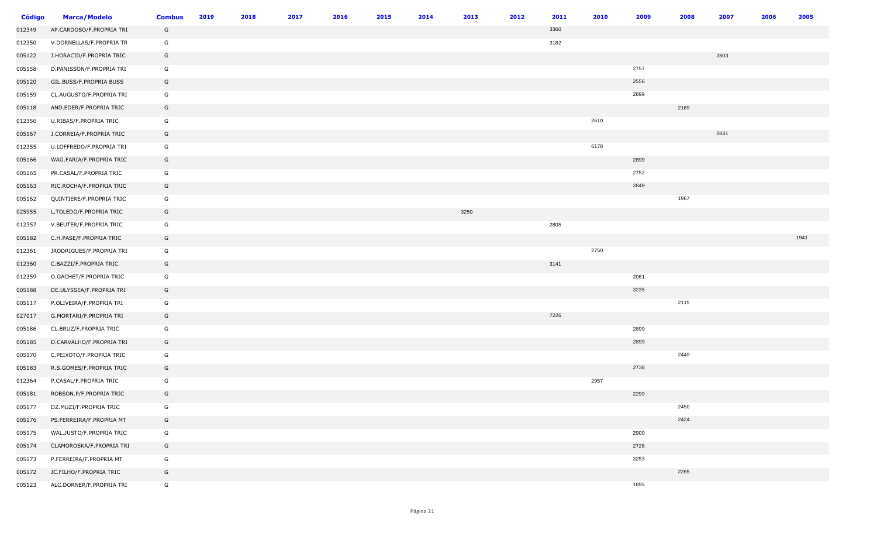| <b>Código</b> | <b>Marca/Modelo</b>      | <b>Combus</b> | 2019 | 2018 | 2017 | 2016 | 2015 | 2014 | 2013 | 2012 | 2011 | 2010 | 2009 | 2008 | 2007 | 2006 | 2005 |
|---------------|--------------------------|---------------|------|------|------|------|------|------|------|------|------|------|------|------|------|------|------|
| 012349        | AP.CARDOSO/F.PROPRIA TRI | G             |      |      |      |      |      |      |      |      | 3360 |      |      |      |      |      |      |
| 012350        | V.DORNELLAS/F.PROPRIA TR | G             |      |      |      |      |      |      |      |      | 3182 |      |      |      |      |      |      |
| 005122        | J.HORACID/F.PROPRIA TRIC | G             |      |      |      |      |      |      |      |      |      |      |      |      | 2803 |      |      |
| 005158        | D.PANISSON/F.PROPRIA TRI | G             |      |      |      |      |      |      |      |      |      |      | 2757 |      |      |      |      |
| 005120        | GIL.BUSS/F.PROPRIA BUSS  | G             |      |      |      |      |      |      |      |      |      |      | 2556 |      |      |      |      |
| 005159        | CL.AUGUSTO/F.PROPRIA TRI | G             |      |      |      |      |      |      |      |      |      |      | 2899 |      |      |      |      |
| 005118        | AND.EDER/F.PROPRIA TRIC  | G             |      |      |      |      |      |      |      |      |      |      |      | 2169 |      |      |      |
| 012356        | U.RIBAS/F.PROPRIA TRIC   | G             |      |      |      |      |      |      |      |      |      | 2610 |      |      |      |      |      |
| 005167        | J.CORREIA/F.PROPRIA TRIC | G             |      |      |      |      |      |      |      |      |      |      |      |      | 2831 |      |      |
| 012355        | U.LOFFREDO/F.PROPRIA TRI | G             |      |      |      |      |      |      |      |      |      | 6178 |      |      |      |      |      |
| 005166        | WAG.FARIA/F.PROPRIA TRIC | G             |      |      |      |      |      |      |      |      |      |      | 2899 |      |      |      |      |
| 005165        | PR.CASAL/F.PROPRIA TRIC  | G             |      |      |      |      |      |      |      |      |      |      | 2752 |      |      |      |      |
| 005163        | RIC.ROCHA/F.PROPRIA TRIC | G             |      |      |      |      |      |      |      |      |      |      | 2849 |      |      |      |      |
| 005162        | QUINTIERE/F.PROPRIA TRIC | G             |      |      |      |      |      |      |      |      |      |      |      | 1967 |      |      |      |
| 025955        | L.TOLEDO/F.PROPRIA TRIC  | G             |      |      |      |      |      |      | 3250 |      |      |      |      |      |      |      |      |
| 012357        | V.BEUTER/F.PROPRIA TRIC  | G             |      |      |      |      |      |      |      |      | 2805 |      |      |      |      |      |      |
| 005182        | C.H.PASE/F.PROPRIA TRIC  | G             |      |      |      |      |      |      |      |      |      |      |      |      |      |      | 1941 |
| 012361        | JRODRIGUES/F.PROPRIA TRI | G             |      |      |      |      |      |      |      |      |      | 2750 |      |      |      |      |      |
| 012360        | C.BAZZI/F.PROPRIA TRIC   | G             |      |      |      |      |      |      |      |      | 3141 |      |      |      |      |      |      |
| 012359        | O.GACHET/F.PROPRIA TRIC  | G             |      |      |      |      |      |      |      |      |      |      | 2061 |      |      |      |      |
| 005188        | DE.ULYSSEA/F.PROPRIA TRI | G             |      |      |      |      |      |      |      |      |      |      | 3235 |      |      |      |      |
| 005117        | P.OLIVEIRA/F.PROPRIA TRI | G             |      |      |      |      |      |      |      |      |      |      |      | 2115 |      |      |      |
| 027017        | G.MORTARI/F.PROPRIA TRI  | G             |      |      |      |      |      |      |      |      | 7226 |      |      |      |      |      |      |
| 005186        | CL.BRUZ/F.PROPRIA TRIC   | G             |      |      |      |      |      |      |      |      |      |      | 2899 |      |      |      |      |
| 005185        | D.CARVALHO/F.PROPRIA TRI | G             |      |      |      |      |      |      |      |      |      |      | 2899 |      |      |      |      |
| 005170        | C.PEIXOTO/F.PROPRIA TRIC | G             |      |      |      |      |      |      |      |      |      |      |      | 2449 |      |      |      |
| 005183        | R.S.GOMES/F.PROPRIA TRIC | G             |      |      |      |      |      |      |      |      |      |      | 2738 |      |      |      |      |
| 012364        | P.CASAL/F.PROPRIA TRIC   | G             |      |      |      |      |      |      |      |      |      | 2957 |      |      |      |      |      |
| 005181        | ROBSON.P/F.PROPRIA TRIC  | G             |      |      |      |      |      |      |      |      |      |      | 2299 |      |      |      |      |
| 005177        | DZ.MUZI/F.PROPRIA TRIC   | G             |      |      |      |      |      |      |      |      |      |      |      | 2450 |      |      |      |
| 005176        | PS.FERREIRA/F.PROPRIA MT | G             |      |      |      |      |      |      |      |      |      |      |      | 2424 |      |      |      |
| 005175        | WAL.JUSTO/F.PROPRIA TRIC | G             |      |      |      |      |      |      |      |      |      |      | 2900 |      |      |      |      |
| 005174        | CLAMOROSKA/F.PROPRIA TRI | G             |      |      |      |      |      |      |      |      |      |      | 2728 |      |      |      |      |
| 005173        | P.FERREIRA/F.PROPRIA MT  | G             |      |      |      |      |      |      |      |      |      |      | 3253 |      |      |      |      |
| 005172        | JC.FILHO/F.PROPRIA TRIC  | G             |      |      |      |      |      |      |      |      |      |      |      | 2265 |      |      |      |
| 005123        | ALC.DORNER/F.PROPRIA TRI | G             |      |      |      |      |      |      |      |      |      |      | 1895 |      |      |      |      |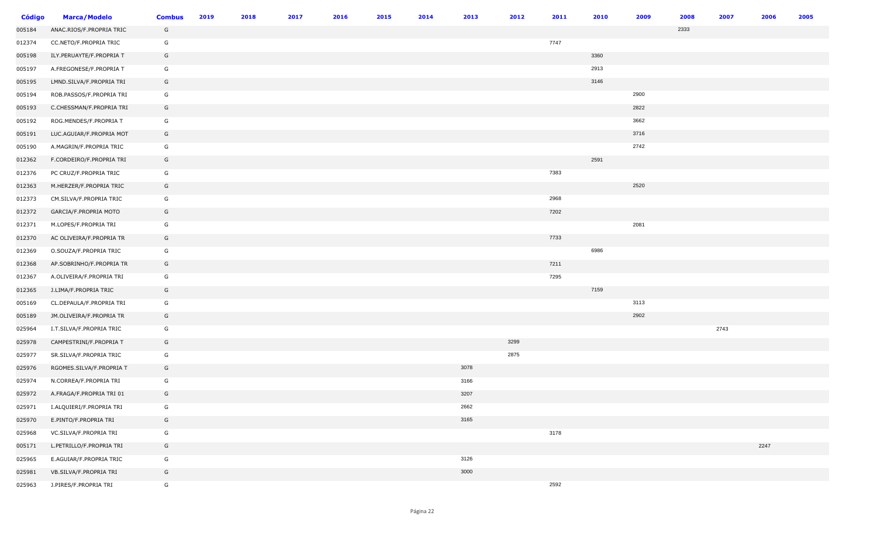| <b>Código</b> | <b>Marca/Modelo</b>      | <b>Combus</b> | 2019 | 2018 | 2017 | 2016 | 2015 | 2014 | 2013 | 2012 | 2011 | 2010 | 2009 | 2008 | 2007 | 2006 | 2005 |
|---------------|--------------------------|---------------|------|------|------|------|------|------|------|------|------|------|------|------|------|------|------|
| 005184        | ANAC.RIOS/F.PROPRIA TRIC | G             |      |      |      |      |      |      |      |      |      |      |      | 2333 |      |      |      |
| 012374        | CC.NETO/F.PROPRIA TRIC   | G             |      |      |      |      |      |      |      |      | 7747 |      |      |      |      |      |      |
| 005198        | ILY.PERUAYTE/F.PROPRIA T | G             |      |      |      |      |      |      |      |      |      | 3360 |      |      |      |      |      |
| 005197        | A.FREGONESE/F.PROPRIA T  | G             |      |      |      |      |      |      |      |      |      | 2913 |      |      |      |      |      |
| 005195        | LMND.SILVA/F.PROPRIA TRI | G             |      |      |      |      |      |      |      |      |      | 3146 |      |      |      |      |      |
| 005194        | ROB.PASSOS/F.PROPRIA TRI | G             |      |      |      |      |      |      |      |      |      |      | 2900 |      |      |      |      |
| 005193        | C.CHESSMAN/F.PROPRIA TRI | G             |      |      |      |      |      |      |      |      |      |      | 2822 |      |      |      |      |
| 005192        | ROG.MENDES/F.PROPRIA T   | G             |      |      |      |      |      |      |      |      |      |      | 3662 |      |      |      |      |
| 005191        | LUC.AGUIAR/F.PROPRIA MOT | G             |      |      |      |      |      |      |      |      |      |      | 3716 |      |      |      |      |
| 005190        | A.MAGRIN/F.PROPRIA TRIC  | G             |      |      |      |      |      |      |      |      |      |      | 2742 |      |      |      |      |
| 012362        | F.CORDEIRO/F.PROPRIA TRI | G             |      |      |      |      |      |      |      |      |      | 2591 |      |      |      |      |      |
| 012376        | PC CRUZ/F.PROPRIA TRIC   | G             |      |      |      |      |      |      |      |      | 7383 |      |      |      |      |      |      |
| 012363        | M.HERZER/F.PROPRIA TRIC  | G             |      |      |      |      |      |      |      |      |      |      | 2520 |      |      |      |      |
| 012373        | CM.SILVA/F.PROPRIA TRIC  | G             |      |      |      |      |      |      |      |      | 2968 |      |      |      |      |      |      |
| 012372        | GARCIA/F.PROPRIA MOTO    | G             |      |      |      |      |      |      |      |      | 7202 |      |      |      |      |      |      |
| 012371        | M.LOPES/F.PROPRIA TRI    | G             |      |      |      |      |      |      |      |      |      |      | 2081 |      |      |      |      |
| 012370        | AC OLIVEIRA/F.PROPRIA TR | G             |      |      |      |      |      |      |      |      | 7733 |      |      |      |      |      |      |
| 012369        | O.SOUZA/F.PROPRIA TRIC   | G             |      |      |      |      |      |      |      |      |      | 6986 |      |      |      |      |      |
| 012368        | AP.SOBRINHO/F.PROPRIA TR | G             |      |      |      |      |      |      |      |      | 7211 |      |      |      |      |      |      |
| 012367        | A.OLIVEIRA/F.PROPRIA TRI | G             |      |      |      |      |      |      |      |      | 7295 |      |      |      |      |      |      |
| 012365        | J.LIMA/F.PROPRIA TRIC    | G             |      |      |      |      |      |      |      |      |      | 7159 |      |      |      |      |      |
| 005169        | CL.DEPAULA/F.PROPRIA TRI | G             |      |      |      |      |      |      |      |      |      |      | 3113 |      |      |      |      |
| 005189        | JM.OLIVEIRA/F.PROPRIA TR | G             |      |      |      |      |      |      |      |      |      |      | 2902 |      |      |      |      |
| 025964        | I.T.SILVA/F.PROPRIA TRIC | G             |      |      |      |      |      |      |      |      |      |      |      |      | 2743 |      |      |
| 025978        | CAMPESTRINI/F.PROPRIA T  | G             |      |      |      |      |      |      |      | 3299 |      |      |      |      |      |      |      |
| 025977        | SR.SILVA/F.PROPRIA TRIC  | G             |      |      |      |      |      |      |      | 2875 |      |      |      |      |      |      |      |
| 025976        | RGOMES.SILVA/F.PROPRIA T | G             |      |      |      |      |      |      | 3078 |      |      |      |      |      |      |      |      |
| 025974        | N.CORREA/F.PROPRIA TRI   | G             |      |      |      |      |      |      | 3166 |      |      |      |      |      |      |      |      |
| 025972        | A.FRAGA/F.PROPRIA TRI 01 | G             |      |      |      |      |      |      | 3207 |      |      |      |      |      |      |      |      |
| 025971        | I.ALQUIERI/F.PROPRIA TRI | G             |      |      |      |      |      |      | 2662 |      |      |      |      |      |      |      |      |
| 025970        | E.PINTO/F.PROPRIA TRI    | G             |      |      |      |      |      |      | 3165 |      |      |      |      |      |      |      |      |
| 025968        | VC.SILVA/F.PROPRIA TRI   | G             |      |      |      |      |      |      |      |      | 3178 |      |      |      |      |      |      |
| 005171        | L.PETRILLO/F.PROPRIA TRI | G             |      |      |      |      |      |      |      |      |      |      |      |      |      | 2247 |      |
| 025965        | E.AGUIAR/F.PROPRIA TRIC  | G             |      |      |      |      |      |      | 3126 |      |      |      |      |      |      |      |      |
| 025981        | VB.SILVA/F.PROPRIA TRI   | G             |      |      |      |      |      |      | 3000 |      |      |      |      |      |      |      |      |
| 025963        | J.PIRES/F.PROPRIA TRI    | G             |      |      |      |      |      |      |      |      | 2592 |      |      |      |      |      |      |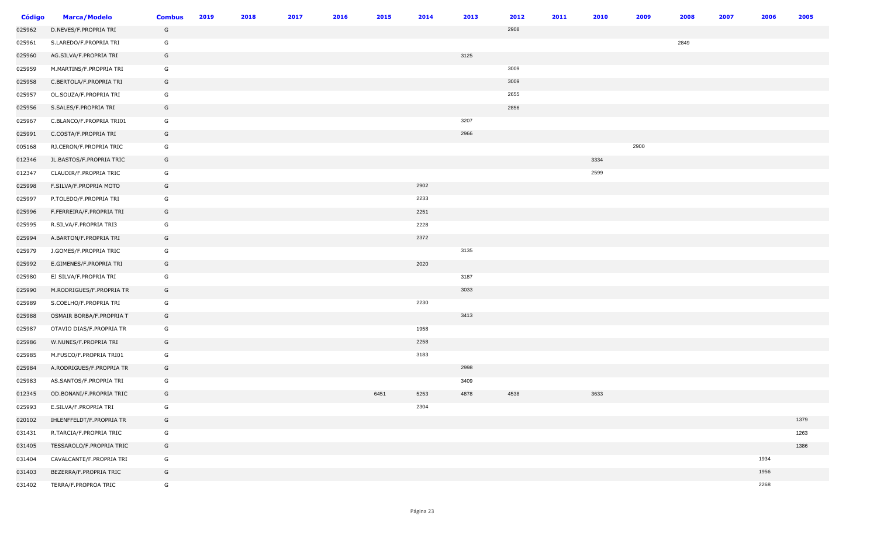| <b>Código</b> | <b>Marca/Modelo</b>      | <b>Combus</b> | 2019 | 2018 | 2017 | 2016 | 2015 | 2014 | 2013 | 2012 | 2011 | 2010 | 2009 | 2008 | 2007 | 2006 | 2005 |
|---------------|--------------------------|---------------|------|------|------|------|------|------|------|------|------|------|------|------|------|------|------|
| 025962        | D.NEVES/F.PROPRIA TRI    | G             |      |      |      |      |      |      |      | 2908 |      |      |      |      |      |      |      |
| 025961        | S.LAREDO/F.PROPRIA TRI   | G             |      |      |      |      |      |      |      |      |      |      |      | 2849 |      |      |      |
| 025960        | AG.SILVA/F.PROPRIA TRI   | G             |      |      |      |      |      |      | 3125 |      |      |      |      |      |      |      |      |
| 025959        | M.MARTINS/F.PROPRIA TRI  | G             |      |      |      |      |      |      |      | 3009 |      |      |      |      |      |      |      |
| 025958        | C.BERTOLA/F.PROPRIA TRI  | G             |      |      |      |      |      |      |      | 3009 |      |      |      |      |      |      |      |
| 025957        | OL.SOUZA/F.PROPRIA TRI   | G             |      |      |      |      |      |      |      | 2655 |      |      |      |      |      |      |      |
| 025956        | S.SALES/F.PROPRIA TRI    | G             |      |      |      |      |      |      |      | 2856 |      |      |      |      |      |      |      |
| 025967        | C.BLANCO/F.PROPRIA TRI01 | G             |      |      |      |      |      |      | 3207 |      |      |      |      |      |      |      |      |
| 025991        | C.COSTA/F.PROPRIA TRI    | G             |      |      |      |      |      |      | 2966 |      |      |      |      |      |      |      |      |
| 005168        | RJ.CERON/F.PROPRIA TRIC  | G             |      |      |      |      |      |      |      |      |      |      | 2900 |      |      |      |      |
| 012346        | JL.BASTOS/F.PROPRIA TRIC | G             |      |      |      |      |      |      |      |      |      | 3334 |      |      |      |      |      |
| 012347        | CLAUDIR/F.PROPRIA TRIC   | G             |      |      |      |      |      |      |      |      |      | 2599 |      |      |      |      |      |
| 025998        | F.SILVA/F.PROPRIA MOTO   | G             |      |      |      |      |      | 2902 |      |      |      |      |      |      |      |      |      |
| 025997        | P.TOLEDO/F.PROPRIA TRI   | G             |      |      |      |      |      | 2233 |      |      |      |      |      |      |      |      |      |
| 025996        | F.FERREIRA/F.PROPRIA TRI | G             |      |      |      |      |      | 2251 |      |      |      |      |      |      |      |      |      |
| 025995        | R.SILVA/F.PROPRIA TRI3   | G             |      |      |      |      |      | 2228 |      |      |      |      |      |      |      |      |      |
| 025994        | A.BARTON/F.PROPRIA TRI   | G             |      |      |      |      |      | 2372 |      |      |      |      |      |      |      |      |      |
| 025979        | J.GOMES/F.PROPRIA TRIC   | G             |      |      |      |      |      |      | 3135 |      |      |      |      |      |      |      |      |
| 025992        | E.GIMENES/F.PROPRIA TRI  | G             |      |      |      |      |      | 2020 |      |      |      |      |      |      |      |      |      |
| 025980        | EJ SILVA/F.PROPRIA TRI   | G             |      |      |      |      |      |      | 3187 |      |      |      |      |      |      |      |      |
| 025990        | M.RODRIGUES/F.PROPRIA TR | G             |      |      |      |      |      |      | 3033 |      |      |      |      |      |      |      |      |
| 025989        | S.COELHO/F.PROPRIA TRI   | G             |      |      |      |      |      | 2230 |      |      |      |      |      |      |      |      |      |
| 025988        | OSMAIR BORBA/F.PROPRIA T | G             |      |      |      |      |      |      | 3413 |      |      |      |      |      |      |      |      |
| 025987        | OTAVIO DIAS/F.PROPRIA TR | G             |      |      |      |      |      | 1958 |      |      |      |      |      |      |      |      |      |
| 025986        | W.NUNES/F.PROPRIA TRI    | G             |      |      |      |      |      | 2258 |      |      |      |      |      |      |      |      |      |
| 025985        | M.FUSCO/F.PROPRIA TRI01  | G             |      |      |      |      |      | 3183 |      |      |      |      |      |      |      |      |      |
| 025984        | A.RODRIGUES/F.PROPRIA TR | G             |      |      |      |      |      |      | 2998 |      |      |      |      |      |      |      |      |
| 025983        | AS.SANTOS/F.PROPRIA TRI  | G             |      |      |      |      |      |      | 3409 |      |      |      |      |      |      |      |      |
| 012345        | OD.BONANI/F.PROPRIA TRIC | G             |      |      |      |      | 6451 | 5253 | 4878 | 4538 |      | 3633 |      |      |      |      |      |
| 025993        | E.SILVA/F.PROPRIA TRI    | G             |      |      |      |      |      | 2304 |      |      |      |      |      |      |      |      |      |
| 020102        | IHLENFFELDT/F.PROPRIA TR | G             |      |      |      |      |      |      |      |      |      |      |      |      |      |      | 1379 |
| 031431        | R.TARCIA/F.PROPRIA TRIC  | G             |      |      |      |      |      |      |      |      |      |      |      |      |      |      | 1263 |
| 031405        | TESSAROLO/F.PROPRIA TRIC | G             |      |      |      |      |      |      |      |      |      |      |      |      |      |      | 1386 |
| 031404        | CAVALCANTE/F.PROPRIA TRI | G             |      |      |      |      |      |      |      |      |      |      |      |      |      | 1934 |      |
| 031403        | BEZERRA/F.PROPRIA TRIC   | G             |      |      |      |      |      |      |      |      |      |      |      |      |      | 1956 |      |
| 031402        | TERRA/F.PROPROA TRIC     | G             |      |      |      |      |      |      |      |      |      |      |      |      |      | 2268 |      |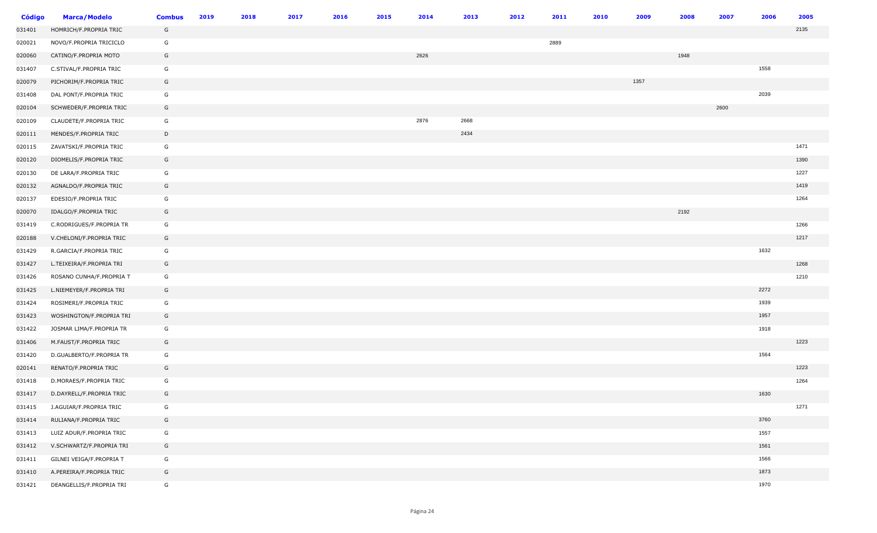| <b>Código</b> | <b>Marca/Modelo</b>      | <b>Combus</b> | 2019 | 2018 | 2017 | 2016 | 2015 | 2014 | 2013 | 2012 | 2011 | 2010 | 2009 | 2008 | 2007 | 2006 | 2005 |
|---------------|--------------------------|---------------|------|------|------|------|------|------|------|------|------|------|------|------|------|------|------|
| 031401        | HOMRICH/F.PROPRIA TRIC   | G             |      |      |      |      |      |      |      |      |      |      |      |      |      |      | 2135 |
| 020021        | NOVO/F.PROPRIA TRICICLO  | G             |      |      |      |      |      |      |      |      | 2889 |      |      |      |      |      |      |
| 020060        | CATINO/F.PROPRIA MOTO    | G             |      |      |      |      |      | 2626 |      |      |      |      |      | 1948 |      |      |      |
| 031407        | C.STIVAL/F.PROPRIA TRIC  | G             |      |      |      |      |      |      |      |      |      |      |      |      |      | 1558 |      |
| 020079        | PICHORIM/F.PROPRIA TRIC  | G             |      |      |      |      |      |      |      |      |      |      | 1357 |      |      |      |      |
| 031408        | DAL PONT/F.PROPRIA TRIC  | G             |      |      |      |      |      |      |      |      |      |      |      |      |      | 2039 |      |
| 020104        | SCHWEDER/F.PROPRIA TRIC  | G             |      |      |      |      |      |      |      |      |      |      |      |      | 2600 |      |      |
| 020109        | CLAUDETE/F.PROPRIA TRIC  | G             |      |      |      |      |      | 2876 | 2668 |      |      |      |      |      |      |      |      |
| 020111        | MENDES/F.PROPRIA TRIC    | D             |      |      |      |      |      |      | 2434 |      |      |      |      |      |      |      |      |
| 020115        | ZAVATSKI/F.PROPRIA TRIC  | G             |      |      |      |      |      |      |      |      |      |      |      |      |      |      | 1471 |
| 020120        | DIOMELIS/F.PROPRIA TRIC  | G             |      |      |      |      |      |      |      |      |      |      |      |      |      |      | 1390 |
| 020130        | DE LARA/F.PROPRIA TRIC   | G             |      |      |      |      |      |      |      |      |      |      |      |      |      |      | 1227 |
| 020132        | AGNALDO/F.PROPRIA TRIC   | G             |      |      |      |      |      |      |      |      |      |      |      |      |      |      | 1419 |
| 020137        | EDESIO/F.PROPRIA TRIC    | G             |      |      |      |      |      |      |      |      |      |      |      |      |      |      | 1264 |
| 020070        | IDALGO/F.PROPRIA TRIC    | G             |      |      |      |      |      |      |      |      |      |      |      | 2192 |      |      |      |
| 031419        | C.RODRIGUES/F.PROPRIA TR | G             |      |      |      |      |      |      |      |      |      |      |      |      |      |      | 1266 |
| 020188        | V.CHELONI/F.PROPRIA TRIC | G             |      |      |      |      |      |      |      |      |      |      |      |      |      |      | 1217 |
| 031429        | R.GARCIA/F.PROPRIA TRIC  | G             |      |      |      |      |      |      |      |      |      |      |      |      |      | 1632 |      |
| 031427        | L.TEIXEIRA/F.PROPRIA TRI | G             |      |      |      |      |      |      |      |      |      |      |      |      |      |      | 1268 |
| 031426        | ROSANO CUNHA/F.PROPRIA T | G             |      |      |      |      |      |      |      |      |      |      |      |      |      |      | 1210 |
| 031425        | L.NIEMEYER/F.PROPRIA TRI | G             |      |      |      |      |      |      |      |      |      |      |      |      |      | 2272 |      |
| 031424        | ROSIMERI/F.PROPRIA TRIC  | G             |      |      |      |      |      |      |      |      |      |      |      |      |      | 1939 |      |
| 031423        | WOSHINGTON/F.PROPRIA TRI | G             |      |      |      |      |      |      |      |      |      |      |      |      |      | 1957 |      |
| 031422        | JOSMAR LIMA/F.PROPRIA TR | G             |      |      |      |      |      |      |      |      |      |      |      |      |      | 1918 |      |
| 031406        | M.FAUST/F.PROPRIA TRIC   | G             |      |      |      |      |      |      |      |      |      |      |      |      |      |      | 1223 |
| 031420        | D.GUALBERTO/F.PROPRIA TR | G             |      |      |      |      |      |      |      |      |      |      |      |      |      | 1564 |      |
| 020141        | RENATO/F.PROPRIA TRIC    | G             |      |      |      |      |      |      |      |      |      |      |      |      |      |      | 1223 |
| 031418        | D.MORAES/F.PROPRIA TRIC  | G             |      |      |      |      |      |      |      |      |      |      |      |      |      |      | 1264 |
| 031417        | D.DAYRELL/F.PROPRIA TRIC | G             |      |      |      |      |      |      |      |      |      |      |      |      |      | 1630 |      |
| 031415        | J.AGUIAR/F.PROPRIA TRIC  | G             |      |      |      |      |      |      |      |      |      |      |      |      |      |      | 1271 |
| 031414        | RULIANA/F.PROPRIA TRIC   | G             |      |      |      |      |      |      |      |      |      |      |      |      |      | 3760 |      |
| 031413        | LUIZ ADUR/F.PROPRIA TRIC | G             |      |      |      |      |      |      |      |      |      |      |      |      |      | 1557 |      |
| 031412        | V.SCHWARTZ/F.PROPRIA TRI | G             |      |      |      |      |      |      |      |      |      |      |      |      |      | 1561 |      |
| 031411        | GILNEI VEIGA/F.PROPRIA T | G             |      |      |      |      |      |      |      |      |      |      |      |      |      | 1566 |      |
| 031410        | A.PEREIRA/F.PROPRIA TRIC | G             |      |      |      |      |      |      |      |      |      |      |      |      |      | 1873 |      |
| 031421        | DEANGELLIS/F.PROPRIA TRI | G             |      |      |      |      |      |      |      |      |      |      |      |      |      | 1970 |      |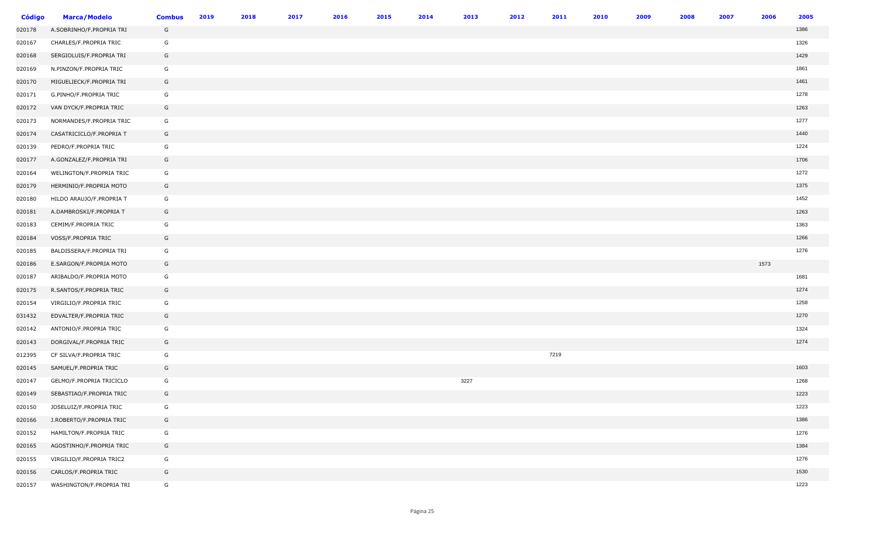| <b>Código</b> | <b>Marca/Modelo</b>      | <b>Combus</b> | 2019 | 2018 | 2017 | 2016 | 2015 | 2014 | 2013 | 2012 | 2011 | 2010 | 2009 | 2008 | 2007 | 2006 | 2005 |
|---------------|--------------------------|---------------|------|------|------|------|------|------|------|------|------|------|------|------|------|------|------|
| 020178        | A.SOBRINHO/F.PROPRIA TRI | G             |      |      |      |      |      |      |      |      |      |      |      |      |      |      | 1386 |
| 020167        | CHARLES/F.PROPRIA TRIC   | G             |      |      |      |      |      |      |      |      |      |      |      |      |      |      | 1326 |
| 020168        | SERGIOLUIS/F.PROPRIA TRI | G             |      |      |      |      |      |      |      |      |      |      |      |      |      |      | 1429 |
| 020169        | N.PINZON/F.PROPRIA TRIC  | G             |      |      |      |      |      |      |      |      |      |      |      |      |      |      | 1861 |
| 020170        | MIGUELIECK/F.PROPRIA TRI | G             |      |      |      |      |      |      |      |      |      |      |      |      |      |      | 1461 |
| 020171        | G.PINHO/F.PROPRIA TRIC   | G             |      |      |      |      |      |      |      |      |      |      |      |      |      |      | 1278 |
| 020172        | VAN DYCK/F.PROPRIA TRIC  | G             |      |      |      |      |      |      |      |      |      |      |      |      |      |      | 1263 |
| 020173        | NORMANDES/F.PROPRIA TRIC | G             |      |      |      |      |      |      |      |      |      |      |      |      |      |      | 1277 |
| 020174        | CASATRICICLO/F.PROPRIA T | G             |      |      |      |      |      |      |      |      |      |      |      |      |      |      | 1440 |
| 020139        | PEDRO/F.PROPRIA TRIC     | G             |      |      |      |      |      |      |      |      |      |      |      |      |      |      | 1224 |
| 020177        | A.GONZALEZ/F.PROPRIA TRI | G             |      |      |      |      |      |      |      |      |      |      |      |      |      |      | 1706 |
| 020164        | WELINGTON/F.PROPRIA TRIC | G             |      |      |      |      |      |      |      |      |      |      |      |      |      |      | 1272 |
| 020179        | HERMINIO/F.PROPRIA MOTO  | G             |      |      |      |      |      |      |      |      |      |      |      |      |      |      | 1375 |
| 020180        | HILDO ARAUJO/F.PROPRIA T | G             |      |      |      |      |      |      |      |      |      |      |      |      |      |      | 1452 |
| 020181        | A.DAMBROSKI/F.PROPRIA T  | G             |      |      |      |      |      |      |      |      |      |      |      |      |      |      | 1263 |
| 020183        | CEMIM/F.PROPRIA TRIC     | G             |      |      |      |      |      |      |      |      |      |      |      |      |      |      | 1363 |
| 020184        | VOSS/F.PROPRIA TRIC      | G             |      |      |      |      |      |      |      |      |      |      |      |      |      |      | 1266 |
| 020185        | BALDISSERA/F.PROPRIA TRI | G             |      |      |      |      |      |      |      |      |      |      |      |      |      |      | 1276 |
| 020186        | E.SARGON/F.PROPRIA MOTO  | G             |      |      |      |      |      |      |      |      |      |      |      |      |      | 1573 |      |
| 020187        | ARIBALDO/F.PROPRIA MOTO  | G             |      |      |      |      |      |      |      |      |      |      |      |      |      |      | 1681 |
| 020175        | R.SANTOS/F.PROPRIA TRIC  | G             |      |      |      |      |      |      |      |      |      |      |      |      |      |      | 1274 |
| 020154        | VIRGILIO/F.PROPRIA TRIC  | G             |      |      |      |      |      |      |      |      |      |      |      |      |      |      | 1258 |
| 031432        | EDVALTER/F.PROPRIA TRIC  | G             |      |      |      |      |      |      |      |      |      |      |      |      |      |      | 1270 |
| 020142        | ANTONIO/F.PROPRIA TRIC   | G             |      |      |      |      |      |      |      |      |      |      |      |      |      |      | 1324 |
| 020143        | DORGIVAL/F.PROPRIA TRIC  | G             |      |      |      |      |      |      |      |      |      |      |      |      |      |      | 1274 |
| 012395        | CF SILVA/F.PROPRIA TRIC  | G             |      |      |      |      |      |      |      |      | 7219 |      |      |      |      |      |      |
| 020145        | SAMUEL/F.PROPRIA TRIC    | G             |      |      |      |      |      |      |      |      |      |      |      |      |      |      | 1603 |
| 020147        | GELMO/F.PROPRIA TRICICLO | G             |      |      |      |      |      |      | 3227 |      |      |      |      |      |      |      | 1268 |
| 020149        | SEBASTIAO/F.PROPRIA TRIC | G             |      |      |      |      |      |      |      |      |      |      |      |      |      |      | 1223 |
| 020150        | JOSELUIZ/F.PROPRIA TRIC  | G             |      |      |      |      |      |      |      |      |      |      |      |      |      |      | 1223 |
| 020166        | J.ROBERTO/F.PROPRIA TRIC | G             |      |      |      |      |      |      |      |      |      |      |      |      |      |      | 1386 |
| 020152        | HAMILTON/F.PROPRIA TRIC  | G             |      |      |      |      |      |      |      |      |      |      |      |      |      |      | 1276 |
| 020165        | AGOSTINHO/F.PROPRIA TRIC | G             |      |      |      |      |      |      |      |      |      |      |      |      |      |      | 1384 |
| 020155        | VIRGILIO/F.PROPRIA TRIC2 | G             |      |      |      |      |      |      |      |      |      |      |      |      |      |      | 1276 |
| 020156        | CARLOS/F.PROPRIA TRIC    | G             |      |      |      |      |      |      |      |      |      |      |      |      |      |      | 1530 |
| 020157        | WASHINGTON/F.PROPRIA TRI | G             |      |      |      |      |      |      |      |      |      |      |      |      |      |      | 1223 |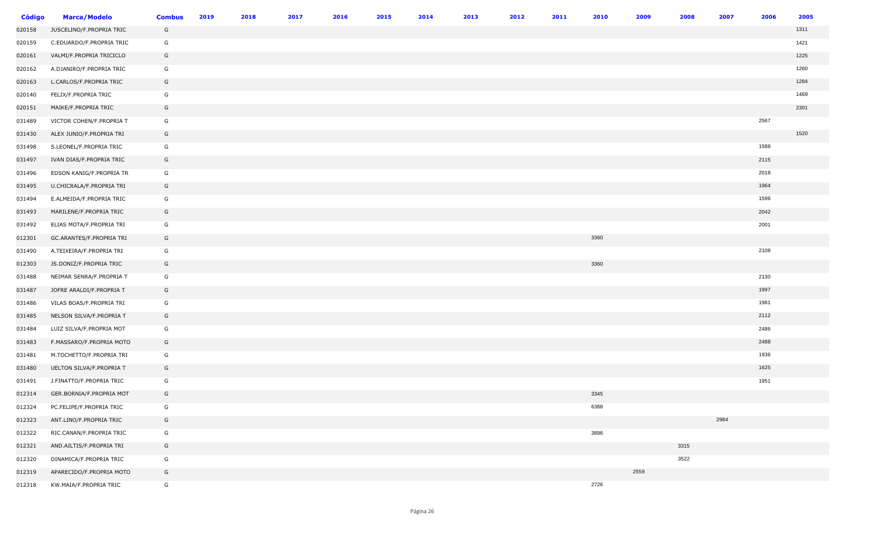| Código | <b>Marca/Modelo</b>      | <b>Combus</b> | 2019 | 2018 | 2017 | 2016 | 2015 | 2014 | 2013 | 2012 | 2011 | 2010 | 2009 | 2008 | 2007 | 2006 | 2005 |
|--------|--------------------------|---------------|------|------|------|------|------|------|------|------|------|------|------|------|------|------|------|
| 020158 | JUSCELINO/F.PROPRIA TRIC | G             |      |      |      |      |      |      |      |      |      |      |      |      |      |      | 1311 |
| 020159 | C.EDUARDO/F.PROPRIA TRIC | G             |      |      |      |      |      |      |      |      |      |      |      |      |      |      | 1421 |
| 020161 | VALMI/F.PROPRIA TRICICLO | G             |      |      |      |      |      |      |      |      |      |      |      |      |      |      | 1225 |
| 020162 | A.DJANIRO/F.PROPRIA TRIC | G             |      |      |      |      |      |      |      |      |      |      |      |      |      |      | 1260 |
| 020163 | L.CARLOS/F.PROPRIA TRIC  | G             |      |      |      |      |      |      |      |      |      |      |      |      |      |      | 1284 |
| 020140 | FELIX/F.PROPRIA TRIC     | G             |      |      |      |      |      |      |      |      |      |      |      |      |      |      | 1469 |
| 020151 | MAIKE/F.PROPRIA TRIC     | G             |      |      |      |      |      |      |      |      |      |      |      |      |      |      | 2301 |
| 031489 | VICTOR COHEN/F.PROPRIA T | G             |      |      |      |      |      |      |      |      |      |      |      |      |      | 2567 |      |
| 031430 | ALEX JUNIO/F.PROPRIA TRI | G             |      |      |      |      |      |      |      |      |      |      |      |      |      |      | 1520 |
| 031498 | S.LEONEL/F.PROPRIA TRIC  | G             |      |      |      |      |      |      |      |      |      |      |      |      |      | 1588 |      |
| 031497 | IVAN DIAS/F.PROPRIA TRIC | G             |      |      |      |      |      |      |      |      |      |      |      |      |      | 2115 |      |
| 031496 | EDSON KANIG/F.PROPRIA TR | G             |      |      |      |      |      |      |      |      |      |      |      |      |      | 2018 |      |
| 031495 | U.CHICRALA/F.PROPRIA TRI | G             |      |      |      |      |      |      |      |      |      |      |      |      |      | 1964 |      |
| 031494 | E.ALMEIDA/F.PROPRIA TRIC | G             |      |      |      |      |      |      |      |      |      |      |      |      |      | 1596 |      |
| 031493 | MARILENE/F.PROPRIA TRIC  | G             |      |      |      |      |      |      |      |      |      |      |      |      |      | 2042 |      |
| 031492 | ELIAS MOTA/F.PROPRIA TRI | G             |      |      |      |      |      |      |      |      |      |      |      |      |      | 2001 |      |
| 012301 | GC.ARANTES/F.PROPRIA TRI | G             |      |      |      |      |      |      |      |      |      | 3360 |      |      |      |      |      |
| 031490 | A.TEIXEIRA/F.PROPRIA TRI | G             |      |      |      |      |      |      |      |      |      |      |      |      |      | 2108 |      |
| 012303 | JS.DONIZ/F.PROPRIA TRIC  | G             |      |      |      |      |      |      |      |      |      | 3360 |      |      |      |      |      |
| 031488 | NEIMAR SENRA/F.PROPRIA T | G             |      |      |      |      |      |      |      |      |      |      |      |      |      | 2130 |      |
| 031487 | JOFRE ARALDI/F.PROPRIA T | G             |      |      |      |      |      |      |      |      |      |      |      |      |      | 1997 |      |
| 031486 | VILAS BOAS/F.PROPRIA TRI | G             |      |      |      |      |      |      |      |      |      |      |      |      |      | 1981 |      |
| 031485 | NELSON SILVA/F.PROPRIA T | G             |      |      |      |      |      |      |      |      |      |      |      |      |      | 2112 |      |
| 031484 | LUIZ SILVA/F.PROPRIA MOT | G             |      |      |      |      |      |      |      |      |      |      |      |      |      | 2486 |      |
| 031483 | F.MASSARO/F.PROPRIA MOTO | G             |      |      |      |      |      |      |      |      |      |      |      |      |      | 2488 |      |
| 031481 | M.TOCHETTO/F.PROPRIA TRI | G             |      |      |      |      |      |      |      |      |      |      |      |      |      | 1936 |      |
| 031480 | UELTON SILVA/F.PROPRIA T | G             |      |      |      |      |      |      |      |      |      |      |      |      |      | 1625 |      |
| 031491 | J.FINATTO/F.PROPRIA TRIC | G             |      |      |      |      |      |      |      |      |      |      |      |      |      | 1951 |      |
| 012314 | GER.BORNIA/F.PROPRIA MOT | G             |      |      |      |      |      |      |      |      |      | 3345 |      |      |      |      |      |
| 012324 | PC.FELIPE/F.PROPRIA TRIC | G             |      |      |      |      |      |      |      |      |      | 6388 |      |      |      |      |      |
| 012323 | ANT.LINO/F.PROPRIA TRIC  | G             |      |      |      |      |      |      |      |      |      |      |      |      | 2984 |      |      |
| 012322 | RIC.CANAN/F.PROPRIA TRIC | G             |      |      |      |      |      |      |      |      |      | 3896 |      |      |      |      |      |
| 012321 | AND.AILTIS/F.PROPRIA TRI | G             |      |      |      |      |      |      |      |      |      |      |      | 3315 |      |      |      |
| 012320 | DINAMICA/F.PROPRIA TRIC  | G             |      |      |      |      |      |      |      |      |      |      |      | 3522 |      |      |      |
| 012319 | APARECIDO/F.PROPRIA MOTO | G             |      |      |      |      |      |      |      |      |      |      | 2559 |      |      |      |      |
| 012318 | KW.MAIA/F.PROPRIA TRIC   | G             |      |      |      |      |      |      |      |      |      | 2726 |      |      |      |      |      |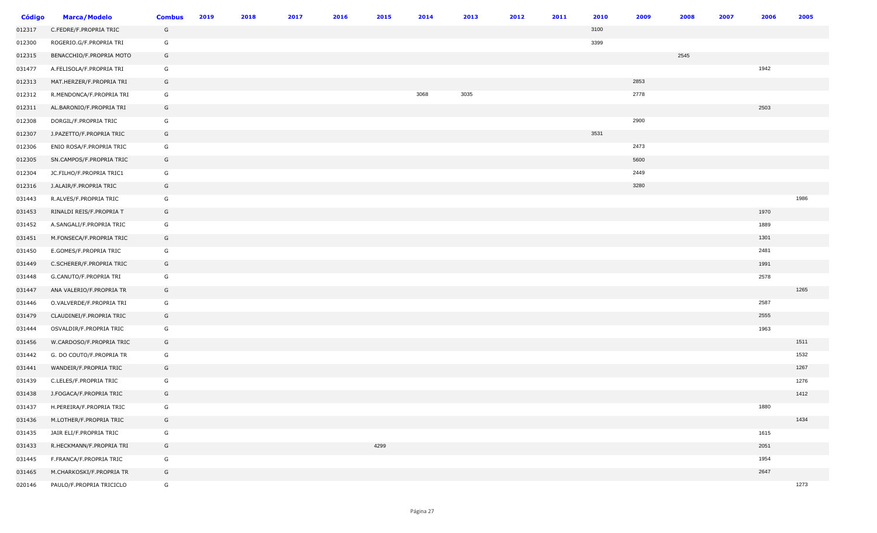| <b>Código</b> | <b>Marca/Modelo</b>      | <b>Combus</b> | 2019 | 2018 | 2017 | 2016 | 2015 | 2014 | 2013 | 2012 | 2011 | 2010 | 2009 | 2008 | 2007 | 2006 | 2005 |
|---------------|--------------------------|---------------|------|------|------|------|------|------|------|------|------|------|------|------|------|------|------|
| 012317        | C.FEDRE/F.PROPRIA TRIC   | G             |      |      |      |      |      |      |      |      |      | 3100 |      |      |      |      |      |
| 012300        | ROGERIO.G/F.PROPRIA TRI  | G             |      |      |      |      |      |      |      |      |      | 3399 |      |      |      |      |      |
| 012315        | BENACCHIO/F.PROPRIA MOTO | G             |      |      |      |      |      |      |      |      |      |      |      | 2545 |      |      |      |
| 031477        | A.FELISOLA/F.PROPRIA TRI | G             |      |      |      |      |      |      |      |      |      |      |      |      |      | 1942 |      |
| 012313        | MAT.HERZER/F.PROPRIA TRI | G             |      |      |      |      |      |      |      |      |      |      | 2853 |      |      |      |      |
| 012312        | R.MENDONCA/F.PROPRIA TRI | G             |      |      |      |      |      | 3068 | 3035 |      |      |      | 2778 |      |      |      |      |
| 012311        | AL.BARONIO/F.PROPRIA TRI | G             |      |      |      |      |      |      |      |      |      |      |      |      |      | 2503 |      |
| 012308        | DORGIL/F.PROPRIA TRIC    | G             |      |      |      |      |      |      |      |      |      |      | 2900 |      |      |      |      |
| 012307        | J.PAZETTO/F.PROPRIA TRIC | G             |      |      |      |      |      |      |      |      |      | 3531 |      |      |      |      |      |
| 012306        | ENIO ROSA/F.PROPRIA TRIC | G             |      |      |      |      |      |      |      |      |      |      | 2473 |      |      |      |      |
| 012305        | SN.CAMPOS/F.PROPRIA TRIC | G             |      |      |      |      |      |      |      |      |      |      | 5600 |      |      |      |      |
| 012304        | JC.FILHO/F.PROPRIA TRIC1 | G             |      |      |      |      |      |      |      |      |      |      | 2449 |      |      |      |      |
| 012316        | J.ALAIR/F.PROPRIA TRIC   | G             |      |      |      |      |      |      |      |      |      |      | 3280 |      |      |      |      |
| 031443        | R.ALVES/F.PROPRIA TRIC   | G             |      |      |      |      |      |      |      |      |      |      |      |      |      |      | 1986 |
| 031453        | RINALDI REIS/F.PROPRIA T | G             |      |      |      |      |      |      |      |      |      |      |      |      |      | 1970 |      |
| 031452        | A.SANGALI/F.PROPRIA TRIC | G             |      |      |      |      |      |      |      |      |      |      |      |      |      | 1889 |      |
| 031451        | M.FONSECA/F.PROPRIA TRIC | G             |      |      |      |      |      |      |      |      |      |      |      |      |      | 1301 |      |
| 031450        | E.GOMES/F.PROPRIA TRIC   | G             |      |      |      |      |      |      |      |      |      |      |      |      |      | 2481 |      |
| 031449        | C.SCHERER/F.PROPRIA TRIC | G             |      |      |      |      |      |      |      |      |      |      |      |      |      | 1991 |      |
| 031448        | G.CANUTO/F.PROPRIA TRI   | G             |      |      |      |      |      |      |      |      |      |      |      |      |      | 2578 |      |
| 031447        | ANA VALERIO/F.PROPRIA TR | G             |      |      |      |      |      |      |      |      |      |      |      |      |      |      | 1265 |
| 031446        | O.VALVERDE/F.PROPRIA TRI | G             |      |      |      |      |      |      |      |      |      |      |      |      |      | 2587 |      |
| 031479        | CLAUDINEI/F.PROPRIA TRIC | G             |      |      |      |      |      |      |      |      |      |      |      |      |      | 2555 |      |
| 031444        | OSVALDIR/F.PROPRIA TRIC  | G             |      |      |      |      |      |      |      |      |      |      |      |      |      | 1963 |      |
| 031456        | W.CARDOSO/F.PROPRIA TRIC | G             |      |      |      |      |      |      |      |      |      |      |      |      |      |      | 1511 |
| 031442        | G. DO COUTO/F.PROPRIA TR | G             |      |      |      |      |      |      |      |      |      |      |      |      |      |      | 1532 |
| 031441        | WANDEIR/F.PROPRIA TRIC   | G             |      |      |      |      |      |      |      |      |      |      |      |      |      |      | 1267 |
| 031439        | C.LELES/F.PROPRIA TRIC   | G             |      |      |      |      |      |      |      |      |      |      |      |      |      |      | 1276 |
| 031438        | J.FOGACA/F.PROPRIA TRIC  | G             |      |      |      |      |      |      |      |      |      |      |      |      |      |      | 1412 |
| 031437        | H.PEREIRA/F.PROPRIA TRIC | G             |      |      |      |      |      |      |      |      |      |      |      |      |      | 1880 |      |
| 031436        | M.LOTHER/F.PROPRIA TRIC  | G             |      |      |      |      |      |      |      |      |      |      |      |      |      |      | 1434 |
| 031435        | JAIR ELI/F.PROPRIA TRIC  | G             |      |      |      |      |      |      |      |      |      |      |      |      |      | 1615 |      |
| 031433        | R.HECKMANN/F.PROPRIA TRI | G             |      |      |      |      | 4299 |      |      |      |      |      |      |      |      | 2051 |      |
| 031445        | F.FRANCA/F.PROPRIA TRIC  | G             |      |      |      |      |      |      |      |      |      |      |      |      |      | 1954 |      |
| 031465        | M.CHARKOSKI/F.PROPRIA TR | G             |      |      |      |      |      |      |      |      |      |      |      |      |      | 2647 |      |
| 020146        | PAULO/F.PROPRIA TRICICLO | G             |      |      |      |      |      |      |      |      |      |      |      |      |      |      | 1273 |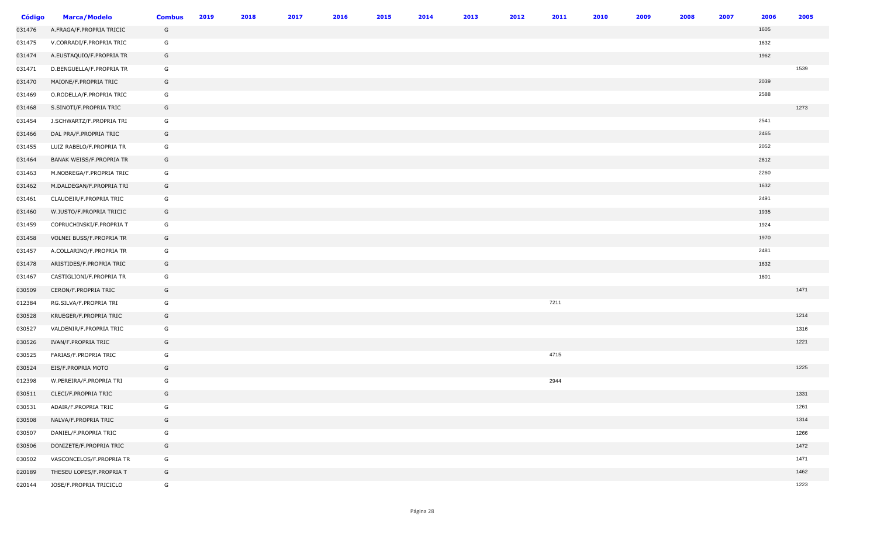| <b>Código</b> | <b>Marca/Modelo</b>      | <b>Combus</b> | 2019 | 2018 | 2017 | 2016 | 2015 | 2014 | 2013 | 2012 | 2011 | 2010 | 2009 | 2008 | 2007 | 2006 | 2005 |
|---------------|--------------------------|---------------|------|------|------|------|------|------|------|------|------|------|------|------|------|------|------|
| 031476        | A.FRAGA/F.PROPRIA TRICIC | G             |      |      |      |      |      |      |      |      |      |      |      |      |      | 1605 |      |
| 031475        | V.CORRADI/F.PROPRIA TRIC | G             |      |      |      |      |      |      |      |      |      |      |      |      |      | 1632 |      |
| 031474        | A.EUSTAQUIO/F.PROPRIA TR | G             |      |      |      |      |      |      |      |      |      |      |      |      |      | 1962 |      |
| 031471        | D.BENGUELLA/F.PROPRIA TR | G             |      |      |      |      |      |      |      |      |      |      |      |      |      |      | 1539 |
| 031470        | MAIONE/F.PROPRIA TRIC    | G             |      |      |      |      |      |      |      |      |      |      |      |      |      | 2039 |      |
| 031469        | O.RODELLA/F.PROPRIA TRIC | G             |      |      |      |      |      |      |      |      |      |      |      |      |      | 2588 |      |
| 031468        | S.SINOTI/F.PROPRIA TRIC  | G             |      |      |      |      |      |      |      |      |      |      |      |      |      |      | 1273 |
| 031454        | J.SCHWARTZ/F.PROPRIA TRI | G             |      |      |      |      |      |      |      |      |      |      |      |      |      | 2541 |      |
| 031466        | DAL PRA/F.PROPRIA TRIC   | G             |      |      |      |      |      |      |      |      |      |      |      |      |      | 2465 |      |
| 031455        | LUIZ RABELO/F.PROPRIA TR | G             |      |      |      |      |      |      |      |      |      |      |      |      |      | 2052 |      |
| 031464        | BANAK WEISS/F.PROPRIA TR | G             |      |      |      |      |      |      |      |      |      |      |      |      |      | 2612 |      |
| 031463        | M.NOBREGA/F.PROPRIA TRIC | G             |      |      |      |      |      |      |      |      |      |      |      |      |      | 2260 |      |
| 031462        | M.DALDEGAN/F.PROPRIA TRI | G             |      |      |      |      |      |      |      |      |      |      |      |      |      | 1632 |      |
| 031461        | CLAUDEIR/F.PROPRIA TRIC  | G             |      |      |      |      |      |      |      |      |      |      |      |      |      | 2491 |      |
| 031460        | W.JUSTO/F.PROPRIA TRICIC | G             |      |      |      |      |      |      |      |      |      |      |      |      |      | 1935 |      |
| 031459        | COPRUCHINSKI/F.PROPRIA T | G             |      |      |      |      |      |      |      |      |      |      |      |      |      | 1924 |      |
| 031458        | VOLNEI BUSS/F.PROPRIA TR | G             |      |      |      |      |      |      |      |      |      |      |      |      |      | 1970 |      |
| 031457        | A.COLLARINO/F.PROPRIA TR | G             |      |      |      |      |      |      |      |      |      |      |      |      |      | 2481 |      |
| 031478        | ARISTIDES/F.PROPRIA TRIC | G             |      |      |      |      |      |      |      |      |      |      |      |      |      | 1632 |      |
| 031467        | CASTIGLIONI/F.PROPRIA TR | G             |      |      |      |      |      |      |      |      |      |      |      |      |      | 1601 |      |
| 030509        | CERON/F.PROPRIA TRIC     | G             |      |      |      |      |      |      |      |      |      |      |      |      |      |      | 1471 |
| 012384        | RG.SILVA/F.PROPRIA TRI   | G             |      |      |      |      |      |      |      |      | 7211 |      |      |      |      |      |      |
| 030528        | KRUEGER/F.PROPRIA TRIC   | G             |      |      |      |      |      |      |      |      |      |      |      |      |      |      | 1214 |
| 030527        | VALDENIR/F.PROPRIA TRIC  | G             |      |      |      |      |      |      |      |      |      |      |      |      |      |      | 1316 |
| 030526        | IVAN/F.PROPRIA TRIC      | G             |      |      |      |      |      |      |      |      |      |      |      |      |      |      | 1221 |
| 030525        | FARIAS/F.PROPRIA TRIC    | G             |      |      |      |      |      |      |      |      | 4715 |      |      |      |      |      |      |
| 030524        | EIS/F.PROPRIA MOTO       | G             |      |      |      |      |      |      |      |      |      |      |      |      |      |      | 1225 |
| 012398        | W.PEREIRA/F.PROPRIA TRI  | G             |      |      |      |      |      |      |      |      | 2944 |      |      |      |      |      |      |
| 030511        | CLECI/F.PROPRIA TRIC     | G             |      |      |      |      |      |      |      |      |      |      |      |      |      |      | 1331 |
| 030531        | ADAIR/F.PROPRIA TRIC     | G             |      |      |      |      |      |      |      |      |      |      |      |      |      |      | 1261 |
| 030508        | NALVA/F.PROPRIA TRIC     | G             |      |      |      |      |      |      |      |      |      |      |      |      |      |      | 1314 |
| 030507        | DANIEL/F.PROPRIA TRIC    | G             |      |      |      |      |      |      |      |      |      |      |      |      |      |      | 1266 |
| 030506        | DONIZETE/F.PROPRIA TRIC  | G             |      |      |      |      |      |      |      |      |      |      |      |      |      |      | 1472 |
| 030502        | VASCONCELOS/F.PROPRIA TR | G             |      |      |      |      |      |      |      |      |      |      |      |      |      |      | 1471 |
| 020189        | THESEU LOPES/F.PROPRIA T | G             |      |      |      |      |      |      |      |      |      |      |      |      |      |      | 1462 |
| 020144        | JOSE/F.PROPRIA TRICICLO  | G             |      |      |      |      |      |      |      |      |      |      |      |      |      |      | 1223 |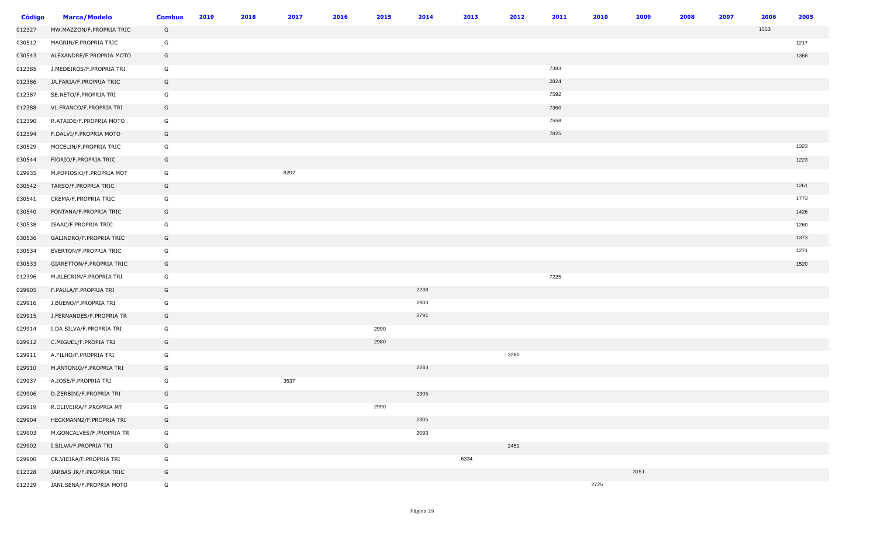| <b>Código</b> | <b>Marca/Modelo</b>      | <b>Combus</b> | 2019 | 2018 | 2017 | 2016 | 2015 | 2014 | 2013 | 2012 | 2011 | 2010 | 2009 | 2008 | 2007 | 2006 | 2005 |
|---------------|--------------------------|---------------|------|------|------|------|------|------|------|------|------|------|------|------|------|------|------|
| 012327        | MW.MAZZON/F.PROPRIA TRIC | G             |      |      |      |      |      |      |      |      |      |      |      |      |      | 1553 |      |
| 030512        | MAGRIN/F.PROPRIA TRIC    | G             |      |      |      |      |      |      |      |      |      |      |      |      |      |      | 1217 |
| 030543        | ALEXANDRE/F.PROPRIA MOTO | G             |      |      |      |      |      |      |      |      |      |      |      |      |      |      | 1368 |
| 012385        | J.MEDEIROS/F.PROPRIA TRI | G             |      |      |      |      |      |      |      |      | 7383 |      |      |      |      |      |      |
| 012386        | JA.FARIA/F.PROPRIA TRIC  | G             |      |      |      |      |      |      |      |      | 2824 |      |      |      |      |      |      |
| 012387        | SE.NETO/F.PROPRIA TRI    | G             |      |      |      |      |      |      |      |      | 7592 |      |      |      |      |      |      |
| 012388        | VL.FRANCO/F.PROPRIA TRI  | G             |      |      |      |      |      |      |      |      | 7360 |      |      |      |      |      |      |
| 012390        | R.ATAIDE/F.PROPRIA MOTO  | G             |      |      |      |      |      |      |      |      | 7558 |      |      |      |      |      |      |
| 012394        | F.DALVI/F.PROPRIA MOTO   | G             |      |      |      |      |      |      |      |      | 7825 |      |      |      |      |      |      |
| 030529        | MOCELIN/F.PROPRIA TRIC   | G             |      |      |      |      |      |      |      |      |      |      |      |      |      |      | 1323 |
| 030544        | FIORIO/F.PROPRIA TRIC    | G             |      |      |      |      |      |      |      |      |      |      |      |      |      |      | 1223 |
| 029935        | M.POPIOSKI/F.PROPRIA MOT | G             |      |      | 8202 |      |      |      |      |      |      |      |      |      |      |      |      |
| 030542        | TARSO/F.PROPRIA TRIC     | G             |      |      |      |      |      |      |      |      |      |      |      |      |      |      | 1261 |
| 030541        | CREMA/F.PROPRIA TRIC     | G             |      |      |      |      |      |      |      |      |      |      |      |      |      |      | 1773 |
| 030540        | FONTANA/F.PROPRIA TRIC   | G             |      |      |      |      |      |      |      |      |      |      |      |      |      |      | 1426 |
| 030538        | ISAAC/F.PROPRIA TRIC     | G             |      |      |      |      |      |      |      |      |      |      |      |      |      |      | 1260 |
| 030536        | GALINDRO/F.PROPRIA TRIC  | G             |      |      |      |      |      |      |      |      |      |      |      |      |      |      | 1373 |
| 030534        | EVERTON/F.PROPRIA TRIC   | G             |      |      |      |      |      |      |      |      |      |      |      |      |      |      | 1271 |
| 030533        | GIARETTON/F.PROPRIA TRIC | G             |      |      |      |      |      |      |      |      |      |      |      |      |      |      | 1520 |
| 012396        | M.ALECRIM/F.PROPRIA TRI  | G             |      |      |      |      |      |      |      |      | 7225 |      |      |      |      |      |      |
| 029905        | F.PAULA/F.PROPRIA TRI    | G             |      |      |      |      |      | 2238 |      |      |      |      |      |      |      |      |      |
| 029916        | J.BUENO/F.PROPRIA TRI    | G             |      |      |      |      |      | 2900 |      |      |      |      |      |      |      |      |      |
| 029915        | J.FERNANDES/F.PROPRIA TR | G             |      |      |      |      |      | 2791 |      |      |      |      |      |      |      |      |      |
| 029914        | I.DA SILVA/F.PROPRIA TRI | G             |      |      |      |      | 2990 |      |      |      |      |      |      |      |      |      |      |
| 029912        | C.MIGUEL/F.PROPIA TRI    | G             |      |      |      |      | 2980 |      |      |      |      |      |      |      |      |      |      |
| 029911        | A.FILHO/F.PROPRIA TRI    | G             |      |      |      |      |      |      |      | 3260 |      |      |      |      |      |      |      |
| 029910        | M.ANTONIO/F.PROPRIA TRI  | G             |      |      |      |      |      | 2283 |      |      |      |      |      |      |      |      |      |
| 029937        | A.JOSE/F.PROPRIA TRI     | G             |      |      | 3537 |      |      |      |      |      |      |      |      |      |      |      |      |
| 029906        | D.ZERBINI/F.PROPRIA TRI  | G             |      |      |      |      |      | 2305 |      |      |      |      |      |      |      |      |      |
| 029919        | R.OLIVEIRA/F.PROPRIA MT  | G             |      |      |      |      | 2990 |      |      |      |      |      |      |      |      |      |      |
| 029904        | HECKMANN2/F.PROPRIA TRI  | G             |      |      |      |      |      | 2305 |      |      |      |      |      |      |      |      |      |
| 029903        | M.GONCALVES/F.PROPRIA TR | G             |      |      |      |      |      | 2093 |      |      |      |      |      |      |      |      |      |
| 029902        | I.SILVA/F.PROPRIA TRI    | G             |      |      |      |      |      |      |      | 2451 |      |      |      |      |      |      |      |
| 029900        | CR.VIEIRA/F.PROPRIA TRI  | G             |      |      |      |      |      |      | 6334 |      |      |      |      |      |      |      |      |
| 012328        | JARBAS JR/F.PROPRIA TRIC | G             |      |      |      |      |      |      |      |      |      |      | 3151 |      |      |      |      |
| 012329        | JANI.SENA/F.PROPRIA MOTO | G             |      |      |      |      |      |      |      |      |      | 2725 |      |      |      |      |      |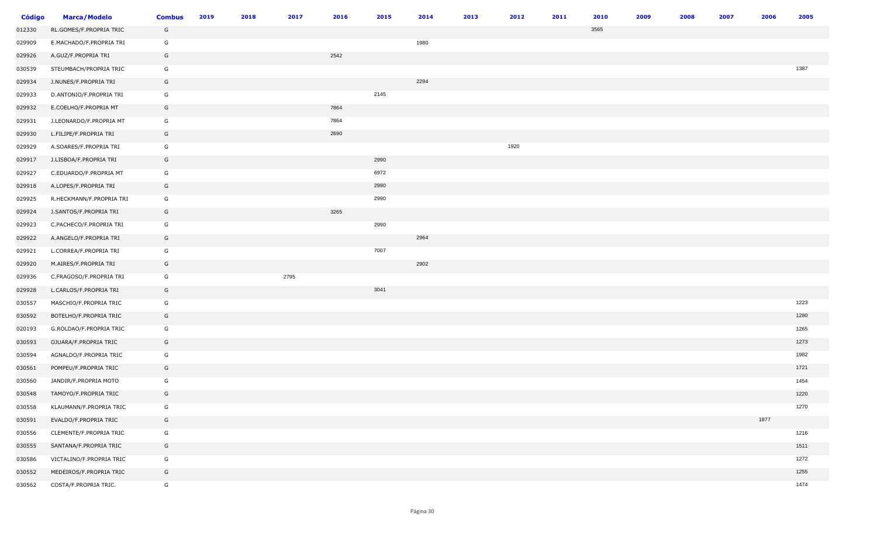| <b>Código</b> | <b>Marca/Modelo</b>      | <b>Combus</b> | 2019 | 2018 | 2017 | 2016 | 2015 | 2014 | 2013 | 2012 | 2011 | 2010 | 2009 | 2008 | 2007 | 2006 | 2005 |
|---------------|--------------------------|---------------|------|------|------|------|------|------|------|------|------|------|------|------|------|------|------|
| 012330        | RL.GOMES/F.PROPRIA TRIC  | G             |      |      |      |      |      |      |      |      |      | 3565 |      |      |      |      |      |
| 029909        | E.MACHADO/F.PROPRIA TRI  | G             |      |      |      |      |      | 1980 |      |      |      |      |      |      |      |      |      |
| 029926        | A.GUZ/F.PROPRIA TRI      | G             |      |      |      | 2542 |      |      |      |      |      |      |      |      |      |      |      |
| 030539        | STEUMBACH/PROPRIA TRIC   | G             |      |      |      |      |      |      |      |      |      |      |      |      |      |      | 1387 |
| 029934        | J.NUNES/F.PROPRIA TRI    | G             |      |      |      |      |      | 2294 |      |      |      |      |      |      |      |      |      |
| 029933        | D.ANTONIO/F.PROPRIA TRI  | G             |      |      |      |      | 2145 |      |      |      |      |      |      |      |      |      |      |
| 029932        | E.COELHO/F.PROPRIA MT    | G             |      |      |      | 7864 |      |      |      |      |      |      |      |      |      |      |      |
| 029931        | J.LEONARDO/F.PROPRIA MT  | G             |      |      |      | 7864 |      |      |      |      |      |      |      |      |      |      |      |
| 029930        | L.FILIPE/F.PROPRIA TRI   | G             |      |      |      | 2690 |      |      |      |      |      |      |      |      |      |      |      |
| 029929        | A.SOARES/F.PROPRIA TRI   | G             |      |      |      |      |      |      |      | 1920 |      |      |      |      |      |      |      |
| 029917        | J.LISBOA/F.PROPRIA TRI   | G             |      |      |      |      | 2990 |      |      |      |      |      |      |      |      |      |      |
| 029927        | C.EDUARDO/F.PROPRIA MT   | G             |      |      |      |      | 6972 |      |      |      |      |      |      |      |      |      |      |
| 029918        | A.LOPES/F.PROPRIA TRI    | G             |      |      |      |      | 2990 |      |      |      |      |      |      |      |      |      |      |
| 029925        | R.HECKMANN/F.PROPRIA TRI | G             |      |      |      |      | 2990 |      |      |      |      |      |      |      |      |      |      |
| 029924        | J.SANTOS/F.PROPRIA TRI   | G             |      |      |      | 3265 |      |      |      |      |      |      |      |      |      |      |      |
| 029923        | C.PACHECO/F.PROPRIA TRI  | G             |      |      |      |      | 2990 |      |      |      |      |      |      |      |      |      |      |
| 029922        | A.ANGELO/F.PROPRIA TRI   | G             |      |      |      |      |      | 2964 |      |      |      |      |      |      |      |      |      |
| 029921        | L.CORREA/F.PROPRIA TRI   | G             |      |      |      |      | 7007 |      |      |      |      |      |      |      |      |      |      |
| 029920        | M.AIRES/F.PROPRIA TRI    | G             |      |      |      |      |      | 2902 |      |      |      |      |      |      |      |      |      |
| 029936        | C.FRAGOSO/F.PROPRIA TRI  | G             |      |      | 2795 |      |      |      |      |      |      |      |      |      |      |      |      |
| 029928        | L.CARLOS/F.PROPRIA TRI   | G             |      |      |      |      | 3041 |      |      |      |      |      |      |      |      |      |      |
| 030557        | MASCHIO/F.PROPRIA TRIC   | G             |      |      |      |      |      |      |      |      |      |      |      |      |      |      | 1223 |
| 030592        | BOTELHO/F.PROPRIA TRIC   | G             |      |      |      |      |      |      |      |      |      |      |      |      |      |      | 1280 |
| 020193        | G.ROLDAO/F.PROPRIA TRIC  | G             |      |      |      |      |      |      |      |      |      |      |      |      |      |      | 1265 |
| 030593        | OJUARA/F.PROPRIA TRIC    | G             |      |      |      |      |      |      |      |      |      |      |      |      |      |      | 1273 |
| 030594        | AGNALDO/F.PROPRIA TRIC   | G             |      |      |      |      |      |      |      |      |      |      |      |      |      |      | 1982 |
| 030561        | POMPEU/F.PROPRIA TRIC    | G             |      |      |      |      |      |      |      |      |      |      |      |      |      |      | 1721 |
| 030560        | JANDIR/F.PROPRIA MOTO    | G             |      |      |      |      |      |      |      |      |      |      |      |      |      |      | 1454 |
| 030548        | TAMOYO/F.PROPRIA TRIC    | G             |      |      |      |      |      |      |      |      |      |      |      |      |      |      | 1220 |
| 030558        | KLAUMANN/F.PROPRIA TRIC  | G             |      |      |      |      |      |      |      |      |      |      |      |      |      |      | 1270 |
| 030591        | EVALDO/F.PROPRIA TRIC    | G             |      |      |      |      |      |      |      |      |      |      |      |      |      | 1877 |      |
| 030556        | CLEMENTE/F.PROPRIA TRIC  | G             |      |      |      |      |      |      |      |      |      |      |      |      |      |      | 1216 |
| 030555        | SANTANA/F.PROPRIA TRIC   | G             |      |      |      |      |      |      |      |      |      |      |      |      |      |      | 1511 |
| 030586        | VICTALINO/F.PROPRIA TRIC | G             |      |      |      |      |      |      |      |      |      |      |      |      |      |      | 1272 |
| 030552        | MEDEIROS/F.PROPRIA TRIC  | G             |      |      |      |      |      |      |      |      |      |      |      |      |      |      | 1255 |
| 030562        | COSTA/F.PROPRIA TRIC.    | G             |      |      |      |      |      |      |      |      |      |      |      |      |      |      | 1474 |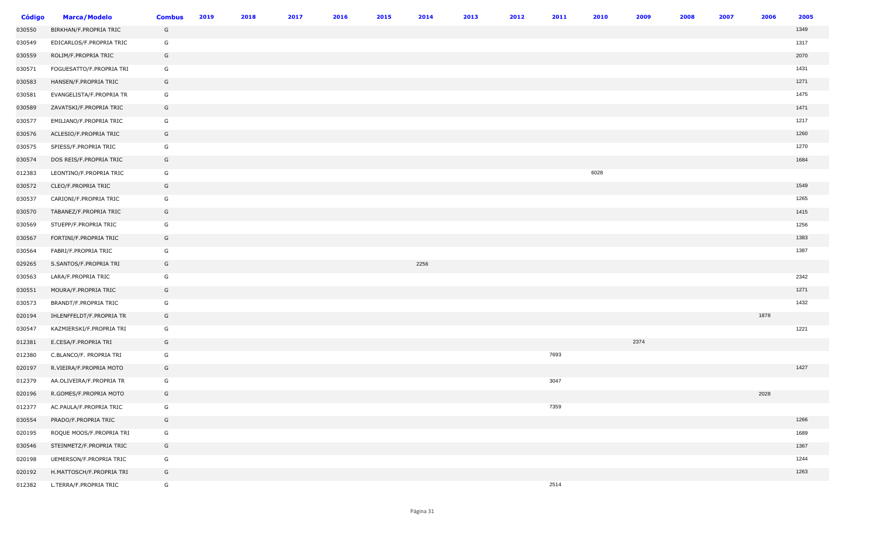| <b>Código</b> | <b>Marca/Modelo</b>      | <b>Combus</b> | 2019 | 2018 | 2017 | 2016 | 2015 | 2014 | 2013 | 2012 | 2011 | 2010 | 2009 | 2008 | 2007 | 2006 | 2005 |
|---------------|--------------------------|---------------|------|------|------|------|------|------|------|------|------|------|------|------|------|------|------|
| 030550        | BIRKHAN/F.PROPRIA TRIC   | G             |      |      |      |      |      |      |      |      |      |      |      |      |      |      | 1349 |
| 030549        | EDICARLOS/F.PROPRIA TRIC | G             |      |      |      |      |      |      |      |      |      |      |      |      |      |      | 1317 |
| 030559        | ROLIM/F.PROPRIA TRIC     | G             |      |      |      |      |      |      |      |      |      |      |      |      |      |      | 2070 |
| 030571        | FOGUESATTO/F.PROPRIA TRI | G             |      |      |      |      |      |      |      |      |      |      |      |      |      |      | 1431 |
| 030583        | HANSEN/F.PROPRIA TRIC    | G             |      |      |      |      |      |      |      |      |      |      |      |      |      |      | 1271 |
| 030581        | EVANGELISTA/F.PROPRIA TR | G             |      |      |      |      |      |      |      |      |      |      |      |      |      |      | 1475 |
| 030589        | ZAVATSKI/F.PROPRIA TRIC  | G             |      |      |      |      |      |      |      |      |      |      |      |      |      |      | 1471 |
| 030577        | EMILIANO/F.PROPRIA TRIC  | G             |      |      |      |      |      |      |      |      |      |      |      |      |      |      | 1217 |
| 030576        | ACLESIO/F.PROPRIA TRIC   | G             |      |      |      |      |      |      |      |      |      |      |      |      |      |      | 1260 |
| 030575        | SPIESS/F.PROPRIA TRIC    | G             |      |      |      |      |      |      |      |      |      |      |      |      |      |      | 1270 |
| 030574        | DOS REIS/F.PROPRIA TRIC  | G             |      |      |      |      |      |      |      |      |      |      |      |      |      |      | 1684 |
| 012383        | LEONTINO/F.PROPRIA TRIC  | G             |      |      |      |      |      |      |      |      |      | 6028 |      |      |      |      |      |
| 030572        | CLEO/F.PROPRIA TRIC      | G             |      |      |      |      |      |      |      |      |      |      |      |      |      |      | 1549 |
| 030537        | CARIONI/F.PROPRIA TRIC   | G             |      |      |      |      |      |      |      |      |      |      |      |      |      |      | 1265 |
| 030570        | TABANEZ/F.PROPRIA TRIC   | G             |      |      |      |      |      |      |      |      |      |      |      |      |      |      | 1415 |
| 030569        | STUEPP/F.PROPRIA TRIC    | G             |      |      |      |      |      |      |      |      |      |      |      |      |      |      | 1256 |
| 030567        | FORTINI/F.PROPRIA TRIC   | G             |      |      |      |      |      |      |      |      |      |      |      |      |      |      | 1383 |
| 030564        | FABRI/F.PROPRIA TRIC     | G             |      |      |      |      |      |      |      |      |      |      |      |      |      |      | 1387 |
| 029265        | S.SANTOS/F.PROPRIA TRI   | G             |      |      |      |      |      | 2256 |      |      |      |      |      |      |      |      |      |
| 030563        | LARA/F.PROPRIA TRIC      | G             |      |      |      |      |      |      |      |      |      |      |      |      |      |      | 2342 |
| 030551        | MOURA/F.PROPRIA TRIC     | G             |      |      |      |      |      |      |      |      |      |      |      |      |      |      | 1271 |
| 030573        | BRANDT/F.PROPRIA TRIC    | G             |      |      |      |      |      |      |      |      |      |      |      |      |      |      | 1432 |
| 020194        | IHLENFFELDT/F.PROPRIA TR | G             |      |      |      |      |      |      |      |      |      |      |      |      |      | 1878 |      |
| 030547        | KAZMIERSKI/F.PROPRIA TRI | G             |      |      |      |      |      |      |      |      |      |      |      |      |      |      | 1221 |
| 012381        | E.CESA/F.PROPRIA TRI     | G             |      |      |      |      |      |      |      |      |      |      | 2374 |      |      |      |      |
| 012380        | C.BLANCO/F. PROPRIA TRI  | G             |      |      |      |      |      |      |      |      | 7693 |      |      |      |      |      |      |
| 020197        | R.VIEIRA/F.PROPRIA MOTO  | G             |      |      |      |      |      |      |      |      |      |      |      |      |      |      | 1427 |
| 012379        | AA.OLIVEIRA/F.PROPRIA TR | G             |      |      |      |      |      |      |      |      | 3047 |      |      |      |      |      |      |
| 020196        | R.GOMES/F.PROPRIA MOTO   | G             |      |      |      |      |      |      |      |      |      |      |      |      |      | 2028 |      |
| 012377        | AC.PAULA/F.PROPRIA TRIC  | G             |      |      |      |      |      |      |      |      | 7359 |      |      |      |      |      |      |
| 030554        | PRADO/F.PROPRIA TRIC     | G             |      |      |      |      |      |      |      |      |      |      |      |      |      |      | 1266 |
| 020195        | ROQUE MOOS/F.PROPRIA TRI | G             |      |      |      |      |      |      |      |      |      |      |      |      |      |      | 1689 |
| 030546        | STEINMETZ/F.PROPRIA TRIC | G             |      |      |      |      |      |      |      |      |      |      |      |      |      |      | 1367 |
| 020198        | UEMERSON/F.PROPRIA TRIC  | G             |      |      |      |      |      |      |      |      |      |      |      |      |      |      | 1244 |
| 020192        | H.MATTOSCH/F.PROPRIA TRI | G             |      |      |      |      |      |      |      |      |      |      |      |      |      |      | 1263 |
| 012382        | L.TERRA/F.PROPRIA TRIC   | G             |      |      |      |      |      |      |      |      | 2514 |      |      |      |      |      |      |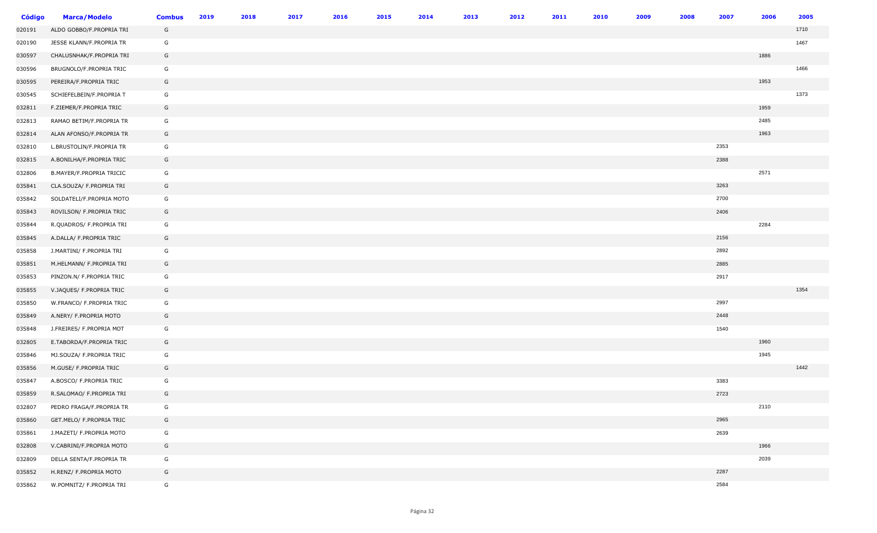| <b>Código</b> | <b>Marca/Modelo</b>      | <b>Combus</b> | 2019 | 2018 | 2017 | 2016 | 2015 | 2014 | 2013 | 2012 | 2011 | 2010 | 2009 | 2008 | 2007 | 2006 | 2005 |
|---------------|--------------------------|---------------|------|------|------|------|------|------|------|------|------|------|------|------|------|------|------|
| 020191        | ALDO GOBBO/F.PROPRIA TRI | G             |      |      |      |      |      |      |      |      |      |      |      |      |      |      | 1710 |
| 020190        | JESSE KLANN/F.PROPRIA TR | G             |      |      |      |      |      |      |      |      |      |      |      |      |      |      | 1467 |
| 030597        | CHALUSNHAK/F.PROPRIA TRI | G             |      |      |      |      |      |      |      |      |      |      |      |      |      | 1886 |      |
| 030596        | BRUGNOLO/F.PROPRIA TRIC  | G             |      |      |      |      |      |      |      |      |      |      |      |      |      |      | 1466 |
| 030595        | PEREIRA/F.PROPRIA TRIC   | G             |      |      |      |      |      |      |      |      |      |      |      |      |      | 1953 |      |
| 030545        | SCHIEFELBEIN/F.PROPRIA T | G             |      |      |      |      |      |      |      |      |      |      |      |      |      |      | 1373 |
| 032811        | F.ZIEMER/F.PROPRIA TRIC  | G             |      |      |      |      |      |      |      |      |      |      |      |      |      | 1959 |      |
| 032813        | RAMAO BETIM/F.PROPRIA TR | G             |      |      |      |      |      |      |      |      |      |      |      |      |      | 2485 |      |
| 032814        | ALAN AFONSO/F.PROPRIA TR | G             |      |      |      |      |      |      |      |      |      |      |      |      |      | 1963 |      |
| 032810        | L.BRUSTOLIN/F.PROPRIA TR | G             |      |      |      |      |      |      |      |      |      |      |      |      | 2353 |      |      |
| 032815        | A.BONILHA/F.PROPRIA TRIC | G             |      |      |      |      |      |      |      |      |      |      |      |      | 2388 |      |      |
| 032806        | B.MAYER/F.PROPRIA TRICIC | G             |      |      |      |      |      |      |      |      |      |      |      |      |      | 2571 |      |
| 035841        | CLA.SOUZA/ F.PROPRIA TRI | G             |      |      |      |      |      |      |      |      |      |      |      |      | 3263 |      |      |
| 035842        | SOLDATELI/F.PROPRIA MOTO | G             |      |      |      |      |      |      |      |      |      |      |      |      | 2700 |      |      |
| 035843        | ROVILSON/ F.PROPRIA TRIC | G             |      |      |      |      |      |      |      |      |      |      |      |      | 2406 |      |      |
| 035844        | R.QUADROS/ F.PROPRIA TRI | G             |      |      |      |      |      |      |      |      |      |      |      |      |      | 2284 |      |
| 035845        | A.DALLA/ F.PROPRIA TRIC  | G             |      |      |      |      |      |      |      |      |      |      |      |      | 2156 |      |      |
| 035858        | J.MARTINI/ F.PROPRIA TRI | G             |      |      |      |      |      |      |      |      |      |      |      |      | 2892 |      |      |
| 035851        | M.HELMANN/ F.PROPRIA TRI | G             |      |      |      |      |      |      |      |      |      |      |      |      | 2885 |      |      |
| 035853        | PINZON.N/ F.PROPRIA TRIC | G             |      |      |      |      |      |      |      |      |      |      |      |      | 2917 |      |      |
| 035855        | V.JAQUES/ F.PROPRIA TRIC | G             |      |      |      |      |      |      |      |      |      |      |      |      |      |      | 1354 |
| 035850        | W.FRANCO/ F.PROPRIA TRIC | G             |      |      |      |      |      |      |      |      |      |      |      |      | 2997 |      |      |
| 035849        | A.NERY/ F.PROPRIA MOTO   | G             |      |      |      |      |      |      |      |      |      |      |      |      | 2448 |      |      |
| 035848        | J.FREIRES/ F.PROPRIA MOT | G             |      |      |      |      |      |      |      |      |      |      |      |      | 1540 |      |      |
| 032805        | E.TABORDA/F.PROPRIA TRIC | G             |      |      |      |      |      |      |      |      |      |      |      |      |      | 1960 |      |
| 035846        | MJ.SOUZA/ F.PROPRIA TRIC | G             |      |      |      |      |      |      |      |      |      |      |      |      |      | 1945 |      |
| 035856        | M.GUSE/ F.PROPRIA TRIC   | G             |      |      |      |      |      |      |      |      |      |      |      |      |      |      | 1442 |
| 035847        | A.BOSCO/ F.PROPRIA TRIC  | G             |      |      |      |      |      |      |      |      |      |      |      |      | 3383 |      |      |
| 035859        | R.SALOMAO/ F.PROPRIA TRI | G             |      |      |      |      |      |      |      |      |      |      |      |      | 2723 |      |      |
| 032807        | PEDRO FRAGA/F.PROPRIA TR | G             |      |      |      |      |      |      |      |      |      |      |      |      |      | 2110 |      |
| 035860        | GET.MELO/ F.PROPRIA TRIC | G             |      |      |      |      |      |      |      |      |      |      |      |      | 2965 |      |      |
| 035861        | J.MAZETI/ F.PROPRIA MOTO | G             |      |      |      |      |      |      |      |      |      |      |      |      | 2639 |      |      |
| 032808        | V.CABRINI/F.PROPRIA MOTO | G             |      |      |      |      |      |      |      |      |      |      |      |      |      | 1966 |      |
| 032809        | DELLA SENTA/F.PROPRIA TR | G             |      |      |      |      |      |      |      |      |      |      |      |      |      | 2039 |      |
| 035852        | H.RENZ/ F.PROPRIA MOTO   | G             |      |      |      |      |      |      |      |      |      |      |      |      | 2287 |      |      |
| 035862        | W.POMNITZ/ F.PROPRIA TRI | G             |      |      |      |      |      |      |      |      |      |      |      |      | 2584 |      |      |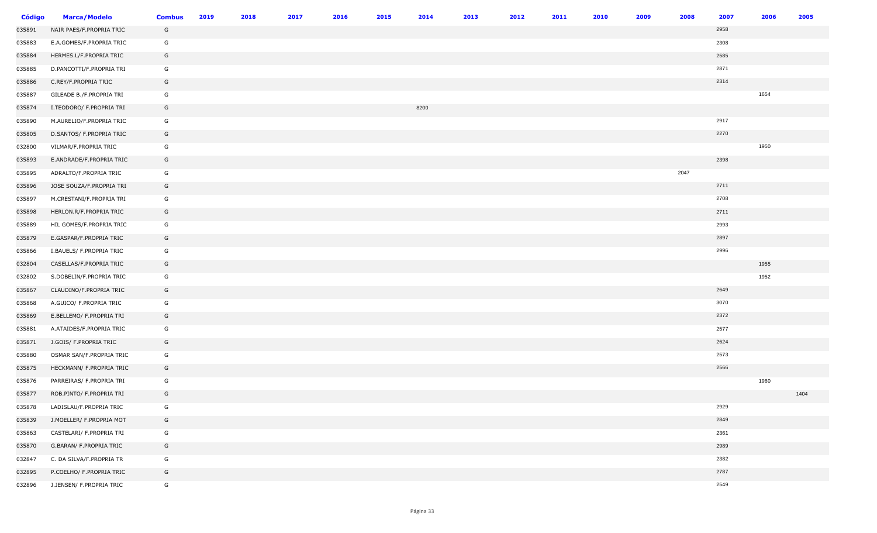| <b>Código</b> | <b>Marca/Modelo</b>      | <b>Combus</b> | 2019 | 2018 | 2017 | 2016 | 2015 | 2014 | 2013 | 2012 | 2011 | 2010 | 2009 | 2008 | 2007 | 2006 | 2005 |
|---------------|--------------------------|---------------|------|------|------|------|------|------|------|------|------|------|------|------|------|------|------|
| 035891        | NAIR PAES/F.PROPRIA TRIC | G             |      |      |      |      |      |      |      |      |      |      |      |      | 2958 |      |      |
| 035883        | E.A.GOMES/F.PROPRIA TRIC | G             |      |      |      |      |      |      |      |      |      |      |      |      | 2308 |      |      |
| 035884        | HERMES.L/F.PROPRIA TRIC  | G             |      |      |      |      |      |      |      |      |      |      |      |      | 2585 |      |      |
| 035885        | D.PANCOTTI/F.PROPRIA TRI | G             |      |      |      |      |      |      |      |      |      |      |      |      | 2871 |      |      |
| 035886        | C.REY/F.PROPRIA TRIC     | G             |      |      |      |      |      |      |      |      |      |      |      |      | 2314 |      |      |
| 035887        | GILEADE B./F.PROPRIA TRI | G             |      |      |      |      |      |      |      |      |      |      |      |      |      | 1654 |      |
| 035874        | I.TEODORO/ F.PROPRIA TRI | G             |      |      |      |      |      | 8200 |      |      |      |      |      |      |      |      |      |
| 035890        | M.AURELIO/F.PROPRIA TRIC | G             |      |      |      |      |      |      |      |      |      |      |      |      | 2917 |      |      |
| 035805        | D.SANTOS/ F.PROPRIA TRIC | G             |      |      |      |      |      |      |      |      |      |      |      |      | 2270 |      |      |
| 032800        | VILMAR/F.PROPRIA TRIC    | G             |      |      |      |      |      |      |      |      |      |      |      |      |      | 1950 |      |
| 035893        | E.ANDRADE/F.PROPRIA TRIC | G             |      |      |      |      |      |      |      |      |      |      |      |      | 2398 |      |      |
| 035895        | ADRALTO/F.PROPRIA TRIC   | G             |      |      |      |      |      |      |      |      |      |      |      | 2047 |      |      |      |
| 035896        | JOSE SOUZA/F.PROPRIA TRI | G             |      |      |      |      |      |      |      |      |      |      |      |      | 2711 |      |      |
| 035897        | M.CRESTANI/F.PROPRIA TRI | G             |      |      |      |      |      |      |      |      |      |      |      |      | 2708 |      |      |
| 035898        | HERLON.R/F.PROPRIA TRIC  | G             |      |      |      |      |      |      |      |      |      |      |      |      | 2711 |      |      |
| 035889        | HIL GOMES/F.PROPRIA TRIC | G             |      |      |      |      |      |      |      |      |      |      |      |      | 2993 |      |      |
| 035879        | E.GASPAR/F.PROPRIA TRIC  | G             |      |      |      |      |      |      |      |      |      |      |      |      | 2897 |      |      |
| 035866        | I.BAUELS/ F.PROPRIA TRIC | G             |      |      |      |      |      |      |      |      |      |      |      |      | 2996 |      |      |
| 032804        | CASELLAS/F.PROPRIA TRIC  | G             |      |      |      |      |      |      |      |      |      |      |      |      |      | 1955 |      |
| 032802        | S.DOBELIN/F.PROPRIA TRIC | G             |      |      |      |      |      |      |      |      |      |      |      |      |      | 1952 |      |
| 035867        | CLAUDINO/F.PROPRIA TRIC  | G             |      |      |      |      |      |      |      |      |      |      |      |      | 2649 |      |      |
| 035868        | A.GUICO/ F.PROPRIA TRIC  | G             |      |      |      |      |      |      |      |      |      |      |      |      | 3070 |      |      |
| 035869        | E.BELLEMO/ F.PROPRIA TRI | G             |      |      |      |      |      |      |      |      |      |      |      |      | 2372 |      |      |
| 035881        | A.ATAIDES/F.PROPRIA TRIC | G             |      |      |      |      |      |      |      |      |      |      |      |      | 2577 |      |      |
| 035871        | J.GOIS/ F.PROPRIA TRIC   | G             |      |      |      |      |      |      |      |      |      |      |      |      | 2624 |      |      |
| 035880        | OSMAR SAN/F.PROPRIA TRIC | G             |      |      |      |      |      |      |      |      |      |      |      |      | 2573 |      |      |
| 035875        | HECKMANN/ F.PROPRIA TRIC | G             |      |      |      |      |      |      |      |      |      |      |      |      | 2566 |      |      |
| 035876        | PARREIRAS/ F.PROPRIA TRI | G             |      |      |      |      |      |      |      |      |      |      |      |      |      | 1960 |      |
| 035877        | ROB.PINTO/ F.PROPRIA TRI | G             |      |      |      |      |      |      |      |      |      |      |      |      |      |      | 1404 |
| 035878        | LADISLAU/F.PROPRIA TRIC  | G             |      |      |      |      |      |      |      |      |      |      |      |      | 2929 |      |      |
| 035839        | J.MOELLER/ F.PROPRIA MOT | G             |      |      |      |      |      |      |      |      |      |      |      |      | 2849 |      |      |
| 035863        | CASTELARI/ F.PROPRIA TRI | G             |      |      |      |      |      |      |      |      |      |      |      |      | 2361 |      |      |
| 035870        | G.BARAN/ F.PROPRIA TRIC  | G             |      |      |      |      |      |      |      |      |      |      |      |      | 2989 |      |      |
| 032847        | C. DA SILVA/F.PROPRIA TR | G             |      |      |      |      |      |      |      |      |      |      |      |      | 2382 |      |      |
| 032895        | P.COELHO/ F.PROPRIA TRIC | G             |      |      |      |      |      |      |      |      |      |      |      |      | 2787 |      |      |
| 032896        | J.JENSEN/ F.PROPRIA TRIC | G             |      |      |      |      |      |      |      |      |      |      |      |      | 2549 |      |      |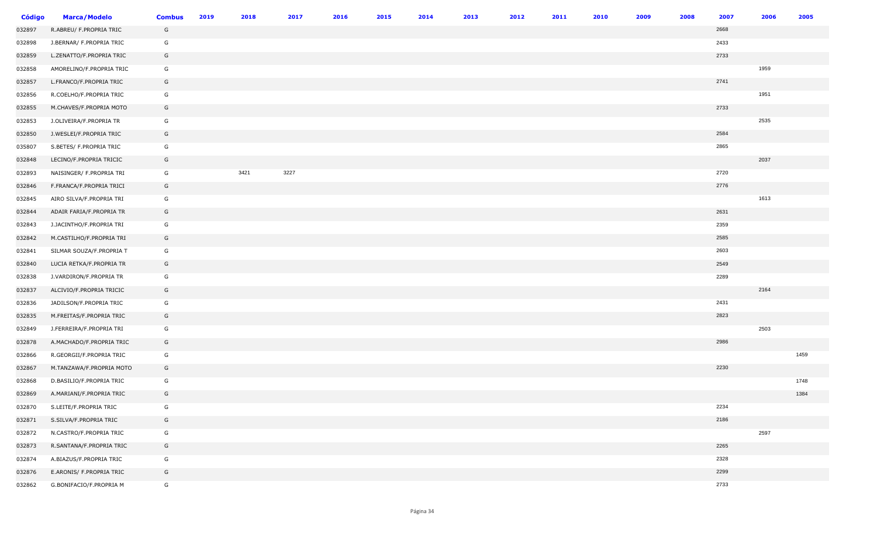| <b>Código</b> | <b>Marca/Modelo</b>      | <b>Combus</b> | 2019 | 2018 | 2017 | 2016 | 2015 | 2014 | 2013 | 2012 | 2011 | 2010 | 2009 | 2008 | 2007 | 2006 | 2005 |
|---------------|--------------------------|---------------|------|------|------|------|------|------|------|------|------|------|------|------|------|------|------|
| 032897        | R.ABREU/ F.PROPRIA TRIC  | G             |      |      |      |      |      |      |      |      |      |      |      |      | 2668 |      |      |
| 032898        | J.BERNAR/ F.PROPRIA TRIC | G             |      |      |      |      |      |      |      |      |      |      |      |      | 2433 |      |      |
| 032859        | L.ZENATTO/F.PROPRIA TRIC | G             |      |      |      |      |      |      |      |      |      |      |      |      | 2733 |      |      |
| 032858        | AMORELINO/F.PROPRIA TRIC | G             |      |      |      |      |      |      |      |      |      |      |      |      |      | 1959 |      |
| 032857        | L.FRANCO/F.PROPRIA TRIC  | G             |      |      |      |      |      |      |      |      |      |      |      |      | 2741 |      |      |
| 032856        | R.COELHO/F.PROPRIA TRIC  | G             |      |      |      |      |      |      |      |      |      |      |      |      |      | 1951 |      |
| 032855        | M.CHAVES/F.PROPRIA MOTO  | G             |      |      |      |      |      |      |      |      |      |      |      |      | 2733 |      |      |
| 032853        | J.OLIVEIRA/F.PROPRIA TR  | G             |      |      |      |      |      |      |      |      |      |      |      |      |      | 2535 |      |
| 032850        | J.WESLEI/F.PROPRIA TRIC  | G             |      |      |      |      |      |      |      |      |      |      |      |      | 2584 |      |      |
| 035807        | S.BETES/ F.PROPRIA TRIC  | G             |      |      |      |      |      |      |      |      |      |      |      |      | 2865 |      |      |
| 032848        | LECINO/F.PROPRIA TRICIC  | G             |      |      |      |      |      |      |      |      |      |      |      |      |      | 2037 |      |
| 032893        | NAISINGER/ F.PROPRIA TRI | G             |      | 3421 | 3227 |      |      |      |      |      |      |      |      |      | 2720 |      |      |
| 032846        | F.FRANCA/F.PROPRIA TRICI | G             |      |      |      |      |      |      |      |      |      |      |      |      | 2776 |      |      |
| 032845        | AIRO SILVA/F.PROPRIA TRI | G             |      |      |      |      |      |      |      |      |      |      |      |      |      | 1613 |      |
| 032844        | ADAIR FARIA/F.PROPRIA TR | G             |      |      |      |      |      |      |      |      |      |      |      |      | 2631 |      |      |
| 032843        | J.JACINTHO/F.PROPRIA TRI | G             |      |      |      |      |      |      |      |      |      |      |      |      | 2359 |      |      |
| 032842        | M.CASTILHO/F.PROPRIA TRI | G             |      |      |      |      |      |      |      |      |      |      |      |      | 2585 |      |      |
| 032841        | SILMAR SOUZA/F.PROPRIA T | G             |      |      |      |      |      |      |      |      |      |      |      |      | 2603 |      |      |
| 032840        | LUCIA RETKA/F.PROPRIA TR | G             |      |      |      |      |      |      |      |      |      |      |      |      | 2549 |      |      |
| 032838        | J.VARDIRON/F.PROPRIA TR  | G             |      |      |      |      |      |      |      |      |      |      |      |      | 2289 |      |      |
| 032837        | ALCIVIO/F.PROPRIA TRICIC | G             |      |      |      |      |      |      |      |      |      |      |      |      |      | 2164 |      |
| 032836        | JADILSON/F.PROPRIA TRIC  | G             |      |      |      |      |      |      |      |      |      |      |      |      | 2431 |      |      |
| 032835        | M.FREITAS/F.PROPRIA TRIC | G             |      |      |      |      |      |      |      |      |      |      |      |      | 2823 |      |      |
| 032849        | J.FERREIRA/F.PROPRIA TRI | G             |      |      |      |      |      |      |      |      |      |      |      |      |      | 2503 |      |
| 032878        | A.MACHADO/F.PROPRIA TRIC | G             |      |      |      |      |      |      |      |      |      |      |      |      | 2986 |      |      |
| 032866        | R.GEORGII/F.PROPRIA TRIC | G             |      |      |      |      |      |      |      |      |      |      |      |      |      |      | 1459 |
| 032867        | M.TANZAWA/F.PROPRIA MOTO | G             |      |      |      |      |      |      |      |      |      |      |      |      | 2230 |      |      |
| 032868        | D.BASILIO/F.PROPRIA TRIC | G             |      |      |      |      |      |      |      |      |      |      |      |      |      |      | 1748 |
| 032869        | A.MARIANI/F.PROPRIA TRIC | G             |      |      |      |      |      |      |      |      |      |      |      |      |      |      | 1384 |
| 032870        | S.LEITE/F.PROPRIA TRIC   | G             |      |      |      |      |      |      |      |      |      |      |      |      | 2234 |      |      |
| 032871        | S.SILVA/F.PROPRIA TRIC   | G             |      |      |      |      |      |      |      |      |      |      |      |      | 2186 |      |      |
| 032872        | N.CASTRO/F.PROPRIA TRIC  | G             |      |      |      |      |      |      |      |      |      |      |      |      |      | 2597 |      |
| 032873        | R.SANTANA/F.PROPRIA TRIC | G             |      |      |      |      |      |      |      |      |      |      |      |      | 2265 |      |      |
| 032874        | A.BIAZUS/F.PROPRIA TRIC  | G             |      |      |      |      |      |      |      |      |      |      |      |      | 2328 |      |      |
| 032876        | E.ARONIS/ F.PROPRIA TRIC | G             |      |      |      |      |      |      |      |      |      |      |      |      | 2299 |      |      |
| 032862        | G.BONIFACIO/F.PROPRIA M  | G             |      |      |      |      |      |      |      |      |      |      |      |      | 2733 |      |      |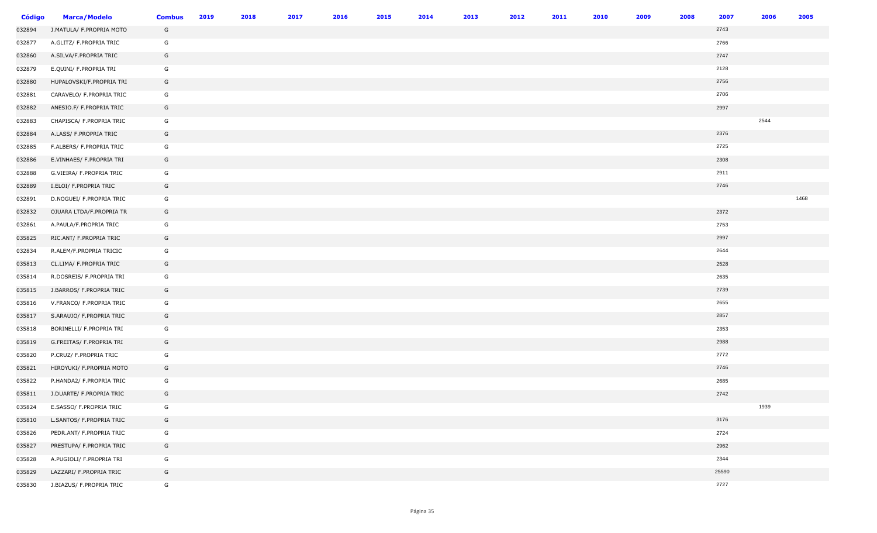| <b>Código</b> | <b>Marca/Modelo</b>      | <b>Combus</b> | 2019 | 2018 | 2017 | 2016 | 2015 | 2014 | 2013 | 2012 | 2011 | 2010 | 2009 | 2008 | 2007  | 2006 | 2005 |
|---------------|--------------------------|---------------|------|------|------|------|------|------|------|------|------|------|------|------|-------|------|------|
| 032894        | J.MATULA/ F.PROPRIA MOTO | G             |      |      |      |      |      |      |      |      |      |      |      |      | 2743  |      |      |
| 032877        | A.GLITZ/ F.PROPRIA TRIC  | G             |      |      |      |      |      |      |      |      |      |      |      |      | 2766  |      |      |
| 032860        | A.SILVA/F.PROPRIA TRIC   | G             |      |      |      |      |      |      |      |      |      |      |      |      | 2747  |      |      |
| 032879        | E.QUINI/ F.PROPRIA TRI   | G             |      |      |      |      |      |      |      |      |      |      |      |      | 2128  |      |      |
| 032880        | HUPALOVSKI/F.PROPRIA TRI | G             |      |      |      |      |      |      |      |      |      |      |      |      | 2756  |      |      |
| 032881        | CARAVELO/ F.PROPRIA TRIC | G             |      |      |      |      |      |      |      |      |      |      |      |      | 2706  |      |      |
| 032882        | ANESIO.F/ F.PROPRIA TRIC | G             |      |      |      |      |      |      |      |      |      |      |      |      | 2997  |      |      |
| 032883        | CHAPISCA/ F.PROPRIA TRIC | G             |      |      |      |      |      |      |      |      |      |      |      |      |       | 2544 |      |
| 032884        | A.LASS/ F.PROPRIA TRIC   | G             |      |      |      |      |      |      |      |      |      |      |      |      | 2376  |      |      |
| 032885        | F.ALBERS/ F.PROPRIA TRIC | G             |      |      |      |      |      |      |      |      |      |      |      |      | 2725  |      |      |
| 032886        | E.VINHAES/ F.PROPRIA TRI | G             |      |      |      |      |      |      |      |      |      |      |      |      | 2308  |      |      |
| 032888        | G.VIEIRA/ F.PROPRIA TRIC | G             |      |      |      |      |      |      |      |      |      |      |      |      | 2911  |      |      |
| 032889        | I.ELOI/ F.PROPRIA TRIC   | G             |      |      |      |      |      |      |      |      |      |      |      |      | 2746  |      |      |
| 032891        | D.NOGUEI/ F.PROPRIA TRIC | G             |      |      |      |      |      |      |      |      |      |      |      |      |       |      | 1468 |
| 032832        | OJUARA LTDA/F.PROPRIA TR | G             |      |      |      |      |      |      |      |      |      |      |      |      | 2372  |      |      |
| 032861        | A.PAULA/F.PROPRIA TRIC   | G             |      |      |      |      |      |      |      |      |      |      |      |      | 2753  |      |      |
| 035825        | RIC.ANT/ F.PROPRIA TRIC  | G             |      |      |      |      |      |      |      |      |      |      |      |      | 2997  |      |      |
| 032834        | R.ALEM/F.PROPRIA TRICIC  | G             |      |      |      |      |      |      |      |      |      |      |      |      | 2644  |      |      |
| 035813        | CL.LIMA/ F.PROPRIA TRIC  | G             |      |      |      |      |      |      |      |      |      |      |      |      | 2528  |      |      |
| 035814        | R.DOSREIS/ F.PROPRIA TRI | G             |      |      |      |      |      |      |      |      |      |      |      |      | 2635  |      |      |
| 035815        | J.BARROS/ F.PROPRIA TRIC | G             |      |      |      |      |      |      |      |      |      |      |      |      | 2739  |      |      |
| 035816        | V.FRANCO/ F.PROPRIA TRIC | G             |      |      |      |      |      |      |      |      |      |      |      |      | 2655  |      |      |
| 035817        | S.ARAUJO/ F.PROPRIA TRIC | G             |      |      |      |      |      |      |      |      |      |      |      |      | 2857  |      |      |
| 035818        | BORINELLI/ F.PROPRIA TRI | G             |      |      |      |      |      |      |      |      |      |      |      |      | 2353  |      |      |
| 035819        | G.FREITAS/ F.PROPRIA TRI | G             |      |      |      |      |      |      |      |      |      |      |      |      | 2988  |      |      |
| 035820        | P.CRUZ/ F.PROPRIA TRIC   | G             |      |      |      |      |      |      |      |      |      |      |      |      | 2772  |      |      |
| 035821        | HIROYUKI/ F.PROPRIA MOTO | G             |      |      |      |      |      |      |      |      |      |      |      |      | 2746  |      |      |
| 035822        | P.HANDA2/ F.PROPRIA TRIC | G             |      |      |      |      |      |      |      |      |      |      |      |      | 2685  |      |      |
| 035811        | J.DUARTE/ F.PROPRIA TRIC | G             |      |      |      |      |      |      |      |      |      |      |      |      | 2742  |      |      |
| 035824        | E.SASSO/ F.PROPRIA TRIC  | G             |      |      |      |      |      |      |      |      |      |      |      |      |       | 1939 |      |
| 035810        | L.SANTOS/ F.PROPRIA TRIC | G             |      |      |      |      |      |      |      |      |      |      |      |      | 3176  |      |      |
| 035826        | PEDR.ANT/ F.PROPRIA TRIC | G             |      |      |      |      |      |      |      |      |      |      |      |      | 2724  |      |      |
| 035827        | PRESTUPA/ F.PROPRIA TRIC | G             |      |      |      |      |      |      |      |      |      |      |      |      | 2962  |      |      |
| 035828        | A.PUGIOLI/ F.PROPRIA TRI | G             |      |      |      |      |      |      |      |      |      |      |      |      | 2344  |      |      |
| 035829        | LAZZARI/ F.PROPRIA TRIC  | G             |      |      |      |      |      |      |      |      |      |      |      |      | 25590 |      |      |
| 035830        | J.BIAZUS/ F.PROPRIA TRIC | G             |      |      |      |      |      |      |      |      |      |      |      |      | 2727  |      |      |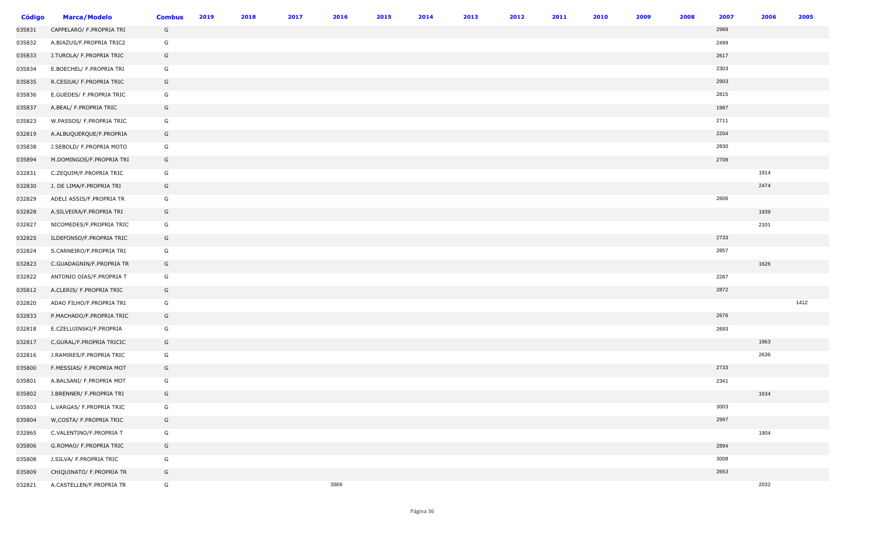| <b>Código</b> | <b>Marca/Modelo</b>       | <b>Combus</b> | 2019 | 2018 | 2017 | 2016 | 2015 | 2014 | 2013 | 2012 | 2011 | 2010 | 2009 | 2008 | 2007 | 2006 | 2005 |
|---------------|---------------------------|---------------|------|------|------|------|------|------|------|------|------|------|------|------|------|------|------|
| 035831        | CAPPELARO/ F.PROPRIA TRI  | G             |      |      |      |      |      |      |      |      |      |      |      |      | 2989 |      |      |
| 035832        | A.BIAZUS/F.PROPRIA TRIC2  | G             |      |      |      |      |      |      |      |      |      |      |      |      | 2499 |      |      |
| 035833        | J.TUROLA/ F.PROPRIA TRIC  | G             |      |      |      |      |      |      |      |      |      |      |      |      | 2617 |      |      |
| 035834        | E.BOECHEL/ F.PROPRIA TRI  | G             |      |      |      |      |      |      |      |      |      |      |      |      | 2303 |      |      |
| 035835        | R.CESIUK/ F.PROPRIA TRIC  | G             |      |      |      |      |      |      |      |      |      |      |      |      | 2903 |      |      |
| 035836        | E.GUEDES/ F.PROPRIA TRIC  | G             |      |      |      |      |      |      |      |      |      |      |      |      | 2815 |      |      |
| 035837        | A.BEAL/ F.PROPRIA TRIC    | G             |      |      |      |      |      |      |      |      |      |      |      |      | 1987 |      |      |
| 035823        | W.PASSOS/ F.PROPRIA TRIC  | G             |      |      |      |      |      |      |      |      |      |      |      |      | 2711 |      |      |
| 032819        | A.ALBUQUERQUE/F.PROPRIA   | G             |      |      |      |      |      |      |      |      |      |      |      |      | 2204 |      |      |
| 035838        | J.SEBOLD/ F.PROPRIA MOTO  | G             |      |      |      |      |      |      |      |      |      |      |      |      | 2830 |      |      |
| 035894        | M.DOMINGOS/F.PROPRIA TRI  | G             |      |      |      |      |      |      |      |      |      |      |      |      | 2708 |      |      |
| 032831        | C.ZEQUIM/F.PROPRIA TRIC   | G             |      |      |      |      |      |      |      |      |      |      |      |      |      | 1914 |      |
| 032830        | J. DE LIMA/F.PROPRIA TRI  | G             |      |      |      |      |      |      |      |      |      |      |      |      |      | 2474 |      |
| 032829        | ADELI ASSIS/F.PROPRIA TR  | G             |      |      |      |      |      |      |      |      |      |      |      |      | 2606 |      |      |
| 032828        | A.SILVEIRA/F.PROPRIA TRI  | G             |      |      |      |      |      |      |      |      |      |      |      |      |      | 1939 |      |
| 032827        | NICOMEDES/F.PROPRIA TRIC  | G             |      |      |      |      |      |      |      |      |      |      |      |      |      | 2101 |      |
| 032825        | ILDEFONSO/F.PROPRIA TRIC  | G             |      |      |      |      |      |      |      |      |      |      |      |      | 2733 |      |      |
| 032824        | S.CARNEIRO/F.PROPRIA TRI  | G             |      |      |      |      |      |      |      |      |      |      |      |      | 2857 |      |      |
| 032823        | C.GUADAGNIN/F.PROPRIA TR  | G             |      |      |      |      |      |      |      |      |      |      |      |      |      | 1626 |      |
| 032822        | ANTONIO DIAS/F.PROPRIA T  | G             |      |      |      |      |      |      |      |      |      |      |      |      | 2287 |      |      |
| 035812        | A.CLERIS/ F.PROPRIA TRIC  | G             |      |      |      |      |      |      |      |      |      |      |      |      | 2872 |      |      |
| 032820        | ADAO FILHO/F.PROPRIA TRI  | G             |      |      |      |      |      |      |      |      |      |      |      |      |      |      | 1412 |
| 032833        | P.MACHADO/F.PROPRIA TRIC  | G             |      |      |      |      |      |      |      |      |      |      |      |      | 2676 |      |      |
| 032818        | E.CZELUJINSKI/F.PROPRIA   | G             |      |      |      |      |      |      |      |      |      |      |      |      | 2693 |      |      |
| 032817        | C.GURAL/F.PROPRIA TRICIC  | G             |      |      |      |      |      |      |      |      |      |      |      |      |      | 1963 |      |
| 032816        | J.RAMIRES/F.PROPRIA TRIC  | G             |      |      |      |      |      |      |      |      |      |      |      |      |      | 2636 |      |
| 035800        | F.MESSIAS/ F.PROPRIA MOT  | G             |      |      |      |      |      |      |      |      |      |      |      |      | 2733 |      |      |
| 035801        | A.BALSANI/ F.PROPRIA MOT  | G             |      |      |      |      |      |      |      |      |      |      |      |      | 2341 |      |      |
| 035802        | J.BRENNER/ F.PROPRIA TRI  | G             |      |      |      |      |      |      |      |      |      |      |      |      |      | 1634 |      |
| 035803        | L.VARGAS/ F.PROPRIA TRIC  | G             |      |      |      |      |      |      |      |      |      |      |      |      | 3003 |      |      |
| 035804        | W, COSTA/ F. PROPRIA TRIC | G             |      |      |      |      |      |      |      |      |      |      |      |      | 2997 |      |      |
| 032865        | C.VALENTINO/F.PROPRIA T   | G             |      |      |      |      |      |      |      |      |      |      |      |      |      | 1904 |      |
| 035806        | G.ROMAO/ F.PROPRIA TRIC   | G             |      |      |      |      |      |      |      |      |      |      |      |      | 2894 |      |      |
| 035808        | J.SILVA/ F.PROPRIA TRIC   | G             |      |      |      |      |      |      |      |      |      |      |      |      | 3008 |      |      |
| 035809        | CHIQUINATO/ F.PROPRIA TR  | G             |      |      |      |      |      |      |      |      |      |      |      |      | 2653 |      |      |
| 032821        | A.CASTELLEN/F.PROPRIA TR  | G             |      |      |      | 3369 |      |      |      |      |      |      |      |      |      | 2032 |      |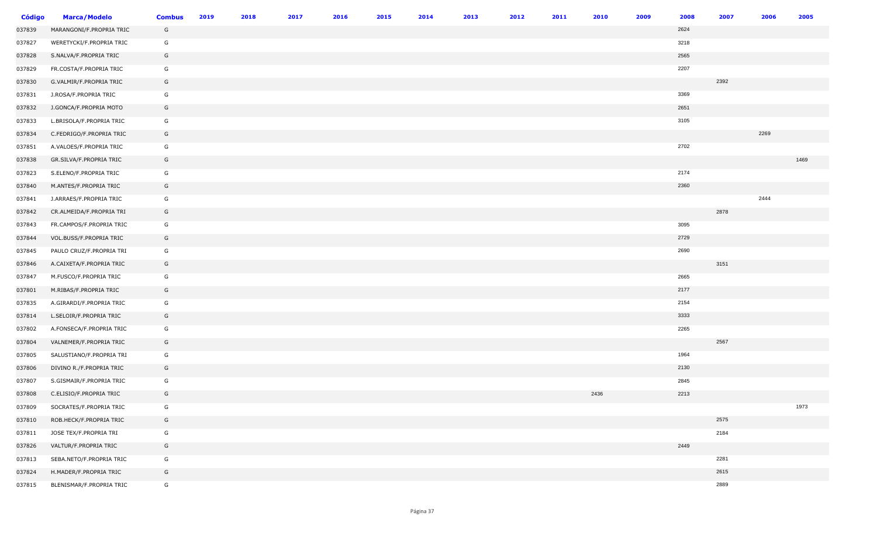| <b>Código</b> | <b>Marca/Modelo</b>      | <b>Combus</b> | 2019 | 2018 | 2017 | 2016 | 2015 | 2014 | 2013 | 2012 | 2011 | 2010 | 2009 | 2008 | 2007 | 2006 | 2005 |
|---------------|--------------------------|---------------|------|------|------|------|------|------|------|------|------|------|------|------|------|------|------|
| 037839        | MARANGONI/F.PROPRIA TRIC | G             |      |      |      |      |      |      |      |      |      |      |      | 2624 |      |      |      |
| 037827        | WERETYCKI/F.PROPRIA TRIC | G             |      |      |      |      |      |      |      |      |      |      |      | 3218 |      |      |      |
| 037828        | S.NALVA/F.PROPRIA TRIC   | G             |      |      |      |      |      |      |      |      |      |      |      | 2565 |      |      |      |
| 037829        | FR.COSTA/F.PROPRIA TRIC  | G             |      |      |      |      |      |      |      |      |      |      |      | 2207 |      |      |      |
| 037830        | G.VALMIR/F.PROPRIA TRIC  | G             |      |      |      |      |      |      |      |      |      |      |      |      | 2392 |      |      |
| 037831        | J.ROSA/F.PROPRIA TRIC    | G             |      |      |      |      |      |      |      |      |      |      |      | 3369 |      |      |      |
| 037832        | J.GONCA/F.PROPRIA MOTO   | G             |      |      |      |      |      |      |      |      |      |      |      | 2651 |      |      |      |
| 037833        | L.BRISOLA/F.PROPRIA TRIC | G             |      |      |      |      |      |      |      |      |      |      |      | 3105 |      |      |      |
| 037834        | C.FEDRIGO/F.PROPRIA TRIC | G             |      |      |      |      |      |      |      |      |      |      |      |      |      | 2269 |      |
| 037851        | A.VALOES/F.PROPRIA TRIC  | G             |      |      |      |      |      |      |      |      |      |      |      | 2702 |      |      |      |
| 037838        | GR.SILVA/F.PROPRIA TRIC  | G             |      |      |      |      |      |      |      |      |      |      |      |      |      |      | 1469 |
| 037823        | S.ELENO/F.PROPRIA TRIC   | G             |      |      |      |      |      |      |      |      |      |      |      | 2174 |      |      |      |
| 037840        | M.ANTES/F.PROPRIA TRIC   | G             |      |      |      |      |      |      |      |      |      |      |      | 2360 |      |      |      |
| 037841        | J.ARRAES/F.PROPRIA TRIC  | G             |      |      |      |      |      |      |      |      |      |      |      |      |      | 2444 |      |
| 037842        | CR.ALMEIDA/F.PROPRIA TRI | G             |      |      |      |      |      |      |      |      |      |      |      |      | 2878 |      |      |
| 037843        | FR.CAMPOS/F.PROPRIA TRIC | G             |      |      |      |      |      |      |      |      |      |      |      | 3095 |      |      |      |
| 037844        | VOL.BUSS/F.PROPRIA TRIC  | G             |      |      |      |      |      |      |      |      |      |      |      | 2729 |      |      |      |
| 037845        | PAULO CRUZ/F.PROPRIA TRI | G             |      |      |      |      |      |      |      |      |      |      |      | 2690 |      |      |      |
| 037846        | A.CAIXETA/F.PROPRIA TRIC | G             |      |      |      |      |      |      |      |      |      |      |      |      | 3151 |      |      |
| 037847        | M.FUSCO/F.PROPRIA TRIC   | G             |      |      |      |      |      |      |      |      |      |      |      | 2665 |      |      |      |
| 037801        | M.RIBAS/F.PROPRIA TRIC   | G             |      |      |      |      |      |      |      |      |      |      |      | 2177 |      |      |      |
| 037835        | A.GIRARDI/F.PROPRIA TRIC | G             |      |      |      |      |      |      |      |      |      |      |      | 2154 |      |      |      |
| 037814        | L.SELOIR/F.PROPRIA TRIC  | G             |      |      |      |      |      |      |      |      |      |      |      | 3333 |      |      |      |
| 037802        | A.FONSECA/F.PROPRIA TRIC | G             |      |      |      |      |      |      |      |      |      |      |      | 2265 |      |      |      |
| 037804        | VALNEMER/F.PROPRIA TRIC  | G             |      |      |      |      |      |      |      |      |      |      |      |      | 2567 |      |      |
| 037805        | SALUSTIANO/F.PROPRIA TRI | G             |      |      |      |      |      |      |      |      |      |      |      | 1964 |      |      |      |
| 037806        | DIVINO R./F.PROPRIA TRIC | G             |      |      |      |      |      |      |      |      |      |      |      | 2130 |      |      |      |
| 037807        | S.GISMAIR/F.PROPRIA TRIC | G             |      |      |      |      |      |      |      |      |      |      |      | 2845 |      |      |      |
| 037808        | C.ELISIO/F.PROPRIA TRIC  | G             |      |      |      |      |      |      |      |      |      | 2436 |      | 2213 |      |      |      |
| 037809        | SOCRATES/F.PROPRIA TRIC  | G             |      |      |      |      |      |      |      |      |      |      |      |      |      |      | 1973 |
| 037810        | ROB.HECK/F.PROPRIA TRIC  | G             |      |      |      |      |      |      |      |      |      |      |      |      | 2575 |      |      |
| 037811        | JOSE TEX/F.PROPRIA TRI   | G             |      |      |      |      |      |      |      |      |      |      |      |      | 2184 |      |      |
| 037826        | VALTUR/F.PROPRIA TRIC    | G             |      |      |      |      |      |      |      |      |      |      |      | 2449 |      |      |      |
| 037813        | SEBA.NETO/F.PROPRIA TRIC | G             |      |      |      |      |      |      |      |      |      |      |      |      | 2281 |      |      |
| 037824        | H.MADER/F.PROPRIA TRIC   | G             |      |      |      |      |      |      |      |      |      |      |      |      | 2615 |      |      |
| 037815        | BLENISMAR/F.PROPRIA TRIC | G             |      |      |      |      |      |      |      |      |      |      |      |      | 2889 |      |      |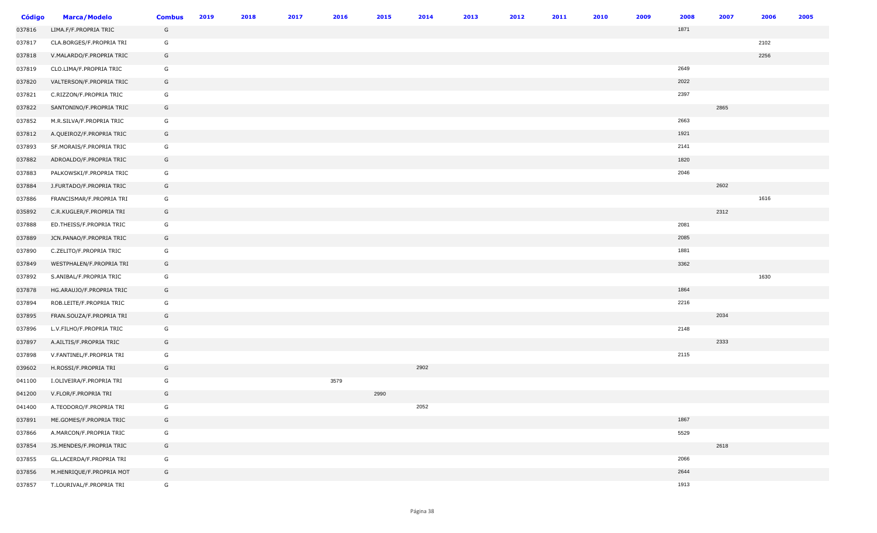| <b>Código</b> | <b>Marca/Modelo</b>      | <b>Combus</b> | 2019 | 2018 | 2017 | 2016 | 2015 | 2014 | 2013 | 2012 | 2011 | 2010 | 2009 | 2008 | 2007 | 2006 | 2005 |
|---------------|--------------------------|---------------|------|------|------|------|------|------|------|------|------|------|------|------|------|------|------|
| 037816        | LIMA.F/F.PROPRIA TRIC    | G             |      |      |      |      |      |      |      |      |      |      |      | 1871 |      |      |      |
| 037817        | CLA.BORGES/F.PROPRIA TRI | G             |      |      |      |      |      |      |      |      |      |      |      |      |      | 2102 |      |
| 037818        | V.MALARDO/F.PROPRIA TRIC | G             |      |      |      |      |      |      |      |      |      |      |      |      |      | 2256 |      |
| 037819        | CLO.LIMA/F.PROPRIA TRIC  | G             |      |      |      |      |      |      |      |      |      |      |      | 2649 |      |      |      |
| 037820        | VALTERSON/F.PROPRIA TRIC | G             |      |      |      |      |      |      |      |      |      |      |      | 2022 |      |      |      |
| 037821        | C.RIZZON/F.PROPRIA TRIC  | G             |      |      |      |      |      |      |      |      |      |      |      | 2397 |      |      |      |
| 037822        | SANTONINO/F.PROPRIA TRIC | G             |      |      |      |      |      |      |      |      |      |      |      |      | 2865 |      |      |
| 037852        | M.R.SILVA/F.PROPRIA TRIC | G             |      |      |      |      |      |      |      |      |      |      |      | 2663 |      |      |      |
| 037812        | A.QUEIROZ/F.PROPRIA TRIC | G             |      |      |      |      |      |      |      |      |      |      |      | 1921 |      |      |      |
| 037893        | SF.MORAIS/F.PROPRIA TRIC | G             |      |      |      |      |      |      |      |      |      |      |      | 2141 |      |      |      |
| 037882        | ADROALDO/F.PROPRIA TRIC  | G             |      |      |      |      |      |      |      |      |      |      |      | 1820 |      |      |      |
| 037883        | PALKOWSKI/F.PROPRIA TRIC | G             |      |      |      |      |      |      |      |      |      |      |      | 2046 |      |      |      |
| 037884        | J.FURTADO/F.PROPRIA TRIC | G             |      |      |      |      |      |      |      |      |      |      |      |      | 2602 |      |      |
| 037886        | FRANCISMAR/F.PROPRIA TRI | G             |      |      |      |      |      |      |      |      |      |      |      |      |      | 1616 |      |
| 035892        | C.R.KUGLER/F.PROPRIA TRI | G             |      |      |      |      |      |      |      |      |      |      |      |      | 2312 |      |      |
| 037888        | ED.THEISS/F.PROPRIA TRIC | G             |      |      |      |      |      |      |      |      |      |      |      | 2081 |      |      |      |
| 037889        | JCN.PANAO/F.PROPRIA TRIC | G             |      |      |      |      |      |      |      |      |      |      |      | 2085 |      |      |      |
| 037890        | C.ZELITO/F.PROPRIA TRIC  | G             |      |      |      |      |      |      |      |      |      |      |      | 1881 |      |      |      |
| 037849        | WESTPHALEN/F.PROPRIA TRI | G             |      |      |      |      |      |      |      |      |      |      |      | 3362 |      |      |      |
| 037892        | S.ANIBAL/F.PROPRIA TRIC  | G             |      |      |      |      |      |      |      |      |      |      |      |      |      | 1630 |      |
| 037878        | HG.ARAUJO/F.PROPRIA TRIC | G             |      |      |      |      |      |      |      |      |      |      |      | 1864 |      |      |      |
| 037894        | ROB.LEITE/F.PROPRIA TRIC | G             |      |      |      |      |      |      |      |      |      |      |      | 2216 |      |      |      |
| 037895        | FRAN.SOUZA/F.PROPRIA TRI | G             |      |      |      |      |      |      |      |      |      |      |      |      | 2034 |      |      |
| 037896        | L.V.FILHO/F.PROPRIA TRIC | G             |      |      |      |      |      |      |      |      |      |      |      | 2148 |      |      |      |
| 037897        | A.AILTIS/F.PROPRIA TRIC  | G             |      |      |      |      |      |      |      |      |      |      |      |      | 2333 |      |      |
| 037898        | V.FANTINEL/F.PROPRIA TRI | G             |      |      |      |      |      |      |      |      |      |      |      | 2115 |      |      |      |
| 039602        | H.ROSSI/F.PROPRIA TRI    | G             |      |      |      |      |      | 2902 |      |      |      |      |      |      |      |      |      |
| 041100        | I.OLIVEIRA/F.PROPRIA TRI | G             |      |      |      | 3579 |      |      |      |      |      |      |      |      |      |      |      |
| 041200        | V.FLOR/F.PROPRIA TRI     | G             |      |      |      |      | 2990 |      |      |      |      |      |      |      |      |      |      |
| 041400        | A.TEODORO/F.PROPRIA TRI  | G             |      |      |      |      |      | 2052 |      |      |      |      |      |      |      |      |      |
| 037891        | ME.GOMES/F.PROPRIA TRIC  | G             |      |      |      |      |      |      |      |      |      |      |      | 1867 |      |      |      |
| 037866        | A.MARCON/F.PROPRIA TRIC  | G             |      |      |      |      |      |      |      |      |      |      |      | 5529 |      |      |      |
| 037854        | JS.MENDES/F.PROPRIA TRIC | G             |      |      |      |      |      |      |      |      |      |      |      |      | 2618 |      |      |
| 037855        | GL.LACERDA/F.PROPRIA TRI | G             |      |      |      |      |      |      |      |      |      |      |      | 2066 |      |      |      |
| 037856        | M.HENRIQUE/F.PROPRIA MOT | G             |      |      |      |      |      |      |      |      |      |      |      | 2644 |      |      |      |
| 037857        | T.LOURIVAL/F.PROPRIA TRI | G             |      |      |      |      |      |      |      |      |      |      |      | 1913 |      |      |      |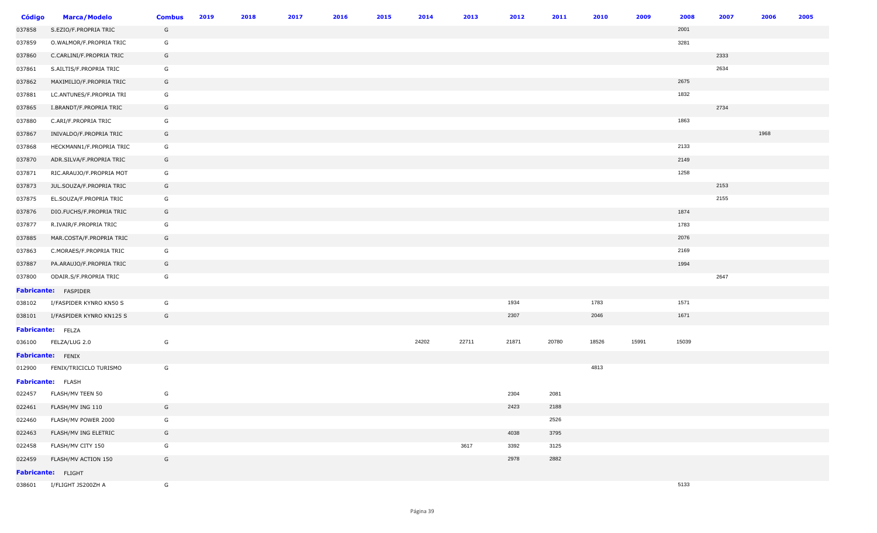| <b>Código</b> | <b>Marca/Modelo</b>         | <b>Combus</b> | 2019 | 2018 | 2017 | 2016 | 2015 | 2014  | 2013  | 2012  | 2011  | 2010  | 2009  | 2008  | 2007 | 2006 | 2005 |
|---------------|-----------------------------|---------------|------|------|------|------|------|-------|-------|-------|-------|-------|-------|-------|------|------|------|
| 037858        | S.EZIO/F.PROPRIA TRIC       | G             |      |      |      |      |      |       |       |       |       |       |       | 2001  |      |      |      |
| 037859        | O.WALMOR/F.PROPRIA TRIC     | G             |      |      |      |      |      |       |       |       |       |       |       | 3281  |      |      |      |
| 037860        | C.CARLINI/F.PROPRIA TRIC    | G             |      |      |      |      |      |       |       |       |       |       |       |       | 2333 |      |      |
| 037861        | S.AILTIS/F.PROPRIA TRIC     | G             |      |      |      |      |      |       |       |       |       |       |       |       | 2634 |      |      |
| 037862        | MAXIMILIO/F.PROPRIA TRIC    | G             |      |      |      |      |      |       |       |       |       |       |       | 2675  |      |      |      |
| 037881        | LC.ANTUNES/F.PROPRIA TRI    | G             |      |      |      |      |      |       |       |       |       |       |       | 1832  |      |      |      |
| 037865        | I.BRANDT/F.PROPRIA TRIC     | G             |      |      |      |      |      |       |       |       |       |       |       |       | 2734 |      |      |
| 037880        | C.ARI/F.PROPRIA TRIC        | G             |      |      |      |      |      |       |       |       |       |       |       | 1863  |      |      |      |
| 037867        | INIVALDO/F.PROPRIA TRIC     | G             |      |      |      |      |      |       |       |       |       |       |       |       |      | 1968 |      |
| 037868        | HECKMANN1/F.PROPRIA TRIC    | G             |      |      |      |      |      |       |       |       |       |       |       | 2133  |      |      |      |
| 037870        | ADR.SILVA/F.PROPRIA TRIC    | G             |      |      |      |      |      |       |       |       |       |       |       | 2149  |      |      |      |
| 037871        | RIC.ARAUJO/F.PROPRIA MOT    | G             |      |      |      |      |      |       |       |       |       |       |       | 1258  |      |      |      |
| 037873        | JUL.SOUZA/F.PROPRIA TRIC    | G             |      |      |      |      |      |       |       |       |       |       |       |       | 2153 |      |      |
| 037875        | EL.SOUZA/F.PROPRIA TRIC     | G             |      |      |      |      |      |       |       |       |       |       |       |       | 2155 |      |      |
| 037876        | DIO.FUCHS/F.PROPRIA TRIC    | G             |      |      |      |      |      |       |       |       |       |       |       | 1874  |      |      |      |
| 037877        | R.IVAIR/F.PROPRIA TRIC      | G             |      |      |      |      |      |       |       |       |       |       |       | 1783  |      |      |      |
| 037885        | MAR.COSTA/F.PROPRIA TRIC    | G             |      |      |      |      |      |       |       |       |       |       |       | 2076  |      |      |      |
| 037863        | C.MORAES/F.PROPRIA TRIC     | G             |      |      |      |      |      |       |       |       |       |       |       | 2169  |      |      |      |
| 037887        | PA.ARAUJO/F.PROPRIA TRIC    | G             |      |      |      |      |      |       |       |       |       |       |       | 1994  |      |      |      |
| 037800        | ODAIR.S/F.PROPRIA TRIC      | G             |      |      |      |      |      |       |       |       |       |       |       |       | 2647 |      |      |
|               | <b>Fabricante:</b> FASPIDER |               |      |      |      |      |      |       |       |       |       |       |       |       |      |      |      |
| 038102        | I/FASPIDER KYNRO KN50 S     | G             |      |      |      |      |      |       |       | 1934  |       | 1783  |       | 1571  |      |      |      |
| 038101        | I/FASPIDER KYNRO KN125 S    | G             |      |      |      |      |      |       |       | 2307  |       | 2046  |       | 1671  |      |      |      |
|               | Fabricante: FELZA           |               |      |      |      |      |      |       |       |       |       |       |       |       |      |      |      |
| 036100        | FELZA/LUG 2.0               | G             |      |      |      |      |      | 24202 | 22711 | 21871 | 20780 | 18526 | 15991 | 15039 |      |      |      |
|               | <b>Fabricante:</b> FENIX    |               |      |      |      |      |      |       |       |       |       |       |       |       |      |      |      |
| 012900        | FENIX/TRICICLO TURISMO      | G             |      |      |      |      |      |       |       |       |       | 4813  |       |       |      |      |      |
|               | <b>Fabricante:</b> FLASH    |               |      |      |      |      |      |       |       |       |       |       |       |       |      |      |      |
| 022457        | FLASH/MV TEEN 50            | G             |      |      |      |      |      |       |       | 2304  | 2081  |       |       |       |      |      |      |
| 022461        | FLASH/MV ING 110            | G             |      |      |      |      |      |       |       | 2423  | 2188  |       |       |       |      |      |      |
| 022460        | FLASH/MV POWER 2000         | G             |      |      |      |      |      |       |       |       | 2526  |       |       |       |      |      |      |
| 022463        | FLASH/MV ING ELETRIC        | G             |      |      |      |      |      |       |       | 4038  | 3795  |       |       |       |      |      |      |
| 022458        | FLASH/MV CITY 150           | G             |      |      |      |      |      |       | 3617  | 3392  | 3125  |       |       |       |      |      |      |
| 022459        | FLASH/MV ACTION 150         | G             |      |      |      |      |      |       |       | 2978  | 2882  |       |       |       |      |      |      |
|               | Fabricante: FLIGHT          |               |      |      |      |      |      |       |       |       |       |       |       |       |      |      |      |
| 038601        | I/FLIGHT JS200ZH A          | G             |      |      |      |      |      |       |       |       |       |       |       | 5133  |      |      |      |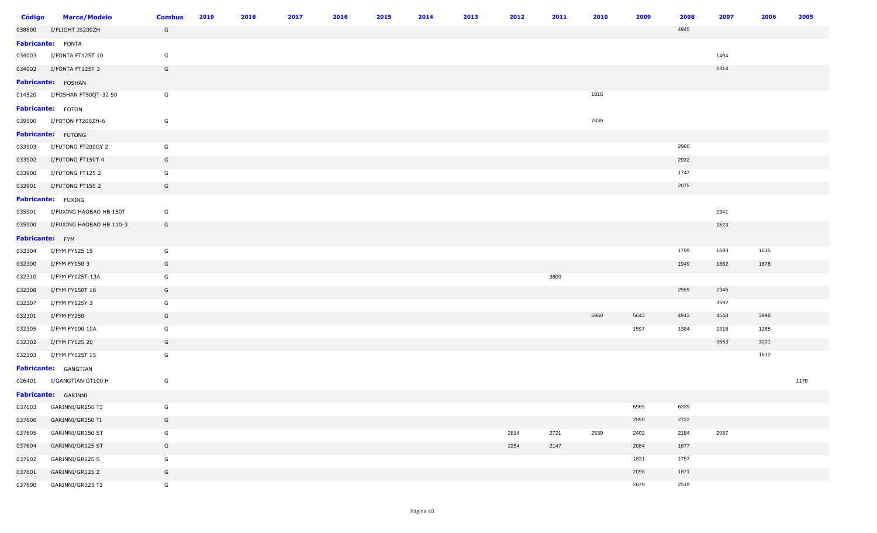| Código          | <b>Marca/Modelo</b>            | <b>Combus</b> | 2019 | 2018 | 2017 | 2016 | 2015 | 2014 | 2013 | 2012 | 2011 | 2010 | 2009 | 2008 | 2007 | 2006 | 2005 |
|-----------------|--------------------------------|---------------|------|------|------|------|------|------|------|------|------|------|------|------|------|------|------|
| 038600          | I/FLIGHT JS200ZH               | G             |      |      |      |      |      |      |      |      |      |      |      | 4945 |      |      |      |
|                 | <b>Fabricante:</b> FONTA       |               |      |      |      |      |      |      |      |      |      |      |      |      |      |      |      |
|                 | 034003 I/FONTA FT125T 10       | G             |      |      |      |      |      |      |      |      |      |      |      |      | 1494 |      |      |
| 034002          | I/FONTA FT125T 3               | G             |      |      |      |      |      |      |      |      |      |      |      |      | 2314 |      |      |
|                 | Fabricante: FOSHAN             |               |      |      |      |      |      |      |      |      |      |      |      |      |      |      |      |
|                 | 014520 I/FOSHAN FT50QT-32 50   | G             |      |      |      |      |      |      |      |      |      | 1816 |      |      |      |      |      |
|                 | <b>Fabricante:</b> FOTON       |               |      |      |      |      |      |      |      |      |      |      |      |      |      |      |      |
|                 | 039500 I/FOTON FT200ZH-6       | G             |      |      |      |      |      |      |      |      |      | 7839 |      |      |      |      |      |
|                 | Fabricante: FUTONG             |               |      |      |      |      |      |      |      |      |      |      |      |      |      |      |      |
|                 | 033903 I/FUTONG FT200GY 2      | G             |      |      |      |      |      |      |      |      |      |      |      | 2908 |      |      |      |
| 033902          | I/FUTONG FT150T 4              | G             |      |      |      |      |      |      |      |      |      |      |      | 2932 |      |      |      |
| 033900          | I/FUTONG FT125 2               | G             |      |      |      |      |      |      |      |      |      |      |      | 1747 |      |      |      |
| 033901          | I/FUTONG FT150 2               | G             |      |      |      |      |      |      |      |      |      |      |      | 2075 |      |      |      |
|                 | Fabricante: FUXING             |               |      |      |      |      |      |      |      |      |      |      |      |      |      |      |      |
|                 | 035901 I/FUXING HAOBAO HB 150T | G             |      |      |      |      |      |      |      |      |      |      |      |      | 2341 |      |      |
| 035900          | I/FUXING HAOBAO HB 110-3       | G             |      |      |      |      |      |      |      |      |      |      |      |      | 1523 |      |      |
| Fabricante: FYM |                                |               |      |      |      |      |      |      |      |      |      |      |      |      |      |      |      |
| 032304          | I/FYM FY125 19                 | G             |      |      |      |      |      |      |      |      |      |      |      | 1799 | 1693 | 1615 |      |
| 032300          | I/FYM FY150 3                  | G             |      |      |      |      |      |      |      |      |      |      |      | 1949 | 1862 | 1678 |      |
| 032310          | I/FYM FY125T-13A               | G             |      |      |      |      |      |      |      |      | 3809 |      |      |      |      |      |      |
| 032308          | I/FYM FY150T 18                | G             |      |      |      |      |      |      |      |      |      |      |      | 2559 | 2346 |      |      |
| 032307          | I/FYM FY125Y 3                 | G             |      |      |      |      |      |      |      |      |      |      |      |      | 3592 |      |      |
| 032301          | I/FYM FY250                    | G             |      |      |      |      |      |      |      |      |      | 5960 | 5643 | 4913 | 4548 | 3998 |      |
| 032305          | I/FYM FY100 10A                | G             |      |      |      |      |      |      |      |      |      |      | 1597 | 1384 | 1318 | 1285 |      |
| 032302          | I/FYM FY125 20                 | G             |      |      |      |      |      |      |      |      |      |      |      |      | 3553 | 3221 |      |
| 032303          | I/FYM FY125T 15                | G             |      |      |      |      |      |      |      |      |      |      |      |      |      | 1612 |      |
|                 | <b>Fabricante:</b> GANGTIAN    |               |      |      |      |      |      |      |      |      |      |      |      |      |      |      |      |
|                 | 026401 I/GANGTIAN GT100 H      | G             |      |      |      |      |      |      |      |      |      |      |      |      |      |      | 1178 |
|                 | <b>Fabricante:</b> GARINNI     |               |      |      |      |      |      |      |      |      |      |      |      |      |      |      |      |
| 037603          | GARINNI/GR250 T3               | G             |      |      |      |      |      |      |      |      |      |      | 6965 | 6339 |      |      |      |
| 037606          | GARINNI/GR150 TI               | G             |      |      |      |      |      |      |      |      |      |      | 2990 | 2722 |      |      |      |
| 037605          | GARINNI/GR150 ST               | G             |      |      |      |      |      |      |      | 2814 | 2721 | 2539 | 2402 | 2184 | 2037 |      |      |
| 037604          | GARINNI/GR125 ST               | G             |      |      |      |      |      |      |      | 2254 | 2147 |      | 2084 | 1877 |      |      |      |
| 037602          | GARINNI/GR125 S                | G             |      |      |      |      |      |      |      |      |      |      | 1831 | 1757 |      |      |      |
| 037601          | GARINNI/GR125 Z                | G             |      |      |      |      |      |      |      |      |      |      | 2098 | 1871 |      |      |      |
| 037600          | GARINNI/GR125 T3               | G             |      |      |      |      |      |      |      |      |      |      | 2679 | 2519 |      |      |      |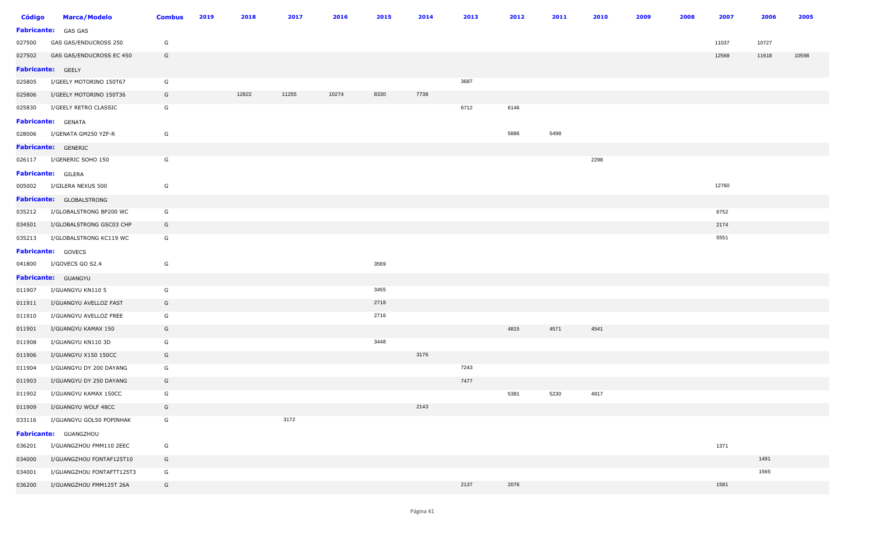| Código | <b>Marca/Modelo</b>        | <b>Combus</b> | 2019 | 2018  | 2017  | 2016  | 2015 | 2014 | 2013 | 2012 | 2011 | 2010 | 2009 | 2008 | 2007  | 2006  | 2005  |
|--------|----------------------------|---------------|------|-------|-------|-------|------|------|------|------|------|------|------|------|-------|-------|-------|
|        | Fabricante: GAS GAS        |               |      |       |       |       |      |      |      |      |      |      |      |      |       |       |       |
| 027500 | GAS GAS/ENDUCROSS 250      | G             |      |       |       |       |      |      |      |      |      |      |      |      | 11037 | 10727 |       |
| 027502 | GAS GAS/ENDUCROSS EC 450   | G             |      |       |       |       |      |      |      |      |      |      |      |      | 12568 | 11618 | 10598 |
|        | Fabricante: GEELY          |               |      |       |       |       |      |      |      |      |      |      |      |      |       |       |       |
| 025805 | I/GEELY MOTORINO 150T67    | G             |      |       |       |       |      |      | 3687 |      |      |      |      |      |       |       |       |
| 025806 | I/GEELY MOTORINO 150T36    | G             |      | 12822 | 11255 | 10274 | 8330 | 7738 |      |      |      |      |      |      |       |       |       |
| 025830 | I/GEELY RETRO CLASSIC      | G             |      |       |       |       |      |      | 6712 | 6146 |      |      |      |      |       |       |       |
|        | <b>Fabricante:</b> GENATA  |               |      |       |       |       |      |      |      |      |      |      |      |      |       |       |       |
| 028006 | I/GENATA GM250 YZF-R       | G             |      |       |       |       |      |      |      | 5886 | 5498 |      |      |      |       |       |       |
|        | <b>Fabricante:</b> GENERIC |               |      |       |       |       |      |      |      |      |      |      |      |      |       |       |       |
|        | 026117 I/GENERIC SOHO 150  | G             |      |       |       |       |      |      |      |      |      | 2298 |      |      |       |       |       |
|        | Fabricante: GILERA         |               |      |       |       |       |      |      |      |      |      |      |      |      |       |       |       |
| 005002 | I/GILERA NEXUS 500         | G             |      |       |       |       |      |      |      |      |      |      |      |      | 12760 |       |       |
|        | Fabricante: GLOBALSTRONG   |               |      |       |       |       |      |      |      |      |      |      |      |      |       |       |       |
| 035212 | I/GLOBALSTRONG BP200 WC    | G             |      |       |       |       |      |      |      |      |      |      |      |      | 6752  |       |       |
| 034501 | I/GLOBALSTRONG GSC03 CHP   | G             |      |       |       |       |      |      |      |      |      |      |      |      | 2174  |       |       |
| 035213 | I/GLOBALSTRONG KC119 WC    | G             |      |       |       |       |      |      |      |      |      |      |      |      | 5551  |       |       |
|        | Fabricante: GOVECS         |               |      |       |       |       |      |      |      |      |      |      |      |      |       |       |       |
| 041800 | I/GOVECS GO S2.4           | G             |      |       |       |       | 3569 |      |      |      |      |      |      |      |       |       |       |
|        | Fabricante: GUANGYU        |               |      |       |       |       |      |      |      |      |      |      |      |      |       |       |       |
| 011907 | I/GUANGYU KN110 5          | G             |      |       |       |       | 3455 |      |      |      |      |      |      |      |       |       |       |
| 011911 | I/GUANGYU AVELLOZ FAST     | G             |      |       |       |       | 2718 |      |      |      |      |      |      |      |       |       |       |
| 011910 | I/GUANGYU AVELLOZ FREE     | G             |      |       |       |       | 2716 |      |      |      |      |      |      |      |       |       |       |
| 011901 | I/GUANGYU KAMAX 150        | G             |      |       |       |       |      |      |      | 4815 | 4571 | 4541 |      |      |       |       |       |
| 011908 | I/GUANGYU KN110 3D         | G             |      |       |       |       | 3448 |      |      |      |      |      |      |      |       |       |       |
| 011906 | I/GUANGYU X150 150CC       | G             |      |       |       |       |      | 3176 |      |      |      |      |      |      |       |       |       |
| 011904 | I/GUANGYU DY 200 DAYANG    | G             |      |       |       |       |      |      | 7243 |      |      |      |      |      |       |       |       |
| 011903 | I/GUANGYU DY 250 DAYANG    | G             |      |       |       |       |      |      | 7477 |      |      |      |      |      |       |       |       |
| 011902 | I/GUANGYU KAMAX 150CC      | G             |      |       |       |       |      |      |      | 5381 | 5230 | 4917 |      |      |       |       |       |
| 011909 | I/GUANGYU WOLF 48CC        | G             |      |       |       |       |      | 2143 |      |      |      |      |      |      |       |       |       |
| 033116 | I/GUANGYU GOL50 POPINHAK   | G             |      |       | 3172  |       |      |      |      |      |      |      |      |      |       |       |       |
|        | Fabricante: GUANGZHOU      |               |      |       |       |       |      |      |      |      |      |      |      |      |       |       |       |
| 036201 | I/GUANGZHOU FMM110 2EEC    | G             |      |       |       |       |      |      |      |      |      |      |      |      | 1371  |       |       |
| 034000 | I/GUANGZHOU FONTAF125T10   | G             |      |       |       |       |      |      |      |      |      |      |      |      |       | 1491  |       |
| 034001 | I/GUANGZHOU FONTAFTT125T3  | G             |      |       |       |       |      |      |      |      |      |      |      |      |       | 1565  |       |
| 036200 | I/GUANGZHOU FMM125T 26A    | G             |      |       |       |       |      |      | 2137 | 2076 |      |      |      |      | 1581  |       |       |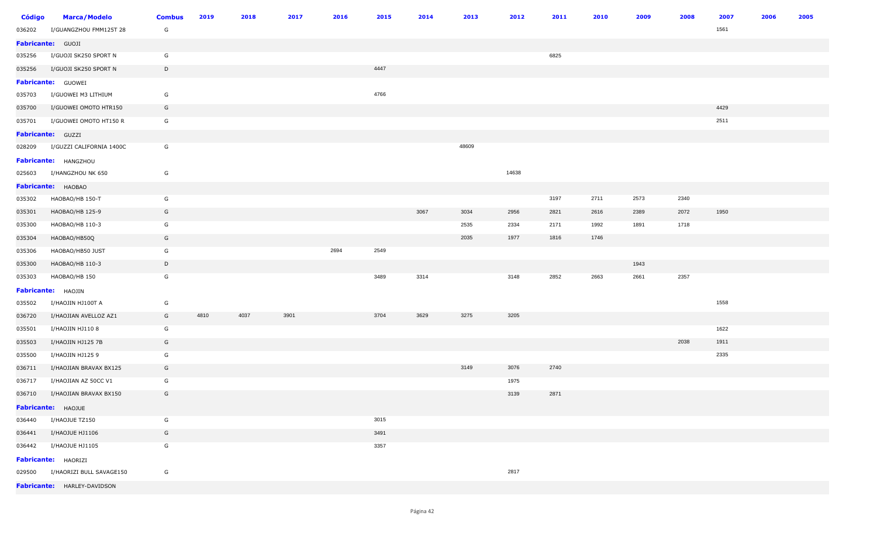| <b>Código</b>     | <b>Marca/Modelo</b>             | <b>Combus</b> | 2019 | 2018 | 2017 | 2016 | 2015 | 2014 | 2013  | 2012  | 2011 | 2010 | 2009 | 2008 | 2007 | 2006 | 2005 |
|-------------------|---------------------------------|---------------|------|------|------|------|------|------|-------|-------|------|------|------|------|------|------|------|
| 036202            | I/GUANGZHOU FMM125T 28          | G             |      |      |      |      |      |      |       |       |      |      |      |      | 1561 |      |      |
| Fabricante: GUOJI |                                 |               |      |      |      |      |      |      |       |       |      |      |      |      |      |      |      |
| 035256            | I/GUOJI SK250 SPORT N           | G             |      |      |      |      |      |      |       |       | 6825 |      |      |      |      |      |      |
| 035256            | I/GUOJI SK250 SPORT N           | D             |      |      |      |      | 4447 |      |       |       |      |      |      |      |      |      |      |
|                   | <b>Fabricante:</b> GUOWEI       |               |      |      |      |      |      |      |       |       |      |      |      |      |      |      |      |
| 035703            | I/GUOWEI M3 LITHIUM             | G             |      |      |      |      | 4766 |      |       |       |      |      |      |      |      |      |      |
| 035700            | I/GUOWEI OMOTO HTR150           | G             |      |      |      |      |      |      |       |       |      |      |      |      | 4429 |      |      |
| 035701            | I/GUOWEI OMOTO HT150 R          | G             |      |      |      |      |      |      |       |       |      |      |      |      | 2511 |      |      |
|                   | Fabricante: GUZZI               |               |      |      |      |      |      |      |       |       |      |      |      |      |      |      |      |
| 028209            | I/GUZZI CALIFORNIA 1400C        | G             |      |      |      |      |      |      | 48609 |       |      |      |      |      |      |      |      |
|                   | Fabricante: HANGZHOU            |               |      |      |      |      |      |      |       |       |      |      |      |      |      |      |      |
| 025603            | I/HANGZHOU NK 650               | G             |      |      |      |      |      |      |       | 14638 |      |      |      |      |      |      |      |
|                   | Fabricante: HAOBAO              |               |      |      |      |      |      |      |       |       |      |      |      |      |      |      |      |
| 035302            | HAOBAO/HB 150-T                 | G             |      |      |      |      |      |      |       |       | 3197 | 2711 | 2573 | 2340 |      |      |      |
| 035301            | HAOBAO/HB 125-9                 | G             |      |      |      |      |      | 3067 | 3034  | 2956  | 2821 | 2616 | 2389 | 2072 | 1950 |      |      |
| 035300            | HAOBAO/HB 110-3                 | G             |      |      |      |      |      |      | 2535  | 2334  | 2171 | 1992 | 1891 | 1718 |      |      |      |
| 035304            | HAOBAO/HB50Q                    | G             |      |      |      |      |      |      | 2035  | 1977  | 1816 | 1746 |      |      |      |      |      |
| 035306            | HAOBAO/HB50 JUST                | G             |      |      |      | 2694 | 2549 |      |       |       |      |      |      |      |      |      |      |
| 035300            | HAOBAO/HB 110-3                 | D             |      |      |      |      |      |      |       |       |      |      | 1943 |      |      |      |      |
| 035303            | HAOBAO/HB 150                   | G             |      |      |      |      | 3489 | 3314 |       | 3148  | 2852 | 2663 | 2661 | 2357 |      |      |      |
|                   | Fabricante: HAOJIN              |               |      |      |      |      |      |      |       |       |      |      |      |      |      |      |      |
| 035502            | I/HAOJIN HJ100T A               | G             |      |      |      |      |      |      |       |       |      |      |      |      | 1558 |      |      |
| 036720            | I/HAOJIAN AVELLOZ AZ1           | G             | 4810 | 4037 | 3901 |      | 3704 | 3629 | 3275  | 3205  |      |      |      |      |      |      |      |
| 035501            | I/HAOJIN HJ110 8                | G             |      |      |      |      |      |      |       |       |      |      |      |      | 1622 |      |      |
| 035503            | I/HAOJIN HJ125 7B               | G             |      |      |      |      |      |      |       |       |      |      |      | 2038 | 1911 |      |      |
| 035500            | I/HAOJIN HJ125 9                | G             |      |      |      |      |      |      |       |       |      |      |      |      | 2335 |      |      |
| 036711            | I/HAOJIAN BRAVAX BX125          | G             |      |      |      |      |      |      | 3149  | 3076  | 2740 |      |      |      |      |      |      |
| 036717            | I/HAOJIAN AZ 50CC V1            | G             |      |      |      |      |      |      |       | 1975  |      |      |      |      |      |      |      |
| 036710            | I/HAOJIAN BRAVAX BX150          | G             |      |      |      |      |      |      |       | 3139  | 2871 |      |      |      |      |      |      |
|                   | Fabricante: HAOJUE              |               |      |      |      |      |      |      |       |       |      |      |      |      |      |      |      |
| 036440            | I/HAOJUE TZ150                  | G             |      |      |      |      | 3015 |      |       |       |      |      |      |      |      |      |      |
|                   | 036441 I/HAOJUE HJ1106          | G             |      |      |      |      | 3491 |      |       |       |      |      |      |      |      |      |      |
| 036442            | I/HAOJUE HJ1105                 | G             |      |      |      |      | 3357 |      |       |       |      |      |      |      |      |      |      |
|                   | Fabricante: HAORIZI             |               |      |      |      |      |      |      |       |       |      |      |      |      |      |      |      |
|                   | 029500 I/HAORIZI BULL SAVAGE150 | G             |      |      |      |      |      |      |       | 2817  |      |      |      |      |      |      |      |
|                   | Fabricante: HARLEY-DAVIDSON     |               |      |      |      |      |      |      |       |       |      |      |      |      |      |      |      |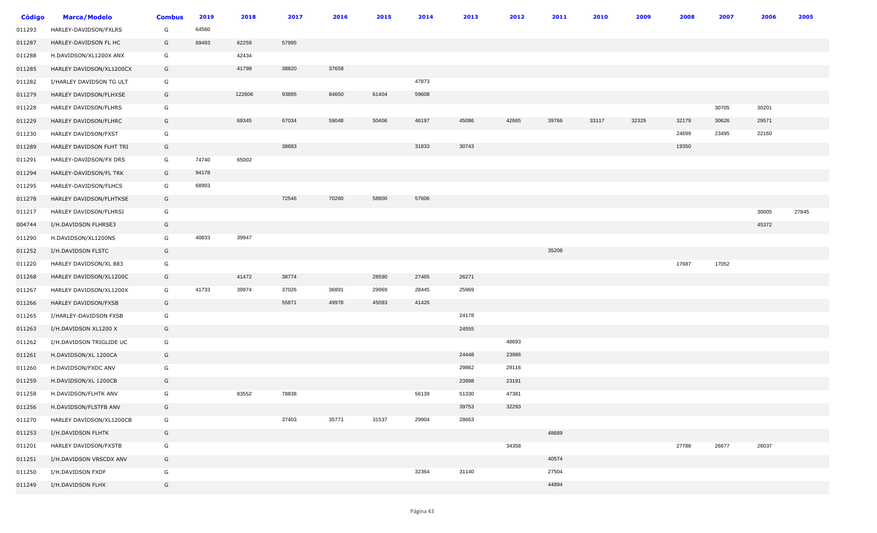| <b>Código</b> | <b>Marca/Modelo</b>      | <b>Combus</b> | 2019  | 2018   | 2017  | 2016  | 2015  | 2014  | 2013  | 2012  | 2011  | 2010  | 2009  | 2008  | 2007  | 2006  | 2005  |
|---------------|--------------------------|---------------|-------|--------|-------|-------|-------|-------|-------|-------|-------|-------|-------|-------|-------|-------|-------|
| 011293        | HARLEY-DAVIDSON/FXLRS    | G             | 64560 |        |       |       |       |       |       |       |       |       |       |       |       |       |       |
| 011287        | HARLEY-DAVIDSON FL HC    | G             | 69493 | 62259  | 57995 |       |       |       |       |       |       |       |       |       |       |       |       |
| 011288        | H.DAVIDSON/XL1200X ANX   | G             |       | 42434  |       |       |       |       |       |       |       |       |       |       |       |       |       |
| 011285        | HARLEY DAVIDSON/XL1200CX | G             |       | 41798  | 38820 | 37658 |       |       |       |       |       |       |       |       |       |       |       |
| 011282        | I/HARLEY DAVIDSON TG ULT | G             |       |        |       |       |       | 47873 |       |       |       |       |       |       |       |       |       |
| 011279        | HARLEY DAVIDSON/FLHXSE   | G             |       | 122606 | 93895 | 84650 | 61404 | 59608 |       |       |       |       |       |       |       |       |       |
| 011228        | HARLEY DAVIDSON/FLHRS    | G             |       |        |       |       |       |       |       |       |       |       |       |       | 30705 | 30201 |       |
| 011229        | HARLEY DAVIDSON/FLHRC    | G             |       | 69345  | 67034 | 59048 | 50406 | 46197 | 45086 | 42665 | 39766 | 33117 | 32329 | 32179 | 30626 | 29571 |       |
| 011230        | HARLEY DAVIDSON/FXST     | G             |       |        |       |       |       |       |       |       |       |       |       | 24699 | 23495 | 22160 |       |
| 011289        | HARLEY DAVIDSON FLHT TRI | G             |       |        | 38683 |       |       | 31833 | 30743 |       |       |       |       | 19350 |       |       |       |
| 011291        | HARLEY-DAVIDSON/FX DRS   | G             | 74740 | 65002  |       |       |       |       |       |       |       |       |       |       |       |       |       |
| 011294        | HARLEY-DAVIDSON/FL TRK   | G             | 94178 |        |       |       |       |       |       |       |       |       |       |       |       |       |       |
| 011295        | HARLEY-DAVIDSON/FLHCS    | G             | 68903 |        |       |       |       |       |       |       |       |       |       |       |       |       |       |
| 011278        | HARLEY DAVIDSON/FLHTKSE  | G             |       |        | 72546 | 70260 | 58800 | 57606 |       |       |       |       |       |       |       |       |       |
| 011217        | HARLEY DAVIDSON/FLHRSI   | G             |       |        |       |       |       |       |       |       |       |       |       |       |       | 30005 | 27845 |
| 004744        | I/H.DAVIDSON FLHRSE3     | G             |       |        |       |       |       |       |       |       |       |       |       |       |       | 45372 |       |
| 011290        | H.DAVIDSON/XL1200NS      | G             | 40833 | 39947  |       |       |       |       |       |       |       |       |       |       |       |       |       |
| 011252        | I/H.DAVIDSON FLSTC       | G             |       |        |       |       |       |       |       |       | 35208 |       |       |       |       |       |       |
| 011220        | HARLEY DAVIDSON/XL 883   | G             |       |        |       |       |       |       |       |       |       |       |       | 17687 | 17052 |       |       |
| 011268        | HARLEY DAVIDSON/XL1200C  | G             |       | 41472  | 38774 |       | 28590 | 27465 | 26271 |       |       |       |       |       |       |       |       |
| 011267        | HARLEY DAVIDSON/XL1200X  | G             | 41733 | 39974  | 37026 | 36891 | 29969 | 28445 | 25969 |       |       |       |       |       |       |       |       |
| 011266        | HARLEY DAVIDSON/FXSB     | G             |       |        | 55871 | 49978 | 45093 | 41426 |       |       |       |       |       |       |       |       |       |
| 011265        | I/HARLEY-DAVIDSON FXSB   | G             |       |        |       |       |       |       | 24178 |       |       |       |       |       |       |       |       |
| 011263        | I/H.DAVIDSON XL1200 X    | G             |       |        |       |       |       |       | 24555 |       |       |       |       |       |       |       |       |
| 011262        | I/H.DAVIDSON TRIGLIDE UC | G             |       |        |       |       |       |       |       | 48693 |       |       |       |       |       |       |       |
| 011261        | H.DAVIDSON/XL 1200CA     | G             |       |        |       |       |       |       | 24448 | 23986 |       |       |       |       |       |       |       |
| 011260        | H.DAVIDSON/FXDC ANV      | G             |       |        |       |       |       |       | 29862 | 29116 |       |       |       |       |       |       |       |
| 011259        | H.DAVIDSON/XL 1200CB     | G             |       |        |       |       |       |       | 23998 | 23191 |       |       |       |       |       |       |       |
| 011258        | H.DAVIDSON/FLHTK ANV     | G             |       | 83552  | 78838 |       |       | 56139 | 51330 | 47381 |       |       |       |       |       |       |       |
| 011256        | H.DAVIDSON/FLSTFB ANV    | G             |       |        |       |       |       |       | 39753 | 32293 |       |       |       |       |       |       |       |
| 011270        | HARLEY DAVIDSON/XL1200CB | G             |       |        | 37403 | 35771 | 31537 | 29904 | 28663 |       |       |       |       |       |       |       |       |
| 011253        | I/H.DAVIDSON FLHTK       | G             |       |        |       |       |       |       |       |       | 48689 |       |       |       |       |       |       |
| 011201        | HARLEY DAVIDSON/FXSTB    | G             |       |        |       |       |       |       |       | 34358 |       |       |       | 27788 | 26677 | 26037 |       |
| 011251        | I/H.DAVIDSON VRSCDX ANV  | G             |       |        |       |       |       |       |       |       | 40574 |       |       |       |       |       |       |
| 011250        | I/H.DAVIDSON FXDF        | G             |       |        |       |       |       | 32364 | 31140 |       | 27504 |       |       |       |       |       |       |
| 011249        | I/H.DAVIDSON FLHX        | G             |       |        |       |       |       |       |       |       | 44894 |       |       |       |       |       |       |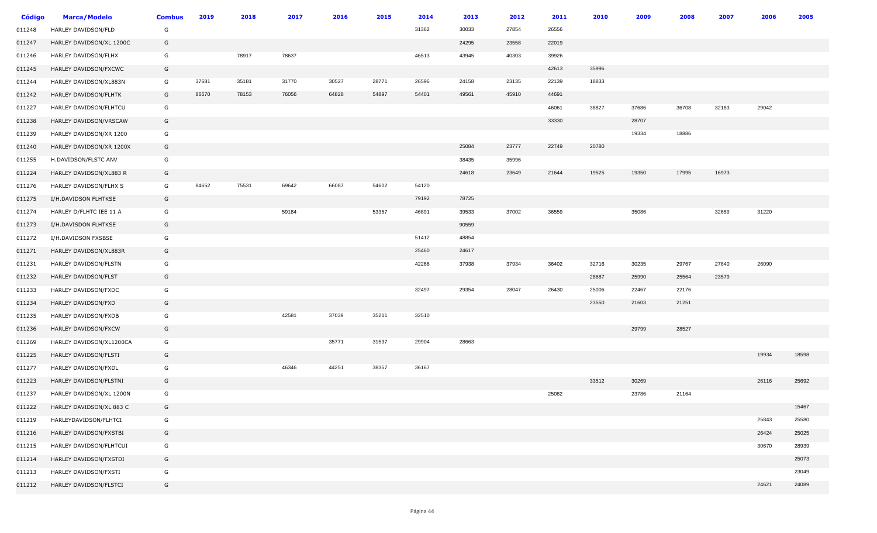| <b>Código</b> | <b>Marca/Modelo</b>      | <b>Combus</b> | 2019  | 2018  | 2017  | 2016  | 2015  | 2014  | 2013  | 2012  | 2011  | 2010  | 2009  | 2008  | 2007  | 2006  | 2005  |
|---------------|--------------------------|---------------|-------|-------|-------|-------|-------|-------|-------|-------|-------|-------|-------|-------|-------|-------|-------|
| 011248        | HARLEY DAVIDSON/FLD      | G             |       |       |       |       |       | 31362 | 30033 | 27854 | 26556 |       |       |       |       |       |       |
| 011247        | HARLEY DAVIDSON/XL 1200C | G             |       |       |       |       |       |       | 24295 | 23558 | 22019 |       |       |       |       |       |       |
| 011246        | HARLEY DAVIDSON/FLHX     | G             |       | 78917 | 78637 |       |       | 46513 | 43945 | 40303 | 39926 |       |       |       |       |       |       |
| 011245        | HARLEY DAVIDSON/FXCWC    | G             |       |       |       |       |       |       |       |       | 42613 | 35996 |       |       |       |       |       |
| 011244        | HARLEY DAVIDSON/XL883N   | G             | 37681 | 35181 | 31770 | 30527 | 28771 | 26596 | 24158 | 23135 | 22139 | 18833 |       |       |       |       |       |
| 011242        | HARLEY DAVIDSON/FLHTK    | G             | 86670 | 78153 | 76056 | 64828 | 54897 | 54401 | 49561 | 45910 | 44691 |       |       |       |       |       |       |
| 011227        | HARLEY DAVIDSON/FLHTCU   | G             |       |       |       |       |       |       |       |       | 46061 | 38827 | 37686 | 36708 | 32183 | 29042 |       |
| 011238        | HARLEY DAVIDSON/VRSCAW   | G             |       |       |       |       |       |       |       |       | 33330 |       | 28707 |       |       |       |       |
| 011239        | HARLEY DAVIDSON/XR 1200  | G             |       |       |       |       |       |       |       |       |       |       | 19334 | 18886 |       |       |       |
| 011240        | HARLEY DAVIDSON/XR 1200X | G             |       |       |       |       |       |       | 25084 | 23777 | 22749 | 20780 |       |       |       |       |       |
| 011255        | H.DAVIDSON/FLSTC ANV     | G             |       |       |       |       |       |       | 38435 | 35996 |       |       |       |       |       |       |       |
| 011224        | HARLEY DAVIDSON/XL883 R  | G             |       |       |       |       |       |       | 24618 | 23649 | 21644 | 19525 | 19350 | 17995 | 16973 |       |       |
| 011276        | HARLEY DAVIDSON/FLHX S   | G             | 84652 | 75531 | 69642 | 66087 | 54602 | 54120 |       |       |       |       |       |       |       |       |       |
| 011275        | I/H.DAVIDSON FLHTKSE     | G             |       |       |       |       |       | 79192 | 78725 |       |       |       |       |       |       |       |       |
| 011274        | HARLEY D/FLHTC IEE 11 A  | G             |       |       | 59184 |       | 53357 | 46891 | 39533 | 37002 | 36559 |       | 35086 |       | 32659 | 31220 |       |
| 011273        | I/H.DAVISDON FLHTKSE     | G             |       |       |       |       |       |       | 90559 |       |       |       |       |       |       |       |       |
| 011272        | I/H.DAVIDSON FXSBSE      | G             |       |       |       |       |       | 51412 | 48854 |       |       |       |       |       |       |       |       |
| 011271        | HARLEY DAVIDSON/XL883R   | G             |       |       |       |       |       | 25460 | 24617 |       |       |       |       |       |       |       |       |
| 011231        | HARLEY DAVIDSON/FLSTN    | G             |       |       |       |       |       | 42268 | 37938 | 37934 | 36402 | 32716 | 30235 | 29767 | 27840 | 26090 |       |
| 011232        | HARLEY DAVIDSON/FLST     | G             |       |       |       |       |       |       |       |       |       | 28687 | 25990 | 25564 | 23579 |       |       |
| 011233        | HARLEY DAVIDSON/FXDC     | G             |       |       |       |       |       | 32497 | 29354 | 28047 | 26430 | 25006 | 22467 | 22176 |       |       |       |
| 011234        | HARLEY DAVIDSON/FXD      | G             |       |       |       |       |       |       |       |       |       | 23550 | 21603 | 21251 |       |       |       |
| 011235        | HARLEY DAVIDSON/FXDB     | G             |       |       | 42581 | 37039 | 35211 | 32510 |       |       |       |       |       |       |       |       |       |
| 011236        | HARLEY DAVIDSON/FXCW     | G             |       |       |       |       |       |       |       |       |       |       | 29799 | 28527 |       |       |       |
| 011269        | HARLEY DAVIDSON/XL1200CA | G             |       |       |       | 35771 | 31537 | 29904 | 28663 |       |       |       |       |       |       |       |       |
| 011225        | HARLEY DAVIDSON/FLSTI    | G             |       |       |       |       |       |       |       |       |       |       |       |       |       | 19934 | 18598 |
| 011277        | HARLEY DAVIDSON/FXDL     | G             |       |       | 46346 | 44251 | 38357 | 36167 |       |       |       |       |       |       |       |       |       |
| 011223        | HARLEY DAVIDSON/FLSTNI   | G             |       |       |       |       |       |       |       |       |       | 33512 | 30269 |       |       | 26116 | 25692 |
| 011237        | HARLEY DAVIDSON/XL 1200N | G             |       |       |       |       |       |       |       |       | 25082 |       | 23786 | 21164 |       |       |       |
| 011222        | HARLEY DAVIDSON/XL 883 C | G             |       |       |       |       |       |       |       |       |       |       |       |       |       |       | 15467 |
| 011219        | HARLEYDAVIDSON/FLHTCI    | G             |       |       |       |       |       |       |       |       |       |       |       |       |       | 25843 | 25580 |
| 011216        | HARLEY DAVIDSON/FXSTBI   | G             |       |       |       |       |       |       |       |       |       |       |       |       |       | 26424 | 25025 |
| 011215        | HARLEY DAVIDSON/FLHTCUI  | G             |       |       |       |       |       |       |       |       |       |       |       |       |       | 30670 | 28939 |
| 011214        | HARLEY DAVIDSON/FXSTDI   | G             |       |       |       |       |       |       |       |       |       |       |       |       |       |       | 25073 |
| 011213        | HARLEY DAVIDSON/FXSTI    | G             |       |       |       |       |       |       |       |       |       |       |       |       |       |       | 23049 |
| 011212        | HARLEY DAVIDSON/FLSTCI   | G             |       |       |       |       |       |       |       |       |       |       |       |       |       | 24621 | 24089 |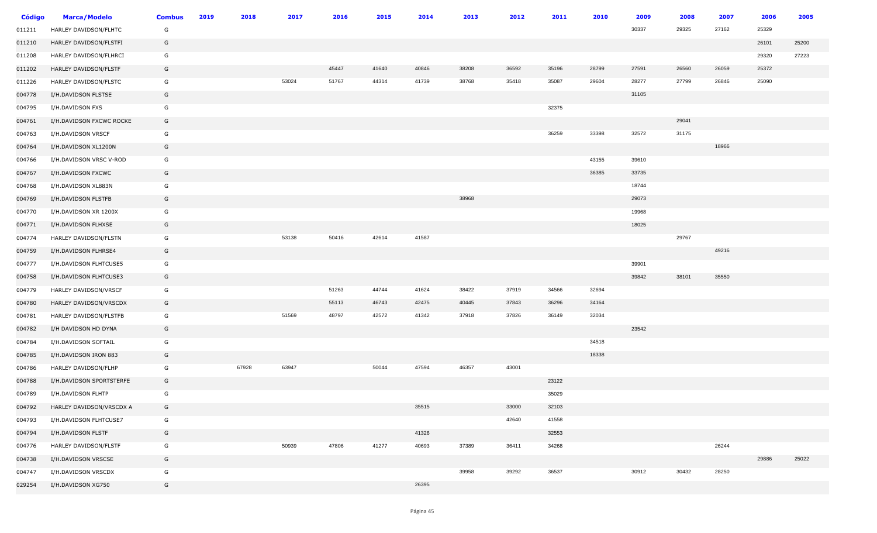| Código | <b>Marca/Modelo</b>      | <b>Combus</b> | 2019 | 2018  | 2017  | 2016  | 2015  | 2014  | 2013  | 2012  | 2011  | 2010  | 2009  | 2008  | 2007  | 2006  | 2005  |
|--------|--------------------------|---------------|------|-------|-------|-------|-------|-------|-------|-------|-------|-------|-------|-------|-------|-------|-------|
| 011211 | HARLEY DAVIDSON/FLHTC    | G             |      |       |       |       |       |       |       |       |       |       | 30337 | 29325 | 27162 | 25329 |       |
| 011210 | HARLEY DAVIDSON/FLSTFI   | G             |      |       |       |       |       |       |       |       |       |       |       |       |       | 26101 | 25200 |
| 011208 | HARLEY DAVIDSON/FLHRCI   | G             |      |       |       |       |       |       |       |       |       |       |       |       |       | 29320 | 27223 |
| 011202 | HARLEY DAVIDSON/FLSTF    | G             |      |       |       | 45447 | 41640 | 40846 | 38208 | 36592 | 35196 | 28799 | 27591 | 26560 | 26059 | 25372 |       |
| 011226 | HARLEY DAVIDSON/FLSTC    | G             |      |       | 53024 | 51767 | 44314 | 41739 | 38768 | 35418 | 35087 | 29604 | 28277 | 27799 | 26846 | 25090 |       |
| 004778 | I/H.DAVIDSON FLSTSE      | G             |      |       |       |       |       |       |       |       |       |       | 31105 |       |       |       |       |
| 004795 | I/H.DAVIDSON FXS         | G             |      |       |       |       |       |       |       |       | 32375 |       |       |       |       |       |       |
| 004761 | I/H.DAVIDSON FXCWC ROCKE | G             |      |       |       |       |       |       |       |       |       |       |       | 29041 |       |       |       |
| 004763 | I/H.DAVIDSON VRSCF       | G             |      |       |       |       |       |       |       |       | 36259 | 33398 | 32572 | 31175 |       |       |       |
| 004764 | I/H.DAVIDSON XL1200N     | G             |      |       |       |       |       |       |       |       |       |       |       |       | 18966 |       |       |
| 004766 | I/H.DAVIDSON VRSC V-ROD  | G             |      |       |       |       |       |       |       |       |       | 43155 | 39610 |       |       |       |       |
| 004767 | I/H.DAVIDSON FXCWC       | G             |      |       |       |       |       |       |       |       |       | 36385 | 33735 |       |       |       |       |
| 004768 | I/H.DAVIDSON XL883N      | G             |      |       |       |       |       |       |       |       |       |       | 18744 |       |       |       |       |
| 004769 | I/H.DAVIDSON FLSTFB      | G             |      |       |       |       |       |       | 38968 |       |       |       | 29073 |       |       |       |       |
| 004770 | I/H.DAVIDSON XR 1200X    | G             |      |       |       |       |       |       |       |       |       |       | 19968 |       |       |       |       |
| 004771 | I/H.DAVIDSON FLHXSE      | G             |      |       |       |       |       |       |       |       |       |       | 18025 |       |       |       |       |
| 004774 | HARLEY DAVIDSON/FLSTN    | G             |      |       | 53138 | 50416 | 42614 | 41587 |       |       |       |       |       | 29767 |       |       |       |
| 004759 | I/H.DAVIDSON FLHRSE4     | G             |      |       |       |       |       |       |       |       |       |       |       |       | 49216 |       |       |
| 004777 | I/H.DAVIDSON FLHTCUSE5   | G             |      |       |       |       |       |       |       |       |       |       | 39901 |       |       |       |       |
| 004758 | I/H.DAVIDSON FLHTCUSE3   | G             |      |       |       |       |       |       |       |       |       |       | 39842 | 38101 | 35550 |       |       |
| 004779 | HARLEY DAVIDSON/VRSCF    | G             |      |       |       | 51263 | 44744 | 41624 | 38422 | 37919 | 34566 | 32694 |       |       |       |       |       |
| 004780 | HARLEY DAVIDSON/VRSCDX   | G             |      |       |       | 55113 | 46743 | 42475 | 40445 | 37843 | 36296 | 34164 |       |       |       |       |       |
| 004781 | HARLEY DAVIDSON/FLSTFB   | G             |      |       | 51569 | 48797 | 42572 | 41342 | 37918 | 37826 | 36149 | 32034 |       |       |       |       |       |
| 004782 | I/H DAVIDSON HD DYNA     | G             |      |       |       |       |       |       |       |       |       |       | 23542 |       |       |       |       |
| 004784 | I/H.DAVIDSON SOFTAIL     | G             |      |       |       |       |       |       |       |       |       | 34518 |       |       |       |       |       |
| 004785 | I/H.DAVIDSON IRON 883    | G             |      |       |       |       |       |       |       |       |       | 18338 |       |       |       |       |       |
| 004786 | HARLEY DAVIDSON/FLHP     | G             |      | 67928 | 63947 |       | 50044 | 47594 | 46357 | 43001 |       |       |       |       |       |       |       |
| 004788 | I/H.DAVIDSON SPORTSTERFE | G             |      |       |       |       |       |       |       |       | 23122 |       |       |       |       |       |       |
| 004789 | I/H.DAVIDSON FLHTP       | G             |      |       |       |       |       |       |       |       | 35029 |       |       |       |       |       |       |
| 004792 | HARLEY DAVIDSON/VRSCDX A | G             |      |       |       |       |       | 35515 |       | 33000 | 32103 |       |       |       |       |       |       |
| 004793 | I/H.DAVIDSON FLHTCUSE7   | G             |      |       |       |       |       |       |       | 42640 | 41558 |       |       |       |       |       |       |
| 004794 | I/H.DAVIDSON FLSTF       | G             |      |       |       |       |       | 41326 |       |       | 32553 |       |       |       |       |       |       |
| 004776 | HARLEY DAVIDSON/FLSTF    | G             |      |       | 50939 | 47806 | 41277 | 40693 | 37389 | 36411 | 34268 |       |       |       | 26244 |       |       |
| 004738 | I/H.DAVIDSON VRSCSE      | G             |      |       |       |       |       |       |       |       |       |       |       |       |       | 29886 | 25022 |
| 004747 | I/H.DAVIDSON VRSCDX      | G             |      |       |       |       |       |       | 39958 | 39292 | 36537 |       | 30912 | 30432 | 28250 |       |       |
| 029254 | I/H.DAVIDSON XG750       | G             |      |       |       |       |       | 26395 |       |       |       |       |       |       |       |       |       |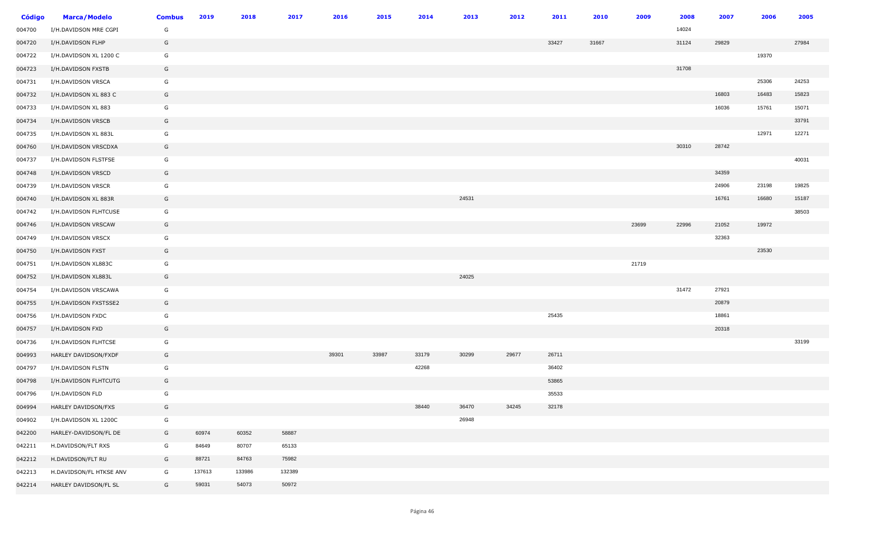| <b>Código</b> | <b>Marca/Modelo</b>     | <b>Combus</b> | 2019   | 2018   | 2017   | 2016  | 2015  | 2014  | 2013  | 2012  | 2011  | 2010  | 2009  | 2008  | 2007  | 2006  | 2005  |
|---------------|-------------------------|---------------|--------|--------|--------|-------|-------|-------|-------|-------|-------|-------|-------|-------|-------|-------|-------|
| 004700        | I/H.DAVIDSON MRE CGPI   | G             |        |        |        |       |       |       |       |       |       |       |       | 14024 |       |       |       |
| 004720        | I/H.DAVIDSON FLHP       | G             |        |        |        |       |       |       |       |       | 33427 | 31667 |       | 31124 | 29829 |       | 27984 |
| 004722        | I/H.DAVIDSON XL 1200 C  | G             |        |        |        |       |       |       |       |       |       |       |       |       |       | 19370 |       |
| 004723        | I/H.DAVIDSON FXSTB      | G             |        |        |        |       |       |       |       |       |       |       |       | 31708 |       |       |       |
| 004731        | I/H.DAVIDSON VRSCA      | G             |        |        |        |       |       |       |       |       |       |       |       |       |       | 25306 | 24253 |
| 004732        | I/H.DAVIDSON XL 883 C   | G             |        |        |        |       |       |       |       |       |       |       |       |       | 16803 | 16483 | 15823 |
| 004733        | I/H.DAVIDSON XL 883     | G             |        |        |        |       |       |       |       |       |       |       |       |       | 16036 | 15761 | 15071 |
| 004734        | I/H.DAVIDSON VRSCB      | G             |        |        |        |       |       |       |       |       |       |       |       |       |       |       | 33791 |
| 004735        | I/H.DAVIDSON XL 883L    | G             |        |        |        |       |       |       |       |       |       |       |       |       |       | 12971 | 12271 |
| 004760        | I/H.DAVIDSON VRSCDXA    | G             |        |        |        |       |       |       |       |       |       |       |       | 30310 | 28742 |       |       |
| 004737        | I/H.DAVIDSON FLSTFSE    | G             |        |        |        |       |       |       |       |       |       |       |       |       |       |       | 40031 |
| 004748        | I/H.DAVIDSON VRSCD      | G             |        |        |        |       |       |       |       |       |       |       |       |       | 34359 |       |       |
| 004739        | I/H.DAVIDSON VRSCR      | G             |        |        |        |       |       |       |       |       |       |       |       |       | 24906 | 23198 | 19825 |
| 004740        | I/H.DAVIDSON XL 883R    | G             |        |        |        |       |       |       | 24531 |       |       |       |       |       | 16761 | 16680 | 15187 |
| 004742        | I/H.DAVIDSON FLHTCUSE   | G             |        |        |        |       |       |       |       |       |       |       |       |       |       |       | 38503 |
| 004746        | I/H.DAVIDSON VRSCAW     | G             |        |        |        |       |       |       |       |       |       |       | 23699 | 22996 | 21052 | 19972 |       |
| 004749        | I/H.DAVIDSON VRSCX      | G             |        |        |        |       |       |       |       |       |       |       |       |       | 32363 |       |       |
| 004750        | I/H.DAVIDSON FXST       | G             |        |        |        |       |       |       |       |       |       |       |       |       |       | 23530 |       |
| 004751        | I/H.DAVIDSON XL883C     | G             |        |        |        |       |       |       |       |       |       |       | 21719 |       |       |       |       |
| 004752        | I/H.DAVIDSON XL883L     | G             |        |        |        |       |       |       | 24025 |       |       |       |       |       |       |       |       |
| 004754        | I/H.DAVIDSON VRSCAWA    | G             |        |        |        |       |       |       |       |       |       |       |       | 31472 | 27921 |       |       |
| 004755        | I/H.DAVIDSON FXSTSSE2   | G             |        |        |        |       |       |       |       |       |       |       |       |       | 20879 |       |       |
| 004756        | I/H.DAVIDSON FXDC       | G             |        |        |        |       |       |       |       |       | 25435 |       |       |       | 18861 |       |       |
| 004757        | I/H.DAVIDSON FXD        | G             |        |        |        |       |       |       |       |       |       |       |       |       | 20318 |       |       |
| 004736        | I/H.DAVIDSON FLHTCSE    | G             |        |        |        |       |       |       |       |       |       |       |       |       |       |       | 33199 |
| 004993        | HARLEY DAVIDSON/FXDF    | G             |        |        |        | 39301 | 33987 | 33179 | 30299 | 29677 | 26711 |       |       |       |       |       |       |
| 004797        | I/H.DAVIDSON FLSTN      | G             |        |        |        |       |       | 42268 |       |       | 36402 |       |       |       |       |       |       |
| 004798        | I/H.DAVIDSON FLHTCUTG   | G             |        |        |        |       |       |       |       |       | 53865 |       |       |       |       |       |       |
| 004796        | I/H.DAVIDSON FLD        | G             |        |        |        |       |       |       |       |       | 35533 |       |       |       |       |       |       |
| 004994        | HARLEY DAVIDSON/FXS     | G             |        |        |        |       |       | 38440 | 36470 | 34245 | 32178 |       |       |       |       |       |       |
| 004902        | I/H.DAVIDSON XL 1200C   | G             |        |        |        |       |       |       | 26948 |       |       |       |       |       |       |       |       |
| 042200        | HARLEY-DAVIDSON/FL DE   | G             | 60974  | 60352  | 58887  |       |       |       |       |       |       |       |       |       |       |       |       |
| 042211        | H.DAVIDSON/FLT RXS      | G             | 84649  | 80707  | 65133  |       |       |       |       |       |       |       |       |       |       |       |       |
| 042212        | H.DAVIDSON/FLT RU       | G             | 88721  | 84763  | 75982  |       |       |       |       |       |       |       |       |       |       |       |       |
| 042213        | H.DAVIDSON/FL HTKSE ANV | G             | 137613 | 133986 | 132389 |       |       |       |       |       |       |       |       |       |       |       |       |
| 042214        | HARLEY DAVIDSON/FL SL   | G             | 59031  | 54073  | 50972  |       |       |       |       |       |       |       |       |       |       |       |       |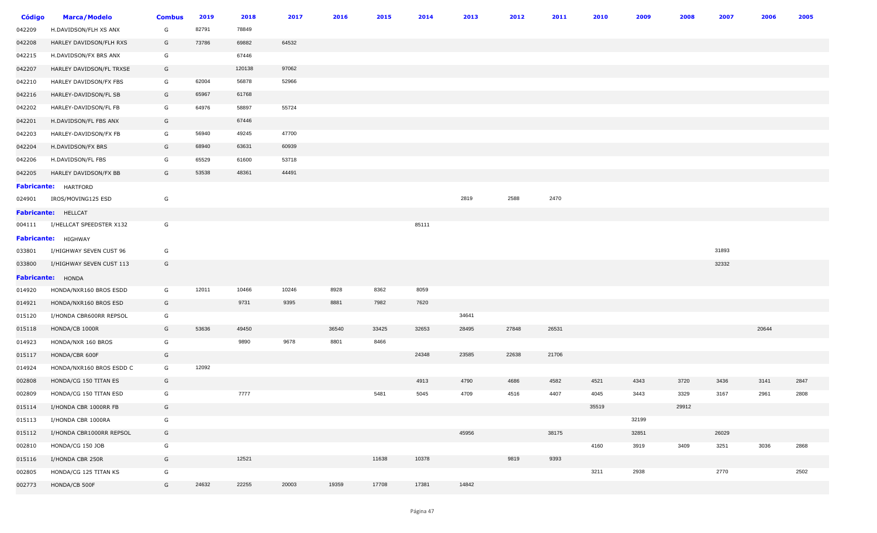| Código | <b>Marca/Modelo</b>         | <b>Combus</b> | 2019  | 2018   | 2017  | 2016  | 2015  | 2014  | 2013  | 2012  | 2011  | 2010  | 2009  | 2008  | 2007  | 2006  | 2005 |
|--------|-----------------------------|---------------|-------|--------|-------|-------|-------|-------|-------|-------|-------|-------|-------|-------|-------|-------|------|
| 042209 | H.DAVIDSON/FLH XS ANX       | G             | 82791 | 78849  |       |       |       |       |       |       |       |       |       |       |       |       |      |
| 042208 | HARLEY DAVIDSON/FLH RXS     | G             | 73786 | 69882  | 64532 |       |       |       |       |       |       |       |       |       |       |       |      |
| 042215 | H.DAVIDSON/FX BRS ANX       | G             |       | 67446  |       |       |       |       |       |       |       |       |       |       |       |       |      |
| 042207 | HARLEY DAVIDSON/FL TRXSE    | G             |       | 120138 | 97062 |       |       |       |       |       |       |       |       |       |       |       |      |
| 042210 | HARLEY DAVIDSON/FX FBS      | G             | 62004 | 56878  | 52966 |       |       |       |       |       |       |       |       |       |       |       |      |
| 042216 | HARLEY-DAVIDSON/FL SB       | G             | 65967 | 61768  |       |       |       |       |       |       |       |       |       |       |       |       |      |
| 042202 | HARLEY-DAVIDSON/FL FB       | G             | 64976 | 58897  | 55724 |       |       |       |       |       |       |       |       |       |       |       |      |
| 042201 | H.DAVIDSON/FL FBS ANX       | G             |       | 67446  |       |       |       |       |       |       |       |       |       |       |       |       |      |
| 042203 | HARLEY-DAVIDSON/FX FB       | G             | 56940 | 49245  | 47700 |       |       |       |       |       |       |       |       |       |       |       |      |
| 042204 | H.DAVIDSON/FX BRS           | G             | 68940 | 63631  | 60939 |       |       |       |       |       |       |       |       |       |       |       |      |
| 042206 | H.DAVIDSON/FL FBS           | G             | 65529 | 61600  | 53718 |       |       |       |       |       |       |       |       |       |       |       |      |
| 042205 | HARLEY DAVIDSON/FX BB       | G             | 53538 | 48361  | 44491 |       |       |       |       |       |       |       |       |       |       |       |      |
|        | <b>Fabricante:</b> HARTFORD |               |       |        |       |       |       |       |       |       |       |       |       |       |       |       |      |
| 024901 | IROS/MOVING125 ESD          | G             |       |        |       |       |       |       | 2819  | 2588  | 2470  |       |       |       |       |       |      |
|        | Fabricante: HELLCAT         |               |       |        |       |       |       |       |       |       |       |       |       |       |       |       |      |
| 004111 | I/HELLCAT SPEEDSTER X132    | G             |       |        |       |       |       | 85111 |       |       |       |       |       |       |       |       |      |
|        | <b>Fabricante:</b> HIGHWAY  |               |       |        |       |       |       |       |       |       |       |       |       |       |       |       |      |
| 033801 | I/HIGHWAY SEVEN CUST 96     | G             |       |        |       |       |       |       |       |       |       |       |       |       | 31893 |       |      |
| 033800 | I/HIGHWAY SEVEN CUST 113    | G             |       |        |       |       |       |       |       |       |       |       |       |       | 32332 |       |      |
|        | <b>Fabricante:</b> HONDA    |               |       |        |       |       |       |       |       |       |       |       |       |       |       |       |      |
| 014920 | HONDA/NXR160 BROS ESDD      | G             | 12011 | 10466  | 10246 | 8928  | 8362  | 8059  |       |       |       |       |       |       |       |       |      |
| 014921 | HONDA/NXR160 BROS ESD       | G             |       | 9731   | 9395  | 8881  | 7982  | 7620  |       |       |       |       |       |       |       |       |      |
| 015120 | I/HONDA CBR600RR REPSOL     | G             |       |        |       |       |       |       | 34641 |       |       |       |       |       |       |       |      |
| 015118 | HONDA/CB 1000R              | G             | 53636 | 49450  |       | 36540 | 33425 | 32653 | 28495 | 27848 | 26531 |       |       |       |       | 20644 |      |
| 014923 | HONDA/NXR 160 BROS          | G             |       | 9890   | 9678  | 8801  | 8466  |       |       |       |       |       |       |       |       |       |      |
| 015117 | HONDA/CBR 600F              | G             |       |        |       |       |       | 24348 | 23585 | 22638 | 21706 |       |       |       |       |       |      |
| 014924 | HONDA/NXR160 BROS ESDD C    | G             | 12092 |        |       |       |       |       |       |       |       |       |       |       |       |       |      |
| 002808 | HONDA/CG 150 TITAN ES       | G             |       |        |       |       |       | 4913  | 4790  | 4686  | 4582  | 4521  | 4343  | 3720  | 3436  | 3141  | 2847 |
| 002809 | HONDA/CG 150 TITAN ESD      | G             |       | 7777   |       |       | 5481  | 5045  | 4709  | 4516  | 4407  | 4045  | 3443  | 3329  | 3167  | 2961  | 2808 |
| 015114 | I/HONDA CBR 1000RR FB       | G             |       |        |       |       |       |       |       |       |       | 35519 |       | 29912 |       |       |      |
| 015113 | I/HONDA CBR 1000RA          | G             |       |        |       |       |       |       |       |       |       |       | 32199 |       |       |       |      |
| 015112 | I/HONDA CBR1000RR REPSOL    | G             |       |        |       |       |       |       | 45956 |       | 38175 |       | 32851 |       | 26029 |       |      |
| 002810 | HONDA/CG 150 JOB            | G             |       |        |       |       |       |       |       |       |       | 4160  | 3919  | 3409  | 3251  | 3036  | 2868 |
| 015116 | I/HONDA CBR 250R            | G             |       | 12521  |       |       | 11638 | 10378 |       | 9819  | 9393  |       |       |       |       |       |      |
| 002805 | HONDA/CG 125 TITAN KS       | G             |       |        |       |       |       |       |       |       |       | 3211  | 2938  |       | 2770  |       | 2502 |
| 002773 | HONDA/CB 500F               | G             | 24632 | 22255  | 20003 | 19359 | 17708 | 17381 | 14842 |       |       |       |       |       |       |       |      |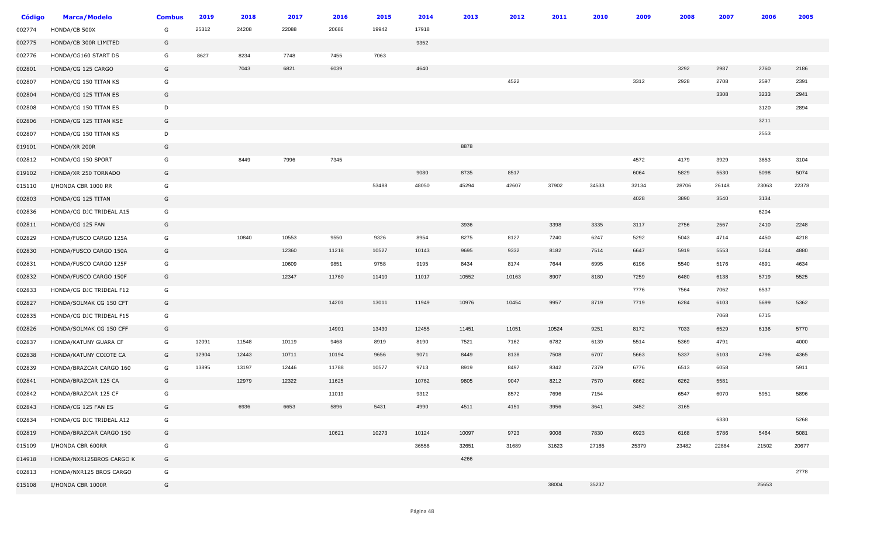| Código | <b>Marca/Modelo</b>      | <b>Combus</b> | 2019  | 2018  | 2017  | 2016  | 2015  | 2014  | 2013  | 2012  | 2011  | 2010  | 2009  | 2008  | 2007  | 2006  | 2005  |
|--------|--------------------------|---------------|-------|-------|-------|-------|-------|-------|-------|-------|-------|-------|-------|-------|-------|-------|-------|
| 002774 | HONDA/CB 500X            | G             | 25312 | 24208 | 22088 | 20686 | 19942 | 17918 |       |       |       |       |       |       |       |       |       |
| 002775 | HONDA/CB 300R LIMITED    | G             |       |       |       |       |       | 9352  |       |       |       |       |       |       |       |       |       |
| 002776 | HONDA/CG160 START DS     | G             | 8627  | 8234  | 7748  | 7455  | 7063  |       |       |       |       |       |       |       |       |       |       |
| 002801 | HONDA/CG 125 CARGO       | G             |       | 7043  | 6821  | 6039  |       | 4640  |       |       |       |       |       | 3292  | 2987  | 2760  | 2186  |
| 002807 | HONDA/CG 150 TITAN KS    | G             |       |       |       |       |       |       |       | 4522  |       |       | 3312  | 2928  | 2708  | 2597  | 2391  |
| 002804 | HONDA/CG 125 TITAN ES    | G             |       |       |       |       |       |       |       |       |       |       |       |       | 3308  | 3233  | 2941  |
| 002808 | HONDA/CG 150 TITAN ES    | D             |       |       |       |       |       |       |       |       |       |       |       |       |       | 3120  | 2894  |
| 002806 | HONDA/CG 125 TITAN KSE   | G             |       |       |       |       |       |       |       |       |       |       |       |       |       | 3211  |       |
| 002807 | HONDA/CG 150 TITAN KS    | D             |       |       |       |       |       |       |       |       |       |       |       |       |       | 2553  |       |
| 019101 | HONDA/XR 200R            | G             |       |       |       |       |       |       | 8878  |       |       |       |       |       |       |       |       |
| 002812 | HONDA/CG 150 SPORT       | G             |       | 8449  | 7996  | 7345  |       |       |       |       |       |       | 4572  | 4179  | 3929  | 3653  | 3104  |
| 019102 | HONDA/XR 250 TORNADO     | G             |       |       |       |       |       | 9080  | 8735  | 8517  |       |       | 6064  | 5829  | 5530  | 5098  | 5074  |
| 015110 | I/HONDA CBR 1000 RR      | G             |       |       |       |       | 53488 | 48050 | 45294 | 42607 | 37902 | 34533 | 32134 | 28706 | 26148 | 23063 | 22378 |
| 002803 | HONDA/CG 125 TITAN       | G             |       |       |       |       |       |       |       |       |       |       | 4028  | 3890  | 3540  | 3134  |       |
| 002836 | HONDA/CG DJC TRIDEAL A15 | G             |       |       |       |       |       |       |       |       |       |       |       |       |       | 6204  |       |
| 002811 | HONDA/CG 125 FAN         | G             |       |       |       |       |       |       | 3936  |       | 3398  | 3335  | 3117  | 2756  | 2567  | 2410  | 2248  |
| 002829 | HONDA/FUSCO CARGO 125A   | G             |       | 10840 | 10553 | 9550  | 9326  | 8954  | 8275  | 8127  | 7240  | 6247  | 5292  | 5043  | 4714  | 4450  | 4218  |
| 002830 | HONDA/FUSCO CARGO 150A   | G             |       |       | 12360 | 11218 | 10527 | 10143 | 9695  | 9332  | 8182  | 7514  | 6647  | 5919  | 5553  | 5244  | 4880  |
| 002831 | HONDA/FUSCO CARGO 125F   | G             |       |       | 10609 | 9851  | 9758  | 9195  | 8434  | 8174  | 7644  | 6995  | 6196  | 5540  | 5176  | 4891  | 4634  |
| 002832 | HONDA/FUSCO CARGO 150F   | G             |       |       | 12347 | 11760 | 11410 | 11017 | 10552 | 10163 | 8907  | 8180  | 7259  | 6480  | 6138  | 5719  | 5525  |
| 002833 | HONDA/CG DJC TRIDEAL F12 | G             |       |       |       |       |       |       |       |       |       |       | 7776  | 7564  | 7062  | 6537  |       |
| 002827 | HONDA/SOLMAK CG 150 CFT  | G             |       |       |       | 14201 | 13011 | 11949 | 10976 | 10454 | 9957  | 8719  | 7719  | 6284  | 6103  | 5699  | 5362  |
| 002835 | HONDA/CG DJC TRIDEAL F15 | G             |       |       |       |       |       |       |       |       |       |       |       |       | 7068  | 6715  |       |
| 002826 | HONDA/SOLMAK CG 150 CFF  | G             |       |       |       | 14901 | 13430 | 12455 | 11451 | 11051 | 10524 | 9251  | 8172  | 7033  | 6529  | 6136  | 5770  |
| 002837 | HONDA/KATUNY GUARA CF    | G             | 12091 | 11548 | 10119 | 9468  | 8919  | 8190  | 7521  | 7162  | 6782  | 6139  | 5514  | 5369  | 4791  |       | 4000  |
| 002838 | HONDA/KATUNY COIOTE CA   | G             | 12904 | 12443 | 10711 | 10194 | 9656  | 9071  | 8449  | 8138  | 7508  | 6707  | 5663  | 5337  | 5103  | 4796  | 4365  |
| 002839 | HONDA/BRAZCAR CARGO 160  | G             | 13895 | 13197 | 12446 | 11788 | 10577 | 9713  | 8919  | 8497  | 8342  | 7379  | 6776  | 6513  | 6058  |       | 5911  |
| 002841 | HONDA/BRAZCAR 125 CA     | G             |       | 12979 | 12322 | 11625 |       | 10762 | 9805  | 9047  | 8212  | 7570  | 6862  | 6262  | 5581  |       |       |
| 002842 | HONDA/BRAZCAR 125 CF     | G             |       |       |       | 11019 |       | 9312  |       | 8572  | 7696  | 7154  |       | 6547  | 6070  | 5951  | 5896  |
| 002843 | HONDA/CG 125 FAN ES      | G             |       | 6936  | 6653  | 5896  | 5431  | 4990  | 4511  | 4151  | 3956  | 3641  | 3452  | 3165  |       |       |       |
| 002834 | HONDA/CG DJC TRIDEAL A12 | G             |       |       |       |       |       |       |       |       |       |       |       |       | 6330  |       | 5268  |
| 002819 | HONDA/BRAZCAR CARGO 150  | G             |       |       |       | 10621 | 10273 | 10124 | 10097 | 9723  | 9008  | 7830  | 6923  | 6168  | 5786  | 5464  | 5081  |
| 015109 | I/HONDA CBR 600RR        | G             |       |       |       |       |       | 36558 | 32651 | 31689 | 31623 | 27185 | 25379 | 23482 | 22884 | 21502 | 20677 |
| 014918 | HONDA/NXR125BROS CARGO K | G             |       |       |       |       |       |       | 4266  |       |       |       |       |       |       |       |       |
| 002813 | HONDA/NXR125 BROS CARGO  | G             |       |       |       |       |       |       |       |       |       |       |       |       |       |       | 2778  |
| 015108 | I/HONDA CBR 1000R        | G             |       |       |       |       |       |       |       |       | 38004 | 35237 |       |       |       | 25653 |       |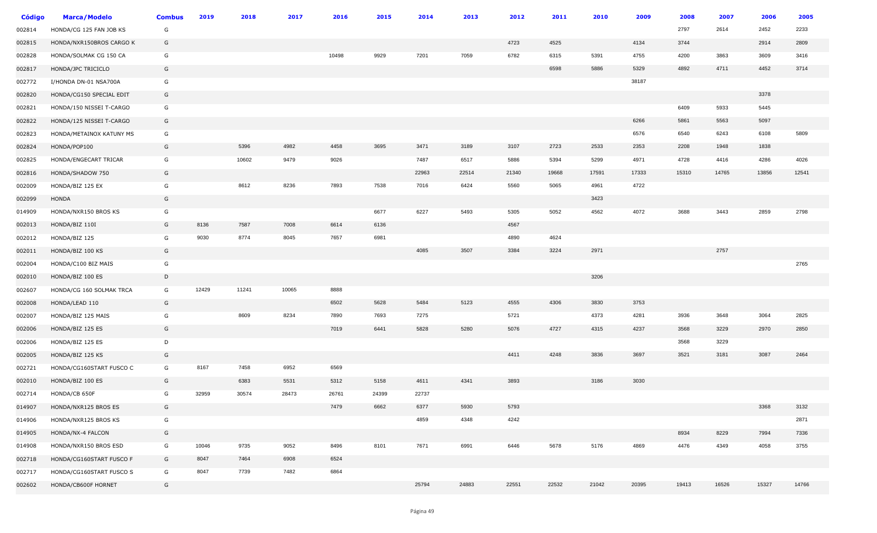| Código | <b>Marca/Modelo</b>      | <b>Combus</b> | 2019  | 2018  | 2017  | 2016  | 2015  | 2014  | 2013  | 2012  | 2011  | 2010  | 2009  | 2008  | 2007  | 2006  | 2005  |
|--------|--------------------------|---------------|-------|-------|-------|-------|-------|-------|-------|-------|-------|-------|-------|-------|-------|-------|-------|
| 002814 | HONDA/CG 125 FAN JOB KS  | G             |       |       |       |       |       |       |       |       |       |       |       | 2797  | 2614  | 2452  | 2233  |
| 002815 | HONDA/NXR150BROS CARGO K | G             |       |       |       |       |       |       |       | 4723  | 4525  |       | 4134  | 3744  |       | 2914  | 2809  |
| 002828 | HONDA/SOLMAK CG 150 CA   | G             |       |       |       | 10498 | 9929  | 7201  | 7059  | 6782  | 6315  | 5391  | 4755  | 4200  | 3863  | 3609  | 3416  |
| 002817 | HONDA/JPC TRICICLO       | G             |       |       |       |       |       |       |       |       | 6598  | 5886  | 5329  | 4892  | 4711  | 4452  | 3714  |
| 002772 | I/HONDA DN-01 NSA700A    | G             |       |       |       |       |       |       |       |       |       |       | 38187 |       |       |       |       |
| 002820 | HONDA/CG150 SPECIAL EDIT | G             |       |       |       |       |       |       |       |       |       |       |       |       |       | 3378  |       |
| 002821 | HONDA/150 NISSEI T-CARGO | G             |       |       |       |       |       |       |       |       |       |       |       | 6409  | 5933  | 5445  |       |
| 002822 | HONDA/125 NISSEI T-CARGO | G             |       |       |       |       |       |       |       |       |       |       | 6266  | 5861  | 5563  | 5097  |       |
| 002823 | HONDA/METAINOX KATUNY MS | G             |       |       |       |       |       |       |       |       |       |       | 6576  | 6540  | 6243  | 6108  | 5809  |
| 002824 | HONDA/POP100             | G             |       | 5396  | 4982  | 4458  | 3695  | 3471  | 3189  | 3107  | 2723  | 2533  | 2353  | 2208  | 1948  | 1838  |       |
| 002825 | HONDA/ENGECART TRICAR    | G             |       | 10602 | 9479  | 9026  |       | 7487  | 6517  | 5886  | 5394  | 5299  | 4971  | 4728  | 4416  | 4286  | 4026  |
| 002816 | HONDA/SHADOW 750         | G             |       |       |       |       |       | 22963 | 22514 | 21340 | 19668 | 17591 | 17333 | 15310 | 14765 | 13856 | 12541 |
| 002009 | HONDA/BIZ 125 EX         | G             |       | 8612  | 8236  | 7893  | 7538  | 7016  | 6424  | 5560  | 5065  | 4961  | 4722  |       |       |       |       |
| 002099 | HONDA                    | G             |       |       |       |       |       |       |       |       |       | 3423  |       |       |       |       |       |
| 014909 | HONDA/NXR150 BROS KS     | G             |       |       |       |       | 6677  | 6227  | 5493  | 5305  | 5052  | 4562  | 4072  | 3688  | 3443  | 2859  | 2798  |
| 002013 | HONDA/BIZ 110I           | G             | 8136  | 7587  | 7008  | 6614  | 6136  |       |       | 4567  |       |       |       |       |       |       |       |
| 002012 | HONDA/BIZ 125            | G             | 9030  | 8774  | 8045  | 7657  | 6981  |       |       | 4890  | 4624  |       |       |       |       |       |       |
| 002011 | HONDA/BIZ 100 KS         | G             |       |       |       |       |       | 4085  | 3507  | 3384  | 3224  | 2971  |       |       | 2757  |       |       |
| 002004 | HONDA/C100 BIZ MAIS      | G             |       |       |       |       |       |       |       |       |       |       |       |       |       |       | 2765  |
| 002010 | HONDA/BIZ 100 ES         | D             |       |       |       |       |       |       |       |       |       | 3206  |       |       |       |       |       |
| 002607 | HONDA/CG 160 SOLMAK TRCA | G             | 12429 | 11241 | 10065 | 8888  |       |       |       |       |       |       |       |       |       |       |       |
| 002008 | HONDA/LEAD 110           | G             |       |       |       | 6502  | 5628  | 5484  | 5123  | 4555  | 4306  | 3830  | 3753  |       |       |       |       |
| 002007 | HONDA/BIZ 125 MAIS       | G             |       | 8609  | 8234  | 7890  | 7693  | 7275  |       | 5721  |       | 4373  | 4281  | 3936  | 3648  | 3064  | 2825  |
| 002006 | HONDA/BIZ 125 ES         | G             |       |       |       | 7019  | 6441  | 5828  | 5280  | 5076  | 4727  | 4315  | 4237  | 3568  | 3229  | 2970  | 2850  |
| 002006 | HONDA/BIZ 125 ES         | D             |       |       |       |       |       |       |       |       |       |       |       | 3568  | 3229  |       |       |
| 002005 | HONDA/BIZ 125 KS         | G             |       |       |       |       |       |       |       | 4411  | 4248  | 3836  | 3697  | 3521  | 3181  | 3087  | 2464  |
| 002721 | HONDA/CG160START FUSCO C | G             | 8167  | 7458  | 6952  | 6569  |       |       |       |       |       |       |       |       |       |       |       |
| 002010 | HONDA/BIZ 100 ES         | G             |       | 6383  | 5531  | 5312  | 5158  | 4611  | 4341  | 3893  |       | 3186  | 3030  |       |       |       |       |
| 002714 | HONDA/CB 650F            | G             | 32959 | 30574 | 28473 | 26761 | 24399 | 22737 |       |       |       |       |       |       |       |       |       |
| 014907 | HONDA/NXR125 BROS ES     | G             |       |       |       | 7479  | 6662  | 6377  | 5930  | 5793  |       |       |       |       |       | 3368  | 3132  |
| 014906 | HONDA/NXR125 BROS KS     | G             |       |       |       |       |       | 4859  | 4348  | 4242  |       |       |       |       |       |       | 2871  |
| 014905 | HONDA/NX-4 FALCON        | G             |       |       |       |       |       |       |       |       |       |       |       | 8934  | 8229  | 7994  | 7336  |
| 014908 | HONDA/NXR150 BROS ESD    | G             | 10046 | 9735  | 9052  | 8496  | 8101  | 7671  | 6991  | 6446  | 5678  | 5176  | 4869  | 4476  | 4349  | 4058  | 3755  |
| 002718 | HONDA/CG160START FUSCO F | G             | 8047  | 7464  | 6908  | 6524  |       |       |       |       |       |       |       |       |       |       |       |
| 002717 | HONDA/CG160START FUSCO S | G             | 8047  | 7739  | 7482  | 6864  |       |       |       |       |       |       |       |       |       |       |       |
| 002602 | HONDA/CB600F HORNET      | G             |       |       |       |       |       | 25794 | 24883 | 22551 | 22532 | 21042 | 20395 | 19413 | 16526 | 15327 | 14766 |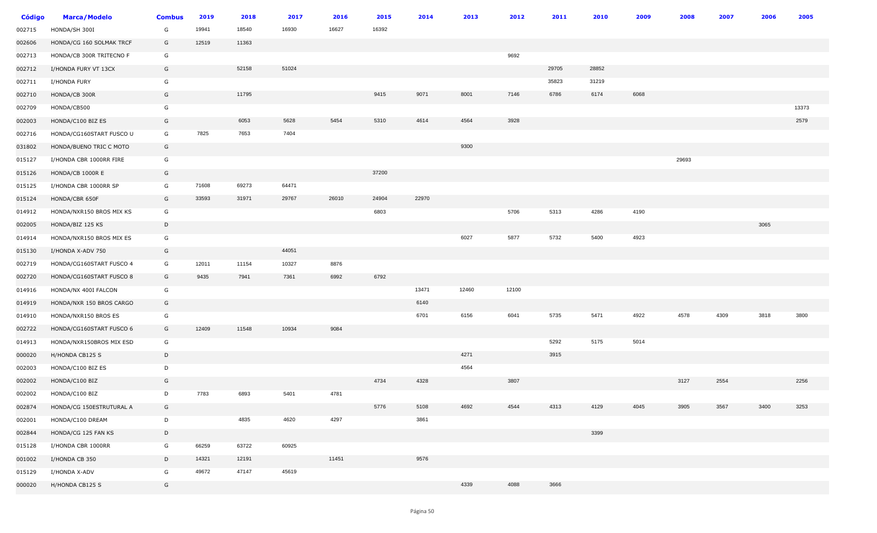| <b>Código</b> | <b>Marca/Modelo</b>      | <b>Combus</b> | 2019  | 2018  | 2017  | 2016  | 2015  | 2014  | 2013  | 2012  | 2011  | 2010  | 2009 | 2008  | 2007 | 2006 | 2005  |
|---------------|--------------------------|---------------|-------|-------|-------|-------|-------|-------|-------|-------|-------|-------|------|-------|------|------|-------|
| 002715        | HONDA/SH 300I            | G             | 19941 | 18540 | 16930 | 16627 | 16392 |       |       |       |       |       |      |       |      |      |       |
| 002606        | HONDA/CG 160 SOLMAK TRCF | G             | 12519 | 11363 |       |       |       |       |       |       |       |       |      |       |      |      |       |
| 002713        | HONDA/CB 300R TRITECNO F | G             |       |       |       |       |       |       |       | 9692  |       |       |      |       |      |      |       |
| 002712        | I/HONDA FURY VT 13CX     | G             |       | 52158 | 51024 |       |       |       |       |       | 29705 | 28852 |      |       |      |      |       |
| 002711        | I/HONDA FURY             | G             |       |       |       |       |       |       |       |       | 35823 | 31219 |      |       |      |      |       |
| 002710        | HONDA/CB 300R            | G             |       | 11795 |       |       | 9415  | 9071  | 8001  | 7146  | 6786  | 6174  | 6068 |       |      |      |       |
| 002709        | HONDA/CB500              | G             |       |       |       |       |       |       |       |       |       |       |      |       |      |      | 13373 |
| 002003        | HONDA/C100 BIZ ES        | G             |       | 6053  | 5628  | 5454  | 5310  | 4614  | 4564  | 3928  |       |       |      |       |      |      | 2579  |
| 002716        | HONDA/CG160START FUSCO U | G             | 7825  | 7653  | 7404  |       |       |       |       |       |       |       |      |       |      |      |       |
| 031802        | HONDA/BUENO TRIC C MOTO  | G             |       |       |       |       |       |       | 9300  |       |       |       |      |       |      |      |       |
| 015127        | I/HONDA CBR 1000RR FIRE  | G             |       |       |       |       |       |       |       |       |       |       |      | 29693 |      |      |       |
| 015126        | HONDA/CB 1000R E         | G             |       |       |       |       | 37200 |       |       |       |       |       |      |       |      |      |       |
| 015125        | I/HONDA CBR 1000RR SP    | G             | 71608 | 69273 | 64471 |       |       |       |       |       |       |       |      |       |      |      |       |
| 015124        | HONDA/CBR 650F           | G             | 33593 | 31971 | 29767 | 26010 | 24904 | 22970 |       |       |       |       |      |       |      |      |       |
| 014912        | HONDA/NXR150 BROS MIX KS | G             |       |       |       |       | 6803  |       |       | 5706  | 5313  | 4286  | 4190 |       |      |      |       |
| 002005        | HONDA/BIZ 125 KS         | D             |       |       |       |       |       |       |       |       |       |       |      |       |      | 3065 |       |
| 014914        | HONDA/NXR150 BROS MIX ES | G             |       |       |       |       |       |       | 6027  | 5877  | 5732  | 5400  | 4923 |       |      |      |       |
| 015130        | I/HONDA X-ADV 750        | G             |       |       | 44051 |       |       |       |       |       |       |       |      |       |      |      |       |
| 002719        | HONDA/CG160START FUSCO 4 | G             | 12011 | 11154 | 10327 | 8876  |       |       |       |       |       |       |      |       |      |      |       |
| 002720        | HONDA/CG160START FUSCO 8 | G             | 9435  | 7941  | 7361  | 6992  | 6792  |       |       |       |       |       |      |       |      |      |       |
| 014916        | HONDA/NX 400I FALCON     | G             |       |       |       |       |       | 13471 | 12460 | 12100 |       |       |      |       |      |      |       |
| 014919        | HONDA/NXR 150 BROS CARGO | G             |       |       |       |       |       | 6140  |       |       |       |       |      |       |      |      |       |
| 014910        | HONDA/NXR150 BROS ES     | G             |       |       |       |       |       | 6701  | 6156  | 6041  | 5735  | 5471  | 4922 | 4578  | 4309 | 3818 | 3800  |
| 002722        | HONDA/CG160START FUSCO 6 | G             | 12409 | 11548 | 10934 | 9084  |       |       |       |       |       |       |      |       |      |      |       |
| 014913        | HONDA/NXR150BROS MIX ESD | G             |       |       |       |       |       |       |       |       | 5292  | 5175  | 5014 |       |      |      |       |
| 000020        | H/HONDA CB125 S          | D             |       |       |       |       |       |       | 4271  |       | 3915  |       |      |       |      |      |       |
| 002003        | HONDA/C100 BIZ ES        | D             |       |       |       |       |       |       | 4564  |       |       |       |      |       |      |      |       |
| 002002        | HONDA/C100 BIZ           | G             |       |       |       |       | 4734  | 4328  |       | 3807  |       |       |      | 3127  | 2554 |      | 2256  |
| 002002        | HONDA/C100 BIZ           | D             | 7783  | 6893  | 5401  | 4781  |       |       |       |       |       |       |      |       |      |      |       |
| 002874        | HONDA/CG 150ESTRUTURAL A | G             |       |       |       |       | 5776  | 5108  | 4692  | 4544  | 4313  | 4129  | 4045 | 3905  | 3567 | 3400 | 3253  |
| 002001        | HONDA/C100 DREAM         | D             |       | 4835  | 4620  | 4297  |       | 3861  |       |       |       |       |      |       |      |      |       |
| 002844        | HONDA/CG 125 FAN KS      | D             |       |       |       |       |       |       |       |       |       | 3399  |      |       |      |      |       |
| 015128        | I/HONDA CBR 1000RR       | G             | 66259 | 63722 | 60925 |       |       |       |       |       |       |       |      |       |      |      |       |
| 001002        | I/HONDA CB 350           | D             | 14321 | 12191 |       | 11451 |       | 9576  |       |       |       |       |      |       |      |      |       |
| 015129        | I/HONDA X-ADV            | G             | 49672 | 47147 | 45619 |       |       |       |       |       |       |       |      |       |      |      |       |
| 000020        | H/HONDA CB125 S          | G             |       |       |       |       |       |       | 4339  | 4088  | 3666  |       |      |       |      |      |       |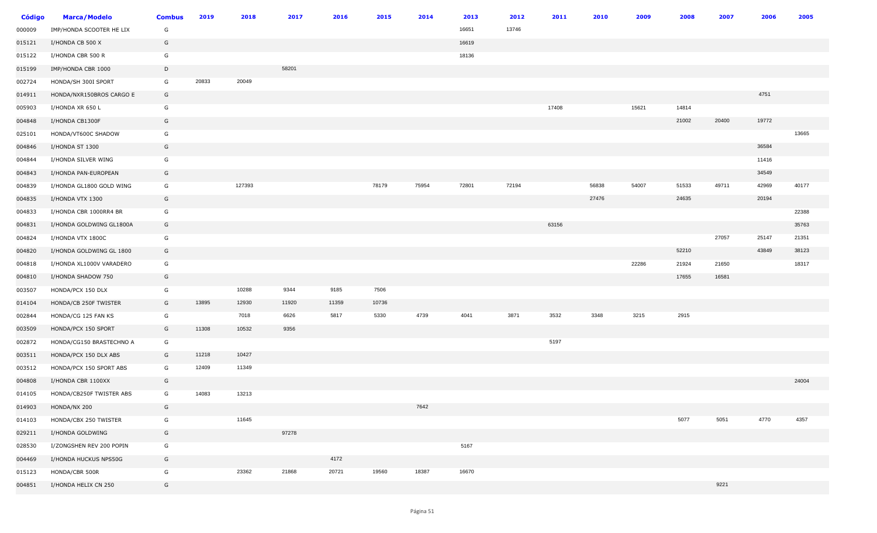| <b>Código</b> | <b>Marca/Modelo</b>      | <b>Combus</b> | 2019  | 2018   | 2017  | 2016  | 2015  | 2014  | 2013  | 2012  | 2011  | 2010  | 2009  | 2008  | 2007  | 2006  | 2005  |
|---------------|--------------------------|---------------|-------|--------|-------|-------|-------|-------|-------|-------|-------|-------|-------|-------|-------|-------|-------|
| 000009        | IMP/HONDA SCOOTER HE LIX | G             |       |        |       |       |       |       | 16651 | 13746 |       |       |       |       |       |       |       |
| 015121        | I/HONDA CB 500 X         | G             |       |        |       |       |       |       | 16619 |       |       |       |       |       |       |       |       |
| 015122        | I/HONDA CBR 500 R        | G             |       |        |       |       |       |       | 18136 |       |       |       |       |       |       |       |       |
| 015199        | IMP/HONDA CBR 1000       | D             |       |        | 58201 |       |       |       |       |       |       |       |       |       |       |       |       |
| 002724        | HONDA/SH 300I SPORT      | G             | 20833 | 20049  |       |       |       |       |       |       |       |       |       |       |       |       |       |
| 014911        | HONDA/NXR150BROS CARGO E | G             |       |        |       |       |       |       |       |       |       |       |       |       |       | 4751  |       |
| 005903        | I/HONDA XR 650 L         | G             |       |        |       |       |       |       |       |       | 17408 |       | 15621 | 14814 |       |       |       |
| 004848        | I/HONDA CB1300F          | G             |       |        |       |       |       |       |       |       |       |       |       | 21002 | 20400 | 19772 |       |
| 025101        | HONDA/VT600C SHADOW      | G             |       |        |       |       |       |       |       |       |       |       |       |       |       |       | 13665 |
| 004846        | I/HONDA ST 1300          | G             |       |        |       |       |       |       |       |       |       |       |       |       |       | 36584 |       |
| 004844        | I/HONDA SILVER WING      | G             |       |        |       |       |       |       |       |       |       |       |       |       |       | 11416 |       |
| 004843        | I/HONDA PAN-EUROPEAN     | G             |       |        |       |       |       |       |       |       |       |       |       |       |       | 34549 |       |
| 004839        | I/HONDA GL1800 GOLD WING | G             |       | 127393 |       |       | 78179 | 75954 | 72801 | 72194 |       | 56838 | 54007 | 51533 | 49711 | 42969 | 40177 |
| 004835        | I/HONDA VTX 1300         | G             |       |        |       |       |       |       |       |       |       | 27476 |       | 24635 |       | 20194 |       |
| 004833        | I/HONDA CBR 1000RR4 BR   | G             |       |        |       |       |       |       |       |       |       |       |       |       |       |       | 22388 |
| 004831        | I/HONDA GOLDWING GL1800A | G             |       |        |       |       |       |       |       |       | 63156 |       |       |       |       |       | 35763 |
| 004824        | I/HONDA VTX 1800C        | G             |       |        |       |       |       |       |       |       |       |       |       |       | 27057 | 25147 | 21351 |
| 004820        | I/HONDA GOLDWING GL 1800 | G             |       |        |       |       |       |       |       |       |       |       |       | 52210 |       | 43849 | 38123 |
| 004818        | I/HONDA XL1000V VARADERO | G             |       |        |       |       |       |       |       |       |       |       | 22286 | 21924 | 21650 |       | 18317 |
| 004810        | I/HONDA SHADOW 750       | G             |       |        |       |       |       |       |       |       |       |       |       | 17655 | 16581 |       |       |
| 003507        | HONDA/PCX 150 DLX        | G             |       | 10288  | 9344  | 9185  | 7506  |       |       |       |       |       |       |       |       |       |       |
| 014104        | HONDA/CB 250F TWISTER    | G             | 13895 | 12930  | 11920 | 11359 | 10736 |       |       |       |       |       |       |       |       |       |       |
| 002844        | HONDA/CG 125 FAN KS      | G             |       | 7018   | 6626  | 5817  | 5330  | 4739  | 4041  | 3871  | 3532  | 3348  | 3215  | 2915  |       |       |       |
| 003509        | HONDA/PCX 150 SPORT      | G             | 11308 | 10532  | 9356  |       |       |       |       |       |       |       |       |       |       |       |       |
| 002872        | HONDA/CG150 BRASTECHNO A | G             |       |        |       |       |       |       |       |       | 5197  |       |       |       |       |       |       |
| 003511        | HONDA/PCX 150 DLX ABS    | G             | 11218 | 10427  |       |       |       |       |       |       |       |       |       |       |       |       |       |
| 003512        | HONDA/PCX 150 SPORT ABS  | G             | 12409 | 11349  |       |       |       |       |       |       |       |       |       |       |       |       |       |
| 004808        | I/HONDA CBR 1100XX       | G             |       |        |       |       |       |       |       |       |       |       |       |       |       |       | 24004 |
| 014105        | HONDA/CB250F TWISTER ABS | G             | 14083 | 13213  |       |       |       |       |       |       |       |       |       |       |       |       |       |
| 014903        | HONDA/NX 200             | G             |       |        |       |       |       | 7642  |       |       |       |       |       |       |       |       |       |
| 014103        | HONDA/CBX 250 TWISTER    | G             |       | 11645  |       |       |       |       |       |       |       |       |       | 5077  | 5051  | 4770  | 4357  |
| 029211        | I/HONDA GOLDWING         | G             |       |        | 97278 |       |       |       |       |       |       |       |       |       |       |       |       |
| 028530        | I/ZONGSHEN REV 200 POPIN | G             |       |        |       |       |       |       | 5167  |       |       |       |       |       |       |       |       |
| 004469        | I/HONDA HUCKUS NPS50G    | G             |       |        |       | 4172  |       |       |       |       |       |       |       |       |       |       |       |
| 015123        | HONDA/CBR 500R           | G             |       | 23362  | 21868 | 20721 | 19560 | 18387 | 16670 |       |       |       |       |       |       |       |       |
| 004851        | I/HONDA HELIX CN 250     | G             |       |        |       |       |       |       |       |       |       |       |       |       | 9221  |       |       |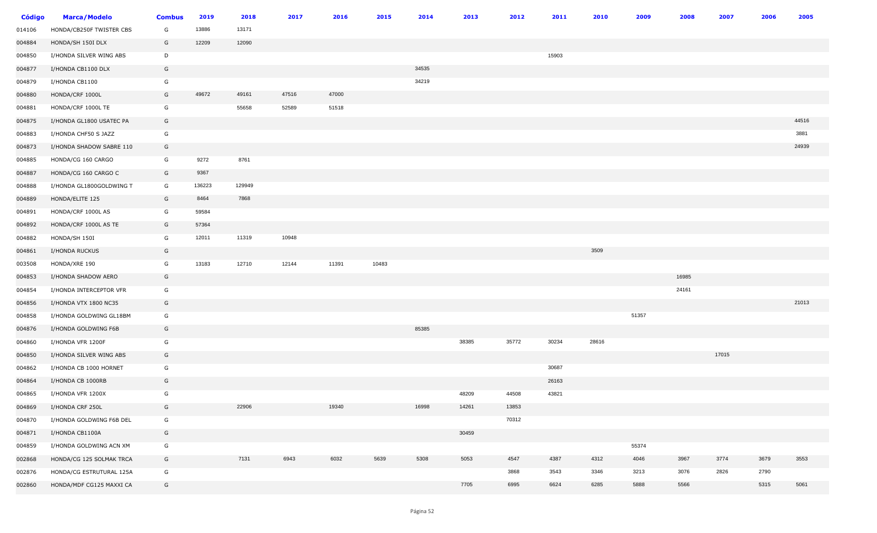| <b>Código</b> | <b>Marca/Modelo</b>      | <b>Combus</b> | 2019   | 2018   | 2017  | 2016  | 2015  | 2014  | 2013  | 2012  | 2011  | 2010  | 2009  | 2008  | 2007  | 2006 | 2005  |
|---------------|--------------------------|---------------|--------|--------|-------|-------|-------|-------|-------|-------|-------|-------|-------|-------|-------|------|-------|
| 014106        | HONDA/CB250F TWISTER CBS | G             | 13886  | 13171  |       |       |       |       |       |       |       |       |       |       |       |      |       |
| 004884        | HONDA/SH 150I DLX        | G             | 12209  | 12090  |       |       |       |       |       |       |       |       |       |       |       |      |       |
| 004850        | I/HONDA SILVER WING ABS  | D             |        |        |       |       |       |       |       |       | 15903 |       |       |       |       |      |       |
| 004877        | I/HONDA CB1100 DLX       | G             |        |        |       |       |       | 34535 |       |       |       |       |       |       |       |      |       |
| 004879        | I/HONDA CB1100           | G             |        |        |       |       |       | 34219 |       |       |       |       |       |       |       |      |       |
| 004880        | HONDA/CRF 1000L          | G             | 49672  | 49161  | 47516 | 47000 |       |       |       |       |       |       |       |       |       |      |       |
| 004881        | HONDA/CRF 1000L TE       | G             |        | 55658  | 52589 | 51518 |       |       |       |       |       |       |       |       |       |      |       |
| 004875        | I/HONDA GL1800 USATEC PA | G             |        |        |       |       |       |       |       |       |       |       |       |       |       |      | 44516 |
| 004883        | I/HONDA CHF50 S JAZZ     | G             |        |        |       |       |       |       |       |       |       |       |       |       |       |      | 3881  |
| 004873        | I/HONDA SHADOW SABRE 110 | G             |        |        |       |       |       |       |       |       |       |       |       |       |       |      | 24939 |
| 004885        | HONDA/CG 160 CARGO       | G             | 9272   | 8761   |       |       |       |       |       |       |       |       |       |       |       |      |       |
| 004887        | HONDA/CG 160 CARGO C     | G             | 9367   |        |       |       |       |       |       |       |       |       |       |       |       |      |       |
| 004888        | I/HONDA GL1800GOLDWING T | G             | 136223 | 129949 |       |       |       |       |       |       |       |       |       |       |       |      |       |
| 004889        | HONDA/ELITE 125          | G             | 8464   | 7868   |       |       |       |       |       |       |       |       |       |       |       |      |       |
| 004891        | HONDA/CRF 1000L AS       | G             | 59584  |        |       |       |       |       |       |       |       |       |       |       |       |      |       |
| 004892        | HONDA/CRF 1000L AS TE    | G             | 57364  |        |       |       |       |       |       |       |       |       |       |       |       |      |       |
| 004882        | HONDA/SH 150I            | G             | 12011  | 11319  | 10948 |       |       |       |       |       |       |       |       |       |       |      |       |
| 004861        | I/HONDA RUCKUS           | G             |        |        |       |       |       |       |       |       |       | 3509  |       |       |       |      |       |
| 003508        | HONDA/XRE 190            | G             | 13183  | 12710  | 12144 | 11391 | 10483 |       |       |       |       |       |       |       |       |      |       |
| 004853        | I/HONDA SHADOW AERO      | G             |        |        |       |       |       |       |       |       |       |       |       | 16985 |       |      |       |
| 004854        | I/HONDA INTERCEPTOR VFR  | G             |        |        |       |       |       |       |       |       |       |       |       | 24161 |       |      |       |
| 004856        | I/HONDA VTX 1800 NC35    | G             |        |        |       |       |       |       |       |       |       |       |       |       |       |      | 21013 |
| 004858        | I/HONDA GOLDWING GL18BM  | G             |        |        |       |       |       |       |       |       |       |       | 51357 |       |       |      |       |
| 004876        | I/HONDA GOLDWING F6B     | G             |        |        |       |       |       | 85385 |       |       |       |       |       |       |       |      |       |
| 004860        | I/HONDA VFR 1200F        | G             |        |        |       |       |       |       | 38385 | 35772 | 30234 | 28616 |       |       |       |      |       |
| 004850        | I/HONDA SILVER WING ABS  | G             |        |        |       |       |       |       |       |       |       |       |       |       | 17015 |      |       |
| 004862        | I/HONDA CB 1000 HORNET   | G             |        |        |       |       |       |       |       |       | 30687 |       |       |       |       |      |       |
| 004864        | I/HONDA CB 1000RB        | G             |        |        |       |       |       |       |       |       | 26163 |       |       |       |       |      |       |
| 004865        | I/HONDA VFR 1200X        | G             |        |        |       |       |       |       | 48209 | 44508 | 43821 |       |       |       |       |      |       |
| 004869        | I/HONDA CRF 250L         | G             |        | 22906  |       | 19340 |       | 16998 | 14261 | 13853 |       |       |       |       |       |      |       |
| 004870        | I/HONDA GOLDWING F6B DEL | G             |        |        |       |       |       |       |       | 70312 |       |       |       |       |       |      |       |
| 004871        | I/HONDA CB1100A          | G             |        |        |       |       |       |       | 30459 |       |       |       |       |       |       |      |       |
| 004859        | I/HONDA GOLDWING ACN XM  | G             |        |        |       |       |       |       |       |       |       |       | 55374 |       |       |      |       |
| 002868        | HONDA/CG 125 SOLMAK TRCA | G             |        | 7131   | 6943  | 6032  | 5639  | 5308  | 5053  | 4547  | 4387  | 4312  | 4046  | 3967  | 3774  | 3679 | 3553  |
| 002876        | HONDA/CG ESTRUTURAL 125A | G             |        |        |       |       |       |       |       | 3868  | 3543  | 3346  | 3213  | 3076  | 2826  | 2790 |       |
| 002860        | HONDA/MDF CG125 MAXXI CA | G             |        |        |       |       |       |       | 7705  | 6995  | 6624  | 6285  | 5888  | 5566  |       | 5315 | 5061  |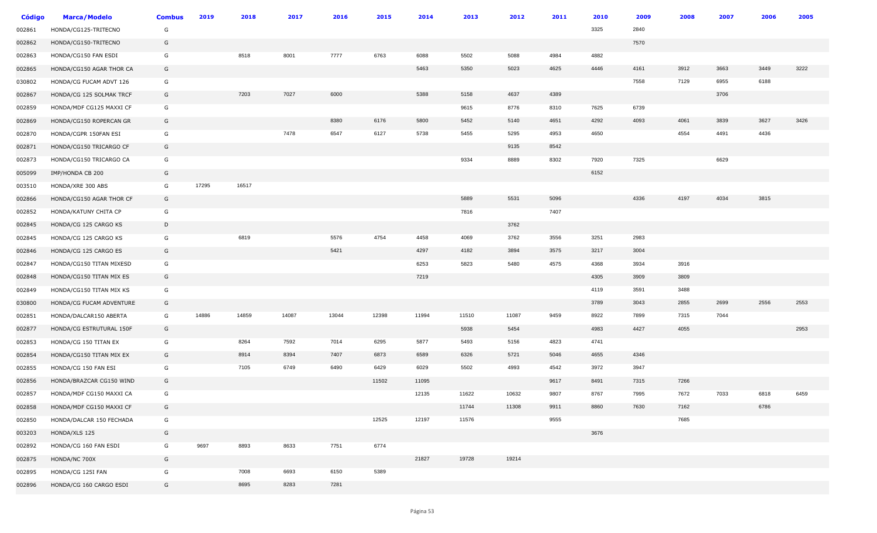| <b>Código</b> | <b>Marca/Modelo</b>      | <b>Combus</b> | 2019  | 2018  | 2017  | 2016  | 2015  | 2014  | 2013  | 2012  | 2011 | 2010 | 2009 | 2008 | 2007 | 2006 | 2005 |
|---------------|--------------------------|---------------|-------|-------|-------|-------|-------|-------|-------|-------|------|------|------|------|------|------|------|
| 002861        | HONDA/CG125-TRITECNO     | G             |       |       |       |       |       |       |       |       |      | 3325 | 2840 |      |      |      |      |
| 002862        | HONDA/CG150-TRITECNO     | G             |       |       |       |       |       |       |       |       |      |      | 7570 |      |      |      |      |
| 002863        | HONDA/CG150 FAN ESDI     | G             |       | 8518  | 8001  | 7777  | 6763  | 6088  | 5502  | 5088  | 4984 | 4882 |      |      |      |      |      |
| 002865        | HONDA/CG150 AGAR THOR CA | G             |       |       |       |       |       | 5463  | 5350  | 5023  | 4625 | 4446 | 4161 | 3912 | 3663 | 3449 | 3222 |
| 030802        | HONDA/CG FUCAM ADVT 126  | G             |       |       |       |       |       |       |       |       |      |      | 7558 | 7129 | 6955 | 6188 |      |
| 002867        | HONDA/CG 125 SOLMAK TRCF | G             |       | 7203  | 7027  | 6000  |       | 5388  | 5158  | 4637  | 4389 |      |      |      | 3706 |      |      |
| 002859        | HONDA/MDF CG125 MAXXI CF | G             |       |       |       |       |       |       | 9615  | 8776  | 8310 | 7625 | 6739 |      |      |      |      |
| 002869        | HONDA/CG150 ROPERCAN GR  | G             |       |       |       | 8380  | 6176  | 5800  | 5452  | 5140  | 4651 | 4292 | 4093 | 4061 | 3839 | 3627 | 3426 |
| 002870        | HONDA/CGPR 150FAN ESI    | G             |       |       | 7478  | 6547  | 6127  | 5738  | 5455  | 5295  | 4953 | 4650 |      | 4554 | 4491 | 4436 |      |
| 002871        | HONDA/CG150 TRICARGO CF  | G             |       |       |       |       |       |       |       | 9135  | 8542 |      |      |      |      |      |      |
| 002873        | HONDA/CG150 TRICARGO CA  | G             |       |       |       |       |       |       | 9334  | 8889  | 8302 | 7920 | 7325 |      | 6629 |      |      |
| 005099        | IMP/HONDA CB 200         | G             |       |       |       |       |       |       |       |       |      | 6152 |      |      |      |      |      |
| 003510        | HONDA/XRE 300 ABS        | G             | 17295 | 16517 |       |       |       |       |       |       |      |      |      |      |      |      |      |
| 002866        | HONDA/CG150 AGAR THOR CF | G             |       |       |       |       |       |       | 5889  | 5531  | 5096 |      | 4336 | 4197 | 4034 | 3815 |      |
| 002852        | HONDA/KATUNY CHITA CP    | G             |       |       |       |       |       |       | 7816  |       | 7407 |      |      |      |      |      |      |
| 002845        | HONDA/CG 125 CARGO KS    | D             |       |       |       |       |       |       |       | 3762  |      |      |      |      |      |      |      |
| 002845        | HONDA/CG 125 CARGO KS    | G             |       | 6819  |       | 5576  | 4754  | 4458  | 4069  | 3762  | 3556 | 3251 | 2983 |      |      |      |      |
| 002846        | HONDA/CG 125 CARGO ES    | G             |       |       |       | 5421  |       | 4297  | 4182  | 3894  | 3575 | 3217 | 3004 |      |      |      |      |
| 002847        | HONDA/CG150 TITAN MIXESD | G             |       |       |       |       |       | 6253  | 5823  | 5480  | 4575 | 4368 | 3934 | 3916 |      |      |      |
| 002848        | HONDA/CG150 TITAN MIX ES | G             |       |       |       |       |       | 7219  |       |       |      | 4305 | 3909 | 3809 |      |      |      |
| 002849        | HONDA/CG150 TITAN MIX KS | G             |       |       |       |       |       |       |       |       |      | 4119 | 3591 | 3488 |      |      |      |
| 030800        | HONDA/CG FUCAM ADVENTURE | G             |       |       |       |       |       |       |       |       |      | 3789 | 3043 | 2855 | 2699 | 2556 | 2553 |
| 002851        | HONDA/DALCAR150 ABERTA   | G             | 14886 | 14859 | 14087 | 13044 | 12398 | 11994 | 11510 | 11087 | 9459 | 8922 | 7899 | 7315 | 7044 |      |      |
| 002877        | HONDA/CG ESTRUTURAL 150F | G             |       |       |       |       |       |       | 5938  | 5454  |      | 4983 | 4427 | 4055 |      |      | 2953 |
| 002853        | HONDA/CG 150 TITAN EX    | G             |       | 8264  | 7592  | 7014  | 6295  | 5877  | 5493  | 5156  | 4823 | 4741 |      |      |      |      |      |
| 002854        | HONDA/CG150 TITAN MIX EX | G             |       | 8914  | 8394  | 7407  | 6873  | 6589  | 6326  | 5721  | 5046 | 4655 | 4346 |      |      |      |      |
| 002855        | HONDA/CG 150 FAN ESI     | G             |       | 7105  | 6749  | 6490  | 6429  | 6029  | 5502  | 4993  | 4542 | 3972 | 3947 |      |      |      |      |
| 002856        | HONDA/BRAZCAR CG150 WIND | G             |       |       |       |       | 11502 | 11095 |       |       | 9617 | 8491 | 7315 | 7266 |      |      |      |
| 002857        | HONDA/MDF CG150 MAXXI CA | G             |       |       |       |       |       | 12135 | 11622 | 10632 | 9807 | 8767 | 7995 | 7672 | 7033 | 6818 | 6459 |
| 002858        | HONDA/MDF CG150 MAXXI CF | G             |       |       |       |       |       |       | 11744 | 11308 | 9911 | 8860 | 7630 | 7162 |      | 6786 |      |
| 002850        | HONDA/DALCAR 150 FECHADA | G             |       |       |       |       | 12525 | 12197 | 11576 |       | 9555 |      |      | 7685 |      |      |      |
| 003203        | HONDA/XLS 125            | G             |       |       |       |       |       |       |       |       |      | 3676 |      |      |      |      |      |
| 002892        | HONDA/CG 160 FAN ESDI    | G             | 9697  | 8893  | 8633  | 7751  | 6774  |       |       |       |      |      |      |      |      |      |      |
| 002875        | HONDA/NC 700X            | G             |       |       |       |       |       | 21827 | 19728 | 19214 |      |      |      |      |      |      |      |
| 002895        | HONDA/CG 125I FAN        | G             |       | 7008  | 6693  | 6150  | 5389  |       |       |       |      |      |      |      |      |      |      |
| 002896        | HONDA/CG 160 CARGO ESDI  | G             |       | 8695  | 8283  | 7281  |       |       |       |       |      |      |      |      |      |      |      |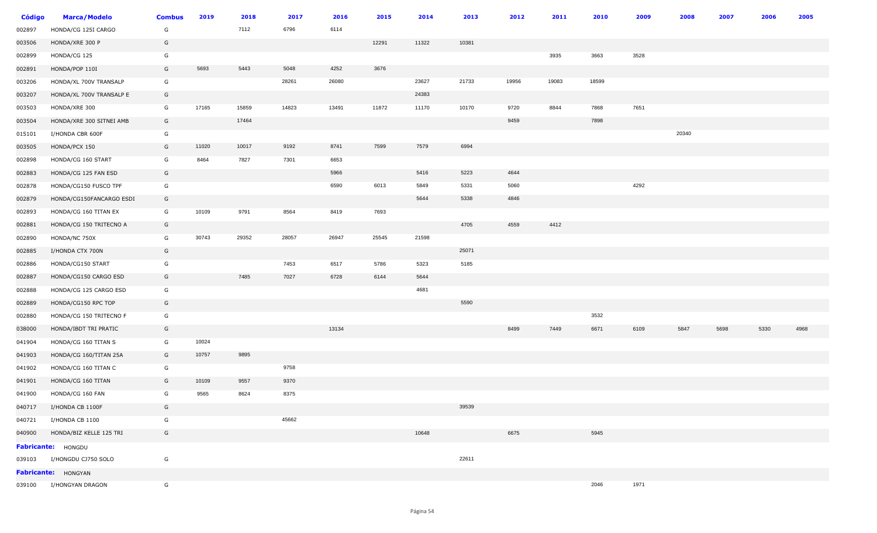| <b>Código</b> | <b>Marca/Modelo</b>      | <b>Combus</b> | 2019  | 2018  | 2017  | 2016  | 2015  | 2014  | 2013  | 2012  | 2011  | 2010  | 2009 | 2008  | 2007 | 2006 | 2005 |
|---------------|--------------------------|---------------|-------|-------|-------|-------|-------|-------|-------|-------|-------|-------|------|-------|------|------|------|
| 002897        | HONDA/CG 125I CARGO      | G             |       | 7112  | 6796  | 6114  |       |       |       |       |       |       |      |       |      |      |      |
| 003506        | HONDA/XRE 300 P          | G             |       |       |       |       | 12291 | 11322 | 10381 |       |       |       |      |       |      |      |      |
| 002899        | HONDA/CG 125             | G             |       |       |       |       |       |       |       |       | 3935  | 3663  | 3528 |       |      |      |      |
| 002891        | HONDA/POP 110I           | G             | 5693  | 5443  | 5048  | 4252  | 3676  |       |       |       |       |       |      |       |      |      |      |
| 003206        | HONDA/XL 700V TRANSALP   | G             |       |       | 28261 | 26080 |       | 23627 | 21733 | 19956 | 19083 | 18599 |      |       |      |      |      |
| 003207        | HONDA/XL 700V TRANSALP E | G             |       |       |       |       |       | 24383 |       |       |       |       |      |       |      |      |      |
| 003503        | HONDA/XRE 300            | G             | 17165 | 15859 | 14823 | 13491 | 11872 | 11170 | 10170 | 9720  | 8844  | 7868  | 7651 |       |      |      |      |
| 003504        | HONDA/XRE 300 SITNEI AMB | G             |       | 17464 |       |       |       |       |       | 9459  |       | 7898  |      |       |      |      |      |
| 015101        | I/HONDA CBR 600F         | G             |       |       |       |       |       |       |       |       |       |       |      | 20340 |      |      |      |
| 003505        | HONDA/PCX 150            | G             | 11020 | 10017 | 9192  | 8741  | 7599  | 7579  | 6994  |       |       |       |      |       |      |      |      |
| 002898        | HONDA/CG 160 START       | G             | 8464  | 7827  | 7301  | 6653  |       |       |       |       |       |       |      |       |      |      |      |
| 002883        | HONDA/CG 125 FAN ESD     | G             |       |       |       | 5966  |       | 5416  | 5223  | 4644  |       |       |      |       |      |      |      |
| 002878        | HONDA/CG150 FUSCO TPF    | G             |       |       |       | 6590  | 6013  | 5849  | 5331  | 5060  |       |       | 4292 |       |      |      |      |
| 002879        | HONDA/CG150FANCARGO ESDI | G             |       |       |       |       |       | 5644  | 5338  | 4846  |       |       |      |       |      |      |      |
| 002893        | HONDA/CG 160 TITAN EX    | G             | 10109 | 9791  | 8564  | 8419  | 7693  |       |       |       |       |       |      |       |      |      |      |
| 002881        | HONDA/CG 150 TRITECNO A  | G             |       |       |       |       |       |       | 4705  | 4559  | 4412  |       |      |       |      |      |      |
| 002890        | HONDA/NC 750X            | G             | 30743 | 29352 | 28057 | 26947 | 25545 | 21598 |       |       |       |       |      |       |      |      |      |
| 002885        | I/HONDA CTX 700N         | G             |       |       |       |       |       |       | 25071 |       |       |       |      |       |      |      |      |
| 002886        | HONDA/CG150 START        | G             |       |       | 7453  | 6517  | 5786  | 5323  | 5185  |       |       |       |      |       |      |      |      |
| 002887        | HONDA/CG150 CARGO ESD    | G             |       | 7485  | 7027  | 6728  | 6144  | 5644  |       |       |       |       |      |       |      |      |      |
| 002888        | HONDA/CG 125 CARGO ESD   | G             |       |       |       |       |       | 4681  |       |       |       |       |      |       |      |      |      |
| 002889        | HONDA/CG150 RPC TOP      | G             |       |       |       |       |       |       | 5590  |       |       |       |      |       |      |      |      |
| 002880        | HONDA/CG 150 TRITECNO F  | G             |       |       |       |       |       |       |       |       |       | 3532  |      |       |      |      |      |
| 038000        | HONDA/IBDT TRI PRATIC    | G             |       |       |       | 13134 |       |       |       | 8499  | 7449  | 6671  | 6109 | 5847  | 5698 | 5330 | 4968 |
| 041904        | HONDA/CG 160 TITAN S     | G             | 10024 |       |       |       |       |       |       |       |       |       |      |       |      |      |      |
| 041903        | HONDA/CG 160/TITAN 25A   | G             | 10757 | 9895  |       |       |       |       |       |       |       |       |      |       |      |      |      |
| 041902        | HONDA/CG 160 TITAN C     | G             |       |       | 9758  |       |       |       |       |       |       |       |      |       |      |      |      |
| 041901        | HONDA/CG 160 TITAN       | G             | 10109 | 9557  | 9370  |       |       |       |       |       |       |       |      |       |      |      |      |
| 041900        | HONDA/CG 160 FAN         | G             | 9565  | 8624  | 8375  |       |       |       |       |       |       |       |      |       |      |      |      |
| 040717        | I/HONDA CB 1100F         | G             |       |       |       |       |       |       | 39539 |       |       |       |      |       |      |      |      |
| 040721        | I/HONDA CB 1100          | G             |       |       | 45662 |       |       |       |       |       |       |       |      |       |      |      |      |
| 040900        | HONDA/BIZ KELLE 125 TRI  | G             |       |       |       |       |       | 10648 |       | 6675  |       | 5945  |      |       |      |      |      |
|               | Fabricante: HONGDU       |               |       |       |       |       |       |       |       |       |       |       |      |       |      |      |      |
| 039103        | I/HONGDU CJ750 SOLO      | G             |       |       |       |       |       |       | 22611 |       |       |       |      |       |      |      |      |
|               | Fabricante: HONGYAN      |               |       |       |       |       |       |       |       |       |       |       |      |       |      |      |      |
|               | 039100 I/HONGYAN DRAGON  | G             |       |       |       |       |       |       |       |       |       | 2046  | 1971 |       |      |      |      |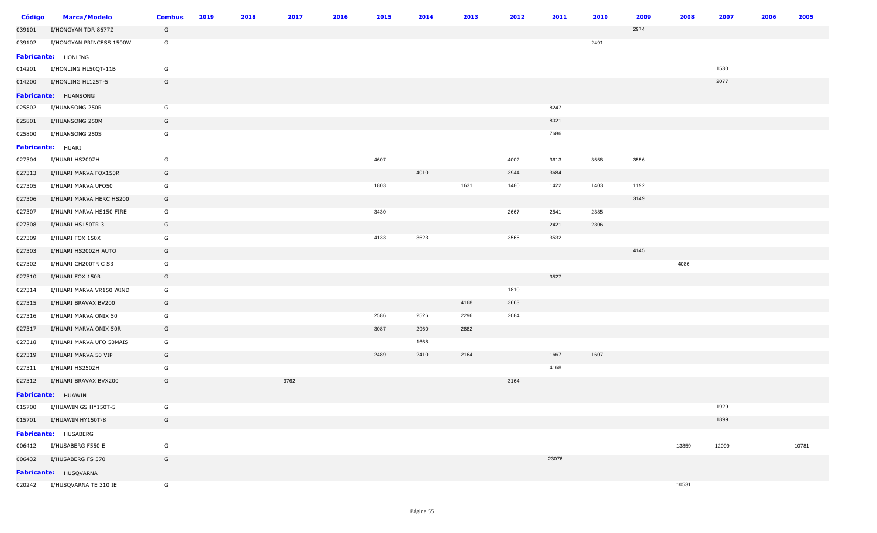| <b>Código</b> | <b>Marca/Modelo</b>          | <b>Combus</b> | 2019 | 2018 | 2017 | 2016 | 2015 | 2014 | 2013 | 2012 | 2011  | 2010 | 2009 | 2008  | 2007  | 2006 | 2005  |
|---------------|------------------------------|---------------|------|------|------|------|------|------|------|------|-------|------|------|-------|-------|------|-------|
| 039101        | I/HONGYAN TDR 8677Z          | G             |      |      |      |      |      |      |      |      |       |      | 2974 |       |       |      |       |
| 039102        | I/HONGYAN PRINCESS 1500W     | G             |      |      |      |      |      |      |      |      |       | 2491 |      |       |       |      |       |
|               | <b>Fabricante: HONLING</b>   |               |      |      |      |      |      |      |      |      |       |      |      |       |       |      |       |
| 014201        | I/HONLING HL50QT-11B         | G             |      |      |      |      |      |      |      |      |       |      |      |       | 1530  |      |       |
| 014200        | I/HONLING HL125T-5           | G             |      |      |      |      |      |      |      |      |       |      |      |       | 2077  |      |       |
|               | Fabricante: HUANSONG         |               |      |      |      |      |      |      |      |      |       |      |      |       |       |      |       |
| 025802        | I/HUANSONG 250R              | G             |      |      |      |      |      |      |      |      | 8247  |      |      |       |       |      |       |
| 025801        | I/HUANSONG 250M              | G             |      |      |      |      |      |      |      |      | 8021  |      |      |       |       |      |       |
| 025800        | I/HUANSONG 250S              | G             |      |      |      |      |      |      |      |      | 7686  |      |      |       |       |      |       |
|               | <b>Fabricante: HUARI</b>     |               |      |      |      |      |      |      |      |      |       |      |      |       |       |      |       |
| 027304        | I/HUARI HS200ZH              | G             |      |      |      |      | 4607 |      |      | 4002 | 3613  | 3558 | 3556 |       |       |      |       |
| 027313        | I/HUARI MARVA FOX150R        | G             |      |      |      |      |      | 4010 |      | 3944 | 3684  |      |      |       |       |      |       |
| 027305        | I/HUARI MARVA UFO50          | G             |      |      |      |      | 1803 |      | 1631 | 1480 | 1422  | 1403 | 1192 |       |       |      |       |
| 027306        | I/HUARI MARVA HERC HS200     | G             |      |      |      |      |      |      |      |      |       |      | 3149 |       |       |      |       |
| 027307        | I/HUARI MARVA HS150 FIRE     | G             |      |      |      |      | 3430 |      |      | 2667 | 2541  | 2385 |      |       |       |      |       |
| 027308        | I/HUARI HS150TR 3            | G             |      |      |      |      |      |      |      |      | 2421  | 2306 |      |       |       |      |       |
| 027309        | I/HUARI FOX 150X             | G             |      |      |      |      | 4133 | 3623 |      | 3565 | 3532  |      |      |       |       |      |       |
| 027303        | I/HUARI HS200ZH AUTO         | G             |      |      |      |      |      |      |      |      |       |      | 4145 |       |       |      |       |
| 027302        | I/HUARI CH200TR C S3         | G             |      |      |      |      |      |      |      |      |       |      |      | 4086  |       |      |       |
| 027310        | I/HUARI FOX 150R             | G             |      |      |      |      |      |      |      |      | 3527  |      |      |       |       |      |       |
| 027314        | I/HUARI MARVA VR150 WIND     | G             |      |      |      |      |      |      |      | 1810 |       |      |      |       |       |      |       |
| 027315        | I/HUARI BRAVAX BV200         | G             |      |      |      |      |      |      | 4168 | 3663 |       |      |      |       |       |      |       |
| 027316        | I/HUARI MARVA ONIX 50        | G             |      |      |      |      | 2586 | 2526 | 2296 | 2084 |       |      |      |       |       |      |       |
| 027317        | I/HUARI MARVA ONIX 50R       | G             |      |      |      |      | 3087 | 2960 | 2882 |      |       |      |      |       |       |      |       |
| 027318        | I/HUARI MARVA UFO 50MAIS     | G             |      |      |      |      |      | 1668 |      |      |       |      |      |       |       |      |       |
| 027319        | I/HUARI MARVA 50 VIP         | G             |      |      |      |      | 2489 | 2410 | 2164 |      | 1667  | 1607 |      |       |       |      |       |
| 027311        | I/HUARI HS250ZH              | G             |      |      |      |      |      |      |      |      | 4168  |      |      |       |       |      |       |
| 027312        | I/HUARI BRAVAX BVX200        | G             |      |      | 3762 |      |      |      |      | 3164 |       |      |      |       |       |      |       |
|               | Fabricante: HUAWIN           |               |      |      |      |      |      |      |      |      |       |      |      |       |       |      |       |
| 015700        | I/HUAWIN GS HY150T-5         | G             |      |      |      |      |      |      |      |      |       |      |      |       | 1929  |      |       |
| 015701        | I/HUAWIN HY150T-8            | G             |      |      |      |      |      |      |      |      |       |      |      |       | 1899  |      |       |
|               | Fabricante: HUSABERG         |               |      |      |      |      |      |      |      |      |       |      |      |       |       |      |       |
| 006412        | I/HUSABERG F550 E            | G             |      |      |      |      |      |      |      |      |       |      |      | 13859 | 12099 |      | 10781 |
| 006432        | I/HUSABERG FS 570            | G             |      |      |      |      |      |      |      |      | 23076 |      |      |       |       |      |       |
|               | Fabricante: HUSQVARNA        |               |      |      |      |      |      |      |      |      |       |      |      |       |       |      |       |
|               | 020242 I/HUSQVARNA TE 310 IE | G             |      |      |      |      |      |      |      |      |       |      |      | 10531 |       |      |       |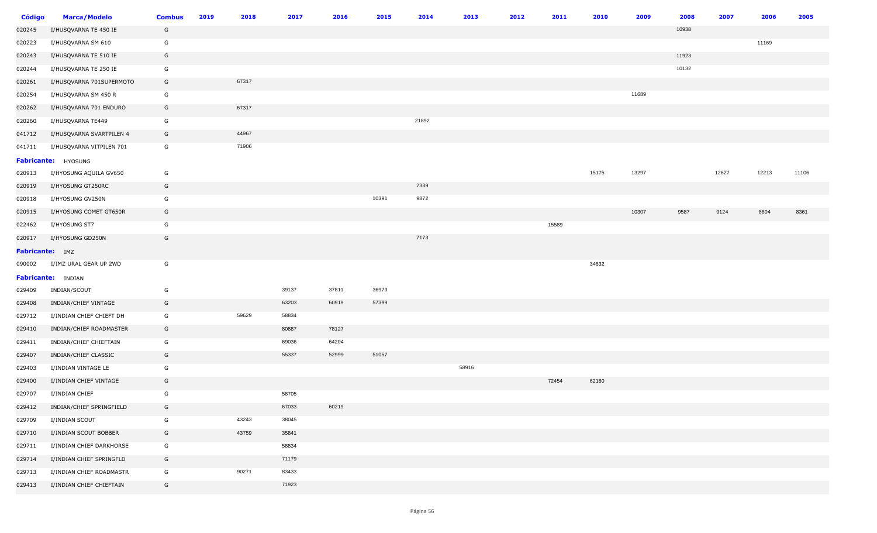| <b>Código</b>   | <b>Marca/Modelo</b>       | <b>Combus</b> | 2019 | 2018  | 2017  | 2016  | 2015  | 2014  | 2013  | 2012 | 2011  | 2010  | 2009  | 2008  | 2007  | 2006  | 2005  |
|-----------------|---------------------------|---------------|------|-------|-------|-------|-------|-------|-------|------|-------|-------|-------|-------|-------|-------|-------|
| 020245          | I/HUSQVARNA TE 450 IE     | G             |      |       |       |       |       |       |       |      |       |       |       | 10938 |       |       |       |
| 020223          | I/HUSQVARNA SM 610        | G             |      |       |       |       |       |       |       |      |       |       |       |       |       | 11169 |       |
| 020243          | I/HUSQVARNA TE 510 IE     | G             |      |       |       |       |       |       |       |      |       |       |       | 11923 |       |       |       |
| 020244          | I/HUSQVARNA TE 250 IE     | G             |      |       |       |       |       |       |       |      |       |       |       | 10132 |       |       |       |
| 020261          | I/HUSQVARNA 701SUPERMOTO  | G             |      | 67317 |       |       |       |       |       |      |       |       |       |       |       |       |       |
| 020254          | I/HUSQVARNA SM 450 R      | G             |      |       |       |       |       |       |       |      |       |       | 11689 |       |       |       |       |
| 020262          | I/HUSQVARNA 701 ENDURO    | G             |      | 67317 |       |       |       |       |       |      |       |       |       |       |       |       |       |
| 020260          | I/HUSQVARNA TE449         | G             |      |       |       |       |       | 21892 |       |      |       |       |       |       |       |       |       |
| 041712          | I/HUSQVARNA SVARTPILEN 4  | G             |      | 44967 |       |       |       |       |       |      |       |       |       |       |       |       |       |
| 041711          | I/HUSQVARNA VITPILEN 701  | G             |      | 71906 |       |       |       |       |       |      |       |       |       |       |       |       |       |
|                 | Fabricante: HYOSUNG       |               |      |       |       |       |       |       |       |      |       |       |       |       |       |       |       |
| 020913          | I/HYOSUNG AQUILA GV650    | G             |      |       |       |       |       |       |       |      |       | 15175 | 13297 |       | 12627 | 12213 | 11106 |
| 020919          | I/HYOSUNG GT250RC         | G             |      |       |       |       |       | 7339  |       |      |       |       |       |       |       |       |       |
| 020918          | I/HYOSUNG GV250N          | G             |      |       |       |       | 10391 | 9872  |       |      |       |       |       |       |       |       |       |
| 020915          | I/HYOSUNG COMET GT650R    | G             |      |       |       |       |       |       |       |      |       |       | 10307 | 9587  | 9124  | 8804  | 8361  |
| 022462          | I/HYOSUNG ST7             | G             |      |       |       |       |       |       |       |      | 15589 |       |       |       |       |       |       |
| 020917          | I/HYOSUNG GD250N          | G             |      |       |       |       |       | 7173  |       |      |       |       |       |       |       |       |       |
| Fabricante: IMZ |                           |               |      |       |       |       |       |       |       |      |       |       |       |       |       |       |       |
| 090002          | I/IMZ URAL GEAR UP 2WD    | G             |      |       |       |       |       |       |       |      |       | 34632 |       |       |       |       |       |
|                 | <b>Fabricante:</b> INDIAN |               |      |       |       |       |       |       |       |      |       |       |       |       |       |       |       |
| 029409          | INDIAN/SCOUT              | G             |      |       | 39137 | 37811 | 36973 |       |       |      |       |       |       |       |       |       |       |
| 029408          | INDIAN/CHIEF VINTAGE      | G             |      |       | 63203 | 60919 | 57399 |       |       |      |       |       |       |       |       |       |       |
| 029712          | I/INDIAN CHIEF CHIEFT DH  | G             |      | 59629 | 58834 |       |       |       |       |      |       |       |       |       |       |       |       |
| 029410          | INDIAN/CHIEF ROADMASTER   | G             |      |       | 80887 | 78127 |       |       |       |      |       |       |       |       |       |       |       |
| 029411          | INDIAN/CHIEF CHIEFTAIN    | G             |      |       | 69036 | 64204 |       |       |       |      |       |       |       |       |       |       |       |
| 029407          | INDIAN/CHIEF CLASSIC      | G             |      |       | 55337 | 52999 | 51057 |       |       |      |       |       |       |       |       |       |       |
| 029403          | I/INDIAN VINTAGE LE       | G             |      |       |       |       |       |       | 58916 |      |       |       |       |       |       |       |       |
| 029400          | I/INDIAN CHIEF VINTAGE    | G             |      |       |       |       |       |       |       |      | 72454 | 62180 |       |       |       |       |       |
| 029707          | I/INDIAN CHIEF            | G             |      |       | 58705 |       |       |       |       |      |       |       |       |       |       |       |       |
| 029412          | INDIAN/CHIEF SPRINGFIELD  | G             |      |       | 67033 | 60219 |       |       |       |      |       |       |       |       |       |       |       |
| 029709          | I/INDIAN SCOUT            | G             |      | 43243 | 38045 |       |       |       |       |      |       |       |       |       |       |       |       |
| 029710          | I/INDIAN SCOUT BOBBER     | G             |      | 43759 | 35841 |       |       |       |       |      |       |       |       |       |       |       |       |
| 029711          | I/INDIAN CHIEF DARKHORSE  | G             |      |       | 58834 |       |       |       |       |      |       |       |       |       |       |       |       |
| 029714          | I/INDIAN CHIEF SPRINGFLD  | G             |      |       | 71179 |       |       |       |       |      |       |       |       |       |       |       |       |
| 029713          | I/INDIAN CHIEF ROADMASTR  | G             |      | 90271 | 83433 |       |       |       |       |      |       |       |       |       |       |       |       |
| 029413          | I/INDIAN CHIEF CHIEFTAIN  | G             |      |       | 71923 |       |       |       |       |      |       |       |       |       |       |       |       |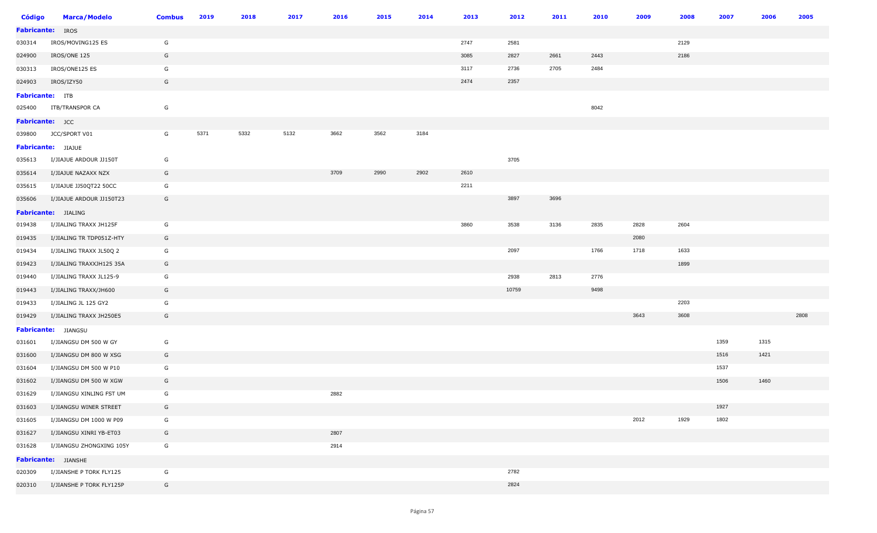| <b>Código</b>           | <b>Marca/Modelo</b>      | <b>Combus</b> | 2019 | 2018 | 2017 | 2016 | 2015 | 2014 | 2013 | 2012  | 2011 | 2010 | 2009 | 2008 | 2007 | 2006 | 2005 |
|-------------------------|--------------------------|---------------|------|------|------|------|------|------|------|-------|------|------|------|------|------|------|------|
| <b>Fabricante:</b> IROS |                          |               |      |      |      |      |      |      |      |       |      |      |      |      |      |      |      |
| 030314                  | IROS/MOVING125 ES        | G             |      |      |      |      |      |      | 2747 | 2581  |      |      |      | 2129 |      |      |      |
| 024900                  | IROS/ONE 125             | G             |      |      |      |      |      |      | 3085 | 2827  | 2661 | 2443 |      | 2186 |      |      |      |
| 030313                  | IROS/ONE125 ES           | G             |      |      |      |      |      |      | 3117 | 2736  | 2705 | 2484 |      |      |      |      |      |
| 024903                  | IROS/IZY50               | G             |      |      |      |      |      |      | 2474 | 2357  |      |      |      |      |      |      |      |
| <b>Fabricante:</b> ITB  |                          |               |      |      |      |      |      |      |      |       |      |      |      |      |      |      |      |
| 025400                  | ITB/TRANSPOR CA          | G             |      |      |      |      |      |      |      |       |      | 8042 |      |      |      |      |      |
| Fabricante: JCC         |                          |               |      |      |      |      |      |      |      |       |      |      |      |      |      |      |      |
| 039800                  | JCC/SPORT V01            | G             | 5371 | 5332 | 5132 | 3662 | 3562 | 3184 |      |       |      |      |      |      |      |      |      |
|                         | Fabricante: JIAJUE       |               |      |      |      |      |      |      |      |       |      |      |      |      |      |      |      |
| 035613                  | I/JIAJUE ARDOUR JJ150T   | G             |      |      |      |      |      |      |      | 3705  |      |      |      |      |      |      |      |
| 035614                  | I/JIAJUE NAZAXX NZX      | G             |      |      |      | 3709 | 2990 | 2902 | 2610 |       |      |      |      |      |      |      |      |
| 035615                  | I/JIAJUE JJ50QT22 50CC   | G             |      |      |      |      |      |      | 2211 |       |      |      |      |      |      |      |      |
| 035606                  | I/JIAJUE ARDOUR JJ150T23 | G             |      |      |      |      |      |      |      | 3897  | 3696 |      |      |      |      |      |      |
|                         | Fabricante: JIALING      |               |      |      |      |      |      |      |      |       |      |      |      |      |      |      |      |
| 019438                  | I/JIALING TRAXX JH125F   | G             |      |      |      |      |      |      | 3860 | 3538  | 3136 | 2835 | 2828 | 2604 |      |      |      |
| 019435                  | I/JIALING TR TDP051Z-HTY | G             |      |      |      |      |      |      |      |       |      |      | 2080 |      |      |      |      |
| 019434                  | I/JIALING TRAXX JL50Q 2  | G             |      |      |      |      |      |      |      | 2097  |      | 1766 | 1718 | 1633 |      |      |      |
| 019423                  | I/JIALING TRAXXJH125 35A | G             |      |      |      |      |      |      |      |       |      |      |      | 1899 |      |      |      |
| 019440                  | I/JIALING TRAXX JL125-9  | G             |      |      |      |      |      |      |      | 2938  | 2813 | 2776 |      |      |      |      |      |
| 019443                  | I/JIALING TRAXX/JH600    | G             |      |      |      |      |      |      |      | 10759 |      | 9498 |      |      |      |      |      |
| 019433                  | I/JIALING JL 125 GY2     | G             |      |      |      |      |      |      |      |       |      |      |      | 2203 |      |      |      |
| 019429                  | I/JIALING TRAXX JH250E5  | G             |      |      |      |      |      |      |      |       |      |      | 3643 | 3608 |      |      | 2808 |
|                         | Fabricante: JIANGSU      |               |      |      |      |      |      |      |      |       |      |      |      |      |      |      |      |
| 031601                  | I/JIANGSU DM 500 W GY    | G             |      |      |      |      |      |      |      |       |      |      |      |      | 1359 | 1315 |      |
| 031600                  | I/JIANGSU DM 800 W XSG   | G             |      |      |      |      |      |      |      |       |      |      |      |      | 1516 | 1421 |      |
| 031604                  | I/JIANGSU DM 500 W P10   | G             |      |      |      |      |      |      |      |       |      |      |      |      | 1537 |      |      |
| 031602                  | I/JIANGSU DM 500 W XGW   | G             |      |      |      |      |      |      |      |       |      |      |      |      | 1506 | 1460 |      |
| 031629                  | I/JIANGSU XINLING FST UM | G             |      |      |      | 2882 |      |      |      |       |      |      |      |      |      |      |      |
| 031603                  | I/JIANGSU WINER STREET   | G             |      |      |      |      |      |      |      |       |      |      |      |      | 1927 |      |      |
| 031605                  | I/JIANGSU DM 1000 W P09  | G             |      |      |      |      |      |      |      |       |      |      | 2012 | 1929 | 1802 |      |      |
| 031627                  | I/JIANGSU XINRI YB-ET03  | G             |      |      |      | 2807 |      |      |      |       |      |      |      |      |      |      |      |
| 031628                  | I/JIANGSU ZHONGXING 105Y | G             |      |      |      | 2914 |      |      |      |       |      |      |      |      |      |      |      |
|                         | Fabricante: JIANSHE      |               |      |      |      |      |      |      |      |       |      |      |      |      |      |      |      |
| 020309                  | I/JIANSHE P TORK FLY125  | G             |      |      |      |      |      |      |      | 2782  |      |      |      |      |      |      |      |
| 020310                  | I/JIANSHE P TORK FLY125P | G             |      |      |      |      |      |      |      | 2824  |      |      |      |      |      |      |      |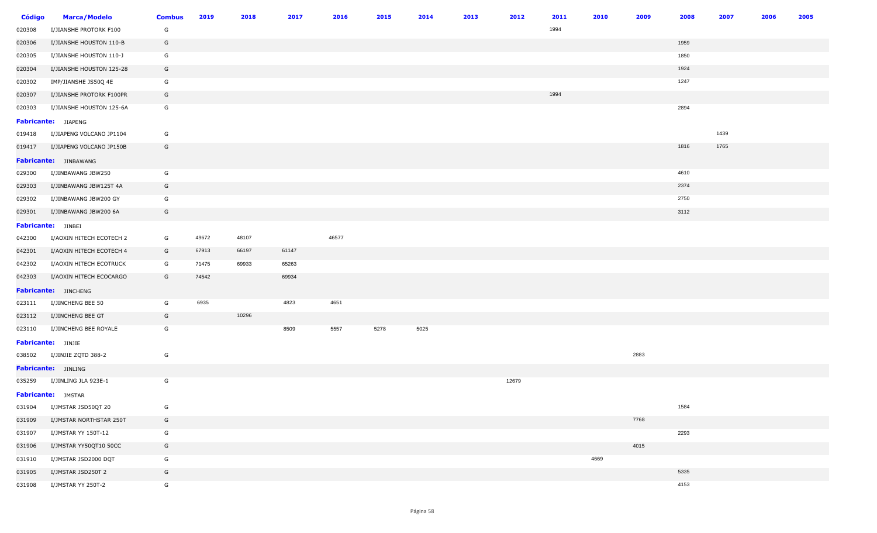| <b>Código</b> | <b>Marca/Modelo</b>          | <b>Combus</b> | 2019  | 2018  | 2017  | 2016  | 2015 | 2014 | 2013 | 2012  | 2011 | 2010 | 2009 | 2008 | 2007 | 2006 | 2005 |
|---------------|------------------------------|---------------|-------|-------|-------|-------|------|------|------|-------|------|------|------|------|------|------|------|
| 020308        | I/JIANSHE PROTORK F100       | G             |       |       |       |       |      |      |      |       | 1994 |      |      |      |      |      |      |
| 020306        | I/JIANSHE HOUSTON 110-B      | G             |       |       |       |       |      |      |      |       |      |      |      | 1959 |      |      |      |
| 020305        | I/JIANSHE HOUSTON 110-J      | G             |       |       |       |       |      |      |      |       |      |      |      | 1850 |      |      |      |
| 020304        | I/JIANSHE HOUSTON 125-28     | G             |       |       |       |       |      |      |      |       |      |      |      | 1924 |      |      |      |
| 020302        | IMP/JIANSHE JS50Q 4E         | G             |       |       |       |       |      |      |      |       |      |      |      | 1247 |      |      |      |
| 020307        | I/JIANSHE PROTORK F100PR     | G             |       |       |       |       |      |      |      |       | 1994 |      |      |      |      |      |      |
| 020303        | I/JIANSHE HOUSTON 125-6A     | G             |       |       |       |       |      |      |      |       |      |      |      | 2894 |      |      |      |
|               | <b>Fabricante:</b> JIAPENG   |               |       |       |       |       |      |      |      |       |      |      |      |      |      |      |      |
| 019418        | I/JIAPENG VOLCANO JP1104     | G             |       |       |       |       |      |      |      |       |      |      |      |      | 1439 |      |      |
| 019417        | I/JIAPENG VOLCANO JP150B     | G             |       |       |       |       |      |      |      |       |      |      |      | 1816 | 1765 |      |      |
|               | <b>Fabricante:</b> JINBAWANG |               |       |       |       |       |      |      |      |       |      |      |      |      |      |      |      |
| 029300        | I/JINBAWANG JBW250           | G             |       |       |       |       |      |      |      |       |      |      |      | 4610 |      |      |      |
| 029303        | I/JINBAWANG JBW125T 4A       | G             |       |       |       |       |      |      |      |       |      |      |      | 2374 |      |      |      |
| 029302        | I/JINBAWANG JBW200 GY        | G             |       |       |       |       |      |      |      |       |      |      |      | 2750 |      |      |      |
| 029301        | I/JINBAWANG JBW200 6A        | G             |       |       |       |       |      |      |      |       |      |      |      | 3112 |      |      |      |
|               | <b>Fabricante:</b> JINBEI    |               |       |       |       |       |      |      |      |       |      |      |      |      |      |      |      |
| 042300        | I/AOXIN HITECH ECOTECH 2     | G             | 49672 | 48107 |       | 46577 |      |      |      |       |      |      |      |      |      |      |      |
| 042301        | I/AOXIN HITECH ECOTECH 4     | G             | 67913 | 66197 | 61147 |       |      |      |      |       |      |      |      |      |      |      |      |
| 042302        | I/AOXIN HITECH ECOTRUCK      | G             | 71475 | 69933 | 65263 |       |      |      |      |       |      |      |      |      |      |      |      |
| 042303        | I/AOXIN HITECH ECOCARGO      | G             | 74542 |       | 69934 |       |      |      |      |       |      |      |      |      |      |      |      |
|               | Fabricante: JINCHENG         |               |       |       |       |       |      |      |      |       |      |      |      |      |      |      |      |
| 023111        | I/JINCHENG BEE 50            | G             | 6935  |       | 4823  | 4651  |      |      |      |       |      |      |      |      |      |      |      |
| 023112        | I/JINCHENG BEE GT            | G             |       | 10296 |       |       |      |      |      |       |      |      |      |      |      |      |      |
| 023110        | I/JINCHENG BEE ROYALE        | G             |       |       | 8509  | 5557  | 5278 | 5025 |      |       |      |      |      |      |      |      |      |
|               | <b>Fabricante:</b> JINJIE    |               |       |       |       |       |      |      |      |       |      |      |      |      |      |      |      |
| 038502        | I/JINJIE ZQTD 388-2          | G             |       |       |       |       |      |      |      |       |      |      | 2883 |      |      |      |      |
|               | Fabricante: JINLING          |               |       |       |       |       |      |      |      |       |      |      |      |      |      |      |      |
| 035259        | I/JINLING JLA 923E-1         | G             |       |       |       |       |      |      |      | 12679 |      |      |      |      |      |      |      |
|               | <b>Fabricante:</b> JMSTAR    |               |       |       |       |       |      |      |      |       |      |      |      |      |      |      |      |
| 031904        | I/JMSTAR JSD50QT 20          | G             |       |       |       |       |      |      |      |       |      |      |      | 1584 |      |      |      |
| 031909        | I/JMSTAR NORTHSTAR 250T      | G             |       |       |       |       |      |      |      |       |      |      | 7768 |      |      |      |      |
| 031907        | I/JMSTAR YY 150T-12          | G             |       |       |       |       |      |      |      |       |      |      |      | 2293 |      |      |      |
| 031906        | I/JMSTAR YY50QT10 50CC       | G             |       |       |       |       |      |      |      |       |      |      | 4015 |      |      |      |      |
| 031910        | I/JMSTAR JSD2000 DQT         | G             |       |       |       |       |      |      |      |       |      | 4669 |      |      |      |      |      |
| 031905        | I/JMSTAR JSD250T 2           | G             |       |       |       |       |      |      |      |       |      |      |      | 5335 |      |      |      |
| 031908        | I/JMSTAR YY 250T-2           | G             |       |       |       |       |      |      |      |       |      |      |      | 4153 |      |      |      |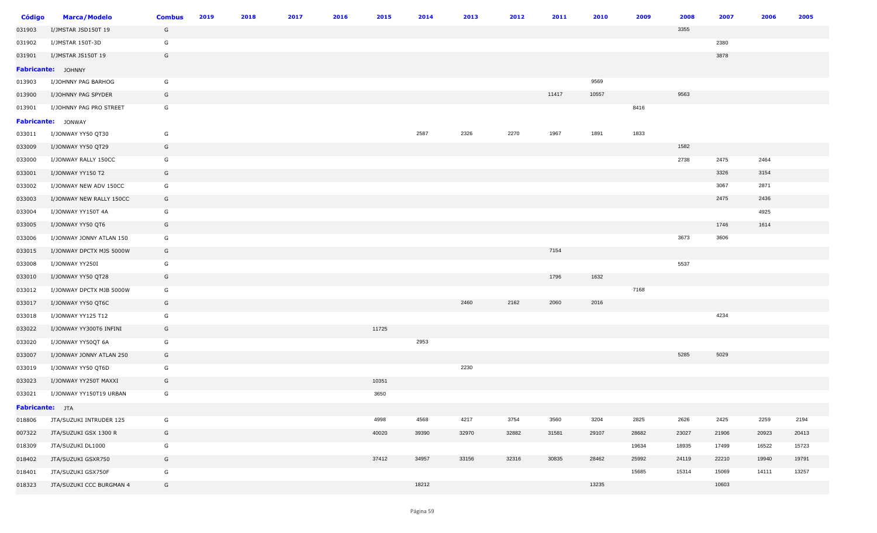| <b>Código</b>   | <b>Marca/Modelo</b>       | <b>Combus</b> | 2019 | 2018 | 2017 | 2016 | 2015  | 2014  | 2013  | 2012  | 2011  | 2010  | 2009  | 2008  | 2007  | 2006  | 2005  |
|-----------------|---------------------------|---------------|------|------|------|------|-------|-------|-------|-------|-------|-------|-------|-------|-------|-------|-------|
| 031903          | I/JMSTAR JSD150T 19       | G             |      |      |      |      |       |       |       |       |       |       |       | 3355  |       |       |       |
| 031902          | I/JMSTAR 150T-3D          | G             |      |      |      |      |       |       |       |       |       |       |       |       | 2380  |       |       |
| 031901          | I/JMSTAR JS150T 19        | G             |      |      |      |      |       |       |       |       |       |       |       |       | 3878  |       |       |
|                 | <b>Fabricante:</b> JOHNNY |               |      |      |      |      |       |       |       |       |       |       |       |       |       |       |       |
| 013903          | I/JOHNNY PAG BARHOG       | G             |      |      |      |      |       |       |       |       |       | 9569  |       |       |       |       |       |
| 013900          | I/JOHNNY PAG SPYDER       | G             |      |      |      |      |       |       |       |       | 11417 | 10557 |       | 9563  |       |       |       |
| 013901          | I/JOHNNY PAG PRO STREET   | G             |      |      |      |      |       |       |       |       |       |       | 8416  |       |       |       |       |
|                 | Fabricante: JONWAY        |               |      |      |      |      |       |       |       |       |       |       |       |       |       |       |       |
| 033011          | I/JONWAY YY50 QT30        | G             |      |      |      |      |       | 2587  | 2326  | 2270  | 1967  | 1891  | 1833  |       |       |       |       |
| 033009          | I/JONWAY YY50 QT29        | G             |      |      |      |      |       |       |       |       |       |       |       | 1582  |       |       |       |
| 033000          | I/JONWAY RALLY 150CC      | G             |      |      |      |      |       |       |       |       |       |       |       | 2738  | 2475  | 2464  |       |
| 033001          | I/JONWAY YY150 T2         | G             |      |      |      |      |       |       |       |       |       |       |       |       | 3326  | 3154  |       |
| 033002          | I/JONWAY NEW ADV 150CC    | G             |      |      |      |      |       |       |       |       |       |       |       |       | 3067  | 2871  |       |
| 033003          | I/JONWAY NEW RALLY 150CC  | G             |      |      |      |      |       |       |       |       |       |       |       |       | 2475  | 2436  |       |
| 033004          | I/JONWAY YY150T 4A        | G             |      |      |      |      |       |       |       |       |       |       |       |       |       | 4925  |       |
| 033005          | I/JONWAY YY50 QT6         | G             |      |      |      |      |       |       |       |       |       |       |       |       | 1746  | 1614  |       |
| 033006          | I/JONWAY JONNY ATLAN 150  | G             |      |      |      |      |       |       |       |       |       |       |       | 3673  | 3606  |       |       |
| 033015          | I/JONWAY DPCTX MJS 5000W  | G             |      |      |      |      |       |       |       |       | 7154  |       |       |       |       |       |       |
| 033008          | I/JONWAY YY250I           | G             |      |      |      |      |       |       |       |       |       |       |       | 5537  |       |       |       |
| 033010          | I/JONWAY YY50 QT28        | G             |      |      |      |      |       |       |       |       | 1796  | 1632  |       |       |       |       |       |
| 033012          | I/JONWAY DPCTX MJB 5000W  | G             |      |      |      |      |       |       |       |       |       |       | 7168  |       |       |       |       |
| 033017          | I/JONWAY YY50 QT6C        | G             |      |      |      |      |       |       | 2460  | 2162  | 2060  | 2016  |       |       |       |       |       |
| 033018          | I/JONWAY YY125 T12        | G             |      |      |      |      |       |       |       |       |       |       |       |       | 4234  |       |       |
| 033022          | I/JONWAY YY300T6 INFINI   | G             |      |      |      |      | 11725 |       |       |       |       |       |       |       |       |       |       |
| 033020          | I/JONWAY YY50QT 6A        | G             |      |      |      |      |       | 2953  |       |       |       |       |       |       |       |       |       |
| 033007          | I/JONWAY JONNY ATLAN 250  | G             |      |      |      |      |       |       |       |       |       |       |       | 5285  | 5029  |       |       |
| 033019          | I/JONWAY YY50 QT6D        | G             |      |      |      |      |       |       | 2230  |       |       |       |       |       |       |       |       |
| 033023          | I/JONWAY YY250T MAXXI     | G             |      |      |      |      | 10351 |       |       |       |       |       |       |       |       |       |       |
| 033021          | I/JONWAY YY150T19 URBAN   | G             |      |      |      |      | 3650  |       |       |       |       |       |       |       |       |       |       |
| Fabricante: JTA |                           |               |      |      |      |      |       |       |       |       |       |       |       |       |       |       |       |
| 018806          | JTA/SUZUKI INTRUDER 125   | G             |      |      |      |      | 4998  | 4568  | 4217  | 3754  | 3560  | 3204  | 2825  | 2626  | 2425  | 2259  | 2194  |
| 007322          | JTA/SUZUKI GSX 1300 R     | G             |      |      |      |      | 40020 | 39390 | 32970 | 32882 | 31581 | 29107 | 28682 | 23027 | 21906 | 20923 | 20413 |
| 018309          | JTA/SUZUKI DL1000         | G             |      |      |      |      |       |       |       |       |       |       | 19634 | 18935 | 17499 | 16522 | 15723 |
| 018402          | JTA/SUZUKI GSXR750        | G             |      |      |      |      | 37412 | 34957 | 33156 | 32316 | 30835 | 28462 | 25992 | 24119 | 22210 | 19940 | 19791 |
| 018401          | JTA/SUZUKI GSX750F        | G             |      |      |      |      |       |       |       |       |       |       | 15685 | 15314 | 15069 | 14111 | 13257 |
| 018323          | JTA/SUZUKI CCC BURGMAN 4  | G             |      |      |      |      |       | 18212 |       |       |       | 13235 |       |       | 10603 |       |       |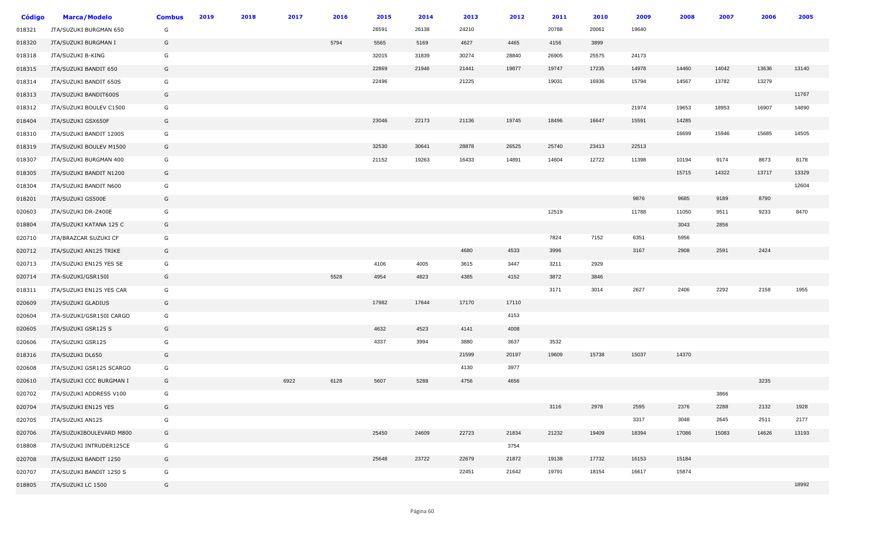| <b>Código</b> | <b>Marca/Modelo</b>      | <b>Combus</b> | 2019 | 2018 | 2017 | 2016 | 2015  | 2014  | 2013  | 2012  | 2011  | 2010  | 2009  | 2008  | 2007  | 2006  | 2005  |
|---------------|--------------------------|---------------|------|------|------|------|-------|-------|-------|-------|-------|-------|-------|-------|-------|-------|-------|
| 018321        | JTA/SUZUKI BURGMAN 650   | G             |      |      |      |      | 26591 | 26138 | 24210 |       | 20788 | 20061 | 19640 |       |       |       |       |
| 018320        | JTA/SUZUKI BURGMAN I     | G             |      |      |      | 5794 | 5565  | 5169  | 4627  | 4465  | 4156  | 3899  |       |       |       |       |       |
| 018318        | JTA/SUZUKI B-KING        | G             |      |      |      |      | 32015 | 31839 | 30274 | 28840 | 26905 | 25575 | 24173 |       |       |       |       |
| 018315        | JTA/SUZUKI BANDIT 650    | G             |      |      |      |      | 22869 | 21946 | 21441 | 19877 | 19747 | 17235 | 14978 | 14460 | 14042 | 13636 | 13140 |
| 018314        | JTA/SUZUKI BANDIT 650S   | G             |      |      |      |      | 22496 |       | 21225 |       | 19031 | 16936 | 15794 | 14567 | 13782 | 13279 |       |
| 018313        | JTA/SUZUKI BANDIT600S    | G             |      |      |      |      |       |       |       |       |       |       |       |       |       |       | 11767 |
| 018312        | JTA/SUZUKI BOULEV C1500  | G             |      |      |      |      |       |       |       |       |       |       | 21974 | 19653 | 18953 | 16907 | 14890 |
| 018404        | JTA/SUZUKI GSX650F       | G             |      |      |      |      | 23046 | 22173 | 21136 | 19745 | 18496 | 16647 | 15591 | 14285 |       |       |       |
| 018310        | JTA/SUZUKI BANDIT 1200S  | G             |      |      |      |      |       |       |       |       |       |       |       | 16699 | 15946 | 15685 | 14505 |
| 018319        | JTA/SUZUKI BOULEV M1500  | G             |      |      |      |      | 32530 | 30641 | 28878 | 26525 | 25740 | 23413 | 22513 |       |       |       |       |
| 018307        | JTA/SUZUKI BURGMAN 400   | G             |      |      |      |      | 21152 | 19263 | 16433 | 14891 | 14604 | 12722 | 11398 | 10194 | 9174  | 8673  | 8178  |
| 018305        | JTA/SUZUKI BANDIT N1200  | G             |      |      |      |      |       |       |       |       |       |       |       | 15715 | 14322 | 13717 | 13329 |
| 018304        | JTA/SUZUKI BANDIT N600   | G             |      |      |      |      |       |       |       |       |       |       |       |       |       |       | 12604 |
| 018201        | JTA/SUZUKI GS500E        | G             |      |      |      |      |       |       |       |       |       |       | 9876  | 9685  | 9189  | 8790  |       |
| 020603        | JTA/SUZUKI DR-Z400E      | G             |      |      |      |      |       |       |       |       | 12519 |       | 11788 | 11050 | 9511  | 9233  | 8470  |
| 018804        | JTA/SUZUKI KATANA 125 C  | G             |      |      |      |      |       |       |       |       |       |       |       | 3043  | 2856  |       |       |
| 020710        | JTA/BRAZCAR SUZUKI CF    | G             |      |      |      |      |       |       |       |       | 7824  | 7152  | 6351  | 5956  |       |       |       |
| 020712        | JTA/SUZUKI AN125 TRIKE   | G             |      |      |      |      |       |       | 4680  | 4533  | 3996  |       | 3167  | 2908  | 2591  | 2424  |       |
| 020713        | JTA/SUZUKI EN125 YES SE  | G             |      |      |      |      | 4106  | 4005  | 3615  | 3447  | 3211  | 2929  |       |       |       |       |       |
| 020714        | JTA-SUZUKI/GSR150I       | G             |      |      |      | 5528 | 4954  | 4823  | 4385  | 4152  | 3872  | 3846  |       |       |       |       |       |
| 018311        | JTA/SUZUKI EN125 YES CAR | G             |      |      |      |      |       |       |       |       | 3171  | 3014  | 2627  | 2406  | 2292  | 2158  | 1955  |
| 020609        | JTA/SUZUKI GLADIUS       | G             |      |      |      |      | 17982 | 17644 | 17170 | 17110 |       |       |       |       |       |       |       |
| 020604        | JTA-SUZUKI/GSR150I CARGO | G             |      |      |      |      |       |       |       | 4153  |       |       |       |       |       |       |       |
| 020605        | JTA/SUZUKI GSR125 S      | G             |      |      |      |      | 4632  | 4523  | 4141  | 4008  |       |       |       |       |       |       |       |
| 020606        | JTA/SUZUKI GSR125        | G             |      |      |      |      | 4337  | 3994  | 3880  | 3637  | 3532  |       |       |       |       |       |       |
| 018316        | JTA/SUZUKI DL650         | G             |      |      |      |      |       |       | 21599 | 20197 | 19609 | 15738 | 15037 | 14370 |       |       |       |
| 020608        | JTA/SUZUKI GSR125 SCARGO | G             |      |      |      |      |       |       | 4130  | 3977  |       |       |       |       |       |       |       |
| 020610        | JTA/SUZUKI CCC BURGMAN I | G             |      |      | 6922 | 6128 | 5607  | 5288  | 4756  | 4656  |       |       |       |       |       | 3235  |       |
| 020702        | JTA/SUZUKI ADDRESS V100  | G             |      |      |      |      |       |       |       |       |       |       |       |       | 3866  |       |       |
| 020704        | JTA/SUZUKI EN125 YES     | G             |      |      |      |      |       |       |       |       | 3116  | 2978  | 2595  | 2376  | 2288  | 2132  | 1928  |
| 020705        | JTA/SUZUKI AN125         | G             |      |      |      |      |       |       |       |       |       |       | 3317  | 3048  | 2645  | 2511  | 2177  |
| 020706        | JTA/SUZUKIBOULEVARD M800 | G             |      |      |      |      | 25450 | 24609 | 22723 | 21834 | 21232 | 19409 | 18394 | 17086 | 15083 | 14626 | 13193 |
| 018808        | JTA/SUZUKI INTRUDER125CE | G             |      |      |      |      |       |       |       | 3754  |       |       |       |       |       |       |       |
| 020708        | JTA/SUZUKI BANDIT 1250   | G             |      |      |      |      | 25648 | 23722 | 22679 | 21872 | 19138 | 17732 | 16153 | 15184 |       |       |       |
| 020707        | JTA/SUZUKI BANDIT 1250 S | G             |      |      |      |      |       |       | 22451 | 21642 | 19791 | 18154 | 16617 | 15874 |       |       |       |
| 018805        | JTA/SUZUKI LC 1500       | G             |      |      |      |      |       |       |       |       |       |       |       |       |       |       | 18992 |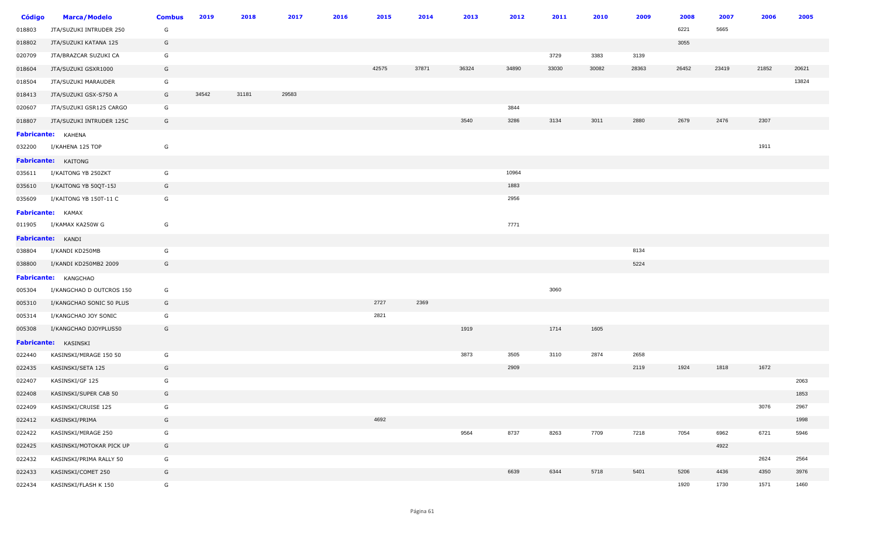| <b>Código</b> | <b>Marca/Modelo</b>         | <b>Combus</b> | 2019  | 2018  | 2017  | 2016 | 2015  | 2014  | 2013  | 2012  | 2011  | 2010  | 2009  | 2008  | 2007  | 2006  | 2005  |
|---------------|-----------------------------|---------------|-------|-------|-------|------|-------|-------|-------|-------|-------|-------|-------|-------|-------|-------|-------|
| 018803        | JTA/SUZUKI INTRUDER 250     | G             |       |       |       |      |       |       |       |       |       |       |       | 6221  | 5665  |       |       |
| 018802        | JTA/SUZUKI KATANA 125       | G             |       |       |       |      |       |       |       |       |       |       |       | 3055  |       |       |       |
| 020709        | JTA/BRAZCAR SUZUKI CA       | G             |       |       |       |      |       |       |       |       | 3729  | 3383  | 3139  |       |       |       |       |
| 018604        | JTA/SUZUKI GSXR1000         | G             |       |       |       |      | 42575 | 37871 | 36324 | 34890 | 33030 | 30082 | 28363 | 26452 | 23419 | 21852 | 20621 |
| 018504        | JTA/SUZUKI MARAUDER         | G             |       |       |       |      |       |       |       |       |       |       |       |       |       |       | 13824 |
| 018413        | JTA/SUZUKI GSX-S750 A       | G             | 34542 | 31181 | 29583 |      |       |       |       |       |       |       |       |       |       |       |       |
| 020607        | JTA/SUZUKI GSR125 CARGO     | G             |       |       |       |      |       |       |       | 3844  |       |       |       |       |       |       |       |
| 018807        | JTA/SUZUKI INTRUDER 125C    | G             |       |       |       |      |       |       | 3540  | 3286  | 3134  | 3011  | 2880  | 2679  | 2476  | 2307  |       |
|               | Fabricante: KAHENA          |               |       |       |       |      |       |       |       |       |       |       |       |       |       |       |       |
| 032200        | I/KAHENA 125 TOP            | G             |       |       |       |      |       |       |       |       |       |       |       |       |       | 1911  |       |
|               | Fabricante: KAITONG         |               |       |       |       |      |       |       |       |       |       |       |       |       |       |       |       |
| 035611        | I/KAITONG YB 250ZKT         | G             |       |       |       |      |       |       |       | 10964 |       |       |       |       |       |       |       |
| 035610        | I/KAITONG YB 50QT-15J       | G             |       |       |       |      |       |       |       | 1883  |       |       |       |       |       |       |       |
| 035609        | I/KAITONG YB 150T-11 C      | G             |       |       |       |      |       |       |       | 2956  |       |       |       |       |       |       |       |
|               | <b>Fabricante:</b> KAMAX    |               |       |       |       |      |       |       |       |       |       |       |       |       |       |       |       |
| 011905        | I/KAMAX KA250W G            | G             |       |       |       |      |       |       |       | 7771  |       |       |       |       |       |       |       |
|               | Fabricante: KANDI           |               |       |       |       |      |       |       |       |       |       |       |       |       |       |       |       |
| 038804        | I/KANDI KD250MB             | G             |       |       |       |      |       |       |       |       |       |       | 8134  |       |       |       |       |
| 038800        | I/KANDI KD250MB2 2009       | G             |       |       |       |      |       |       |       |       |       |       | 5224  |       |       |       |       |
|               | <b>Fabricante:</b> KANGCHAO |               |       |       |       |      |       |       |       |       |       |       |       |       |       |       |       |
| 005304        | I/KANGCHAO D OUTCROS 150    | G             |       |       |       |      |       |       |       |       | 3060  |       |       |       |       |       |       |
| 005310        | I/KANGCHAO SONIC 50 PLUS    | G             |       |       |       |      | 2727  | 2369  |       |       |       |       |       |       |       |       |       |
| 005314        | I/KANGCHAO JOY SONIC        | G             |       |       |       |      | 2821  |       |       |       |       |       |       |       |       |       |       |
| 005308        | I/KANGCHAO DJOYPLUS50       | G             |       |       |       |      |       |       | 1919  |       | 1714  | 1605  |       |       |       |       |       |
|               | Fabricante: KASINSKI        |               |       |       |       |      |       |       |       |       |       |       |       |       |       |       |       |
| 022440        | KASINSKI/MIRAGE 150 50      | G             |       |       |       |      |       |       | 3873  | 3505  | 3110  | 2874  | 2658  |       |       |       |       |
| 022435        | KASINSKI/SETA 125           | G             |       |       |       |      |       |       |       | 2909  |       |       | 2119  | 1924  | 1818  | 1672  |       |
| 022407        | KASINSKI/GF 125             | G             |       |       |       |      |       |       |       |       |       |       |       |       |       |       | 2063  |
| 022408        | KASINSKI/SUPER CAB 50       | G             |       |       |       |      |       |       |       |       |       |       |       |       |       |       | 1853  |
| 022409        | KASINSKI/CRUISE 125         | G             |       |       |       |      |       |       |       |       |       |       |       |       |       | 3076  | 2967  |
| 022412        | KASINSKI/PRIMA              | G             |       |       |       |      | 4692  |       |       |       |       |       |       |       |       |       | 1998  |
| 022422        | KASINSKI/MIRAGE 250         | G             |       |       |       |      |       |       | 9564  | 8737  | 8263  | 7709  | 7218  | 7054  | 6962  | 6721  | 5946  |
| 022425        | KASINSKI/MOTOKAR PICK UP    | G             |       |       |       |      |       |       |       |       |       |       |       |       | 4922  |       |       |
| 022432        | KASINSKI/PRIMA RALLY 50     | G             |       |       |       |      |       |       |       |       |       |       |       |       |       | 2624  | 2564  |
| 022433        | KASINSKI/COMET 250          | G             |       |       |       |      |       |       |       | 6639  | 6344  | 5718  | 5401  | 5206  | 4436  | 4350  | 3976  |
| 022434        | KASINSKI/FLASH K 150        | G             |       |       |       |      |       |       |       |       |       |       |       | 1920  | 1730  | 1571  | 1460  |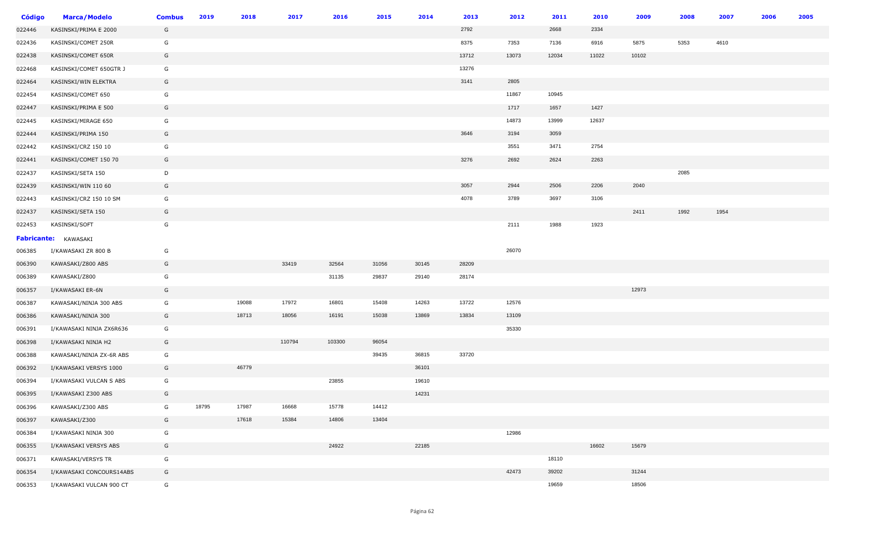| <b>Código</b> | <b>Marca/Modelo</b>         | <b>Combus</b> | 2019  | 2018  | 2017   | 2016   | 2015  | 2014  | 2013  | 2012  | 2011  | 2010  | 2009  | 2008 | 2007 | 2006 | 2005 |
|---------------|-----------------------------|---------------|-------|-------|--------|--------|-------|-------|-------|-------|-------|-------|-------|------|------|------|------|
| 022446        | KASINSKI/PRIMA E 2000       | G             |       |       |        |        |       |       | 2792  |       | 2668  | 2334  |       |      |      |      |      |
| 022436        | KASINSKI/COMET 250R         | G             |       |       |        |        |       |       | 8375  | 7353  | 7136  | 6916  | 5875  | 5353 | 4610 |      |      |
| 022438        | KASINSKI/COMET 650R         | G             |       |       |        |        |       |       | 13712 | 13073 | 12034 | 11022 | 10102 |      |      |      |      |
| 022468        | KASINSKI/COMET 650GTR J     | G             |       |       |        |        |       |       | 13276 |       |       |       |       |      |      |      |      |
| 022464        | KASINSKI/WIN ELEKTRA        | G             |       |       |        |        |       |       | 3141  | 2805  |       |       |       |      |      |      |      |
| 022454        | KASINSKI/COMET 650          | G             |       |       |        |        |       |       |       | 11867 | 10945 |       |       |      |      |      |      |
| 022447        | KASINSKI/PRIMA E 500        | G             |       |       |        |        |       |       |       | 1717  | 1657  | 1427  |       |      |      |      |      |
| 022445        | KASINSKI/MIRAGE 650         | G             |       |       |        |        |       |       |       | 14873 | 13999 | 12637 |       |      |      |      |      |
| 022444        | KASINSKI/PRIMA 150          | G             |       |       |        |        |       |       | 3646  | 3194  | 3059  |       |       |      |      |      |      |
| 022442        | KASINSKI/CRZ 150 10         | G             |       |       |        |        |       |       |       | 3551  | 3471  | 2754  |       |      |      |      |      |
| 022441        | KASINSKI/COMET 150 70       | G             |       |       |        |        |       |       | 3276  | 2692  | 2624  | 2263  |       |      |      |      |      |
| 022437        | KASINSKI/SETA 150           | D             |       |       |        |        |       |       |       |       |       |       |       | 2085 |      |      |      |
| 022439        | KASINSKI/WIN 110 60         | G             |       |       |        |        |       |       | 3057  | 2944  | 2506  | 2206  | 2040  |      |      |      |      |
| 022443        | KASINSKI/CRZ 150 10 SM      | G             |       |       |        |        |       |       | 4078  | 3789  | 3697  | 3106  |       |      |      |      |      |
| 022437        | KASINSKI/SETA 150           | G             |       |       |        |        |       |       |       |       |       |       | 2411  | 1992 | 1954 |      |      |
| 022453        | KASINSKI/SOFT               | G             |       |       |        |        |       |       |       | 2111  | 1988  | 1923  |       |      |      |      |      |
|               | <b>Fabricante:</b> KAWASAKI |               |       |       |        |        |       |       |       |       |       |       |       |      |      |      |      |
| 006385        | I/KAWASAKI ZR 800 B         | G             |       |       |        |        |       |       |       | 26070 |       |       |       |      |      |      |      |
| 006390        | KAWASAKI/Z800 ABS           | G             |       |       | 33419  | 32564  | 31056 | 30145 | 28209 |       |       |       |       |      |      |      |      |
| 006389        | KAWASAKI/Z800               | G             |       |       |        | 31135  | 29837 | 29140 | 28174 |       |       |       |       |      |      |      |      |
| 006357        | I/KAWASAKI ER-6N            | G             |       |       |        |        |       |       |       |       |       |       | 12973 |      |      |      |      |
| 006387        | KAWASAKI/NINJA 300 ABS      | G             |       | 19088 | 17972  | 16801  | 15408 | 14263 | 13722 | 12576 |       |       |       |      |      |      |      |
| 006386        | KAWASAKI/NINJA 300          | G             |       | 18713 | 18056  | 16191  | 15038 | 13869 | 13834 | 13109 |       |       |       |      |      |      |      |
| 006391        | I/KAWASAKI NINJA ZX6R636    | G             |       |       |        |        |       |       |       | 35330 |       |       |       |      |      |      |      |
| 006398        | I/KAWASAKI NINJA H2         | G             |       |       | 110794 | 103300 | 96054 |       |       |       |       |       |       |      |      |      |      |
| 006388        | KAWASAKI/NINJA ZX-6R ABS    | G             |       |       |        |        | 39435 | 36815 | 33720 |       |       |       |       |      |      |      |      |
| 006392        | I/KAWASAKI VERSYS 1000      | G             |       | 46779 |        |        |       | 36101 |       |       |       |       |       |      |      |      |      |
| 006394        | I/KAWASAKI VULCAN S ABS     | G             |       |       |        | 23855  |       | 19610 |       |       |       |       |       |      |      |      |      |
| 006395        | I/KAWASAKI Z300 ABS         | G             |       |       |        |        |       | 14231 |       |       |       |       |       |      |      |      |      |
| 006396        | KAWASAKI/Z300 ABS           | G             | 18795 | 17987 | 16668  | 15778  | 14412 |       |       |       |       |       |       |      |      |      |      |
| 006397        | KAWASAKI/Z300               | G             |       | 17618 | 15384  | 14806  | 13404 |       |       |       |       |       |       |      |      |      |      |
| 006384        | I/KAWASAKI NINJA 300        | G             |       |       |        |        |       |       |       | 12986 |       |       |       |      |      |      |      |
| 006355        | I/KAWASAKI VERSYS ABS       | G             |       |       |        | 24922  |       | 22185 |       |       |       | 16602 | 15679 |      |      |      |      |
| 006371        | KAWASAKI/VERSYS TR          | G             |       |       |        |        |       |       |       |       | 18110 |       |       |      |      |      |      |
| 006354        | I/KAWASAKI CONCOURS14ABS    | G             |       |       |        |        |       |       |       | 42473 | 39202 |       | 31244 |      |      |      |      |
| 006353        | I/KAWASAKI VULCAN 900 CT    | G             |       |       |        |        |       |       |       |       | 19659 |       | 18506 |      |      |      |      |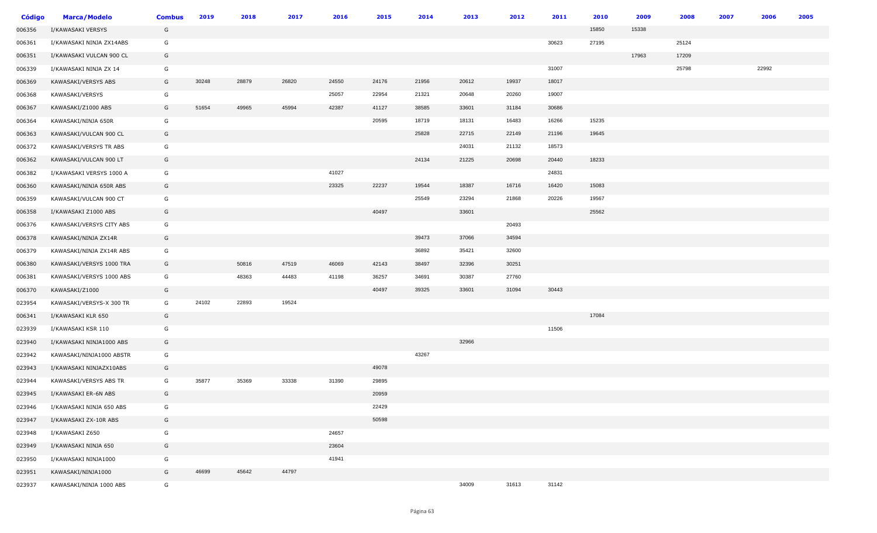| Código | <b>Marca/Modelo</b>      | <b>Combus</b> | 2019  | 2018  | 2017  | 2016  | 2015  | 2014  | 2013  | 2012  | 2011  | 2010  | 2009  | 2008  | 2007 | 2006  | 2005 |
|--------|--------------------------|---------------|-------|-------|-------|-------|-------|-------|-------|-------|-------|-------|-------|-------|------|-------|------|
| 006356 | I/KAWASAKI VERSYS        | G             |       |       |       |       |       |       |       |       |       | 15850 | 15338 |       |      |       |      |
| 006361 | I/KAWASAKI NINJA ZX14ABS | G             |       |       |       |       |       |       |       |       | 30623 | 27195 |       | 25124 |      |       |      |
| 006351 | I/KAWASAKI VULCAN 900 CL | G             |       |       |       |       |       |       |       |       |       |       | 17963 | 17209 |      |       |      |
| 006339 | I/KAWASAKI NINJA ZX 14   | G             |       |       |       |       |       |       |       |       | 31007 |       |       | 25798 |      | 22992 |      |
| 006369 | KAWASAKI/VERSYS ABS      | G             | 30248 | 28879 | 26820 | 24550 | 24176 | 21956 | 20612 | 19937 | 18017 |       |       |       |      |       |      |
| 006368 | KAWASAKI/VERSYS          | G             |       |       |       | 25057 | 22954 | 21321 | 20648 | 20260 | 19007 |       |       |       |      |       |      |
| 006367 | KAWASAKI/Z1000 ABS       | G             | 51654 | 49965 | 45994 | 42387 | 41127 | 38585 | 33601 | 31184 | 30686 |       |       |       |      |       |      |
| 006364 | KAWASAKI/NINJA 650R      | G             |       |       |       |       | 20595 | 18719 | 18131 | 16483 | 16266 | 15235 |       |       |      |       |      |
| 006363 | KAWASAKI/VULCAN 900 CL   | G             |       |       |       |       |       | 25828 | 22715 | 22149 | 21196 | 19645 |       |       |      |       |      |
| 006372 | KAWASAKI/VERSYS TR ABS   | G             |       |       |       |       |       |       | 24031 | 21132 | 18573 |       |       |       |      |       |      |
| 006362 | KAWASAKI/VULCAN 900 LT   | G             |       |       |       |       |       | 24134 | 21225 | 20698 | 20440 | 18233 |       |       |      |       |      |
| 006382 | I/KAWASAKI VERSYS 1000 A | G             |       |       |       | 41027 |       |       |       |       | 24831 |       |       |       |      |       |      |
| 006360 | KAWASAKI/NINJA 650R ABS  | G             |       |       |       | 23325 | 22237 | 19544 | 18387 | 16716 | 16420 | 15083 |       |       |      |       |      |
| 006359 | KAWASAKI/VULCAN 900 CT   | G             |       |       |       |       |       | 25549 | 23294 | 21868 | 20226 | 19567 |       |       |      |       |      |
| 006358 | I/KAWASAKI Z1000 ABS     | G             |       |       |       |       | 40497 |       | 33601 |       |       | 25562 |       |       |      |       |      |
| 006376 | KAWASAKI/VERSYS CITY ABS | G             |       |       |       |       |       |       |       | 20493 |       |       |       |       |      |       |      |
| 006378 | KAWASAKI/NINJA ZX14R     | G             |       |       |       |       |       | 39473 | 37066 | 34594 |       |       |       |       |      |       |      |
| 006379 | KAWASAKI/NINJA ZX14R ABS | G             |       |       |       |       |       | 36892 | 35421 | 32600 |       |       |       |       |      |       |      |
| 006380 | KAWASAKI/VERSYS 1000 TRA | G             |       | 50816 | 47519 | 46069 | 42143 | 38497 | 32396 | 30251 |       |       |       |       |      |       |      |
| 006381 | KAWASAKI/VERSYS 1000 ABS | G             |       | 48363 | 44483 | 41198 | 36257 | 34691 | 30387 | 27760 |       |       |       |       |      |       |      |
| 006370 | KAWASAKI/Z1000           | G             |       |       |       |       | 40497 | 39325 | 33601 | 31094 | 30443 |       |       |       |      |       |      |
| 023954 | KAWASAKI/VERSYS-X 300 TR | G             | 24102 | 22893 | 19524 |       |       |       |       |       |       |       |       |       |      |       |      |
| 006341 | I/KAWASAKI KLR 650       | G             |       |       |       |       |       |       |       |       |       | 17084 |       |       |      |       |      |
| 023939 | I/KAWASAKI KSR 110       | G             |       |       |       |       |       |       |       |       | 11506 |       |       |       |      |       |      |
| 023940 | I/KAWASAKI NINJA1000 ABS | G             |       |       |       |       |       |       | 32966 |       |       |       |       |       |      |       |      |
| 023942 | KAWASAKI/NINJA1000 ABSTR | G             |       |       |       |       |       | 43267 |       |       |       |       |       |       |      |       |      |
| 023943 | I/KAWASAKI NINJAZX10ABS  | G             |       |       |       |       | 49078 |       |       |       |       |       |       |       |      |       |      |
| 023944 | KAWASAKI/VERSYS ABS TR   | G             | 35877 | 35369 | 33338 | 31390 | 29895 |       |       |       |       |       |       |       |      |       |      |
| 023945 | I/KAWASAKI ER-6N ABS     | G             |       |       |       |       | 20959 |       |       |       |       |       |       |       |      |       |      |
| 023946 | I/KAWASAKI NINJA 650 ABS | G             |       |       |       |       | 22429 |       |       |       |       |       |       |       |      |       |      |
| 023947 | I/KAWASAKI ZX-10R ABS    | G             |       |       |       |       | 50598 |       |       |       |       |       |       |       |      |       |      |
| 023948 | I/KAWASAKI Z650          | G             |       |       |       | 24657 |       |       |       |       |       |       |       |       |      |       |      |
| 023949 | I/KAWASAKI NINJA 650     | G             |       |       |       | 23604 |       |       |       |       |       |       |       |       |      |       |      |
| 023950 | I/KAWASAKI NINJA1000     | G             |       |       |       | 41941 |       |       |       |       |       |       |       |       |      |       |      |
| 023951 | KAWASAKI/NINJA1000       | G             | 46699 | 45642 | 44797 |       |       |       |       |       |       |       |       |       |      |       |      |
| 023937 | KAWASAKI/NINJA 1000 ABS  | G             |       |       |       |       |       |       | 34009 | 31613 | 31142 |       |       |       |      |       |      |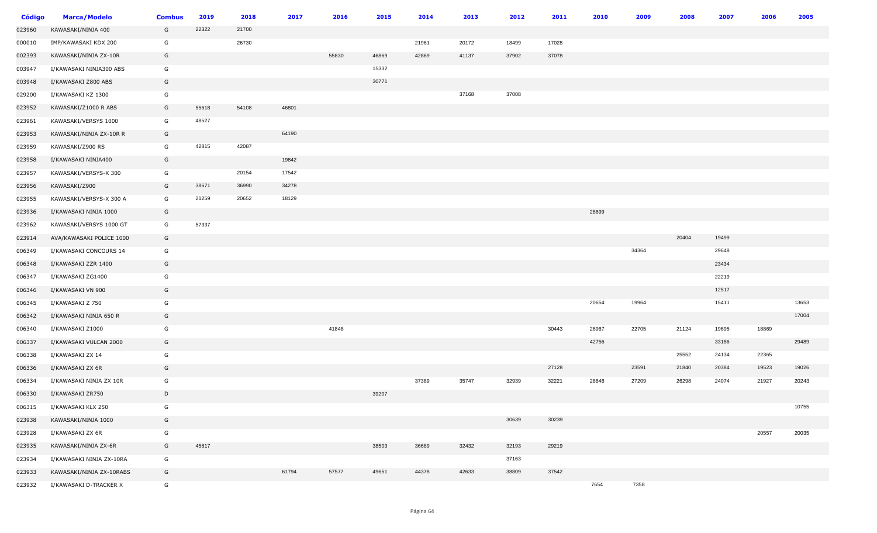| <b>Código</b> | <b>Marca/Modelo</b>      | <b>Combus</b> | 2019  | 2018  | 2017  | 2016  | 2015  | 2014  | 2013  | 2012  | 2011  | 2010  | 2009  | 2008  | 2007  | 2006  | 2005  |
|---------------|--------------------------|---------------|-------|-------|-------|-------|-------|-------|-------|-------|-------|-------|-------|-------|-------|-------|-------|
| 023960        | KAWASAKI/NINJA 400       | G             | 22322 | 21700 |       |       |       |       |       |       |       |       |       |       |       |       |       |
| 000010        | IMP/KAWASAKI KDX 200     | G             |       | 26730 |       |       |       | 21961 | 20172 | 18499 | 17028 |       |       |       |       |       |       |
| 002393        | KAWASAKI/NINJA ZX-10R    | G             |       |       |       | 55830 | 46869 | 42869 | 41137 | 37902 | 37078 |       |       |       |       |       |       |
| 003947        | I/KAWASAKI NINJA300 ABS  | G             |       |       |       |       | 15332 |       |       |       |       |       |       |       |       |       |       |
| 003948        | I/KAWASAKI Z800 ABS      | G             |       |       |       |       | 30771 |       |       |       |       |       |       |       |       |       |       |
| 029200        | I/KAWASAKI KZ 1300       | G             |       |       |       |       |       |       | 37168 | 37008 |       |       |       |       |       |       |       |
| 023952        | KAWASAKI/Z1000 R ABS     | G             | 55618 | 54108 | 46801 |       |       |       |       |       |       |       |       |       |       |       |       |
| 023961        | KAWASAKI/VERSYS 1000     | G             | 48527 |       |       |       |       |       |       |       |       |       |       |       |       |       |       |
| 023953        | KAWASAKI/NINJA ZX-10R R  | G             |       |       | 64190 |       |       |       |       |       |       |       |       |       |       |       |       |
| 023959        | KAWASAKI/Z900 RS         | G             | 42815 | 42087 |       |       |       |       |       |       |       |       |       |       |       |       |       |
| 023958        | I/KAWASAKI NINJA400      | G             |       |       | 19842 |       |       |       |       |       |       |       |       |       |       |       |       |
| 023957        | KAWASAKI/VERSYS-X 300    | G             |       | 20154 | 17542 |       |       |       |       |       |       |       |       |       |       |       |       |
| 023956        | KAWASAKI/Z900            | G             | 38671 | 36990 | 34278 |       |       |       |       |       |       |       |       |       |       |       |       |
| 023955        | KAWASAKI/VERSYS-X 300 A  | G             | 21259 | 20652 | 18129 |       |       |       |       |       |       |       |       |       |       |       |       |
| 023936        | I/KAWASAKI NINJA 1000    | G             |       |       |       |       |       |       |       |       |       | 28699 |       |       |       |       |       |
| 023962        | KAWASAKI/VERSYS 1000 GT  | G             | 57337 |       |       |       |       |       |       |       |       |       |       |       |       |       |       |
| 023914        | AVA/KAWASAKI POLICE 1000 | G             |       |       |       |       |       |       |       |       |       |       |       | 20404 | 19499 |       |       |
| 006349        | I/KAWASAKI CONCOURS 14   | G             |       |       |       |       |       |       |       |       |       |       | 34364 |       | 29648 |       |       |
| 006348        | I/KAWASAKI ZZR 1400      | G             |       |       |       |       |       |       |       |       |       |       |       |       | 23434 |       |       |
| 006347        | I/KAWASAKI ZG1400        | G             |       |       |       |       |       |       |       |       |       |       |       |       | 22219 |       |       |
| 006346        | I/KAWASAKI VN 900        | G             |       |       |       |       |       |       |       |       |       |       |       |       | 12517 |       |       |
| 006345        | I/KAWASAKI Z 750         | G             |       |       |       |       |       |       |       |       |       | 20654 | 19964 |       | 15411 |       | 13653 |
| 006342        | I/KAWASAKI NINJA 650 R   | G             |       |       |       |       |       |       |       |       |       |       |       |       |       |       | 17004 |
| 006340        | I/KAWASAKI Z1000         | G             |       |       |       | 41848 |       |       |       |       | 30443 | 26967 | 22705 | 21124 | 19695 | 18869 |       |
| 006337        | I/KAWASAKI VULCAN 2000   | G             |       |       |       |       |       |       |       |       |       | 42756 |       |       | 33186 |       | 29489 |
| 006338        | I/KAWASAKI ZX 14         | G             |       |       |       |       |       |       |       |       |       |       |       | 25552 | 24134 | 22365 |       |
| 006336        | I/KAWASAKI ZX 6R         | G             |       |       |       |       |       |       |       |       | 27128 |       | 23591 | 21840 | 20384 | 19523 | 19026 |
| 006334        | I/KAWASAKI NINJA ZX 10R  | G             |       |       |       |       |       | 37389 | 35747 | 32939 | 32221 | 28846 | 27209 | 26298 | 24074 | 21927 | 20243 |
| 006330        | I/KAWASAKI ZR750         | D             |       |       |       |       | 39207 |       |       |       |       |       |       |       |       |       |       |
| 006315        | I/KAWASAKI KLX 250       | G             |       |       |       |       |       |       |       |       |       |       |       |       |       |       | 10755 |
| 023938        | KAWASAKI/NINJA 1000      | G             |       |       |       |       |       |       |       | 30639 | 30239 |       |       |       |       |       |       |
| 023928        | I/KAWASAKI ZX 6R         | G             |       |       |       |       |       |       |       |       |       |       |       |       |       | 20557 | 20035 |
| 023935        | KAWASAKI/NINJA ZX-6R     | G             | 45817 |       |       |       | 38503 | 36689 | 32432 | 32193 | 29219 |       |       |       |       |       |       |
| 023934        | I/KAWASAKI NINJA ZX-10RA | G             |       |       |       |       |       |       |       | 37163 |       |       |       |       |       |       |       |
| 023933        | KAWASAKI/NINJA ZX-10RABS | G             |       |       | 61794 | 57577 | 49651 | 44378 | 42633 | 38809 | 37542 |       |       |       |       |       |       |
| 023932        | I/KAWASAKI D-TRACKER X   | G             |       |       |       |       |       |       |       |       |       | 7654  | 7358  |       |       |       |       |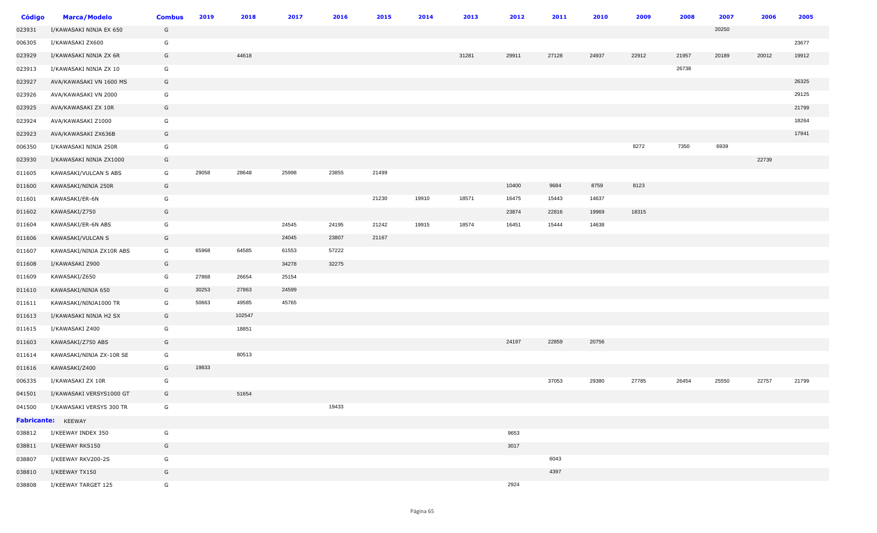| Código | <b>Marca/Modelo</b>             | <b>Combus</b> | 2019  | 2018   | 2017  | 2016  | 2015  | 2014  | 2013  | 2012  | 2011  | 2010  | 2009  | 2008  | 2007  | 2006  | 2005  |
|--------|---------------------------------|---------------|-------|--------|-------|-------|-------|-------|-------|-------|-------|-------|-------|-------|-------|-------|-------|
| 023931 | I/KAWASAKI NINJA EX 650         | G             |       |        |       |       |       |       |       |       |       |       |       |       | 20250 |       |       |
| 006305 | I/KAWASAKI ZX600                | G             |       |        |       |       |       |       |       |       |       |       |       |       |       |       | 23677 |
| 023929 | I/KAWASAKI NINJA ZX 6R          | G             |       | 44618  |       |       |       |       | 31281 | 29911 | 27128 | 24937 | 22912 | 21957 | 20189 | 20012 | 19912 |
| 023913 | I/KAWASAKI NINJA ZX 10          | G             |       |        |       |       |       |       |       |       |       |       |       | 26738 |       |       |       |
| 023927 | AVA/KAWASAKI VN 1600 MS         | G             |       |        |       |       |       |       |       |       |       |       |       |       |       |       | 26325 |
| 023926 | AVA/KAWASAKI VN 2000            | G             |       |        |       |       |       |       |       |       |       |       |       |       |       |       | 29125 |
| 023925 | AVA/KAWASAKI ZX 10R             | G             |       |        |       |       |       |       |       |       |       |       |       |       |       |       | 21799 |
| 023924 | AVA/KAWASAKI Z1000              | G             |       |        |       |       |       |       |       |       |       |       |       |       |       |       | 18264 |
| 023923 | AVA/KAWASAKI ZX636B             | G             |       |        |       |       |       |       |       |       |       |       |       |       |       |       | 17941 |
| 006350 | I/KAWASAKI NINJA 250R           | G             |       |        |       |       |       |       |       |       |       |       | 8272  | 7350  | 6939  |       |       |
| 023930 | I/KAWASAKI NINJA ZX1000         | G             |       |        |       |       |       |       |       |       |       |       |       |       |       | 22739 |       |
| 011605 | KAWASAKI/VULCAN S ABS           | G             | 29058 | 28648  | 25998 | 23855 | 21499 |       |       |       |       |       |       |       |       |       |       |
| 011600 | KAWASAKI/NINJA 250R             | G             |       |        |       |       |       |       |       | 10400 | 9684  | 8759  | 8123  |       |       |       |       |
| 011601 | KAWASAKI/ER-6N                  | G             |       |        |       |       | 21230 | 19910 | 18571 | 16475 | 15443 | 14637 |       |       |       |       |       |
| 011602 | KAWASAKI/Z750                   | G             |       |        |       |       |       |       |       | 23874 | 22816 | 19969 | 18315 |       |       |       |       |
| 011604 | KAWASAKI/ER-6N ABS              | G             |       |        | 24545 | 24195 | 21242 | 19915 | 18574 | 16451 | 15444 | 14638 |       |       |       |       |       |
| 011606 | KAWASAKI/VULCAN S               | G             |       |        | 24045 | 23807 | 21167 |       |       |       |       |       |       |       |       |       |       |
| 011607 | KAWASAKI/NINJA ZX10R ABS        | G             | 65968 | 64585  | 61553 | 57222 |       |       |       |       |       |       |       |       |       |       |       |
| 011608 | I/KAWASAKI Z900                 | G             |       |        | 34278 | 32275 |       |       |       |       |       |       |       |       |       |       |       |
| 011609 | KAWASAKI/Z650                   | G             | 27868 | 26654  | 25154 |       |       |       |       |       |       |       |       |       |       |       |       |
| 011610 | KAWASAKI/NINJA 650              | G             | 30253 | 27863  | 24599 |       |       |       |       |       |       |       |       |       |       |       |       |
| 011611 | KAWASAKI/NINJA1000 TR           | G             | 50663 | 49585  | 45765 |       |       |       |       |       |       |       |       |       |       |       |       |
| 011613 | I/KAWASAKI NINJA H2 SX          | G             |       | 102547 |       |       |       |       |       |       |       |       |       |       |       |       |       |
| 011615 | I/KAWASAKI Z400                 | G             |       | 18851  |       |       |       |       |       |       |       |       |       |       |       |       |       |
| 011603 | KAWASAKI/Z750 ABS               | G             |       |        |       |       |       |       |       | 24197 | 22859 | 20756 |       |       |       |       |       |
| 011614 | KAWASAKI/NINJA ZX-10R SE        | G             |       | 80513  |       |       |       |       |       |       |       |       |       |       |       |       |       |
| 011616 | KAWASAKI/Z400                   | G             | 19833 |        |       |       |       |       |       |       |       |       |       |       |       |       |       |
| 006335 | I/KAWASAKI ZX 10R               | G             |       |        |       |       |       |       |       |       | 37053 | 29380 | 27785 | 26454 | 25550 | 22757 | 21799 |
| 041501 | I/KAWASAKI VERSYS1000 GT        | G             |       | 51654  |       |       |       |       |       |       |       |       |       |       |       |       |       |
|        | 041500 I/KAWASAKI VERSYS 300 TR | G             |       |        |       | 19433 |       |       |       |       |       |       |       |       |       |       |       |
|        | Fabricante: KEEWAY              |               |       |        |       |       |       |       |       |       |       |       |       |       |       |       |       |
| 038812 | I/KEEWAY INDEX 350              | G             |       |        |       |       |       |       |       | 9653  |       |       |       |       |       |       |       |
| 038811 | I/KEEWAY RKS150                 | G             |       |        |       |       |       |       |       | 3017  |       |       |       |       |       |       |       |
| 038807 | I/KEEWAY RKV200-2S              | G             |       |        |       |       |       |       |       |       | 6043  |       |       |       |       |       |       |
| 038810 | I/KEEWAY TX150                  | G             |       |        |       |       |       |       |       |       | 4397  |       |       |       |       |       |       |
| 038808 | I/KEEWAY TARGET 125             | G             |       |        |       |       |       |       |       | 2924  |       |       |       |       |       |       |       |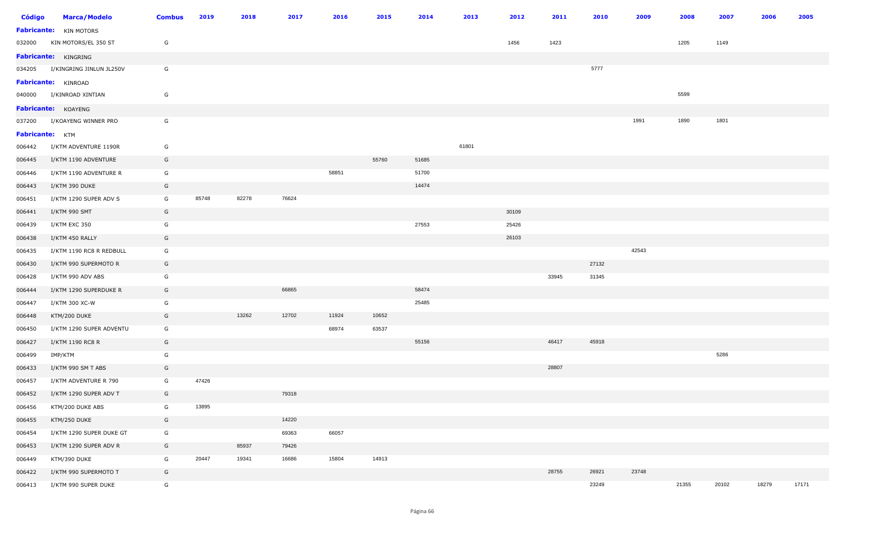| <b>Código</b>   | <b>Marca/Modelo</b>           | <b>Combus</b> | 2019  | 2018  | 2017  | 2016  | 2015  | 2014  | 2013  | 2012  | 2011  | 2010  | 2009  | 2008  | 2007  | 2006  | 2005  |
|-----------------|-------------------------------|---------------|-------|-------|-------|-------|-------|-------|-------|-------|-------|-------|-------|-------|-------|-------|-------|
|                 | <b>Fabricante:</b> KIN MOTORS |               |       |       |       |       |       |       |       |       |       |       |       |       |       |       |       |
| 032000          | KIN MOTORS/EL 350 ST          | G             |       |       |       |       |       |       |       | 1456  | 1423  |       |       | 1205  | 1149  |       |       |
|                 | <b>Fabricante: KINGRING</b>   |               |       |       |       |       |       |       |       |       |       |       |       |       |       |       |       |
| 034205          | I/KINGRING JINLUN JL250V      | G             |       |       |       |       |       |       |       |       |       | 5777  |       |       |       |       |       |
|                 | <b>Fabricante:</b> KINROAD    |               |       |       |       |       |       |       |       |       |       |       |       |       |       |       |       |
| 040000          | I/KINROAD XINTIAN             | G             |       |       |       |       |       |       |       |       |       |       |       | 5599  |       |       |       |
|                 | Fabricante: KOAYENG           |               |       |       |       |       |       |       |       |       |       |       |       |       |       |       |       |
| 037200          | I/KOAYENG WINNER PRO          | G             |       |       |       |       |       |       |       |       |       |       | 1991  | 1890  | 1801  |       |       |
| Fabricante: KTM |                               |               |       |       |       |       |       |       |       |       |       |       |       |       |       |       |       |
| 006442          | I/KTM ADVENTURE 1190R         | G             |       |       |       |       |       |       | 61801 |       |       |       |       |       |       |       |       |
| 006445          | I/KTM 1190 ADVENTURE          | G             |       |       |       |       | 55760 | 51685 |       |       |       |       |       |       |       |       |       |
| 006446          | I/KTM 1190 ADVENTURE R        | G             |       |       |       | 58851 |       | 51700 |       |       |       |       |       |       |       |       |       |
| 006443          | I/KTM 390 DUKE                | G             |       |       |       |       |       | 14474 |       |       |       |       |       |       |       |       |       |
| 006451          | I/KTM 1290 SUPER ADV S        | G             | 85748 | 82278 | 76624 |       |       |       |       |       |       |       |       |       |       |       |       |
| 006441          | I/KTM 990 SMT                 | G             |       |       |       |       |       |       |       | 30109 |       |       |       |       |       |       |       |
| 006439          | I/KTM EXC 350                 | G             |       |       |       |       |       | 27553 |       | 25426 |       |       |       |       |       |       |       |
| 006438          | I/KTM 450 RALLY               | G             |       |       |       |       |       |       |       | 26103 |       |       |       |       |       |       |       |
| 006435          | I/KTM 1190 RC8 R REDBULL      | G             |       |       |       |       |       |       |       |       |       |       | 42543 |       |       |       |       |
| 006430          | I/KTM 990 SUPERMOTO R         | G             |       |       |       |       |       |       |       |       |       | 27132 |       |       |       |       |       |
| 006428          | I/KTM 990 ADV ABS             | G             |       |       |       |       |       |       |       |       | 33945 | 31345 |       |       |       |       |       |
| 006444          | I/KTM 1290 SUPERDUKE R        | G             |       |       | 66865 |       |       | 58474 |       |       |       |       |       |       |       |       |       |
| 006447          | I/KTM 300 XC-W                | G             |       |       |       |       |       | 25485 |       |       |       |       |       |       |       |       |       |
| 006448          | KTM/200 DUKE                  | G             |       | 13262 | 12702 | 11924 | 10652 |       |       |       |       |       |       |       |       |       |       |
| 006450          | I/KTM 1290 SUPER ADVENTU      | G             |       |       |       | 68974 | 63537 |       |       |       |       |       |       |       |       |       |       |
| 006427          | I/KTM 1190 RC8 R              | G             |       |       |       |       |       | 55156 |       |       | 46417 | 45918 |       |       |       |       |       |
| 006499          | IMP/KTM                       | G             |       |       |       |       |       |       |       |       |       |       |       |       | 5286  |       |       |
| 006433          | I/KTM 990 SM T ABS            | G             |       |       |       |       |       |       |       |       | 28807 |       |       |       |       |       |       |
| 006457          | I/KTM ADVENTURE R 790         | G             | 47426 |       |       |       |       |       |       |       |       |       |       |       |       |       |       |
| 006452          | I/KTM 1290 SUPER ADV T        | G             |       |       | 79318 |       |       |       |       |       |       |       |       |       |       |       |       |
| 006456          | KTM/200 DUKE ABS              | G             | 13895 |       |       |       |       |       |       |       |       |       |       |       |       |       |       |
| 006455          | KTM/250 DUKE                  | G             |       |       | 14220 |       |       |       |       |       |       |       |       |       |       |       |       |
| 006454          | I/KTM 1290 SUPER DUKE GT      | G             |       |       | 69363 | 66057 |       |       |       |       |       |       |       |       |       |       |       |
| 006453          | I/KTM 1290 SUPER ADV R        | G             |       | 85937 | 79426 |       |       |       |       |       |       |       |       |       |       |       |       |
| 006449          | KTM/390 DUKE                  | G             | 20447 | 19341 | 16686 | 15804 | 14913 |       |       |       |       |       |       |       |       |       |       |
| 006422          | I/KTM 990 SUPERMOTO T         | G             |       |       |       |       |       |       |       |       | 28755 | 26921 | 23748 |       |       |       |       |
| 006413          | I/KTM 990 SUPER DUKE          | G             |       |       |       |       |       |       |       |       |       | 23249 |       | 21355 | 20102 | 18279 | 17171 |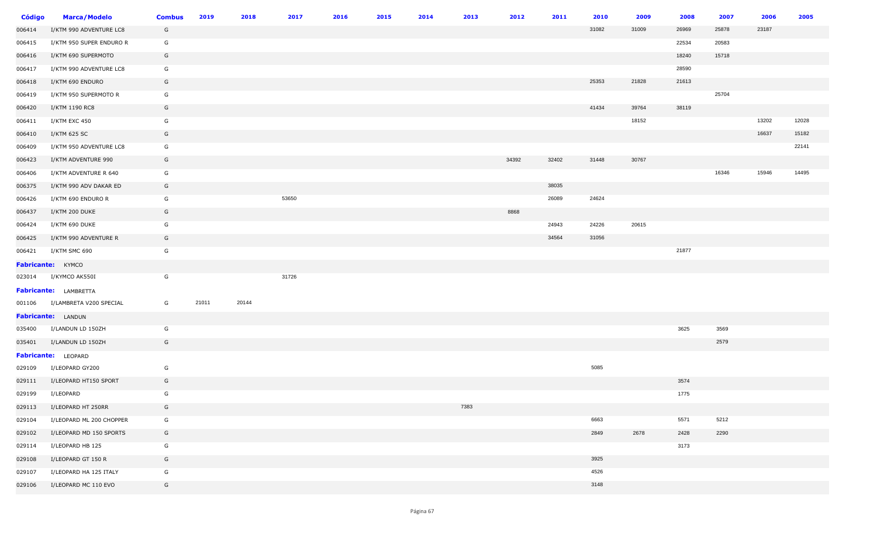| <b>Código</b> | <b>Marca/Modelo</b>          | <b>Combus</b> | 2019  | 2018  | 2017  | 2016 | 2015 | 2014 | 2013 | 2012  | 2011  | 2010  | 2009  | 2008  | 2007  | 2006  | 2005  |
|---------------|------------------------------|---------------|-------|-------|-------|------|------|------|------|-------|-------|-------|-------|-------|-------|-------|-------|
| 006414        | I/KTM 990 ADVENTURE LC8      | G             |       |       |       |      |      |      |      |       |       | 31082 | 31009 | 26969 | 25878 | 23187 |       |
| 006415        | I/KTM 950 SUPER ENDURO R     | G             |       |       |       |      |      |      |      |       |       |       |       | 22534 | 20583 |       |       |
| 006416        | I/KTM 690 SUPERMOTO          | G             |       |       |       |      |      |      |      |       |       |       |       | 18240 | 15718 |       |       |
| 006417        | I/KTM 990 ADVENTURE LC8      | G             |       |       |       |      |      |      |      |       |       |       |       | 28590 |       |       |       |
| 006418        | I/KTM 690 ENDURO             | G             |       |       |       |      |      |      |      |       |       | 25353 | 21828 | 21613 |       |       |       |
| 006419        | I/KTM 950 SUPERMOTO R        | G             |       |       |       |      |      |      |      |       |       |       |       |       | 25704 |       |       |
| 006420        | I/KTM 1190 RC8               | G             |       |       |       |      |      |      |      |       |       | 41434 | 39764 | 38119 |       |       |       |
| 006411        | I/KTM EXC 450                | G             |       |       |       |      |      |      |      |       |       |       | 18152 |       |       | 13202 | 12028 |
| 006410        | I/KTM 625 SC                 | G             |       |       |       |      |      |      |      |       |       |       |       |       |       | 16637 | 15182 |
| 006409        | I/KTM 950 ADVENTURE LC8      | G             |       |       |       |      |      |      |      |       |       |       |       |       |       |       | 22141 |
| 006423        | I/KTM ADVENTURE 990          | G             |       |       |       |      |      |      |      | 34392 | 32402 | 31448 | 30767 |       |       |       |       |
| 006406        | I/KTM ADVENTURE R 640        | G             |       |       |       |      |      |      |      |       |       |       |       |       | 16346 | 15946 | 14495 |
| 006375        | I/KTM 990 ADV DAKAR ED       | G             |       |       |       |      |      |      |      |       | 38035 |       |       |       |       |       |       |
| 006426        | I/KTM 690 ENDURO R           | G             |       |       | 53650 |      |      |      |      |       | 26089 | 24624 |       |       |       |       |       |
| 006437        | I/KTM 200 DUKE               | G             |       |       |       |      |      |      |      | 8868  |       |       |       |       |       |       |       |
| 006424        | I/KTM 690 DUKE               | G             |       |       |       |      |      |      |      |       | 24943 | 24226 | 20615 |       |       |       |       |
| 006425        | I/KTM 990 ADVENTURE R        | G             |       |       |       |      |      |      |      |       | 34564 | 31056 |       |       |       |       |       |
| 006421        | I/KTM SMC 690                | G             |       |       |       |      |      |      |      |       |       |       |       | 21877 |       |       |       |
|               | Fabricante: KYMCO            |               |       |       |       |      |      |      |      |       |       |       |       |       |       |       |       |
| 023014        | I/KYMCO AK550I               | G             |       |       | 31726 |      |      |      |      |       |       |       |       |       |       |       |       |
|               | <b>Fabricante:</b> LAMBRETTA |               |       |       |       |      |      |      |      |       |       |       |       |       |       |       |       |
| 001106        | I/LAMBRETA V200 SPECIAL      | G             | 21011 | 20144 |       |      |      |      |      |       |       |       |       |       |       |       |       |
|               | Fabricante: LANDUN           |               |       |       |       |      |      |      |      |       |       |       |       |       |       |       |       |
| 035400        | I/LANDUN LD 150ZH            | G             |       |       |       |      |      |      |      |       |       |       |       | 3625  | 3569  |       |       |
| 035401        | I/LANDUN LD 150ZH            | G             |       |       |       |      |      |      |      |       |       |       |       |       | 2579  |       |       |
|               | Fabricante: LEOPARD          |               |       |       |       |      |      |      |      |       |       |       |       |       |       |       |       |
| 029109        | I/LEOPARD GY200              | G             |       |       |       |      |      |      |      |       |       | 5085  |       |       |       |       |       |
| 029111        | I/LEOPARD HT150 SPORT        | G             |       |       |       |      |      |      |      |       |       |       |       | 3574  |       |       |       |
| 029199        | I/LEOPARD                    | G             |       |       |       |      |      |      |      |       |       |       |       | 1775  |       |       |       |
| 029113        | I/LEOPARD HT 250RR           | G             |       |       |       |      |      |      | 7383 |       |       |       |       |       |       |       |       |
| 029104        | I/LEOPARD ML 200 CHOPPER     | G             |       |       |       |      |      |      |      |       |       | 6663  |       | 5571  | 5212  |       |       |
| 029102        | I/LEOPARD MD 150 SPORTS      | G             |       |       |       |      |      |      |      |       |       | 2849  | 2678  | 2428  | 2290  |       |       |
| 029114        | I/LEOPARD HB 125             | G             |       |       |       |      |      |      |      |       |       |       |       | 3173  |       |       |       |
| 029108        | I/LEOPARD GT 150 R           | G             |       |       |       |      |      |      |      |       |       | 3925  |       |       |       |       |       |
| 029107        | I/LEOPARD HA 125 ITALY       | G             |       |       |       |      |      |      |      |       |       | 4526  |       |       |       |       |       |
| 029106        | I/LEOPARD MC 110 EVO         | G             |       |       |       |      |      |      |      |       |       | 3148  |       |       |       |       |       |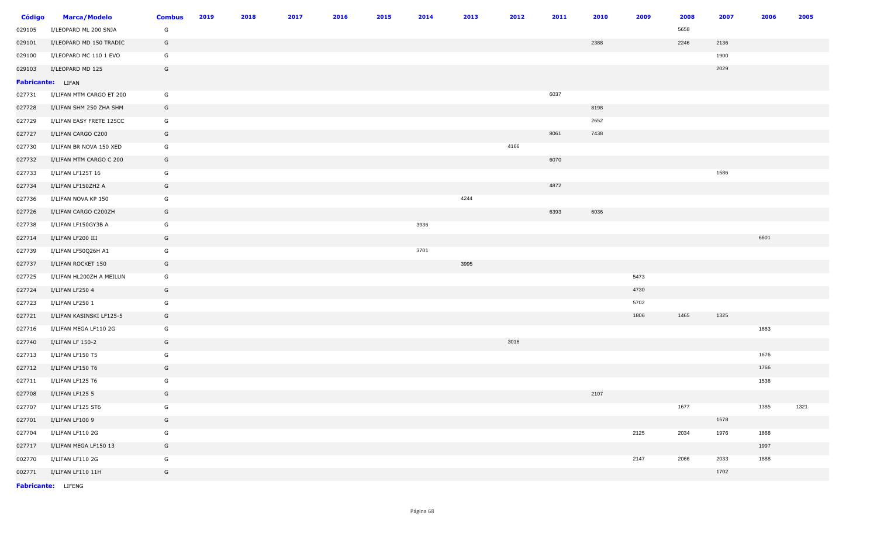| <b>Código</b> | <b>Marca/Modelo</b>      | <b>Combus</b> | 2019 | 2018 | 2017 | 2016 | 2015 | 2014 | 2013 | 2012 | 2011 | 2010 | 2009 | 2008 | 2007 | 2006 | 2005 |
|---------------|--------------------------|---------------|------|------|------|------|------|------|------|------|------|------|------|------|------|------|------|
| 029105        | I/LEOPARD ML 200 SNJA    | G             |      |      |      |      |      |      |      |      |      |      |      | 5658 |      |      |      |
| 029101        | I/LEOPARD MD 150 TRADIC  | G             |      |      |      |      |      |      |      |      |      | 2388 |      | 2246 | 2136 |      |      |
| 029100        | I/LEOPARD MC 110 1 EVO   | G             |      |      |      |      |      |      |      |      |      |      |      |      | 1900 |      |      |
| 029103        | I/LEOPARD MD 125         | G             |      |      |      |      |      |      |      |      |      |      |      |      | 2029 |      |      |
|               | <b>Fabricante:</b> LIFAN |               |      |      |      |      |      |      |      |      |      |      |      |      |      |      |      |
| 027731        | I/LIFAN MTM CARGO ET 200 | G             |      |      |      |      |      |      |      |      | 6037 |      |      |      |      |      |      |
| 027728        | I/LIFAN SHM 250 ZHA SHM  | G             |      |      |      |      |      |      |      |      |      | 8198 |      |      |      |      |      |
| 027729        | I/LIFAN EASY FRETE 125CC | G             |      |      |      |      |      |      |      |      |      | 2652 |      |      |      |      |      |
| 027727        | I/LIFAN CARGO C200       | G             |      |      |      |      |      |      |      |      | 8061 | 7438 |      |      |      |      |      |
| 027730        | I/LIFAN BR NOVA 150 XED  | G             |      |      |      |      |      |      |      | 4166 |      |      |      |      |      |      |      |
| 027732        | I/LIFAN MTM CARGO C 200  | G             |      |      |      |      |      |      |      |      | 6070 |      |      |      |      |      |      |
| 027733        | I/LIFAN LF125T 16        | G             |      |      |      |      |      |      |      |      |      |      |      |      | 1586 |      |      |
| 027734        | I/LIFAN LF150ZH2 A       | G             |      |      |      |      |      |      |      |      | 4872 |      |      |      |      |      |      |
| 027736        | I/LIFAN NOVA KP 150      | G             |      |      |      |      |      |      | 4244 |      |      |      |      |      |      |      |      |
| 027726        | I/LIFAN CARGO C200ZH     | G             |      |      |      |      |      |      |      |      | 6393 | 6036 |      |      |      |      |      |
| 027738        | I/LIFAN LF150GY3B A      | G             |      |      |      |      |      | 3936 |      |      |      |      |      |      |      |      |      |
| 027714        | I/LIFAN LF200 III        | G             |      |      |      |      |      |      |      |      |      |      |      |      |      | 6601 |      |
| 027739        | I/LIFAN LF50Q26H A1      | G             |      |      |      |      |      | 3701 |      |      |      |      |      |      |      |      |      |
| 027737        | I/LIFAN ROCKET 150       | G             |      |      |      |      |      |      | 3995 |      |      |      |      |      |      |      |      |
| 027725        | I/LIFAN HL200ZH A MEILUN | G             |      |      |      |      |      |      |      |      |      |      | 5473 |      |      |      |      |
| 027724        | I/LIFAN LF250 4          | G             |      |      |      |      |      |      |      |      |      |      | 4730 |      |      |      |      |
| 027723        | I/LIFAN LF250 1          | G             |      |      |      |      |      |      |      |      |      |      | 5702 |      |      |      |      |
| 027721        | I/LIFAN KASINSKI LF125-5 | G             |      |      |      |      |      |      |      |      |      |      | 1806 | 1465 | 1325 |      |      |
| 027716        | I/LIFAN MEGA LF110 2G    | G             |      |      |      |      |      |      |      |      |      |      |      |      |      | 1863 |      |
| 027740        | I/LIFAN LF 150-2         | G             |      |      |      |      |      |      |      | 3016 |      |      |      |      |      |      |      |
| 027713        | I/LIFAN LF150 T5         | G             |      |      |      |      |      |      |      |      |      |      |      |      |      | 1676 |      |
| 027712        | I/LIFAN LF150 T6         | G             |      |      |      |      |      |      |      |      |      |      |      |      |      | 1766 |      |
| 027711        | I/LIFAN LF125 T6         | G             |      |      |      |      |      |      |      |      |      |      |      |      |      | 1538 |      |
| 027708        | I/LIFAN LF125 5          | G             |      |      |      |      |      |      |      |      |      | 2107 |      |      |      |      |      |
| 027707        | I/LIFAN LF125 ST6        | G             |      |      |      |      |      |      |      |      |      |      |      | 1677 |      | 1385 | 1321 |
| 027701        | I/LIFAN LF100 9          | G             |      |      |      |      |      |      |      |      |      |      |      |      | 1578 |      |      |
| 027704        | I/LIFAN LF110 2G         | G             |      |      |      |      |      |      |      |      |      |      | 2125 | 2034 | 1976 | 1868 |      |
| 027717        | I/LIFAN MEGA LF150 13    | G             |      |      |      |      |      |      |      |      |      |      |      |      |      | 1997 |      |
| 002770        | I/LIFAN LF110 2G         | G             |      |      |      |      |      |      |      |      |      |      | 2147 | 2066 | 2033 | 1888 |      |
| 002771        | I/LIFAN LF110 11H        | G             |      |      |      |      |      |      |      |      |      |      |      |      | 1702 |      |      |
|               |                          |               |      |      |      |      |      |      |      |      |      |      |      |      |      |      |      |

**Fabricante:** LIFENG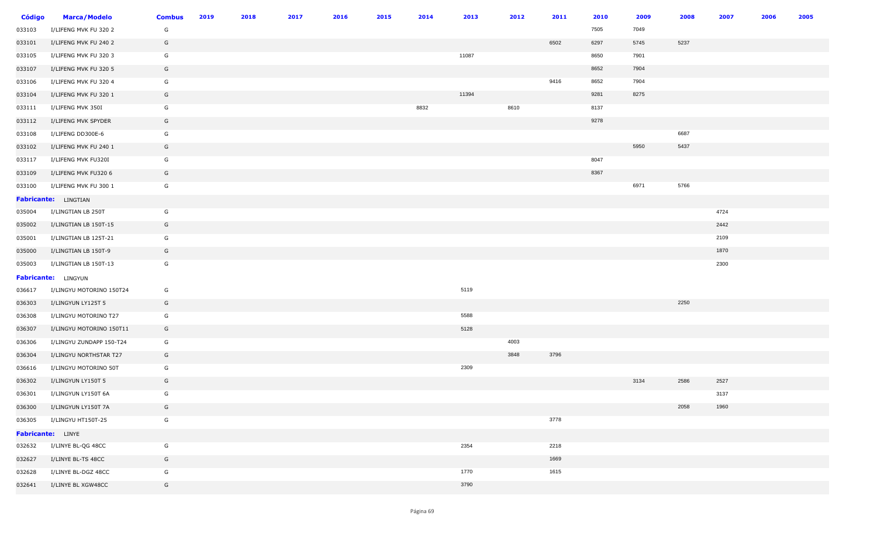| <b>Código</b> | <b>Marca/Modelo</b>        | <b>Combus</b> | 2019 | 2018 | 2017 | 2016 | 2015 | 2014 | 2013  | 2012 | 2011 | 2010 | 2009 | 2008 | 2007 | 2006 | 2005 |
|---------------|----------------------------|---------------|------|------|------|------|------|------|-------|------|------|------|------|------|------|------|------|
| 033103        | I/LIFENG MVK FU 320 2      | G             |      |      |      |      |      |      |       |      |      | 7505 | 7049 |      |      |      |      |
| 033101        | I/LIFENG MVK FU 240 2      | G             |      |      |      |      |      |      |       |      | 6502 | 6297 | 5745 | 5237 |      |      |      |
| 033105        | I/LIFENG MVK FU 320 3      | G             |      |      |      |      |      |      | 11087 |      |      | 8650 | 7901 |      |      |      |      |
| 033107        | I/LIFENG MVK FU 320 5      | G             |      |      |      |      |      |      |       |      |      | 8652 | 7904 |      |      |      |      |
| 033106        | I/LIFENG MVK FU 320 4      | G             |      |      |      |      |      |      |       |      | 9416 | 8652 | 7904 |      |      |      |      |
| 033104        | I/LIFENG MVK FU 320 1      | G             |      |      |      |      |      |      | 11394 |      |      | 9281 | 8275 |      |      |      |      |
| 033111        | I/LIFENG MVK 350I          | G             |      |      |      |      |      | 8832 |       | 8610 |      | 8137 |      |      |      |      |      |
| 033112        | I/LIFENG MVK SPYDER        | G             |      |      |      |      |      |      |       |      |      | 9278 |      |      |      |      |      |
| 033108        | I/LIFENG DD300E-6          | G             |      |      |      |      |      |      |       |      |      |      |      | 6687 |      |      |      |
| 033102        | I/LIFENG MVK FU 240 1      | G             |      |      |      |      |      |      |       |      |      |      | 5950 | 5437 |      |      |      |
| 033117        | I/LIFENG MVK FU320I        | G             |      |      |      |      |      |      |       |      |      | 8047 |      |      |      |      |      |
| 033109        | I/LIFENG MVK FU320 6       | G             |      |      |      |      |      |      |       |      |      | 8367 |      |      |      |      |      |
| 033100        | I/LIFENG MVK FU 300 1      | G             |      |      |      |      |      |      |       |      |      |      | 6971 | 5766 |      |      |      |
|               | Fabricante: LINGTIAN       |               |      |      |      |      |      |      |       |      |      |      |      |      |      |      |      |
| 035004        | I/LINGTIAN LB 250T         | G             |      |      |      |      |      |      |       |      |      |      |      |      | 4724 |      |      |
| 035002        | I/LINGTIAN LB 150T-15      | G             |      |      |      |      |      |      |       |      |      |      |      |      | 2442 |      |      |
| 035001        | I/LINGTIAN LB 125T-21      | G             |      |      |      |      |      |      |       |      |      |      |      |      | 2109 |      |      |
| 035000        | I/LINGTIAN LB 150T-9       | G             |      |      |      |      |      |      |       |      |      |      |      |      | 1870 |      |      |
| 035003        | I/LINGTIAN LB 150T-13      | G             |      |      |      |      |      |      |       |      |      |      |      |      | 2300 |      |      |
|               | <b>Fabricante:</b> LINGYUN |               |      |      |      |      |      |      |       |      |      |      |      |      |      |      |      |
| 036617        | I/LINGYU MOTORINO 150T24   | G             |      |      |      |      |      |      | 5119  |      |      |      |      |      |      |      |      |
| 036303        | I/LINGYUN LY125T 5         | G             |      |      |      |      |      |      |       |      |      |      |      | 2250 |      |      |      |
| 036308        | I/LINGYU MOTORINO T27      | G             |      |      |      |      |      |      | 5588  |      |      |      |      |      |      |      |      |
| 036307        | I/LINGYU MOTORINO 150T11   | G             |      |      |      |      |      |      | 5128  |      |      |      |      |      |      |      |      |
| 036306        | I/LINGYU ZUNDAPP 150-T24   | G             |      |      |      |      |      |      |       | 4003 |      |      |      |      |      |      |      |
| 036304        | I/LINGYU NORTHSTAR T27     | G             |      |      |      |      |      |      |       | 3848 | 3796 |      |      |      |      |      |      |
| 036616        | I/LINGYU MOTORINO 50T      | G             |      |      |      |      |      |      | 2309  |      |      |      |      |      |      |      |      |
| 036302        | I/LINGYUN LY150T 5         | G             |      |      |      |      |      |      |       |      |      |      | 3134 | 2586 | 2527 |      |      |
| 036301        | I/LINGYUN LY150T 6A        | G             |      |      |      |      |      |      |       |      |      |      |      |      | 3137 |      |      |
| 036300        | I/LINGYUN LY150T 7A        | G             |      |      |      |      |      |      |       |      |      |      |      | 2058 | 1960 |      |      |
| 036305        | I/LINGYU HT150T-25         | G             |      |      |      |      |      |      |       |      | 3778 |      |      |      |      |      |      |
|               | Fabricante: LINYE          |               |      |      |      |      |      |      |       |      |      |      |      |      |      |      |      |
| 032632        | I/LINYE BL-QG 48CC         | G             |      |      |      |      |      |      | 2354  |      | 2218 |      |      |      |      |      |      |
| 032627        | I/LINYE BL-TS 48CC         | G             |      |      |      |      |      |      |       |      | 1669 |      |      |      |      |      |      |
| 032628        | I/LINYE BL-DGZ 48CC        | G             |      |      |      |      |      |      | 1770  |      | 1615 |      |      |      |      |      |      |
| 032641        | I/LINYE BL XGW48CC         | G             |      |      |      |      |      |      | 3790  |      |      |      |      |      |      |      |      |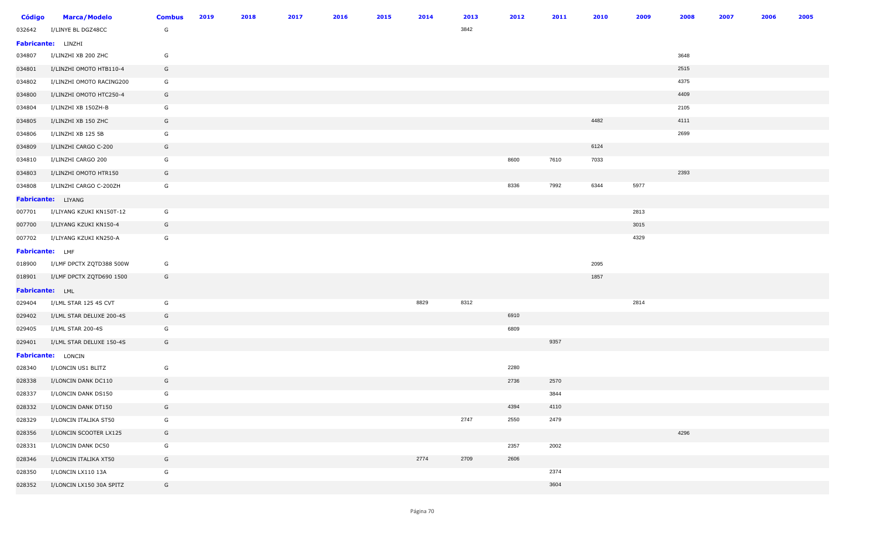| <b>Código</b>   | <b>Marca/Modelo</b>      | <b>Combus</b> | 2019 | 2018 | 2017 | 2016 | 2015 | 2014 | 2013 | 2012 | 2011 | 2010 | 2009 | 2008 | 2007 | 2006 | 2005 |
|-----------------|--------------------------|---------------|------|------|------|------|------|------|------|------|------|------|------|------|------|------|------|
| 032642          | I/LINYE BL DGZ48CC       | G             |      |      |      |      |      |      | 3842 |      |      |      |      |      |      |      |      |
|                 | Fabricante: LINZHI       |               |      |      |      |      |      |      |      |      |      |      |      |      |      |      |      |
| 034807          | I/LINZHI XB 200 ZHC      | G             |      |      |      |      |      |      |      |      |      |      |      | 3648 |      |      |      |
| 034801          | I/LINZHI OMOTO HTB110-4  | G             |      |      |      |      |      |      |      |      |      |      |      | 2515 |      |      |      |
| 034802          | I/LINZHI OMOTO RACING200 | G             |      |      |      |      |      |      |      |      |      |      |      | 4375 |      |      |      |
| 034800          | I/LINZHI OMOTO HTC250-4  | G             |      |      |      |      |      |      |      |      |      |      |      | 4409 |      |      |      |
| 034804          | I/LINZHI XB 150ZH-B      | G             |      |      |      |      |      |      |      |      |      |      |      | 2105 |      |      |      |
| 034805          | I/LINZHI XB 150 ZHC      | G             |      |      |      |      |      |      |      |      |      | 4482 |      | 4111 |      |      |      |
| 034806          | I/LINZHI XB 125 5B       | G             |      |      |      |      |      |      |      |      |      |      |      | 2699 |      |      |      |
| 034809          | I/LINZHI CARGO C-200     | G             |      |      |      |      |      |      |      |      |      | 6124 |      |      |      |      |      |
| 034810          | I/LINZHI CARGO 200       | G             |      |      |      |      |      |      |      | 8600 | 7610 | 7033 |      |      |      |      |      |
| 034803          | I/LINZHI OMOTO HTR150    | G             |      |      |      |      |      |      |      |      |      |      |      | 2393 |      |      |      |
| 034808          | I/LINZHI CARGO C-200ZH   | G             |      |      |      |      |      |      |      | 8336 | 7992 | 6344 | 5977 |      |      |      |      |
|                 | Fabricante: LIYANG       |               |      |      |      |      |      |      |      |      |      |      |      |      |      |      |      |
| 007701          | I/LIYANG KZUKI KN150T-12 | G             |      |      |      |      |      |      |      |      |      |      | 2813 |      |      |      |      |
| 007700          | I/LIYANG KZUKI KN150-4   | G             |      |      |      |      |      |      |      |      |      |      | 3015 |      |      |      |      |
| 007702          | I/LIYANG KZUKI KN250-A   | G             |      |      |      |      |      |      |      |      |      |      | 4329 |      |      |      |      |
| Fabricante: LMF |                          |               |      |      |      |      |      |      |      |      |      |      |      |      |      |      |      |
| 018900          | I/LMF DPCTX ZQTD388 500W | G             |      |      |      |      |      |      |      |      |      | 2095 |      |      |      |      |      |
| 018901          | I/LMF DPCTX ZQTD690 1500 | G             |      |      |      |      |      |      |      |      |      | 1857 |      |      |      |      |      |
| Fabricante: LML |                          |               |      |      |      |      |      |      |      |      |      |      |      |      |      |      |      |
| 029404          | I/LML STAR 125 4S CVT    | G             |      |      |      |      |      | 8829 | 8312 |      |      |      | 2814 |      |      |      |      |
| 029402          | I/LML STAR DELUXE 200-4S | G             |      |      |      |      |      |      |      | 6910 |      |      |      |      |      |      |      |
| 029405          | I/LML STAR 200-4S        | G             |      |      |      |      |      |      |      | 6809 |      |      |      |      |      |      |      |
| 029401          | I/LML STAR DELUXE 150-4S | G             |      |      |      |      |      |      |      |      | 9357 |      |      |      |      |      |      |
|                 | Fabricante: LONCIN       |               |      |      |      |      |      |      |      |      |      |      |      |      |      |      |      |
| 028340          | I/LONCIN US1 BLITZ       | G             |      |      |      |      |      |      |      | 2280 |      |      |      |      |      |      |      |
| 028338          | I/LONCIN DANK DC110      | G             |      |      |      |      |      |      |      | 2736 | 2570 |      |      |      |      |      |      |
| 028337          | I/LONCIN DANK DS150      | G             |      |      |      |      |      |      |      |      | 3844 |      |      |      |      |      |      |
| 028332          | I/LONCIN DANK DT150      | G             |      |      |      |      |      |      |      | 4394 | 4110 |      |      |      |      |      |      |
| 028329          | I/LONCIN ITALIKA ST50    | G             |      |      |      |      |      |      | 2747 | 2550 | 2479 |      |      |      |      |      |      |
| 028356          | I/LONCIN SCOOTER LX125   | G             |      |      |      |      |      |      |      |      |      |      |      | 4296 |      |      |      |
| 028331          | I/LONCIN DANK DC50       | G             |      |      |      |      |      |      |      | 2357 | 2002 |      |      |      |      |      |      |
| 028346          | I/LONCIN ITALIKA XT50    | G             |      |      |      |      |      | 2774 | 2709 | 2606 |      |      |      |      |      |      |      |
| 028350          | I/LONCIN LX110 13A       | G             |      |      |      |      |      |      |      |      | 2374 |      |      |      |      |      |      |
| 028352          | I/LONCIN LX150 30A SPITZ | G             |      |      |      |      |      |      |      |      | 3604 |      |      |      |      |      |      |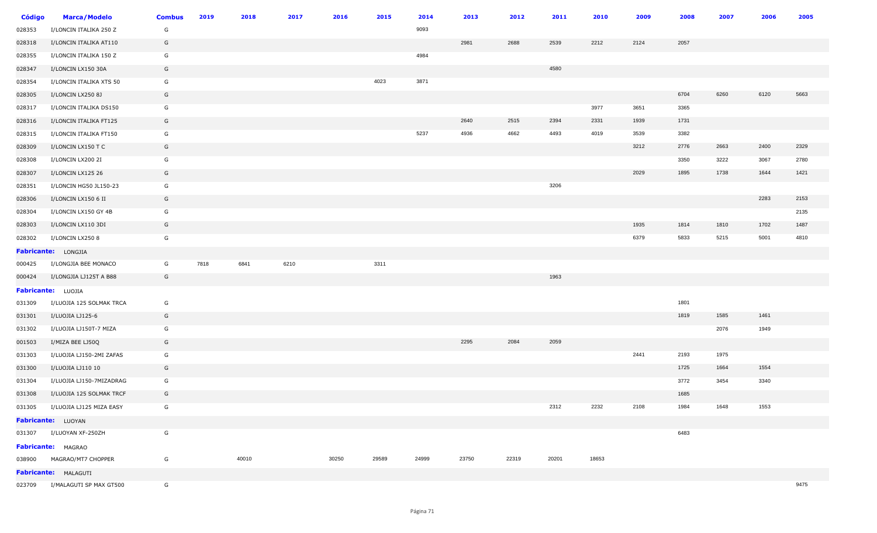| Código | <b>Marca/Modelo</b>             | <b>Combus</b> | 2019 | 2018  | 2017 | 2016  | 2015  | 2014  | 2013  | 2012  | 2011  | 2010  | 2009 | 2008 | 2007 | 2006 | 2005 |
|--------|---------------------------------|---------------|------|-------|------|-------|-------|-------|-------|-------|-------|-------|------|------|------|------|------|
| 028353 | I/LONCIN ITALIKA 250 Z          | G             |      |       |      |       |       | 9093  |       |       |       |       |      |      |      |      |      |
| 028318 | I/LONCIN ITALIKA AT110          | G             |      |       |      |       |       |       | 2981  | 2688  | 2539  | 2212  | 2124 | 2057 |      |      |      |
| 028355 | I/LONCIN ITALIKA 150 Z          | G             |      |       |      |       |       | 4984  |       |       |       |       |      |      |      |      |      |
| 028347 | I/LONCIN LX150 30A              | G             |      |       |      |       |       |       |       |       | 4580  |       |      |      |      |      |      |
| 028354 | I/LONCIN ITALIKA XTS 50         | G             |      |       |      |       | 4023  | 3871  |       |       |       |       |      |      |      |      |      |
| 028305 | I/LONCIN LX250 8J               | G             |      |       |      |       |       |       |       |       |       |       |      | 6704 | 6260 | 6120 | 5663 |
| 028317 | I/LONCIN ITALIKA DS150          | G             |      |       |      |       |       |       |       |       |       | 3977  | 3651 | 3365 |      |      |      |
| 028316 | I/LONCIN ITALIKA FT125          | G             |      |       |      |       |       |       | 2640  | 2515  | 2394  | 2331  | 1939 | 1731 |      |      |      |
| 028315 | I/LONCIN ITALIKA FT150          | G             |      |       |      |       |       | 5237  | 4936  | 4662  | 4493  | 4019  | 3539 | 3382 |      |      |      |
| 028309 | I/LONCIN LX150 T C              | G             |      |       |      |       |       |       |       |       |       |       | 3212 | 2776 | 2663 | 2400 | 2329 |
| 028308 | I/LONCIN LX200 2I               | G             |      |       |      |       |       |       |       |       |       |       |      | 3350 | 3222 | 3067 | 2780 |
| 028307 | I/LONCIN LX125 26               | G             |      |       |      |       |       |       |       |       |       |       | 2029 | 1895 | 1738 | 1644 | 1421 |
| 028351 | I/LONCIN HG50 JL150-23          | G             |      |       |      |       |       |       |       |       | 3206  |       |      |      |      |      |      |
| 028306 | I/LONCIN LX150 6 II             | G             |      |       |      |       |       |       |       |       |       |       |      |      |      | 2283 | 2153 |
| 028304 | I/LONCIN LX150 GY 4B            | G             |      |       |      |       |       |       |       |       |       |       |      |      |      |      | 2135 |
| 028303 | I/LONCIN LX110 3DI              | G             |      |       |      |       |       |       |       |       |       |       | 1935 | 1814 | 1810 | 1702 | 1487 |
| 028302 | I/LONCIN LX250 8                | G             |      |       |      |       |       |       |       |       |       |       | 6379 | 5833 | 5215 | 5001 | 4810 |
|        | Fabricante: LONGJIA             |               |      |       |      |       |       |       |       |       |       |       |      |      |      |      |      |
| 000425 | I/LONGJIA BEE MONACO            | G             | 7818 | 6841  | 6210 |       | 3311  |       |       |       |       |       |      |      |      |      |      |
| 000424 | I/LONGJIA LJ125T A B88          | G             |      |       |      |       |       |       |       |       | 1963  |       |      |      |      |      |      |
|        | Fabricante: LUOJIA              |               |      |       |      |       |       |       |       |       |       |       |      |      |      |      |      |
| 031309 | I/LUOJIA 125 SOLMAK TRCA        | G             |      |       |      |       |       |       |       |       |       |       |      | 1801 |      |      |      |
| 031301 | I/LUOJIA LJ125-6                | G             |      |       |      |       |       |       |       |       |       |       |      | 1819 | 1585 | 1461 |      |
| 031302 | I/LUOJIA LJ150T-7 MIZA          | G             |      |       |      |       |       |       |       |       |       |       |      |      | 2076 | 1949 |      |
| 001503 | I/MIZA BEE LJ50Q                | G             |      |       |      |       |       |       | 2295  | 2084  | 2059  |       |      |      |      |      |      |
| 031303 | I/LUOJIA LJ150-2MI ZAFAS        | G             |      |       |      |       |       |       |       |       |       |       | 2441 | 2193 | 1975 |      |      |
| 031300 | I/LUOJIA LJ110 10               | G             |      |       |      |       |       |       |       |       |       |       |      | 1725 | 1664 | 1554 |      |
| 031304 | I/LUOJIA LJ150-7MIZADRAG        | G             |      |       |      |       |       |       |       |       |       |       |      | 3772 | 3454 | 3340 |      |
| 031308 | I/LUOJIA 125 SOLMAK TRCF        | G             |      |       |      |       |       |       |       |       |       |       |      | 1685 |      |      |      |
|        | 031305 I/LUOJIA LJ125 MIZA EASY | G             |      |       |      |       |       |       |       |       | 2312  | 2232  | 2108 | 1984 | 1648 | 1553 |      |
|        | Fabricante: LUOYAN              |               |      |       |      |       |       |       |       |       |       |       |      |      |      |      |      |
|        | 031307 I/LUOYAN XF-250ZH        | G             |      |       |      |       |       |       |       |       |       |       |      | 6483 |      |      |      |
|        | <b>Fabricante: MAGRAO</b>       |               |      |       |      |       |       |       |       |       |       |       |      |      |      |      |      |
|        | 038900 MAGRAO/MT7 CHOPPER       | G             |      | 40010 |      | 30250 | 29589 | 24999 | 23750 | 22319 | 20201 | 18653 |      |      |      |      |      |
|        | Fabricante: MALAGUTI            |               |      |       |      |       |       |       |       |       |       |       |      |      |      |      |      |
|        | 023709 I/MALAGUTI SP MAX GT500  | G             |      |       |      |       |       |       |       |       |       |       |      |      |      |      | 9475 |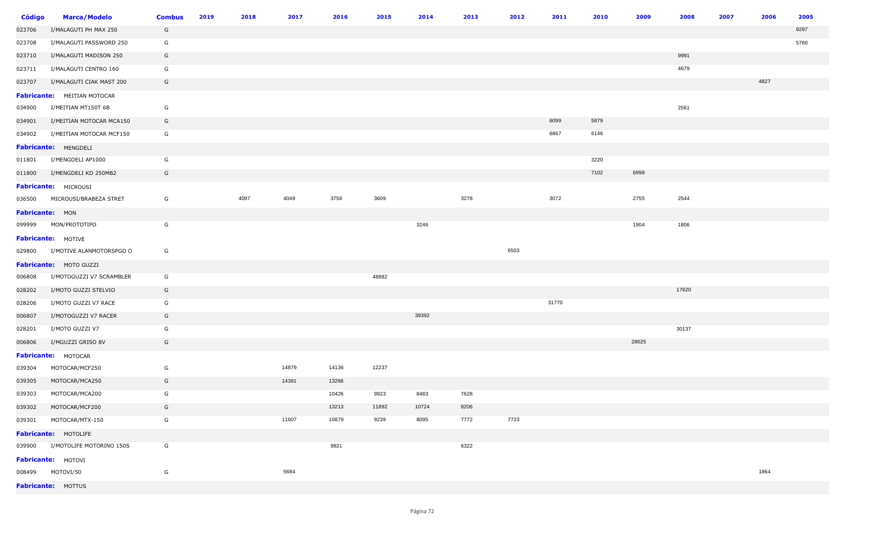| <b>Código</b>   | <b>Marca/Modelo</b>                | <b>Combus</b> | 2019 | 2018 | 2017  | 2016  | 2015  | 2014  | 2013 | 2012 | 2011  | 2010 | 2009  | 2008  | 2007 | 2006 | 2005 |
|-----------------|------------------------------------|---------------|------|------|-------|-------|-------|-------|------|------|-------|------|-------|-------|------|------|------|
| 023706          | I/MALAGUTI PH MAX 250              | G             |      |      |       |       |       |       |      |      |       |      |       |       |      |      | 9297 |
| 023708          | I/MALAGUTI PASSWORD 250            | G             |      |      |       |       |       |       |      |      |       |      |       |       |      |      | 5760 |
| 023710          | I/MALAGUTI MADISON 250             | G             |      |      |       |       |       |       |      |      |       |      |       | 9991  |      |      |      |
| 023711          | I/MALAGUTI CENTRO 160              | G             |      |      |       |       |       |       |      |      |       |      |       | 4679  |      |      |      |
| 023707          | I/MALAGUTI CIAK MAST 200           | G             |      |      |       |       |       |       |      |      |       |      |       |       |      | 4827 |      |
|                 | <b>Fabricante:</b> MEITIAN MOTOCAR |               |      |      |       |       |       |       |      |      |       |      |       |       |      |      |      |
| 034900          | I/MEITIAN MT150T 6B                | G             |      |      |       |       |       |       |      |      |       |      |       | 2561  |      |      |      |
| 034901          | I/MEITIAN MOTOCAR MCA150           | G             |      |      |       |       |       |       |      |      | 6099  | 5879 |       |       |      |      |      |
| 034902          | I/MEITIAN MOTOCAR MCF150           | G             |      |      |       |       |       |       |      |      | 6867  | 6146 |       |       |      |      |      |
|                 | Fabricante: MENGDELI               |               |      |      |       |       |       |       |      |      |       |      |       |       |      |      |      |
|                 | 011801 I/MENGDELI AP1000           | G             |      |      |       |       |       |       |      |      |       | 3220 |       |       |      |      |      |
| 011800          | I/MENGDELI KD 250MB2               | G             |      |      |       |       |       |       |      |      |       | 7102 | 6998  |       |      |      |      |
|                 | Fabricante: MICROUSI               |               |      |      |       |       |       |       |      |      |       |      |       |       |      |      |      |
|                 | 036500 MICROUSI/BRABEZA STRET      | G             |      | 4097 | 4049  | 3756  | 3609  |       | 3278 |      | 3072  |      | 2755  | 2544  |      |      |      |
| Fabricante: MON |                                    |               |      |      |       |       |       |       |      |      |       |      |       |       |      |      |      |
|                 | 099999 MON/PROTOTIPO               | G             |      |      |       |       |       | 3246  |      |      |       |      | 1904  | 1806  |      |      |      |
|                 | Fabricante: MOTIVE                 |               |      |      |       |       |       |       |      |      |       |      |       |       |      |      |      |
| 029800          | I/MOTIVE ALANMOTORSPGO O           | G             |      |      |       |       |       |       |      | 6503 |       |      |       |       |      |      |      |
|                 | Fabricante: MOTO GUZZI             |               |      |      |       |       |       |       |      |      |       |      |       |       |      |      |      |
| 006808          | I/MOTOGUZZI V7 SCRAMBLER           | G             |      |      |       |       | 48882 |       |      |      |       |      |       |       |      |      |      |
| 028202          | I/MOTO GUZZI STELVIO               | G             |      |      |       |       |       |       |      |      |       |      |       | 17620 |      |      |      |
| 028206          | I/MOTO GUZZI V7 RACE               | G             |      |      |       |       |       |       |      |      | 31770 |      |       |       |      |      |      |
| 006807          | I/MOTOGUZZI V7 RACER               | G             |      |      |       |       |       | 39392 |      |      |       |      |       |       |      |      |      |
| 028201          | I/MOTO GUZZI V7                    | G             |      |      |       |       |       |       |      |      |       |      |       | 30137 |      |      |      |
| 006806          | I/MGUZZI GRISO 8V                  | G             |      |      |       |       |       |       |      |      |       |      | 28625 |       |      |      |      |
|                 | Fabricante: MOTOCAR                |               |      |      |       |       |       |       |      |      |       |      |       |       |      |      |      |
| 039304          | MOTOCAR/MCF250                     | G             |      |      | 14879 | 14136 | 12237 |       |      |      |       |      |       |       |      |      |      |
| 039305          | MOTOCAR/MCA250                     | G             |      |      | 14391 | 13266 |       |       |      |      |       |      |       |       |      |      |      |
| 039303          | MOTOCAR/MCA200                     | G             |      |      |       | 10426 | 9923  | 8483  | 7628 |      |       |      |       |       |      |      |      |
|                 | 039302 MOTOCAR/MCF200              | G             |      |      |       | 13213 | 11892 | 10724 | 8206 |      |       |      |       |       |      |      |      |
|                 | 039301 MOTOCAR/MTX-150             | G             |      |      | 11607 | 10879 | 9239  | 8095  | 7772 | 7723 |       |      |       |       |      |      |      |
|                 | Fabricante: MOTOLIFE               |               |      |      |       |       |       |       |      |      |       |      |       |       |      |      |      |
|                 | 039900 I/MOTOLIFE MOTORINO 150S    | G             |      |      |       | 9831  |       |       | 6322 |      |       |      |       |       |      |      |      |
|                 | Fabricante: MOTOVI                 |               |      |      |       |       |       |       |      |      |       |      |       |       |      |      |      |
|                 | 008499 MOTOVI/50                   | G             |      |      | 5684  |       |       |       |      |      |       |      |       |       |      | 1864 |      |
|                 | <b>Fabricante: MOTTUS</b>          |               |      |      |       |       |       |       |      |      |       |      |       |       |      |      |      |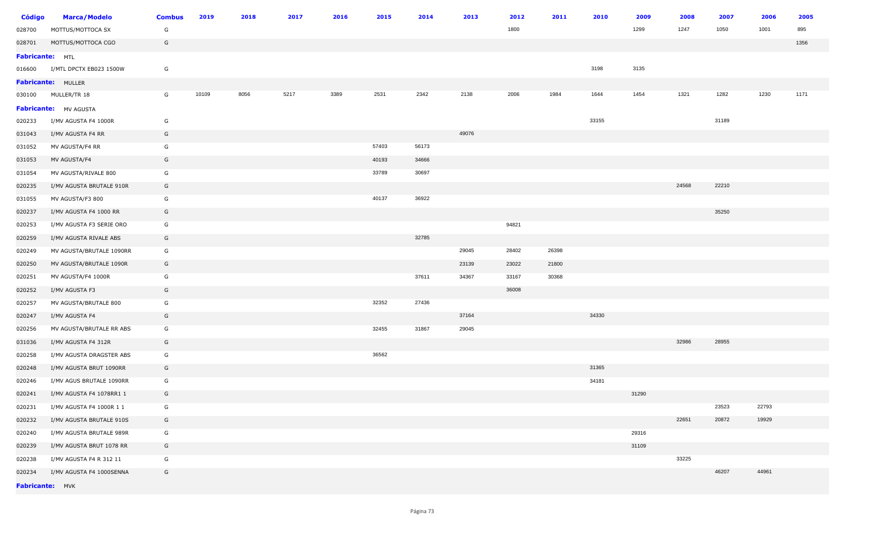| <b>Código</b>          | <b>Marca/Modelo</b>       | <b>Combus</b> | 2019  | 2018 | 2017 | 2016 | 2015  | 2014  | 2013  | 2012  | 2011  | 2010  | 2009  | 2008  | 2007  | 2006  | 2005 |
|------------------------|---------------------------|---------------|-------|------|------|------|-------|-------|-------|-------|-------|-------|-------|-------|-------|-------|------|
| 028700                 | MOTTUS/MOTTOCA SX         | G             |       |      |      |      |       |       |       | 1800  |       |       | 1299  | 1247  | 1050  | 1001  | 895  |
| 028701                 | MOTTUS/MOTTOCA CGO        | G             |       |      |      |      |       |       |       |       |       |       |       |       |       |       | 1356 |
| <b>Fabricante:</b> MTL |                           |               |       |      |      |      |       |       |       |       |       |       |       |       |       |       |      |
| 016600                 | I/MTL DPCTX EB023 1500W   | G             |       |      |      |      |       |       |       |       |       | 3198  | 3135  |       |       |       |      |
|                        | <b>Fabricante: MULLER</b> |               |       |      |      |      |       |       |       |       |       |       |       |       |       |       |      |
| 030100                 | MULLER/TR 18              | G             | 10109 | 8056 | 5217 | 3389 | 2531  | 2342  | 2138  | 2006  | 1984  | 1644  | 1454  | 1321  | 1282  | 1230  | 1171 |
|                        | Fabricante: MV AGUSTA     |               |       |      |      |      |       |       |       |       |       |       |       |       |       |       |      |
| 020233                 | I/MV AGUSTA F4 1000R      | G             |       |      |      |      |       |       |       |       |       | 33155 |       |       | 31189 |       |      |
| 031043                 | I/MV AGUSTA F4 RR         | G             |       |      |      |      |       |       | 49076 |       |       |       |       |       |       |       |      |
| 031052                 | MV AGUSTA/F4 RR           | G             |       |      |      |      | 57403 | 56173 |       |       |       |       |       |       |       |       |      |
| 031053                 | MV AGUSTA/F4              | G             |       |      |      |      | 40193 | 34666 |       |       |       |       |       |       |       |       |      |
| 031054                 | MV AGUSTA/RIVALE 800      | G             |       |      |      |      | 33789 | 30697 |       |       |       |       |       |       |       |       |      |
| 020235                 | I/MV AGUSTA BRUTALE 910R  | G             |       |      |      |      |       |       |       |       |       |       |       | 24568 | 22210 |       |      |
| 031055                 | MV AGUSTA/F3 800          | G             |       |      |      |      | 40137 | 36922 |       |       |       |       |       |       |       |       |      |
| 020237                 | I/MV AGUSTA F4 1000 RR    | G             |       |      |      |      |       |       |       |       |       |       |       |       | 35250 |       |      |
| 020253                 | I/MV AGUSTA F3 SERIE ORO  | G             |       |      |      |      |       |       |       | 94821 |       |       |       |       |       |       |      |
| 020259                 | I/MV AGUSTA RIVALE ABS    | G             |       |      |      |      |       | 32785 |       |       |       |       |       |       |       |       |      |
| 020249                 | MV AGUSTA/BRUTALE 1090RR  | G             |       |      |      |      |       |       | 29045 | 28402 | 26398 |       |       |       |       |       |      |
| 020250                 | MV AGUSTA/BRUTALE 1090R   | G             |       |      |      |      |       |       | 23139 | 23022 | 21800 |       |       |       |       |       |      |
| 020251                 | MV AGUSTA/F4 1000R        | G             |       |      |      |      |       | 37611 | 34367 | 33167 | 30368 |       |       |       |       |       |      |
| 020252                 | I/MV AGUSTA F3            | G             |       |      |      |      |       |       |       | 36008 |       |       |       |       |       |       |      |
| 020257                 | MV AGUSTA/BRUTALE 800     | G             |       |      |      |      | 32352 | 27436 |       |       |       |       |       |       |       |       |      |
| 020247                 | I/MV AGUSTA F4            | G             |       |      |      |      |       |       | 37164 |       |       | 34330 |       |       |       |       |      |
| 020256                 | MV AGUSTA/BRUTALE RR ABS  | G             |       |      |      |      | 32455 | 31867 | 29045 |       |       |       |       |       |       |       |      |
| 031036                 | I/MV AGUSTA F4 312R       | G             |       |      |      |      |       |       |       |       |       |       |       | 32986 | 28955 |       |      |
| 020258                 | I/MV AGUSTA DRAGSTER ABS  | G             |       |      |      |      | 36562 |       |       |       |       |       |       |       |       |       |      |
| 020248                 | I/MV AGUSTA BRUT 1090RR   | G             |       |      |      |      |       |       |       |       |       | 31365 |       |       |       |       |      |
| 020246                 | I/MV AGUS BRUTALE 1090RR  | G             |       |      |      |      |       |       |       |       |       | 34181 |       |       |       |       |      |
| 020241                 | I/MV AGUSTA F4 1078RR1 1  | G             |       |      |      |      |       |       |       |       |       |       | 31290 |       |       |       |      |
| 020231                 | I/MV AGUSTA F4 1000R 1 1  | G             |       |      |      |      |       |       |       |       |       |       |       |       | 23523 | 22793 |      |
| 020232                 | I/MV AGUSTA BRUTALE 910S  | G             |       |      |      |      |       |       |       |       |       |       |       | 22651 | 20872 | 19929 |      |
| 020240                 | I/MV AGUSTA BRUTALE 989R  | G             |       |      |      |      |       |       |       |       |       |       | 29316 |       |       |       |      |
| 020239                 | I/MV AGUSTA BRUT 1078 RR  | G             |       |      |      |      |       |       |       |       |       |       | 31109 |       |       |       |      |
| 020238                 | I/MV AGUSTA F4 R 312 11   | G             |       |      |      |      |       |       |       |       |       |       |       | 33225 |       |       |      |
| 020234                 | I/MV AGUSTA F4 1000SENNA  | G             |       |      |      |      |       |       |       |       |       |       |       |       | 46207 | 44961 |      |
| Fabricante: MVK        |                           |               |       |      |      |      |       |       |       |       |       |       |       |       |       |       |      |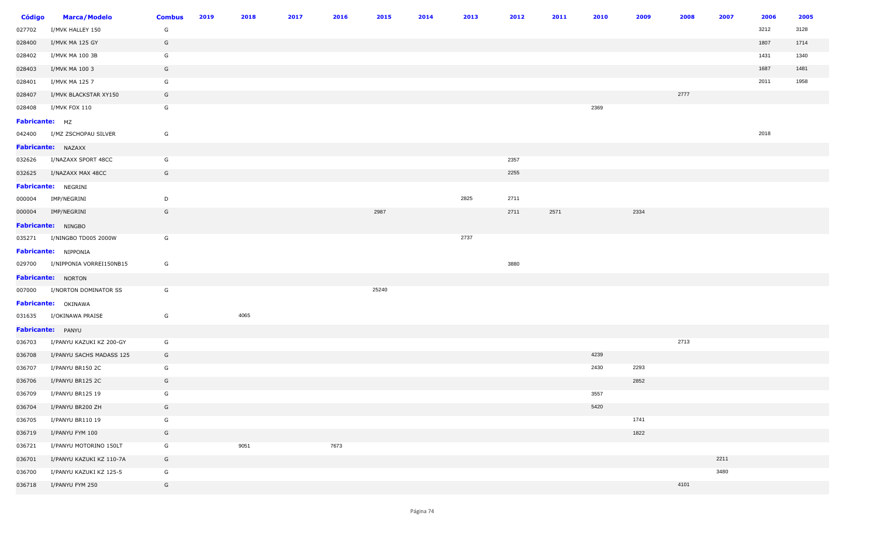| <b>Código</b>  | <b>Marca/Modelo</b>             | <b>Combus</b> | 2019 | 2018 | 2017 | 2016 | 2015  | 2014 | 2013 | 2012 | 2011 | 2010 | 2009 | 2008 | 2007 | 2006 | 2005 |
|----------------|---------------------------------|---------------|------|------|------|------|-------|------|------|------|------|------|------|------|------|------|------|
| 027702         | I/MVK HALLEY 150                | G             |      |      |      |      |       |      |      |      |      |      |      |      |      | 3212 | 3128 |
| 028400         | I/MVK MA 125 GY                 | G             |      |      |      |      |       |      |      |      |      |      |      |      |      | 1807 | 1714 |
| 028402         | I/MVK MA 100 3B                 | G             |      |      |      |      |       |      |      |      |      |      |      |      |      | 1431 | 1340 |
| 028403         | I/MVK MA 100 3                  | G             |      |      |      |      |       |      |      |      |      |      |      |      |      | 1687 | 1481 |
| 028401         | I/MVK MA 125 7                  | G             |      |      |      |      |       |      |      |      |      |      |      |      |      | 2011 | 1958 |
| 028407         | I/MVK BLACKSTAR XY150           | G             |      |      |      |      |       |      |      |      |      |      |      | 2777 |      |      |      |
| 028408         | I/MVK FOX 110                   | G             |      |      |      |      |       |      |      |      |      | 2369 |      |      |      |      |      |
| Fabricante: MZ |                                 |               |      |      |      |      |       |      |      |      |      |      |      |      |      |      |      |
|                | 042400 I/MZ ZSCHOPAU SILVER     | G             |      |      |      |      |       |      |      |      |      |      |      |      |      | 2018 |      |
|                | Fabricante: NAZAXX              |               |      |      |      |      |       |      |      |      |      |      |      |      |      |      |      |
|                | 032626 I/NAZAXX SPORT 48CC      | G             |      |      |      |      |       |      |      | 2357 |      |      |      |      |      |      |      |
|                | 032625 I/NAZAXX MAX 48CC        | G             |      |      |      |      |       |      |      | 2255 |      |      |      |      |      |      |      |
|                | <b>Fabricante: NEGRINI</b>      |               |      |      |      |      |       |      |      |      |      |      |      |      |      |      |      |
|                | 000004 IMP/NEGRINI              | D             |      |      |      |      |       |      | 2825 | 2711 |      |      |      |      |      |      |      |
|                | 000004 IMP/NEGRINI              | G             |      |      |      |      | 2987  |      |      | 2711 | 2571 |      | 2334 |      |      |      |      |
|                | Fabricante: NINGBO              |               |      |      |      |      |       |      |      |      |      |      |      |      |      |      |      |
|                | 035271 I/NINGBO TD005 2000W     | G             |      |      |      |      |       |      | 2737 |      |      |      |      |      |      |      |      |
|                | Fabricante: NIPPONIA            |               |      |      |      |      |       |      |      |      |      |      |      |      |      |      |      |
|                | 029700 I/NIPPONIA VORREI150NB15 | G             |      |      |      |      |       |      |      | 3880 |      |      |      |      |      |      |      |
|                | Fabricante: NORTON              |               |      |      |      |      |       |      |      |      |      |      |      |      |      |      |      |
|                | 007000 I/NORTON DOMINATOR SS    | G             |      |      |      |      | 25240 |      |      |      |      |      |      |      |      |      |      |
|                | Fabricante: OKINAWA             |               |      |      |      |      |       |      |      |      |      |      |      |      |      |      |      |
|                | 031635 I/OKINAWA PRAISE         | G             |      | 4065 |      |      |       |      |      |      |      |      |      |      |      |      |      |
|                | Fabricante: PANYU               |               |      |      |      |      |       |      |      |      |      |      |      |      |      |      |      |
|                | 036703 I/PANYU KAZUKI KZ 200-GY | G             |      |      |      |      |       |      |      |      |      |      |      | 2713 |      |      |      |
| 036708         | I/PANYU SACHS MADASS 125        | G             |      |      |      |      |       |      |      |      |      | 4239 |      |      |      |      |      |
| 036707         | I/PANYU BR150 2C                | G             |      |      |      |      |       |      |      |      |      | 2430 | 2293 |      |      |      |      |
| 036706         | I/PANYU BR125 2C                | G             |      |      |      |      |       |      |      |      |      |      | 2852 |      |      |      |      |
|                | 036709 I/PANYU BR125 19         | G             |      |      |      |      |       |      |      |      |      | 3557 |      |      |      |      |      |
| 036704         | I/PANYU BR200 ZH                | G             |      |      |      |      |       |      |      |      |      | 5420 |      |      |      |      |      |
| 036705         | I/PANYU BR110 19                | G             |      |      |      |      |       |      |      |      |      |      | 1741 |      |      |      |      |
| 036719         | I/PANYU FYM 100                 | G             |      |      |      |      |       |      |      |      |      |      | 1822 |      |      |      |      |
| 036721         | I/PANYU MOTORINO 150LT          | G             |      | 9051 |      | 7673 |       |      |      |      |      |      |      |      |      |      |      |
| 036701         | I/PANYU KAZUKI KZ 110-7A        | G             |      |      |      |      |       |      |      |      |      |      |      |      | 2211 |      |      |
| 036700         | I/PANYU KAZUKI KZ 125-5         | G             |      |      |      |      |       |      |      |      |      |      |      |      | 3480 |      |      |
| 036718         | I/PANYU FYM 250                 | G             |      |      |      |      |       |      |      |      |      |      |      | 4101 |      |      |      |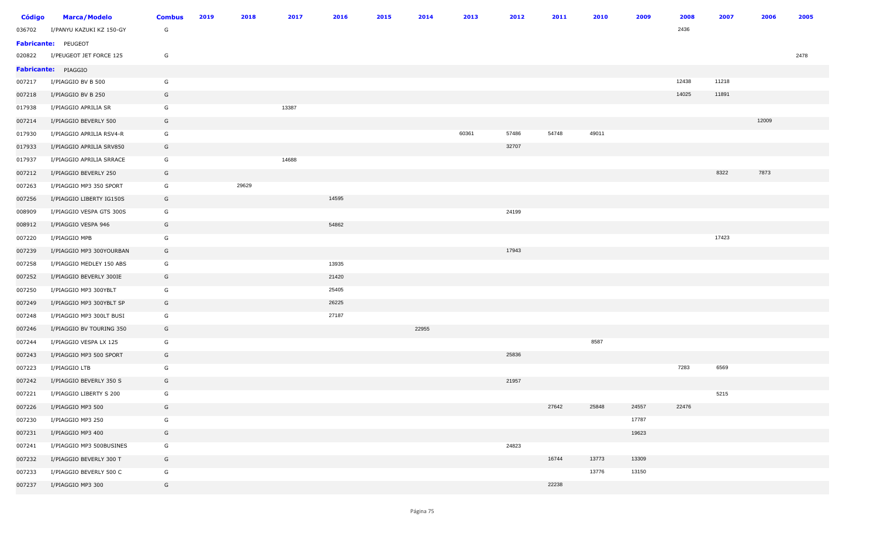| Código | <b>Marca/Modelo</b>      | <b>Combus</b> | 2019 | 2018  | 2017  | 2016  | 2015 | 2014  | 2013  | 2012  | 2011  | 2010  | 2009  | 2008  | 2007  | 2006  | 2005 |
|--------|--------------------------|---------------|------|-------|-------|-------|------|-------|-------|-------|-------|-------|-------|-------|-------|-------|------|
| 036702 | I/PANYU KAZUKI KZ 150-GY | G             |      |       |       |       |      |       |       |       |       |       |       | 2436  |       |       |      |
|        | Fabricante: PEUGEOT      |               |      |       |       |       |      |       |       |       |       |       |       |       |       |       |      |
| 020822 | I/PEUGEOT JET FORCE 125  | G             |      |       |       |       |      |       |       |       |       |       |       |       |       |       | 2478 |
|        | Fabricante: PIAGGIO      |               |      |       |       |       |      |       |       |       |       |       |       |       |       |       |      |
| 007217 | I/PIAGGIO BV B 500       | G             |      |       |       |       |      |       |       |       |       |       |       | 12438 | 11218 |       |      |
| 007218 | I/PIAGGIO BV B 250       | G             |      |       |       |       |      |       |       |       |       |       |       | 14025 | 11891 |       |      |
| 017938 | I/PIAGGIO APRILIA SR     | G             |      |       | 13387 |       |      |       |       |       |       |       |       |       |       |       |      |
| 007214 | I/PIAGGIO BEVERLY 500    | G             |      |       |       |       |      |       |       |       |       |       |       |       |       | 12009 |      |
| 017930 | I/PIAGGIO APRILIA RSV4-R | G             |      |       |       |       |      |       | 60361 | 57486 | 54748 | 49011 |       |       |       |       |      |
| 017933 | I/PIAGGIO APRILIA SRV850 | G             |      |       |       |       |      |       |       | 32707 |       |       |       |       |       |       |      |
| 017937 | I/PIAGGIO APRILIA SRRACE | G             |      |       | 14688 |       |      |       |       |       |       |       |       |       |       |       |      |
| 007212 | I/PIAGGIO BEVERLY 250    | G             |      |       |       |       |      |       |       |       |       |       |       |       | 8322  | 7873  |      |
| 007263 | I/PIAGGIO MP3 350 SPORT  | G             |      | 29629 |       |       |      |       |       |       |       |       |       |       |       |       |      |
| 007256 | I/PIAGGIO LIBERTY IG150S | G             |      |       |       | 14595 |      |       |       |       |       |       |       |       |       |       |      |
| 008909 | I/PIAGGIO VESPA GTS 300S | G             |      |       |       |       |      |       |       | 24199 |       |       |       |       |       |       |      |
| 008912 | I/PIAGGIO VESPA 946      | G             |      |       |       | 54862 |      |       |       |       |       |       |       |       |       |       |      |
| 007220 | I/PIAGGIO MPB            | G             |      |       |       |       |      |       |       |       |       |       |       |       | 17423 |       |      |
| 007239 | I/PIAGGIO MP3 300YOURBAN | G             |      |       |       |       |      |       |       | 17943 |       |       |       |       |       |       |      |
| 007258 | I/PIAGGIO MEDLEY 150 ABS | G             |      |       |       | 13935 |      |       |       |       |       |       |       |       |       |       |      |
| 007252 | I/PIAGGIO BEVERLY 300IE  | G             |      |       |       | 21420 |      |       |       |       |       |       |       |       |       |       |      |
| 007250 | I/PIAGGIO MP3 300YBLT    | G             |      |       |       | 25405 |      |       |       |       |       |       |       |       |       |       |      |
| 007249 | I/PIAGGIO MP3 300YBLT SP | G             |      |       |       | 26225 |      |       |       |       |       |       |       |       |       |       |      |
| 007248 | I/PIAGGIO MP3 300LT BUSI | G             |      |       |       | 27187 |      |       |       |       |       |       |       |       |       |       |      |
| 007246 | I/PIAGGIO BV TOURING 350 | G             |      |       |       |       |      | 22955 |       |       |       |       |       |       |       |       |      |
| 007244 | I/PIAGGIO VESPA LX 125   | G             |      |       |       |       |      |       |       |       |       | 8587  |       |       |       |       |      |
| 007243 | I/PIAGGIO MP3 500 SPORT  | G             |      |       |       |       |      |       |       | 25836 |       |       |       |       |       |       |      |
| 007223 | I/PIAGGIO LTB            | G             |      |       |       |       |      |       |       |       |       |       |       | 7283  | 6569  |       |      |
| 007242 | I/PIAGGIO BEVERLY 350 S  | G             |      |       |       |       |      |       |       | 21957 |       |       |       |       |       |       |      |
| 007221 | I/PIAGGIO LIBERTY S 200  | G             |      |       |       |       |      |       |       |       |       |       |       |       | 5215  |       |      |
| 007226 | I/PIAGGIO MP3 500        | G             |      |       |       |       |      |       |       |       | 27642 | 25848 | 24557 | 22476 |       |       |      |
| 007230 | I/PIAGGIO MP3 250        | G             |      |       |       |       |      |       |       |       |       |       | 17787 |       |       |       |      |
| 007231 | I/PIAGGIO MP3 400        | G             |      |       |       |       |      |       |       |       |       |       | 19623 |       |       |       |      |
| 007241 | I/PIAGGIO MP3 500BUSINES | G             |      |       |       |       |      |       |       | 24823 |       |       |       |       |       |       |      |
| 007232 | I/PIAGGIO BEVERLY 300 T  | G             |      |       |       |       |      |       |       |       | 16744 | 13773 | 13309 |       |       |       |      |
| 007233 | I/PIAGGIO BEVERLY 500 C  | G             |      |       |       |       |      |       |       |       |       | 13776 | 13150 |       |       |       |      |
| 007237 | I/PIAGGIO MP3 300        | G             |      |       |       |       |      |       |       |       | 22238 |       |       |       |       |       |      |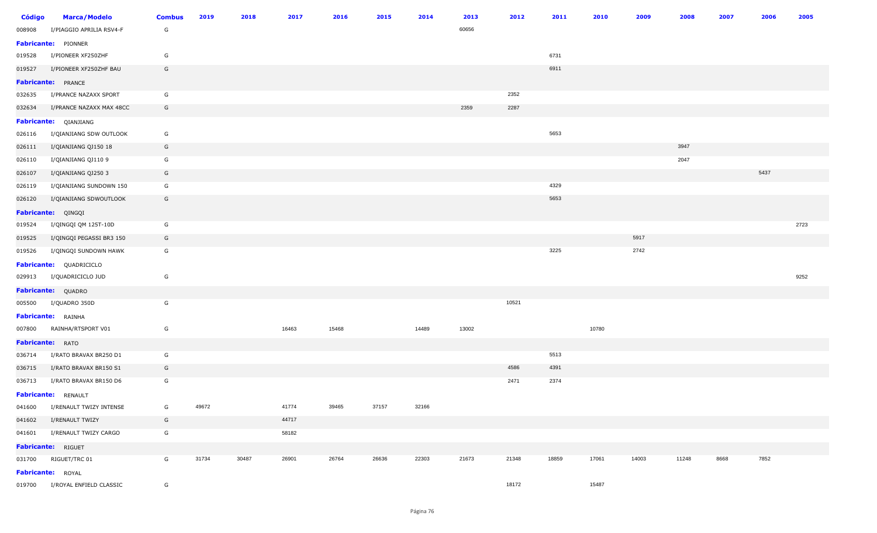| <b>Código</b> | <b>Marca/Modelo</b>            | <b>Combus</b> | 2019  | 2018  | 2017  | 2016  | 2015  | 2014  | 2013  | 2012  | 2011  | 2010  | 2009  | 2008  | 2007 | 2006 | 2005 |
|---------------|--------------------------------|---------------|-------|-------|-------|-------|-------|-------|-------|-------|-------|-------|-------|-------|------|------|------|
| 008908        | I/PIAGGIO APRILIA RSV4-F       | G             |       |       |       |       |       |       | 60656 |       |       |       |       |       |      |      |      |
|               | Fabricante: PIONNER            |               |       |       |       |       |       |       |       |       |       |       |       |       |      |      |      |
| 019528        | I/PIONEER XF250ZHF             | G             |       |       |       |       |       |       |       |       | 6731  |       |       |       |      |      |      |
| 019527        | I/PIONEER XF250ZHF BAU         | G             |       |       |       |       |       |       |       |       | 6911  |       |       |       |      |      |      |
|               | <b>Fabricante:</b> PRANCE      |               |       |       |       |       |       |       |       |       |       |       |       |       |      |      |      |
| 032635        | I/PRANCE NAZAXX SPORT          | G             |       |       |       |       |       |       |       | 2352  |       |       |       |       |      |      |      |
| 032634        | I/PRANCE NAZAXX MAX 48CC       | G             |       |       |       |       |       |       | 2359  | 2287  |       |       |       |       |      |      |      |
|               | Fabricante: QIANJIANG          |               |       |       |       |       |       |       |       |       |       |       |       |       |      |      |      |
| 026116        | I/QIANJIANG SDW OUTLOOK        | G             |       |       |       |       |       |       |       |       | 5653  |       |       |       |      |      |      |
| 026111        | I/QIANJIANG QJ150 18           | G             |       |       |       |       |       |       |       |       |       |       |       | 3947  |      |      |      |
| 026110        | I/QIANJIANG QJ110 9            | G             |       |       |       |       |       |       |       |       |       |       |       | 2047  |      |      |      |
| 026107        | I/QIANJIANG QJ250 3            | G             |       |       |       |       |       |       |       |       |       |       |       |       |      | 5437 |      |
| 026119        | I/QIANJIANG SUNDOWN 150        | G             |       |       |       |       |       |       |       |       | 4329  |       |       |       |      |      |      |
| 026120        | I/QIANJIANG SDWOUTLOOK         | G             |       |       |       |       |       |       |       |       | 5653  |       |       |       |      |      |      |
|               | Fabricante: QINGQI             |               |       |       |       |       |       |       |       |       |       |       |       |       |      |      |      |
| 019524        | I/QINGQI QM 125T-10D           | G             |       |       |       |       |       |       |       |       |       |       |       |       |      |      | 2723 |
| 019525        | I/QINGQI PEGASSI BR3 150       | G             |       |       |       |       |       |       |       |       |       |       | 5917  |       |      |      |      |
| 019526        | I/QINGQI SUNDOWN HAWK          | G             |       |       |       |       |       |       |       |       | 3225  |       | 2742  |       |      |      |      |
|               | Fabricante: QUADRICICLO        |               |       |       |       |       |       |       |       |       |       |       |       |       |      |      |      |
| 029913        | I/QUADRICICLO JUD              | G             |       |       |       |       |       |       |       |       |       |       |       |       |      |      | 9252 |
|               | Fabricante: QUADRO             |               |       |       |       |       |       |       |       |       |       |       |       |       |      |      |      |
| 005500        | I/QUADRO 350D                  | G             |       |       |       |       |       |       |       | 10521 |       |       |       |       |      |      |      |
|               | Fabricante: RAINHA             |               |       |       |       |       |       |       |       |       |       |       |       |       |      |      |      |
| 007800        | RAINHA/RTSPORT V01             | G             |       |       | 16463 | 15468 |       | 14489 | 13002 |       |       | 10780 |       |       |      |      |      |
|               | <b>Fabricante:</b> RATO        |               |       |       |       |       |       |       |       |       |       |       |       |       |      |      |      |
| 036714        | I/RATO BRAVAX BR250 D1         | G             |       |       |       |       |       |       |       |       | 5513  |       |       |       |      |      |      |
| 036715        | I/RATO BRAVAX BR150 S1         | G             |       |       |       |       |       |       |       | 4586  | 4391  |       |       |       |      |      |      |
| 036713        | I/RATO BRAVAX BR150 D6         | G             |       |       |       |       |       |       |       | 2471  | 2374  |       |       |       |      |      |      |
|               | Fabricante: RENAULT            |               |       |       |       |       |       |       |       |       |       |       |       |       |      |      |      |
| 041600        | I/RENAULT TWIZY INTENSE        | G             | 49672 |       | 41774 | 39465 | 37157 | 32166 |       |       |       |       |       |       |      |      |      |
| 041602        | I/RENAULT TWIZY                | G             |       |       | 44717 |       |       |       |       |       |       |       |       |       |      |      |      |
|               | 041601 I/RENAULT TWIZY CARGO   | G             |       |       | 58182 |       |       |       |       |       |       |       |       |       |      |      |      |
|               | Fabricante: RIGUET             |               |       |       |       |       |       |       |       |       |       |       |       |       |      |      |      |
|               | 031700 RIGUET/TRC 01           | G             | 31734 | 30487 | 26901 | 26764 | 26636 | 22303 | 21673 | 21348 | 18859 | 17061 | 14003 | 11248 | 8668 | 7852 |      |
|               | Fabricante: ROYAL              |               |       |       |       |       |       |       |       |       |       |       |       |       |      |      |      |
|               | 019700 I/ROYAL ENFIELD CLASSIC | G             |       |       |       |       |       |       |       | 18172 |       | 15487 |       |       |      |      |      |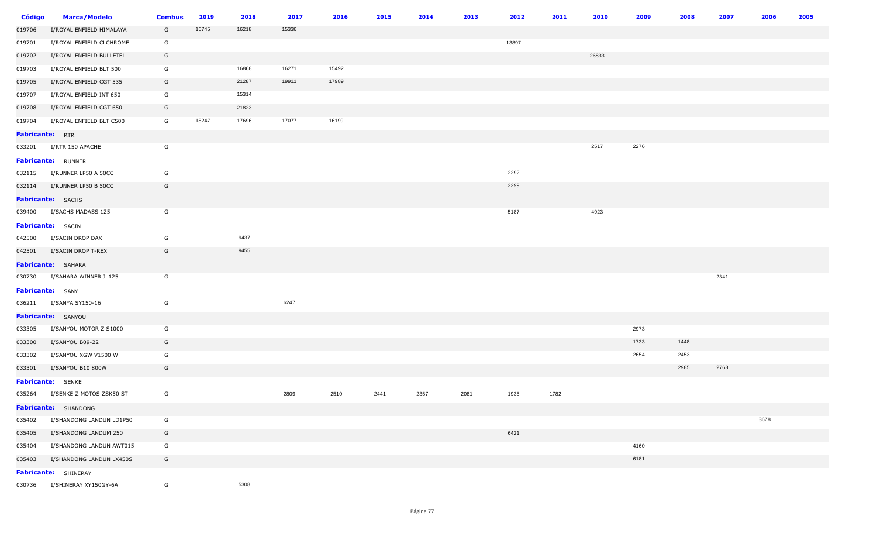| Código                 | <b>Marca/Modelo</b>                     | <b>Combus</b> | 2019  | 2018  | 2017  | 2016  | 2015 | 2014 | 2013 | 2012  | 2011 | 2010  | 2009 | 2008 | 2007 | 2006 | 2005 |
|------------------------|-----------------------------------------|---------------|-------|-------|-------|-------|------|------|------|-------|------|-------|------|------|------|------|------|
| 019706                 | I/ROYAL ENFIELD HIMALAYA                | G             | 16745 | 16218 | 15336 |       |      |      |      |       |      |       |      |      |      |      |      |
| 019701                 | I/ROYAL ENFIELD CLCHROME                | G             |       |       |       |       |      |      |      | 13897 |      |       |      |      |      |      |      |
| 019702                 | I/ROYAL ENFIELD BULLETEL                | G             |       |       |       |       |      |      |      |       |      | 26833 |      |      |      |      |      |
| 019703                 | I/ROYAL ENFIELD BLT 500                 | G             |       | 16868 | 16271 | 15492 |      |      |      |       |      |       |      |      |      |      |      |
| 019705                 | I/ROYAL ENFIELD CGT 535                 | G             |       | 21287 | 19911 | 17989 |      |      |      |       |      |       |      |      |      |      |      |
| 019707                 | I/ROYAL ENFIELD INT 650                 | G             |       | 15314 |       |       |      |      |      |       |      |       |      |      |      |      |      |
| 019708                 | I/ROYAL ENFIELD CGT 650                 | G             |       | 21823 |       |       |      |      |      |       |      |       |      |      |      |      |      |
| 019704                 | I/ROYAL ENFIELD BLT C500                | G             | 18247 | 17696 | 17077 | 16199 |      |      |      |       |      |       |      |      |      |      |      |
| <b>Fabricante:</b> RTR |                                         |               |       |       |       |       |      |      |      |       |      |       |      |      |      |      |      |
|                        | 033201 I/RTR 150 APACHE                 | G             |       |       |       |       |      |      |      |       |      | 2517  | 2276 |      |      |      |      |
|                        | <b>Fabricante: RUNNER</b>               |               |       |       |       |       |      |      |      |       |      |       |      |      |      |      |      |
|                        | 032115 I/RUNNER LP50 A 50CC             | G             |       |       |       |       |      |      |      | 2292  |      |       |      |      |      |      |      |
|                        | 032114    I/RUNNER    LP50    B    50CC | G             |       |       |       |       |      |      |      | 2299  |      |       |      |      |      |      |      |
|                        | <b>Fabricante:</b> SACHS                |               |       |       |       |       |      |      |      |       |      |       |      |      |      |      |      |
|                        | 039400 I/SACHS MADASS 125               | G             |       |       |       |       |      |      |      | 5187  |      | 4923  |      |      |      |      |      |
|                        | <b>Fabricante:</b> SACIN                |               |       |       |       |       |      |      |      |       |      |       |      |      |      |      |      |
|                        | 042500 I/SACIN DROP DAX                 | G             |       | 9437  |       |       |      |      |      |       |      |       |      |      |      |      |      |
|                        | 042501 I/SACIN DROP T-REX               | G             |       | 9455  |       |       |      |      |      |       |      |       |      |      |      |      |      |
|                        | Fabricante: SAHARA                      |               |       |       |       |       |      |      |      |       |      |       |      |      |      |      |      |
|                        | 030730 I/SAHARA WINNER JL125            | G             |       |       |       |       |      |      |      |       |      |       |      |      | 2341 |      |      |
| Fabricante: SANY       |                                         |               |       |       |       |       |      |      |      |       |      |       |      |      |      |      |      |
|                        | 036211 I/SANYA SY150-16                 | G             |       |       | 6247  |       |      |      |      |       |      |       |      |      |      |      |      |
|                        | Fabricante: SANYOU                      |               |       |       |       |       |      |      |      |       |      |       |      |      |      |      |      |
| 033305                 | I/SANYOU MOTOR Z S1000                  | G             |       |       |       |       |      |      |      |       |      |       | 2973 |      |      |      |      |
| 033300                 | I/SANYOU B09-22                         | G             |       |       |       |       |      |      |      |       |      |       | 1733 | 1448 |      |      |      |
| 033302                 | I/SANYOU XGW V1500 W                    | G             |       |       |       |       |      |      |      |       |      |       | 2654 | 2453 |      |      |      |
| 033301                 | I/SANYOU B10 800W                       | G             |       |       |       |       |      |      |      |       |      |       |      | 2985 | 2768 |      |      |
|                        | <b>Fabricante:</b> SENKE                |               |       |       |       |       |      |      |      |       |      |       |      |      |      |      |      |
|                        | 035264 I/SENKE Z MOTOS ZSK50 ST         | G             |       |       | 2809  | 2510  | 2441 | 2357 | 2081 | 1935  | 1782 |       |      |      |      |      |      |
|                        | Fabricante: SHANDONG                    |               |       |       |       |       |      |      |      |       |      |       |      |      |      |      |      |
| 035402                 | I/SHANDONG LANDUN LD1P50                | G             |       |       |       |       |      |      |      |       |      |       |      |      |      | 3678 |      |
| 035405                 | I/SHANDONG LANDUM 250                   | G             |       |       |       |       |      |      |      | 6421  |      |       |      |      |      |      |      |
| 035404                 | I/SHANDONG LANDUN AWT015                | G             |       |       |       |       |      |      |      |       |      |       | 4160 |      |      |      |      |
| 035403                 | I/SHANDONG LANDUN LX450S                | G             |       |       |       |       |      |      |      |       |      |       | 6181 |      |      |      |      |
|                        | Fabricante: SHINERAY                    |               |       |       |       |       |      |      |      |       |      |       |      |      |      |      |      |
| 030736                 | I/SHINERAY XY150GY-6A                   | G             |       | 5308  |       |       |      |      |      |       |      |       |      |      |      |      |      |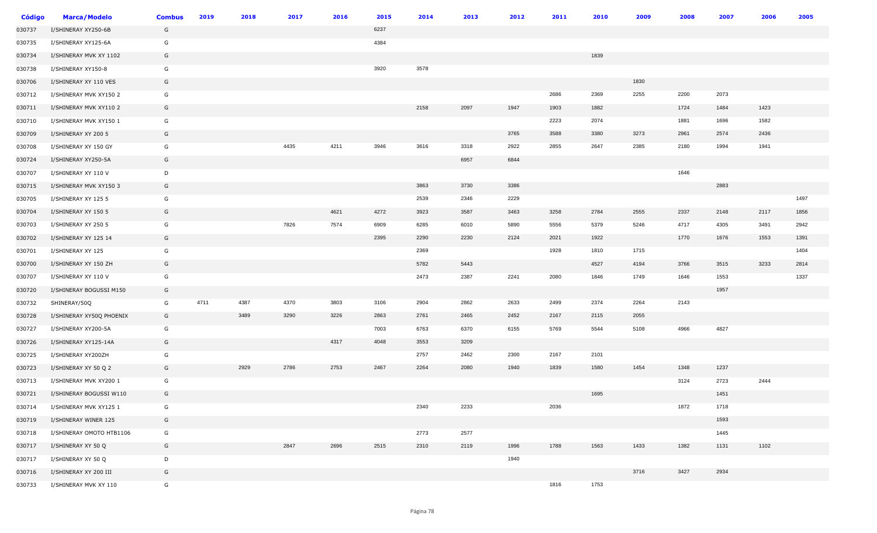| Código | <b>Marca/Modelo</b>      | <b>Combus</b> | 2019 | 2018 | 2017 | 2016 | 2015 | 2014 | 2013 | 2012 | 2011 | 2010 | 2009 | 2008 | 2007 | 2006 | 2005 |
|--------|--------------------------|---------------|------|------|------|------|------|------|------|------|------|------|------|------|------|------|------|
| 030737 | I/SHINERAY XY250-6B      | G             |      |      |      |      | 6237 |      |      |      |      |      |      |      |      |      |      |
| 030735 | I/SHINERAY XY125-6A      | G             |      |      |      |      | 4384 |      |      |      |      |      |      |      |      |      |      |
| 030734 | I/SHINERAY MVK XY 1102   | G             |      |      |      |      |      |      |      |      |      | 1839 |      |      |      |      |      |
| 030738 | I/SHINERAY XY150-8       | G             |      |      |      |      | 3920 | 3578 |      |      |      |      |      |      |      |      |      |
| 030706 | I/SHINERAY XY 110 VES    | G             |      |      |      |      |      |      |      |      |      |      | 1830 |      |      |      |      |
| 030712 | I/SHINERAY MVK XY150 2   | G             |      |      |      |      |      |      |      |      | 2686 | 2369 | 2255 | 2200 | 2073 |      |      |
| 030711 | I/SHINERAY MVK XY110 2   | G             |      |      |      |      |      | 2158 | 2097 | 1947 | 1903 | 1882 |      | 1724 | 1484 | 1423 |      |
| 030710 | I/SHINERAY MVK XY150 1   | G             |      |      |      |      |      |      |      |      | 2223 | 2074 |      | 1881 | 1696 | 1582 |      |
| 030709 | I/SHINERAY XY 200 5      | G             |      |      |      |      |      |      |      | 3765 | 3588 | 3380 | 3273 | 2961 | 2574 | 2436 |      |
| 030708 | I/SHINERAY XY 150 GY     | G             |      |      | 4435 | 4211 | 3946 | 3616 | 3318 | 2922 | 2855 | 2647 | 2385 | 2180 | 1994 | 1941 |      |
| 030724 | I/SHINERAY XY250-5A      | G             |      |      |      |      |      |      | 6957 | 6844 |      |      |      |      |      |      |      |
| 030707 | I/SHINERAY XY 110 V      | D             |      |      |      |      |      |      |      |      |      |      |      | 1646 |      |      |      |
| 030715 | I/SHINERAY MVK XY150 3   | G             |      |      |      |      |      | 3863 | 3730 | 3386 |      |      |      |      | 2883 |      |      |
| 030705 | I/SHINERAY XY 125 5      | G             |      |      |      |      |      | 2539 | 2346 | 2229 |      |      |      |      |      |      | 1497 |
| 030704 | I/SHINERAY XY 150 5      | G             |      |      |      | 4621 | 4272 | 3923 | 3587 | 3463 | 3258 | 2784 | 2555 | 2337 | 2148 | 2117 | 1856 |
| 030703 | I/SHINERAY XY 250 5      | G             |      |      | 7826 | 7574 | 6909 | 6285 | 6010 | 5890 | 5556 | 5379 | 5246 | 4717 | 4305 | 3491 | 2942 |
| 030702 | I/SHINERAY XY 125 14     | G             |      |      |      |      | 2395 | 2290 | 2230 | 2124 | 2021 | 1922 |      | 1770 | 1676 | 1553 | 1391 |
| 030701 | I/SHINERAY XY 125        | G             |      |      |      |      |      | 2369 |      |      | 1928 | 1810 | 1715 |      |      |      | 1404 |
| 030700 | I/SHINERAY XY 150 ZH     | G             |      |      |      |      |      | 5782 | 5443 |      |      | 4527 | 4194 | 3766 | 3515 | 3233 | 2814 |
| 030707 | I/SHINERAY XY 110 V      | G             |      |      |      |      |      | 2473 | 2387 | 2241 | 2080 | 1846 | 1749 | 1646 | 1553 |      | 1337 |
| 030720 | I/SHINERAY BOGUSSI M150  | G             |      |      |      |      |      |      |      |      |      |      |      |      | 1957 |      |      |
| 030732 | SHINERAY/50Q             | G             | 4711 | 4387 | 4370 | 3803 | 3106 | 2904 | 2862 | 2633 | 2499 | 2374 | 2264 | 2143 |      |      |      |
| 030728 | I/SHINERAY XY50Q PHOENIX | G             |      | 3489 | 3290 | 3226 | 2863 | 2761 | 2465 | 2452 | 2167 | 2115 | 2055 |      |      |      |      |
| 030727 | I/SHINERAY XY200-5A      | G             |      |      |      |      | 7003 | 6763 | 6370 | 6155 | 5769 | 5544 | 5108 | 4966 | 4827 |      |      |
| 030726 | I/SHINERAY XY125-14A     | G             |      |      |      | 4317 | 4048 | 3553 | 3209 |      |      |      |      |      |      |      |      |
| 030725 | I/SHINERAY XY200ZH       | G             |      |      |      |      |      | 2757 | 2462 | 2300 | 2167 | 2101 |      |      |      |      |      |
| 030723 | I/SHINERAY XY 50 Q 2     | G             |      | 2929 | 2786 | 2753 | 2467 | 2264 | 2080 | 1940 | 1839 | 1580 | 1454 | 1348 | 1237 |      |      |
| 030713 | I/SHINERAY MVK XY200 1   | G             |      |      |      |      |      |      |      |      |      |      |      | 3124 | 2723 | 2444 |      |
| 030721 | I/SHINERAY BOGUSSI W110  | G             |      |      |      |      |      |      |      |      |      | 1695 |      |      | 1451 |      |      |
| 030714 | I/SHINERAY MVK XY125 1   | G             |      |      |      |      |      | 2340 | 2233 |      | 2036 |      |      | 1872 | 1718 |      |      |
| 030719 | I/SHINERAY WINER 125     | G             |      |      |      |      |      |      |      |      |      |      |      |      | 1593 |      |      |
| 030718 | I/SHINERAY OMOTO HTB1106 | G             |      |      |      |      |      | 2773 | 2577 |      |      |      |      |      | 1445 |      |      |
| 030717 | I/SHINERAY XY 50 Q       | G             |      |      | 2847 | 2696 | 2515 | 2310 | 2119 | 1996 | 1788 | 1563 | 1433 | 1382 | 1131 | 1102 |      |
| 030717 | I/SHINERAY XY 50 Q       | D             |      |      |      |      |      |      |      | 1940 |      |      |      |      |      |      |      |
| 030716 | I/SHINERAY XY 200 III    | G             |      |      |      |      |      |      |      |      |      |      | 3716 | 3427 | 2934 |      |      |
| 030733 | I/SHINERAY MVK XY 110    | G             |      |      |      |      |      |      |      |      | 1816 | 1753 |      |      |      |      |      |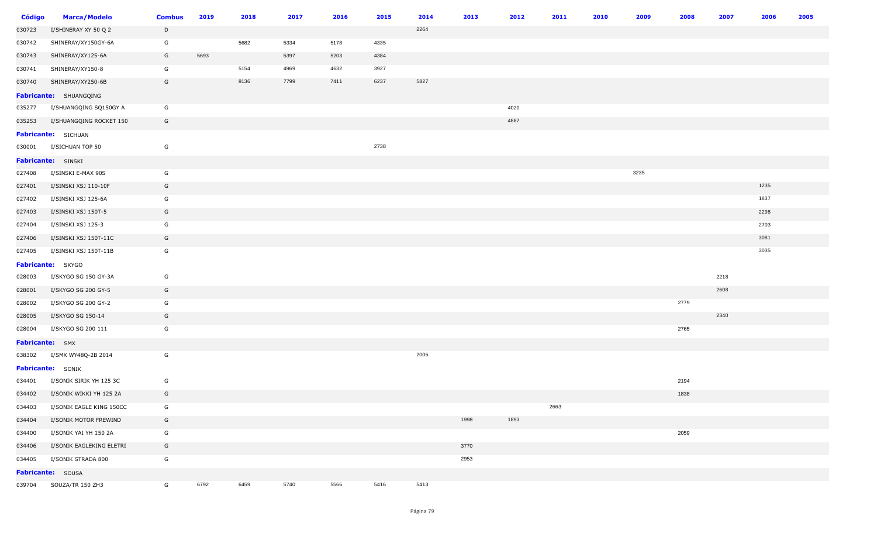| Código          | <b>Marca/Modelo</b>      | <b>Combus</b> | 2019 | 2018 | 2017 | 2016 | 2015 | 2014 | 2013 | 2012 | 2011 | 2010 | 2009 | 2008 | 2007 | 2006 | 2005 |
|-----------------|--------------------------|---------------|------|------|------|------|------|------|------|------|------|------|------|------|------|------|------|
| 030723          | I/SHINERAY XY 50 Q 2     | D             |      |      |      |      |      | 2264 |      |      |      |      |      |      |      |      |      |
| 030742          | SHINERAY/XY150GY-6A      | G             |      | 5682 | 5334 | 5178 | 4335 |      |      |      |      |      |      |      |      |      |      |
| 030743          | SHINERAY/XY125-6A        | G             | 5693 |      | 5397 | 5203 | 4384 |      |      |      |      |      |      |      |      |      |      |
| 030741          | SHINERAY/XY150-8         | G             |      | 5154 | 4969 | 4632 | 3927 |      |      |      |      |      |      |      |      |      |      |
| 030740          | SHINERAY/XY250-6B        | G             |      | 8136 | 7799 | 7411 | 6237 | 5827 |      |      |      |      |      |      |      |      |      |
|                 | Fabricante: SHUANGQING   |               |      |      |      |      |      |      |      |      |      |      |      |      |      |      |      |
| 035277          | I/SHUANGQING SQ150GY A   | G             |      |      |      |      |      |      |      | 4020 |      |      |      |      |      |      |      |
| 035253          | I/SHUANGQING ROCKET 150  | G             |      |      |      |      |      |      |      | 4887 |      |      |      |      |      |      |      |
|                 | Fabricante: SICHUAN      |               |      |      |      |      |      |      |      |      |      |      |      |      |      |      |      |
| 030001          | I/SICHUAN TOP 50         | G             |      |      |      |      | 2738 |      |      |      |      |      |      |      |      |      |      |
|                 | Fabricante: SINSKI       |               |      |      |      |      |      |      |      |      |      |      |      |      |      |      |      |
| 027408          | I/SINSKI E-MAX 90S       | G             |      |      |      |      |      |      |      |      |      |      | 3235 |      |      |      |      |
| 027401          | I/SINSKI XSJ 110-10F     | G             |      |      |      |      |      |      |      |      |      |      |      |      |      | 1235 |      |
| 027402          | I/SINSKI XSJ 125-6A      | G             |      |      |      |      |      |      |      |      |      |      |      |      |      | 1837 |      |
| 027403          | I/SINSKI XSJ 150T-5      | G             |      |      |      |      |      |      |      |      |      |      |      |      |      | 2298 |      |
| 027404          | I/SINSKI XSJ 125-3       | G             |      |      |      |      |      |      |      |      |      |      |      |      |      | 2703 |      |
| 027406          | I/SINSKI XSJ 150T-11C    | G             |      |      |      |      |      |      |      |      |      |      |      |      |      | 3081 |      |
| 027405          | I/SINSKI XSJ 150T-11B    | G             |      |      |      |      |      |      |      |      |      |      |      |      |      | 3035 |      |
|                 | Fabricante: SKYGO        |               |      |      |      |      |      |      |      |      |      |      |      |      |      |      |      |
| 028003          | I/SKYGO SG 150 GY-3A     | G             |      |      |      |      |      |      |      |      |      |      |      |      | 2218 |      |      |
| 028001          | I/SKYGO SG 200 GY-5      | G             |      |      |      |      |      |      |      |      |      |      |      |      | 2608 |      |      |
| 028002          | I/SKYGO SG 200 GY-2      | G             |      |      |      |      |      |      |      |      |      |      |      | 2779 |      |      |      |
| 028005          | I/SKYGO SG 150-14        | G             |      |      |      |      |      |      |      |      |      |      |      |      | 2340 |      |      |
| 028004          | I/SKYGO SG 200 111       | G             |      |      |      |      |      |      |      |      |      |      |      | 2765 |      |      |      |
| Fabricante: SMX |                          |               |      |      |      |      |      |      |      |      |      |      |      |      |      |      |      |
| 038302          | I/SMX WY48Q-2B 2014      | G             |      |      |      |      |      | 2006 |      |      |      |      |      |      |      |      |      |
|                 | Fabricante: SONIK        |               |      |      |      |      |      |      |      |      |      |      |      |      |      |      |      |
| 034401          | I/SONIK SIRIK YH 125 3C  | G             |      |      |      |      |      |      |      |      |      |      |      | 2194 |      |      |      |
| 034402          | I/SONIK WIKKI YH 125 2A  | G             |      |      |      |      |      |      |      |      |      |      |      | 1838 |      |      |      |
| 034403          | I/SONIK EAGLE KING 150CC | G             |      |      |      |      |      |      |      |      | 2663 |      |      |      |      |      |      |
| 034404          | I/SONIK MOTOR FREWIND    | G             |      |      |      |      |      |      | 1998 | 1893 |      |      |      |      |      |      |      |
| 034400          | I/SONIK YAI YH 150 2A    | G             |      |      |      |      |      |      |      |      |      |      |      | 2059 |      |      |      |
| 034406          | I/SONIK EAGLEKING ELETRI | G             |      |      |      |      |      |      | 3770 |      |      |      |      |      |      |      |      |
| 034405          | I/SONIK STRADA 800       | G             |      |      |      |      |      |      | 2953 |      |      |      |      |      |      |      |      |
|                 | Fabricante: SOUSA        |               |      |      |      |      |      |      |      |      |      |      |      |      |      |      |      |
| 039704          | SOUZA/TR 150 ZH3         | G             | 6792 | 6459 | 5740 | 5566 | 5416 | 5413 |      |      |      |      |      |      |      |      |      |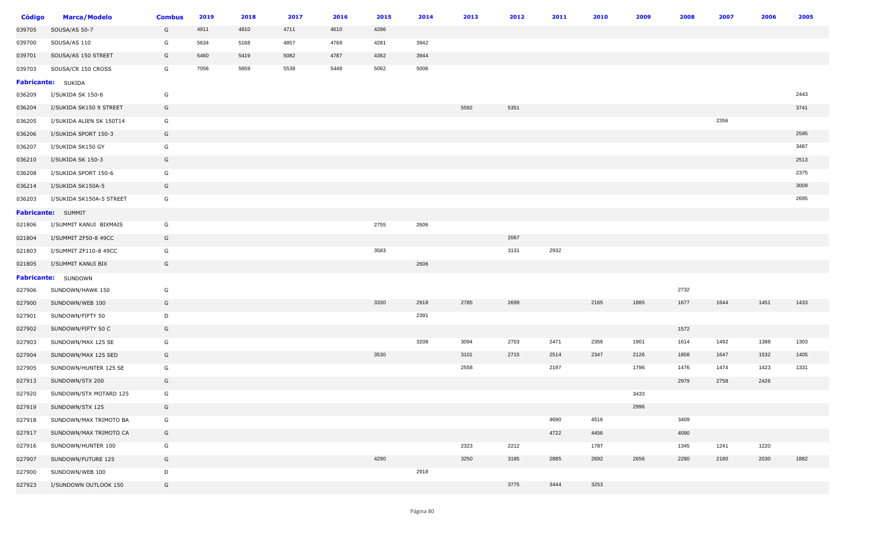| Código | <b>Marca/Modelo</b>        | <b>Combus</b> | 2019 | 2018 | 2017 | 2016 | 2015 | 2014 | 2013 | 2012 | 2011 | 2010 | 2009 | 2008 | 2007 | 2006 | 2005 |
|--------|----------------------------|---------------|------|------|------|------|------|------|------|------|------|------|------|------|------|------|------|
| 039705 | SOUSA/AS 50-7              | G             | 4911 | 4810 | 4711 | 4610 | 4286 |      |      |      |      |      |      |      |      |      |      |
| 039700 | SOUSA/AS 110               | G             | 5634 | 5168 | 4857 | 4769 | 4281 | 3942 |      |      |      |      |      |      |      |      |      |
| 039701 | SOUSA/AS 150 STREET        | G             | 5460 | 5419 | 5082 | 4787 | 4362 | 3944 |      |      |      |      |      |      |      |      |      |
| 039703 | SOUSA/CR 150 CROSS         | G             | 7056 | 5659 | 5538 | 5448 | 5062 | 5006 |      |      |      |      |      |      |      |      |      |
|        | <b>Fabricante:</b> SUKIDA  |               |      |      |      |      |      |      |      |      |      |      |      |      |      |      |      |
| 036209 | I/SUKIDA SK 150-6          | G             |      |      |      |      |      |      |      |      |      |      |      |      |      |      | 2443 |
| 036204 | I/SUKIDA SK150 9 STREET    | G             |      |      |      |      |      |      | 5592 | 5351 |      |      |      |      |      |      | 3741 |
| 036205 | I/SUKIDA ALIEN SK 150T14   | G             |      |      |      |      |      |      |      |      |      |      |      |      | 2356 |      |      |
| 036206 | I/SUKIDA SPORT 150-3       | G             |      |      |      |      |      |      |      |      |      |      |      |      |      |      | 2595 |
| 036207 | I/SUKIDA SK150 GY          | G             |      |      |      |      |      |      |      |      |      |      |      |      |      |      | 3487 |
| 036210 | I/SUKIDA SK 150-3          | G             |      |      |      |      |      |      |      |      |      |      |      |      |      |      | 2513 |
| 036208 | I/SUKIDA SPORT 150-6       | G             |      |      |      |      |      |      |      |      |      |      |      |      |      |      | 2375 |
| 036214 | I/SUKIDA SK150A-5          | G             |      |      |      |      |      |      |      |      |      |      |      |      |      |      | 3009 |
| 036203 | I/SUKIDA SK150A-5 STREET   | G             |      |      |      |      |      |      |      |      |      |      |      |      |      |      | 2695 |
|        | Fabricante: SUMMIT         |               |      |      |      |      |      |      |      |      |      |      |      |      |      |      |      |
| 021806 | I/SUMMIT KANUI BIXMAIS     | G             |      |      |      |      | 2755 | 2606 |      |      |      |      |      |      |      |      |      |
| 021804 | I/SUMMIT ZF50-8 49CC       | G             |      |      |      |      |      |      |      | 2067 |      |      |      |      |      |      |      |
| 021803 | I/SUMMIT ZF110-8 49CC      | G             |      |      |      |      | 3583 |      |      | 3131 | 2932 |      |      |      |      |      |      |
| 021805 | I/SUMMIT KANUI BIX         | G             |      |      |      |      |      | 2606 |      |      |      |      |      |      |      |      |      |
|        | <b>Fabricante:</b> SUNDOWN |               |      |      |      |      |      |      |      |      |      |      |      |      |      |      |      |
| 027906 | SUNDOWN/HAWK 150           | G             |      |      |      |      |      |      |      |      |      |      |      | 2732 |      |      |      |
| 027900 | SUNDOWN/WEB 100            | G             |      |      |      |      | 3330 | 2918 | 2785 | 2699 |      | 2165 | 1885 | 1677 | 1644 | 1451 | 1433 |
| 027901 | SUNDOWN/FIFTY 50           | D             |      |      |      |      |      | 2391 |      |      |      |      |      |      |      |      |      |
| 027902 | SUNDOWN/FIFTY 50 C         | G             |      |      |      |      |      |      |      |      |      |      |      | 1572 |      |      |      |
| 027903 | SUNDOWN/MAX 125 SE         | G             |      |      |      |      |      | 3208 | 3094 | 2703 | 2471 | 2356 | 1901 | 1614 | 1492 | 1388 | 1303 |
| 027904 | SUNDOWN/MAX 125 SED        | G             |      |      |      |      | 3530 |      | 3101 | 2715 | 2514 | 2347 | 2126 | 1858 | 1647 | 1532 | 1405 |
| 027905 | SUNDOWN/HUNTER 125 SE      | G             |      |      |      |      |      |      | 2558 |      | 2197 |      | 1796 | 1476 | 1474 | 1423 | 1331 |
| 027913 | SUNDOWN/STX 200            | G             |      |      |      |      |      |      |      |      |      |      |      | 2979 | 2758 | 2426 |      |
| 027920 | SUNDOWN/STX MOTARD 125     | G             |      |      |      |      |      |      |      |      |      |      | 3433 |      |      |      |      |
| 027919 | SUNDOWN/STX 125            | G             |      |      |      |      |      |      |      |      |      |      | 2996 |      |      |      |      |
| 027918 | SUNDOWN/MAX TRIMOTO BA     | G             |      |      |      |      |      |      |      |      | 4690 | 4516 |      | 3409 |      |      |      |
| 027917 | SUNDOWN/MAX TRIMOTO CA     | G             |      |      |      |      |      |      |      |      | 4722 | 4456 |      | 4090 |      |      |      |
| 027916 | SUNDOWN/HUNTER 100         | G             |      |      |      |      |      |      | 2323 | 2212 |      | 1787 |      | 1345 | 1241 | 1220 |      |
| 027907 | SUNDOWN/FUTURE 125         | G             |      |      |      |      | 4290 |      | 3250 | 3185 | 2885 | 2692 | 2656 | 2280 | 2180 | 2030 | 1882 |
| 027900 | SUNDOWN/WEB 100            | D             |      |      |      |      |      | 2918 |      |      |      |      |      |      |      |      |      |
| 027923 | I/SUNDOWN OUTLOOK 150      | G             |      |      |      |      |      |      |      | 3775 | 3444 | 3253 |      |      |      |      |      |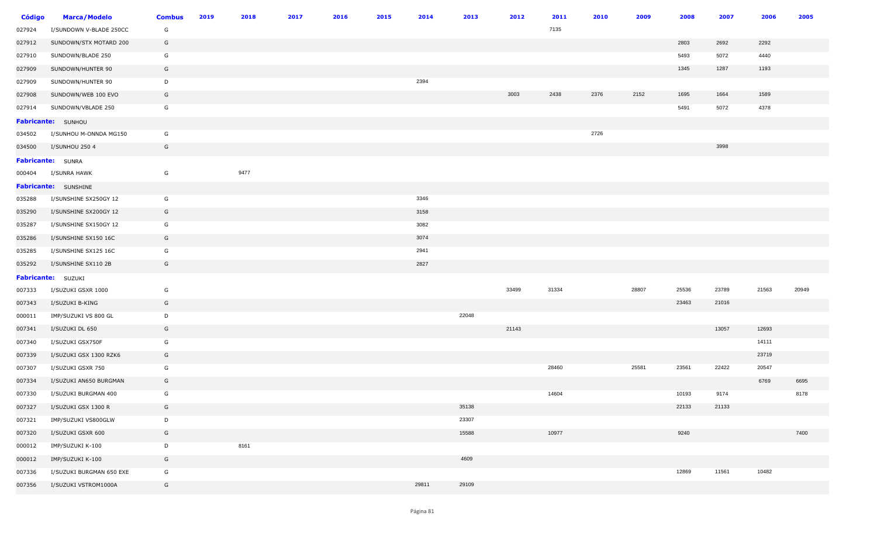| <b>Código</b> | <b>Marca/Modelo</b>         | <b>Combus</b> | 2019 | 2018 | 2017 | 2016 | 2015 | 2014  | 2013  | 2012  | 2011  | 2010 | 2009  | 2008  | 2007  | 2006  | 2005  |
|---------------|-----------------------------|---------------|------|------|------|------|------|-------|-------|-------|-------|------|-------|-------|-------|-------|-------|
| 027924        | I/SUNDOWN V-BLADE 250CC     | G             |      |      |      |      |      |       |       |       | 7135  |      |       |       |       |       |       |
| 027912        | SUNDOWN/STX MOTARD 200      | G             |      |      |      |      |      |       |       |       |       |      |       | 2803  | 2692  | 2292  |       |
| 027910        | SUNDOWN/BLADE 250           | G             |      |      |      |      |      |       |       |       |       |      |       | 5493  | 5072  | 4440  |       |
| 027909        | SUNDOWN/HUNTER 90           | G             |      |      |      |      |      |       |       |       |       |      |       | 1345  | 1287  | 1193  |       |
| 027909        | SUNDOWN/HUNTER 90           | D             |      |      |      |      |      | 2394  |       |       |       |      |       |       |       |       |       |
| 027908        | SUNDOWN/WEB 100 EVO         | G             |      |      |      |      |      |       |       | 3003  | 2438  | 2376 | 2152  | 1695  | 1664  | 1589  |       |
| 027914        | SUNDOWN/VBLADE 250          | G             |      |      |      |      |      |       |       |       |       |      |       | 5491  | 5072  | 4378  |       |
|               | Fabricante: SUNHOU          |               |      |      |      |      |      |       |       |       |       |      |       |       |       |       |       |
| 034502        | I/SUNHOU M-ONNDA MG150      | G             |      |      |      |      |      |       |       |       |       | 2726 |       |       |       |       |       |
| 034500        | I/SUNHOU 250 4              | G             |      |      |      |      |      |       |       |       |       |      |       |       | 3998  |       |       |
|               | <b>Fabricante:</b> SUNRA    |               |      |      |      |      |      |       |       |       |       |      |       |       |       |       |       |
| 000404        | I/SUNRA HAWK                | G             |      | 9477 |      |      |      |       |       |       |       |      |       |       |       |       |       |
|               | <b>Fabricante:</b> SUNSHINE |               |      |      |      |      |      |       |       |       |       |      |       |       |       |       |       |
| 035288        | I/SUNSHINE SX250GY 12       | G             |      |      |      |      |      | 3346  |       |       |       |      |       |       |       |       |       |
| 035290        | I/SUNSHINE SX200GY 12       | G             |      |      |      |      |      | 3158  |       |       |       |      |       |       |       |       |       |
| 035287        | I/SUNSHINE SX150GY 12       | G             |      |      |      |      |      | 3082  |       |       |       |      |       |       |       |       |       |
| 035286        | I/SUNSHINE SX150 16C        | G             |      |      |      |      |      | 3074  |       |       |       |      |       |       |       |       |       |
| 035285        | I/SUNSHINE SX125 16C        | G             |      |      |      |      |      | 2941  |       |       |       |      |       |       |       |       |       |
| 035292        | I/SUNSHINE SX110 2B         | G             |      |      |      |      |      | 2827  |       |       |       |      |       |       |       |       |       |
|               | Fabricante: SUZUKI          |               |      |      |      |      |      |       |       |       |       |      |       |       |       |       |       |
| 007333        | I/SUZUKI GSXR 1000          | G             |      |      |      |      |      |       |       | 33499 | 31334 |      | 28807 | 25536 | 23789 | 21563 | 20949 |
| 007343        | I/SUZUKI B-KING             | G             |      |      |      |      |      |       |       |       |       |      |       | 23463 | 21016 |       |       |
| 000011        | IMP/SUZUKI VS 800 GL        | D             |      |      |      |      |      |       | 22048 |       |       |      |       |       |       |       |       |
| 007341        | I/SUZUKI DL 650             | G             |      |      |      |      |      |       |       | 21143 |       |      |       |       | 13057 | 12693 |       |
| 007340        | I/SUZUKI GSX750F            | G             |      |      |      |      |      |       |       |       |       |      |       |       |       | 14111 |       |
| 007339        | I/SUZUKI GSX 1300 RZK6      | G             |      |      |      |      |      |       |       |       |       |      |       |       |       | 23719 |       |
| 007307        | I/SUZUKI GSXR 750           | G             |      |      |      |      |      |       |       |       | 28460 |      | 25581 | 23561 | 22422 | 20547 |       |
| 007334        | I/SUZUKI AN650 BURGMAN      | G             |      |      |      |      |      |       |       |       |       |      |       |       |       | 6769  | 6695  |
| 007330        | I/SUZUKI BURGMAN 400        | G             |      |      |      |      |      |       |       |       | 14604 |      |       | 10193 | 9174  |       | 8178  |
| 007327        | I/SUZUKI GSX 1300 R         | G             |      |      |      |      |      |       | 35138 |       |       |      |       | 22133 | 21133 |       |       |
| 007321        | IMP/SUZUKI VS800GLW         | D             |      |      |      |      |      |       | 23307 |       |       |      |       |       |       |       |       |
| 007320        | I/SUZUKI GSXR 600           | G             |      |      |      |      |      |       | 15588 |       | 10977 |      |       | 9240  |       |       | 7400  |
| 000012        | IMP/SUZUKI K-100            | D             |      | 8161 |      |      |      |       |       |       |       |      |       |       |       |       |       |
| 000012        | IMP/SUZUKI K-100            | G             |      |      |      |      |      |       | 4609  |       |       |      |       |       |       |       |       |
| 007336        | I/SUZUKI BURGMAN 650 EXE    | G             |      |      |      |      |      |       |       |       |       |      |       | 12869 | 11561 | 10482 |       |
| 007356        | I/SUZUKI VSTROM1000A        | G             |      |      |      |      |      | 29811 | 29109 |       |       |      |       |       |       |       |       |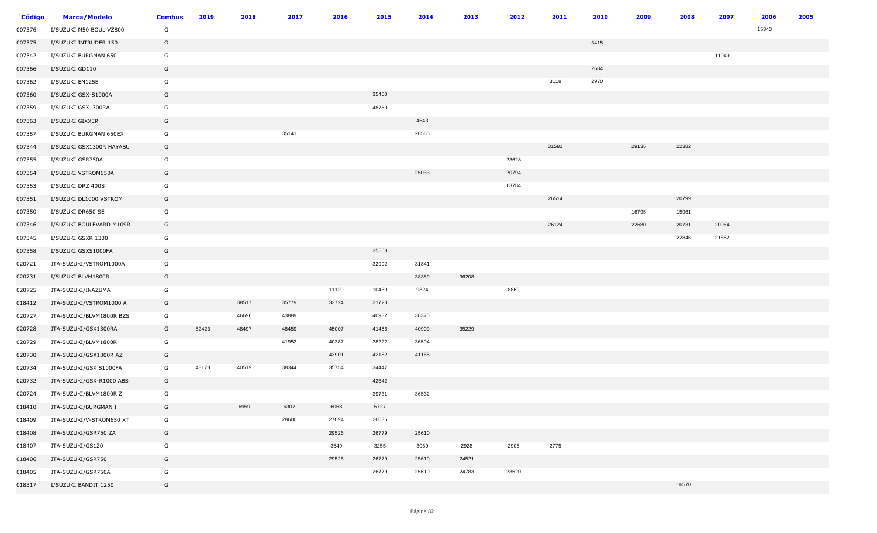| <b>Código</b> | <b>Marca/Modelo</b>      | <b>Combus</b> | 2019  | 2018  | 2017  | 2016  | 2015  | 2014  | 2013  | 2012  | 2011  | 2010 | 2009  | 2008  | 2007  | 2006  | 2005 |
|---------------|--------------------------|---------------|-------|-------|-------|-------|-------|-------|-------|-------|-------|------|-------|-------|-------|-------|------|
| 007376        | I/SUZUKI M50 BOUL VZ800  | G             |       |       |       |       |       |       |       |       |       |      |       |       |       | 15343 |      |
| 007375        | I/SUZUKI INTRUDER 150    | G             |       |       |       |       |       |       |       |       |       | 3415 |       |       |       |       |      |
| 007342        | I/SUZUKI BURGMAN 650     | G             |       |       |       |       |       |       |       |       |       |      |       |       | 11949 |       |      |
| 007366        | I/SUZUKI GD110           | G             |       |       |       |       |       |       |       |       |       | 2684 |       |       |       |       |      |
| 007362        | I/SUZUKI EN125E          | G             |       |       |       |       |       |       |       |       | 3118  | 2970 |       |       |       |       |      |
| 007360        | I/SUZUKI GSX-S1000A      | G             |       |       |       |       | 35400 |       |       |       |       |      |       |       |       |       |      |
| 007359        | I/SUZUKI GSX1300RA       | G             |       |       |       |       | 48780 |       |       |       |       |      |       |       |       |       |      |
| 007363        | I/SUZUKI GIXXER          | G             |       |       |       |       |       | 4543  |       |       |       |      |       |       |       |       |      |
| 007357        | I/SUZUKI BURGMAN 650EX   | G             |       |       | 35141 |       |       | 26565 |       |       |       |      |       |       |       |       |      |
| 007344        | I/SUZUKI GSX1300R HAYABU | G             |       |       |       |       |       |       |       |       | 31581 |      | 29135 | 22382 |       |       |      |
| 007355        | I/SUZUKI GSR750A         | G             |       |       |       |       |       |       |       | 23628 |       |      |       |       |       |       |      |
| 007354        | I/SUZUKI VSTROM650A      | G             |       |       |       |       |       | 25033 |       | 20794 |       |      |       |       |       |       |      |
| 007353        | I/SUZUKI DRZ 400S        | G             |       |       |       |       |       |       |       | 13784 |       |      |       |       |       |       |      |
| 007351        | I/SUZUKI DL1000 VSTROM   | G             |       |       |       |       |       |       |       |       | 26514 |      |       | 20799 |       |       |      |
| 007350        | I/SUZUKI DR650 SE        | G             |       |       |       |       |       |       |       |       |       |      | 16795 | 15961 |       |       |      |
| 007346        | I/SUZUKI BOULEVARD M109R | G             |       |       |       |       |       |       |       |       | 26124 |      | 22680 | 20731 | 20064 |       |      |
| 007345        | I/SUZUKI GSXR 1300       | G             |       |       |       |       |       |       |       |       |       |      |       | 22846 | 21852 |       |      |
| 007358        | I/SUZUKI GSXS1000FA      | G             |       |       |       |       | 35568 |       |       |       |       |      |       |       |       |       |      |
| 020721        | JTA-SUZUKI/VSTROM1000A   | G             |       |       |       |       | 32992 | 31841 |       |       |       |      |       |       |       |       |      |
| 020731        | I/SUZUKI BLVM1800R       | G             |       |       |       |       |       | 38389 | 36208 |       |       |      |       |       |       |       |      |
| 020725        | JTA-SUZUKI/INAZUMA       | G             |       |       |       | 11120 | 10460 | 9824  |       | 8869  |       |      |       |       |       |       |      |
| 018412        | JTA-SUZUKI/VSTROM1000 A  | G             |       | 38517 | 35779 | 33724 | 31723 |       |       |       |       |      |       |       |       |       |      |
| 020727        | JTA-SUZUKI/BLVM1800R BZS | G             |       | 46696 | 43889 |       | 40932 | 38375 |       |       |       |      |       |       |       |       |      |
| 020728        | JTA-SUZUKI/GSX1300RA     | G             | 52423 | 48497 | 48459 | 45007 | 41456 | 40909 | 35229 |       |       |      |       |       |       |       |      |
| 020729        | JTA-SUZUKI/BLVM1800R     | G             |       |       | 41952 | 40387 | 38222 | 36504 |       |       |       |      |       |       |       |       |      |
| 020730        | JTA-SUZUKI/GSX1300R AZ   | G             |       |       |       | 43901 | 42152 | 41165 |       |       |       |      |       |       |       |       |      |
| 020734        | JTA-SUZUKI/GSX S1000FA   | G             | 43173 | 40519 | 38344 | 35754 | 34447 |       |       |       |       |      |       |       |       |       |      |
| 020732        | JTA-SUZUKI/GSX-R1000 ABS | G             |       |       |       |       | 42542 |       |       |       |       |      |       |       |       |       |      |
| 020724        | JTA-SUZUKI/BLVM1800R Z   | G             |       |       |       |       | 39731 | 36532 |       |       |       |      |       |       |       |       |      |
| 018410        | JTA-SUZUKI/BURGMAN I     | G             |       | 6959  | 6302  | 6068  | 5727  |       |       |       |       |      |       |       |       |       |      |
| 018409        | JTA-SUZUKI/V-STROM650 XT | G             |       |       | 28600 | 27094 | 26036 |       |       |       |       |      |       |       |       |       |      |
| 018408        | JTA-SUZUKI/GSR750 ZA     | G             |       |       |       | 29526 | 26779 | 25610 |       |       |       |      |       |       |       |       |      |
| 018407        | JTA-SUZUKI/GS120         | G             |       |       |       | 3549  | 3255  | 3059  | 2928  | 2905  | 2775  |      |       |       |       |       |      |
| 018406        | JTA-SUZUKI/GSR750        | G             |       |       |       | 29526 | 26779 | 25610 | 24521 |       |       |      |       |       |       |       |      |
| 018405        | JTA-SUZUKI/GSR750A       | G             |       |       |       |       | 26779 | 25610 | 24783 | 23520 |       |      |       |       |       |       |      |
| 018317        | I/SUZUKI BANDIT 1250     | G             |       |       |       |       |       |       |       |       |       |      |       | 16570 |       |       |      |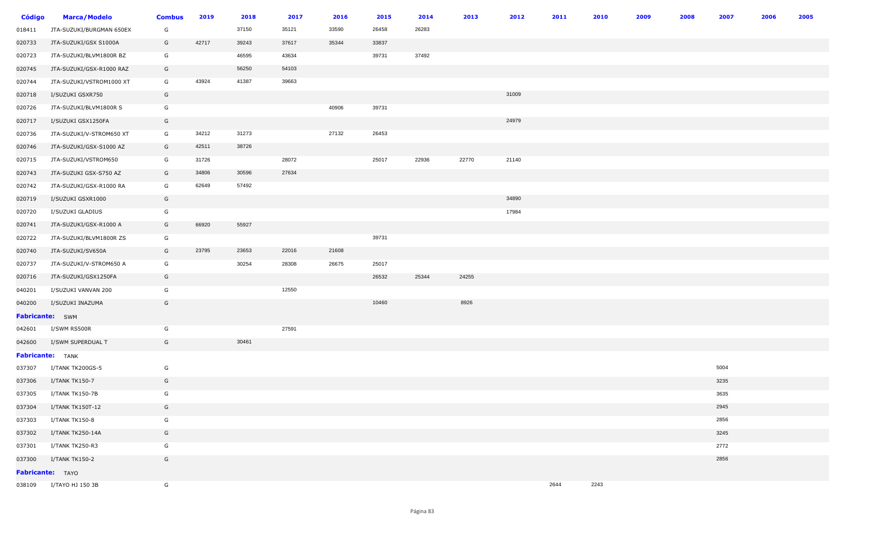| <b>Código</b>    | <b>Marca/Modelo</b>      | <b>Combus</b> | 2019  | 2018  | 2017  | 2016  | 2015  | 2014  | 2013  | 2012  | 2011 | 2010 | 2009 | 2008 | 2007 | 2006 | 2005 |
|------------------|--------------------------|---------------|-------|-------|-------|-------|-------|-------|-------|-------|------|------|------|------|------|------|------|
| 018411           | JTA-SUZUKI/BURGMAN 650EX | G             |       | 37150 | 35121 | 33590 | 26458 | 26283 |       |       |      |      |      |      |      |      |      |
| 020733           | JTA-SUZUKI/GSX S1000A    | G             | 42717 | 39243 | 37617 | 35344 | 33837 |       |       |       |      |      |      |      |      |      |      |
| 020723           | JTA-SUZUKI/BLVM1800R BZ  | G             |       | 46595 | 43634 |       | 39731 | 37492 |       |       |      |      |      |      |      |      |      |
| 020745           | JTA-SUZUKI/GSX-R1000 RAZ | G             |       | 56250 | 54103 |       |       |       |       |       |      |      |      |      |      |      |      |
| 020744           | JTA-SUZUKI/VSTROM1000 XT | G             | 43924 | 41387 | 39663 |       |       |       |       |       |      |      |      |      |      |      |      |
| 020718           | I/SUZUKI GSXR750         | G             |       |       |       |       |       |       |       | 31009 |      |      |      |      |      |      |      |
| 020726           | JTA-SUZUKI/BLVM1800R S   | G             |       |       |       | 40906 | 39731 |       |       |       |      |      |      |      |      |      |      |
| 020717           | I/SUZUKI GSX1250FA       | G             |       |       |       |       |       |       |       | 24979 |      |      |      |      |      |      |      |
| 020736           | JTA-SUZUKI/V-STROM650 XT | G             | 34212 | 31273 |       | 27132 | 26453 |       |       |       |      |      |      |      |      |      |      |
| 020746           | JTA-SUZUKI/GSX-S1000 AZ  | G             | 42511 | 38726 |       |       |       |       |       |       |      |      |      |      |      |      |      |
| 020715           | JTA-SUZUKI/VSTROM650     | G             | 31726 |       | 28072 |       | 25017 | 22936 | 22770 | 21140 |      |      |      |      |      |      |      |
| 020743           | JTA-SUZUKI GSX-S750 AZ   | G             | 34806 | 30596 | 27634 |       |       |       |       |       |      |      |      |      |      |      |      |
| 020742           | JTA-SUZUKI/GSX-R1000 RA  | G             | 62649 | 57492 |       |       |       |       |       |       |      |      |      |      |      |      |      |
| 020719           | I/SUZUKI GSXR1000        | G             |       |       |       |       |       |       |       | 34890 |      |      |      |      |      |      |      |
| 020720           | I/SUZUKI GLADIUS         | G             |       |       |       |       |       |       |       | 17984 |      |      |      |      |      |      |      |
| 020741           | JTA-SUZUKI/GSX-R1000 A   | G             | 66920 | 55927 |       |       |       |       |       |       |      |      |      |      |      |      |      |
| 020722           | JTA-SUZUKI/BLVM1800R ZS  | G             |       |       |       |       | 39731 |       |       |       |      |      |      |      |      |      |      |
| 020740           | JTA-SUZUKI/SV650A        | G             | 23795 | 23653 | 22016 | 21608 |       |       |       |       |      |      |      |      |      |      |      |
| 020737           | JTA-SUZUKI/V-STROM650 A  | G             |       | 30254 | 28308 | 26675 | 25017 |       |       |       |      |      |      |      |      |      |      |
| 020716           | JTA-SUZUKI/GSX1250FA     | G             |       |       |       |       | 26532 | 25344 | 24255 |       |      |      |      |      |      |      |      |
| 040201           | I/SUZUKI VANVAN 200      | G             |       |       | 12550 |       |       |       |       |       |      |      |      |      |      |      |      |
| 040200           | I/SUZUKI INAZUMA         | G             |       |       |       |       | 10460 |       | 8926  |       |      |      |      |      |      |      |      |
| Fabricante: SWM  |                          |               |       |       |       |       |       |       |       |       |      |      |      |      |      |      |      |
| 042601           | I/SWM RS500R             | G             |       |       | 27591 |       |       |       |       |       |      |      |      |      |      |      |      |
| 042600           | I/SWM SUPERDUAL T        | G             |       | 30461 |       |       |       |       |       |       |      |      |      |      |      |      |      |
|                  | <b>Fabricante:</b> TANK  |               |       |       |       |       |       |       |       |       |      |      |      |      |      |      |      |
| 037307           | I/TANK TK200GS-5         | G             |       |       |       |       |       |       |       |       |      |      |      |      | 5004 |      |      |
| 037306           | I/TANK TK150-7           | G             |       |       |       |       |       |       |       |       |      |      |      |      | 3235 |      |      |
| 037305           | I/TANK TK150-7B          | G             |       |       |       |       |       |       |       |       |      |      |      |      | 3635 |      |      |
| 037304           | I/TANK TK150T-12         | G             |       |       |       |       |       |       |       |       |      |      |      |      | 2945 |      |      |
| 037303           | I/TANK TK150-8           | G             |       |       |       |       |       |       |       |       |      |      |      |      | 2856 |      |      |
| 037302           | I/TANK TK250-14A         | G             |       |       |       |       |       |       |       |       |      |      |      |      | 3245 |      |      |
| 037301           | I/TANK TK250-R3          | G             |       |       |       |       |       |       |       |       |      |      |      |      | 2772 |      |      |
| 037300           | I/TANK TK150-2           | G             |       |       |       |       |       |       |       |       |      |      |      |      | 2856 |      |      |
| Fabricante: TAYO |                          |               |       |       |       |       |       |       |       |       |      |      |      |      |      |      |      |
|                  | 038109 I/TAYO HJ 150 3B  | G             |       |       |       |       |       |       |       |       | 2644 | 2243 |      |      |      |      |      |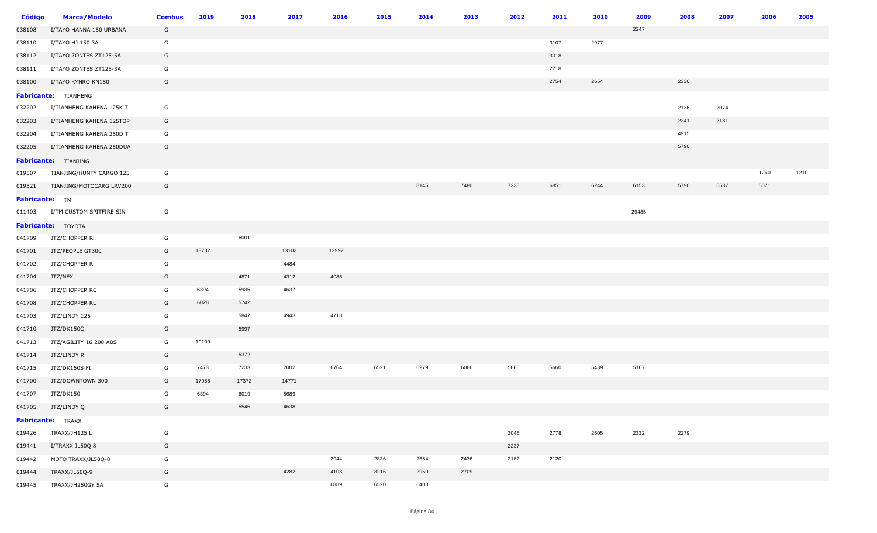| <b>Código</b>         | <b>Marca/Modelo</b>      | <b>Combus</b> | 2019  | 2018  | 2017  | 2016  | 2015 | 2014 | 2013 | 2012 | 2011 | 2010 | 2009  | 2008 | 2007 | 2006 | 2005 |
|-----------------------|--------------------------|---------------|-------|-------|-------|-------|------|------|------|------|------|------|-------|------|------|------|------|
| 038108                | I/TAYO HANNA 150 URBANA  | G             |       |       |       |       |      |      |      |      |      |      | 2247  |      |      |      |      |
| 038110                | I/TAYO HJ 150 3A         | G             |       |       |       |       |      |      |      |      | 3107 | 2977 |       |      |      |      |      |
| 038112                | I/TAYO ZONTES ZT125-5A   | G             |       |       |       |       |      |      |      |      | 3018 |      |       |      |      |      |      |
| 038111                | I/TAYO ZONTES ZT125-3A   | G             |       |       |       |       |      |      |      |      | 2718 |      |       |      |      |      |      |
| 038100                | I/TAYO KYNRO KN150       | G             |       |       |       |       |      |      |      |      | 2754 | 2654 |       | 2330 |      |      |      |
|                       | Fabricante: TIANHENG     |               |       |       |       |       |      |      |      |      |      |      |       |      |      |      |      |
| 032202                | I/TIANHENG KAHENA 125K T | G             |       |       |       |       |      |      |      |      |      |      |       | 2136 | 2074 |      |      |
| 032203                | I/TIANHENG KAHENA 125TOP | G             |       |       |       |       |      |      |      |      |      |      |       | 2241 | 2181 |      |      |
| 032204                | I/TIANHENG KAHENA 250D T | G             |       |       |       |       |      |      |      |      |      |      |       | 4915 |      |      |      |
| 032205                | I/TIANHENG KAHENA 250DUA | G             |       |       |       |       |      |      |      |      |      |      |       | 5790 |      |      |      |
|                       | Fabricante: TIANJING     |               |       |       |       |       |      |      |      |      |      |      |       |      |      |      |      |
| 019507                | TIANJING/HUNTY CARGO 125 | G             |       |       |       |       |      |      |      |      |      |      |       |      |      | 1260 | 1210 |
| 019521                | TIANJING/MOTOCARG LRV200 | G             |       |       |       |       |      | 8145 | 7480 | 7238 | 6851 | 6244 | 6153  | 5790 | 5537 | 5071 |      |
| <b>Fabricante:</b> TM |                          |               |       |       |       |       |      |      |      |      |      |      |       |      |      |      |      |
| 011403                | I/TM CUSTOM SPITFIRE SIN | G             |       |       |       |       |      |      |      |      |      |      | 29485 |      |      |      |      |
|                       | Fabricante: TOYOTA       |               |       |       |       |       |      |      |      |      |      |      |       |      |      |      |      |
| 041709                | JTZ/CHOPPER RH           | G             |       | 6001  |       |       |      |      |      |      |      |      |       |      |      |      |      |
| 041701                | JTZ/PEOPLE GT300         | G             | 13732 |       | 13102 | 12992 |      |      |      |      |      |      |       |      |      |      |      |
| 041702                | JTZ/CHOPPER R            | G             |       |       | 4484  |       |      |      |      |      |      |      |       |      |      |      |      |
| 041704                | JTZ/NEX                  | G             |       | 4871  | 4312  | 4086  |      |      |      |      |      |      |       |      |      |      |      |
| 041706                | JTZ/CHOPPER RC           | G             | 6394  | 5935  | 4637  |       |      |      |      |      |      |      |       |      |      |      |      |
| 041708                | JTZ/CHOPPER RL           | G             | 6028  | 5742  |       |       |      |      |      |      |      |      |       |      |      |      |      |
| 041703                | JTZ/LINDY 125            | G             |       | 5847  | 4943  | 4713  |      |      |      |      |      |      |       |      |      |      |      |
| 041710                | JTZ/DK150C               | G             |       | 5997  |       |       |      |      |      |      |      |      |       |      |      |      |      |
| 041713                | JTZ/AGILITY 16 200 ABS   | G             | 10109 |       |       |       |      |      |      |      |      |      |       |      |      |      |      |
| 041714                | JTZ/LINDY R              | G             |       | 5372  |       |       |      |      |      |      |      |      |       |      |      |      |      |
| 041715                | JTZ/DK150S FI            | G             | 7473  | 7233  | 7002  | 6764  | 6521 | 6279 | 6066 | 5866 | 5660 | 5439 | 5167  |      |      |      |      |
| 041700                | JTZ/DOWNTOWN 300         | G             | 17958 | 17372 | 14771 |       |      |      |      |      |      |      |       |      |      |      |      |
| 041707                | JTZ/DK150                | G             | 6394  | 6019  | 5689  |       |      |      |      |      |      |      |       |      |      |      |      |
|                       | 041705 JTZ/LINDY Q       | G             |       | 5546  | 4638  |       |      |      |      |      |      |      |       |      |      |      |      |
|                       | <b>Fabricante:</b> TRAXX |               |       |       |       |       |      |      |      |      |      |      |       |      |      |      |      |
| 019426                | TRAXX/JH125 L            | G             |       |       |       |       |      |      |      | 3045 | 2778 | 2605 | 2332  | 2279 |      |      |      |
| 019441                | I/TRAXX JL50Q 8          | G             |       |       |       |       |      |      |      | 2237 |      |      |       |      |      |      |      |
| 019442                | MOTO TRAXX/JL50Q-8       | G             |       |       |       | 2944  | 2836 | 2654 | 2436 | 2182 | 2120 |      |       |      |      |      |      |
| 019444                | TRAXX/JL50Q-9            | G             |       |       | 4282  | 4103  | 3216 | 2950 | 2709 |      |      |      |       |      |      |      |      |
| 019445                | TRAXX/JH250GY 5A         | G             |       |       |       | 6889  | 6520 | 6403 |      |      |      |      |       |      |      |      |      |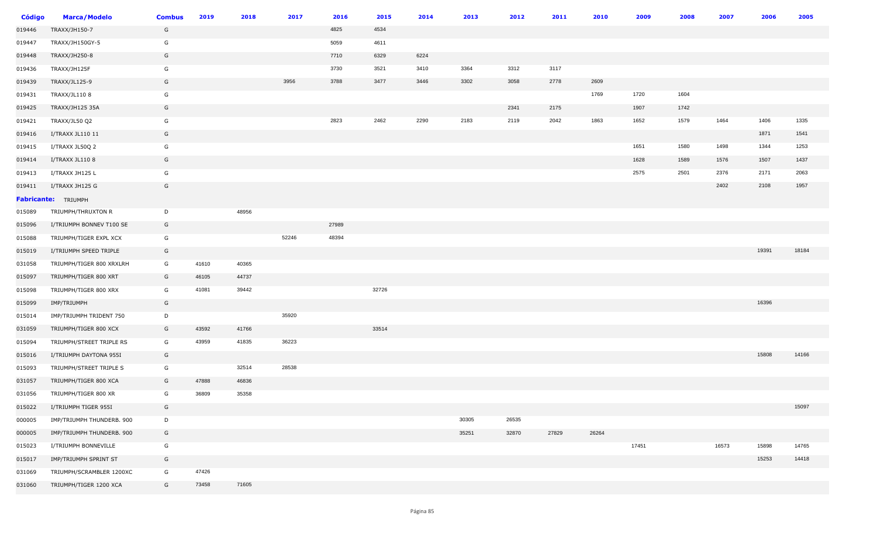| <b>Código</b> | <b>Marca/Modelo</b>       | <b>Combus</b> | 2019  | 2018  | 2017  | 2016  | 2015  | 2014 | 2013  | 2012  | 2011  | 2010  | 2009  | 2008 | 2007  | 2006  | 2005  |
|---------------|---------------------------|---------------|-------|-------|-------|-------|-------|------|-------|-------|-------|-------|-------|------|-------|-------|-------|
| 019446        | TRAXX/JH150-7             | G             |       |       |       | 4825  | 4534  |      |       |       |       |       |       |      |       |       |       |
| 019447        | TRAXX/JH150GY-5           | G             |       |       |       | 5059  | 4611  |      |       |       |       |       |       |      |       |       |       |
| 019448        | TRAXX/JH250-8             | G             |       |       |       | 7710  | 6329  | 6224 |       |       |       |       |       |      |       |       |       |
| 019436        | TRAXX/JH125F              | G             |       |       |       | 3730  | 3521  | 3410 | 3364  | 3312  | 3117  |       |       |      |       |       |       |
| 019439        | TRAXX/JL125-9             | G             |       |       | 3956  | 3788  | 3477  | 3446 | 3302  | 3058  | 2778  | 2609  |       |      |       |       |       |
| 019431        | TRAXX/JL110 8             | G             |       |       |       |       |       |      |       |       |       | 1769  | 1720  | 1604 |       |       |       |
| 019425        | TRAXX/JH125 35A           | G             |       |       |       |       |       |      |       | 2341  | 2175  |       | 1907  | 1742 |       |       |       |
| 019421        | TRAXX/JL50 Q2             | G             |       |       |       | 2823  | 2462  | 2290 | 2183  | 2119  | 2042  | 1863  | 1652  | 1579 | 1464  | 1406  | 1335  |
| 019416        | I/TRAXX JL110 11          | G             |       |       |       |       |       |      |       |       |       |       |       |      |       | 1871  | 1541  |
| 019415        | I/TRAXX JL50Q 2           | G             |       |       |       |       |       |      |       |       |       |       | 1651  | 1580 | 1498  | 1344  | 1253  |
| 019414        | I/TRAXX JL110 8           | G             |       |       |       |       |       |      |       |       |       |       | 1628  | 1589 | 1576  | 1507  | 1437  |
| 019413        | I/TRAXX JH125 L           | G             |       |       |       |       |       |      |       |       |       |       | 2575  | 2501 | 2376  | 2171  | 2063  |
| 019411        | I/TRAXX JH125 G           | G             |       |       |       |       |       |      |       |       |       |       |       |      | 2402  | 2108  | 1957  |
|               | Fabricante: TRIUMPH       |               |       |       |       |       |       |      |       |       |       |       |       |      |       |       |       |
| 015089        | TRIUMPH/THRUXTON R        | D             |       | 48956 |       |       |       |      |       |       |       |       |       |      |       |       |       |
| 015096        | I/TRIUMPH BONNEV T100 SE  | G             |       |       |       | 27989 |       |      |       |       |       |       |       |      |       |       |       |
| 015088        | TRIUMPH/TIGER EXPL XCX    | G             |       |       | 52246 | 48394 |       |      |       |       |       |       |       |      |       |       |       |
| 015019        | I/TRIUMPH SPEED TRIPLE    | G             |       |       |       |       |       |      |       |       |       |       |       |      |       | 19391 | 18184 |
| 031058        | TRIUMPH/TIGER 800 XRXLRH  | G             | 41610 | 40365 |       |       |       |      |       |       |       |       |       |      |       |       |       |
| 015097        | TRIUMPH/TIGER 800 XRT     | G             | 46105 | 44737 |       |       |       |      |       |       |       |       |       |      |       |       |       |
| 015098        | TRIUMPH/TIGER 800 XRX     | G             | 41081 | 39442 |       |       | 32726 |      |       |       |       |       |       |      |       |       |       |
| 015099        | IMP/TRIUMPH               | G             |       |       |       |       |       |      |       |       |       |       |       |      |       | 16396 |       |
| 015014        | IMP/TRIUMPH TRIDENT 750   | D             |       |       | 35920 |       |       |      |       |       |       |       |       |      |       |       |       |
| 031059        | TRIUMPH/TIGER 800 XCX     | G             | 43592 | 41766 |       |       | 33514 |      |       |       |       |       |       |      |       |       |       |
| 015094        | TRIUMPH/STREET TRIPLE RS  | G             | 43959 | 41835 | 36223 |       |       |      |       |       |       |       |       |      |       |       |       |
| 015016        | I/TRIUMPH DAYTONA 955I    | G             |       |       |       |       |       |      |       |       |       |       |       |      |       | 15808 | 14166 |
| 015093        | TRIUMPH/STREET TRIPLE S   | G             |       | 32514 | 28538 |       |       |      |       |       |       |       |       |      |       |       |       |
| 031057        | TRIUMPH/TIGER 800 XCA     | G             | 47888 | 46836 |       |       |       |      |       |       |       |       |       |      |       |       |       |
| 031056        | TRIUMPH/TIGER 800 XR      | G             | 36809 | 35358 |       |       |       |      |       |       |       |       |       |      |       |       |       |
| 015022        | I/TRIUMPH TIGER 955I      | G             |       |       |       |       |       |      |       |       |       |       |       |      |       |       | 15097 |
| 000005        | IMP/TRIUMPH THUNDERB. 900 | D             |       |       |       |       |       |      | 30305 | 26535 |       |       |       |      |       |       |       |
| 000005        | IMP/TRIUMPH THUNDERB. 900 | G             |       |       |       |       |       |      | 35251 | 32870 | 27829 | 26264 |       |      |       |       |       |
| 015023        | I/TRIUMPH BONNEVILLE      | G             |       |       |       |       |       |      |       |       |       |       | 17451 |      | 16573 | 15898 | 14765 |
| 015017        | IMP/TRIUMPH SPRINT ST     | G             |       |       |       |       |       |      |       |       |       |       |       |      |       | 15253 | 14418 |
| 031069        | TRIUMPH/SCRAMBLER 1200XC  | G             | 47426 |       |       |       |       |      |       |       |       |       |       |      |       |       |       |
| 031060        | TRIUMPH/TIGER 1200 XCA    | G             | 73458 | 71605 |       |       |       |      |       |       |       |       |       |      |       |       |       |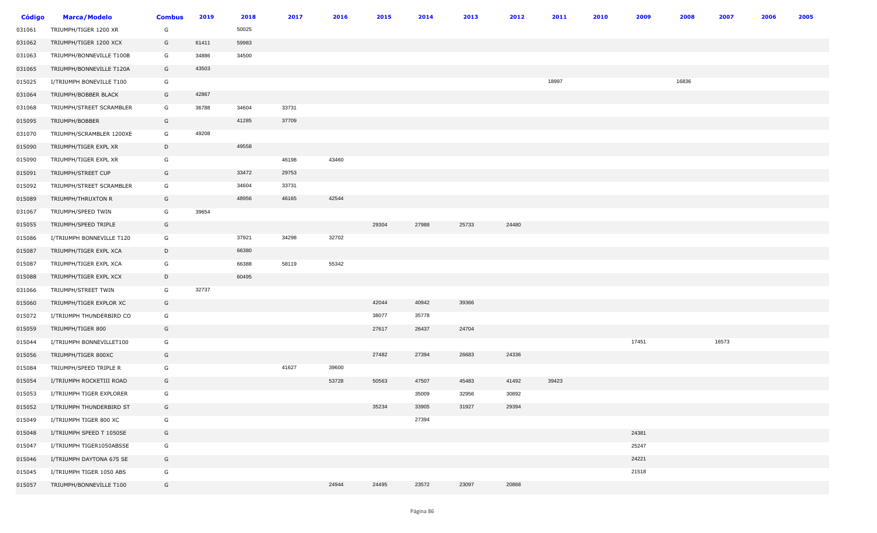| <b>Código</b> | <b>Marca/Modelo</b>       | <b>Combus</b> | 2019  | 2018  | 2017  | 2016  | 2015  | 2014  | 2013  | 2012  | 2011  | 2010 | 2009  | 2008  | 2007  | 2006 | 2005 |
|---------------|---------------------------|---------------|-------|-------|-------|-------|-------|-------|-------|-------|-------|------|-------|-------|-------|------|------|
| 031061        | TRIUMPH/TIGER 1200 XR     | G             |       | 50025 |       |       |       |       |       |       |       |      |       |       |       |      |      |
| 031062        | TRIUMPH/TIGER 1200 XCX    | G             | 61411 | 59983 |       |       |       |       |       |       |       |      |       |       |       |      |      |
| 031063        | TRIUMPH/BONNEVILLE T100B  | G             | 34886 | 34500 |       |       |       |       |       |       |       |      |       |       |       |      |      |
| 031065        | TRIUMPH/BONNEVILLE T120A  | G             | 43503 |       |       |       |       |       |       |       |       |      |       |       |       |      |      |
| 015025        | I/TRIUMPH BONEVILLE T100  | G             |       |       |       |       |       |       |       |       | 18997 |      |       | 16836 |       |      |      |
| 031064        | TRIUMPH/BOBBER BLACK      | G             | 42867 |       |       |       |       |       |       |       |       |      |       |       |       |      |      |
| 031068        | TRIUMPH/STREET SCRAMBLER  | G             | 36788 | 34604 | 33731 |       |       |       |       |       |       |      |       |       |       |      |      |
| 015095        | TRIUMPH/BOBBER            | G             |       | 41285 | 37709 |       |       |       |       |       |       |      |       |       |       |      |      |
| 031070        | TRIUMPH/SCRAMBLER 1200XE  | G             | 49208 |       |       |       |       |       |       |       |       |      |       |       |       |      |      |
| 015090        | TRIUMPH/TIGER EXPL XR     | D             |       | 49558 |       |       |       |       |       |       |       |      |       |       |       |      |      |
| 015090        | TRIUMPH/TIGER EXPL XR     | G             |       |       | 46198 | 43460 |       |       |       |       |       |      |       |       |       |      |      |
| 015091        | TRIUMPH/STREET CUP        | G             |       | 33472 | 29753 |       |       |       |       |       |       |      |       |       |       |      |      |
| 015092        | TRIUMPH/STREET SCRAMBLER  | G             |       | 34604 | 33731 |       |       |       |       |       |       |      |       |       |       |      |      |
| 015089        | TRIUMPH/THRUXTON R        | G             |       | 48956 | 46165 | 42544 |       |       |       |       |       |      |       |       |       |      |      |
| 031067        | TRIUMPH/SPEED TWIN        | G             | 39654 |       |       |       |       |       |       |       |       |      |       |       |       |      |      |
| 015055        | TRIUMPH/SPEED TRIPLE      | G             |       |       |       |       | 29304 | 27988 | 25733 | 24480 |       |      |       |       |       |      |      |
| 015086        | I/TRIUMPH BONNEVILLE T120 | G             |       | 37921 | 34298 | 32702 |       |       |       |       |       |      |       |       |       |      |      |
| 015087        | TRIUMPH/TIGER EXPL XCA    | D             |       | 66380 |       |       |       |       |       |       |       |      |       |       |       |      |      |
| 015087        | TRIUMPH/TIGER EXPL XCA    | G             |       | 66388 | 58119 | 55342 |       |       |       |       |       |      |       |       |       |      |      |
| 015088        | TRIUMPH/TIGER EXPL XCX    | D             |       | 60495 |       |       |       |       |       |       |       |      |       |       |       |      |      |
| 031066        | TRIUMPH/STREET TWIN       | G             | 32737 |       |       |       |       |       |       |       |       |      |       |       |       |      |      |
| 015060        | TRIUMPH/TIGER EXPLOR XC   | G             |       |       |       |       | 42044 | 40942 | 39366 |       |       |      |       |       |       |      |      |
| 015072        | I/TRIUMPH THUNDERBIRD CO  | G             |       |       |       |       | 38077 | 35778 |       |       |       |      |       |       |       |      |      |
| 015059        | TRIUMPH/TIGER 800         | G             |       |       |       |       | 27617 | 26437 | 24704 |       |       |      |       |       |       |      |      |
| 015044        | I/TRIUMPH BONNEVILLET100  | G             |       |       |       |       |       |       |       |       |       |      | 17451 |       | 16573 |      |      |
| 015056        | TRIUMPH/TIGER 800XC       | G             |       |       |       |       | 27482 | 27394 | 26683 | 24336 |       |      |       |       |       |      |      |
| 015084        | TRIUMPH/SPEED TRIPLE R    | G             |       |       | 41627 | 39600 |       |       |       |       |       |      |       |       |       |      |      |
| 015054        | I/TRIUMPH ROCKETIII ROAD  | G             |       |       |       | 53728 | 50563 | 47507 | 45483 | 41492 | 39423 |      |       |       |       |      |      |
| 015053        | I/TRIUMPH TIGER EXPLORER  | G             |       |       |       |       |       | 35009 | 32956 | 30892 |       |      |       |       |       |      |      |
| 015052        | I/TRIUMPH THUNDERBIRD ST  | G             |       |       |       |       | 35234 | 33905 | 31927 | 29394 |       |      |       |       |       |      |      |
| 015049        | I/TRIUMPH TIGER 800 XC    | G             |       |       |       |       |       | 27394 |       |       |       |      |       |       |       |      |      |
| 015048        | I/TRIUMPH SPEED T 1050SE  | G             |       |       |       |       |       |       |       |       |       |      | 24381 |       |       |      |      |
| 015047        | I/TRIUMPH TIGER1050ABSSE  | G             |       |       |       |       |       |       |       |       |       |      | 25247 |       |       |      |      |
| 015046        | I/TRIUMPH DAYTONA 675 SE  | G             |       |       |       |       |       |       |       |       |       |      | 24221 |       |       |      |      |
| 015045        | I/TRIUMPH TIGER 1050 ABS  | G             |       |       |       |       |       |       |       |       |       |      | 21518 |       |       |      |      |
| 015057        | TRIUMPH/BONNEVILLE T100   | G             |       |       |       | 24944 | 24495 | 23572 | 23097 | 20868 |       |      |       |       |       |      |      |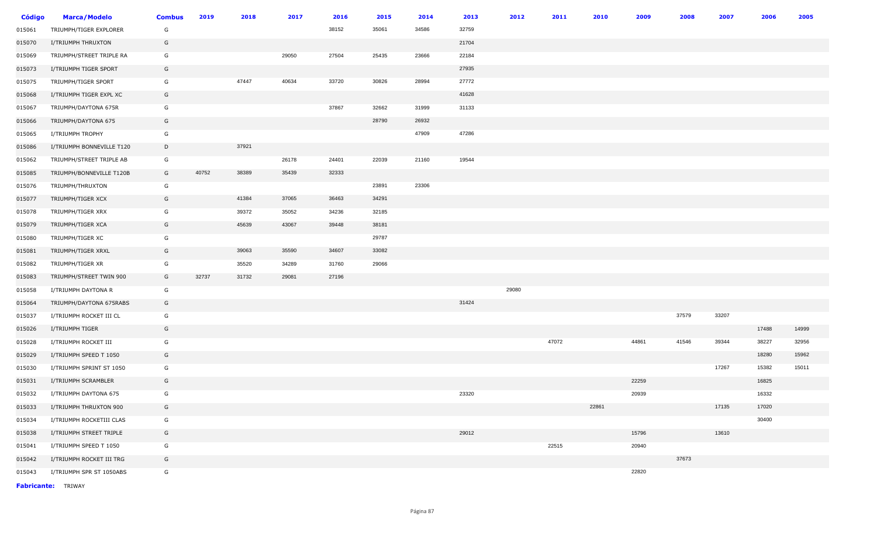| <b>Código</b> | <b>Marca/Modelo</b>       | <b>Combus</b> | 2019  | 2018  | 2017  | 2016  | 2015  | 2014  | 2013  | 2012  | 2011  | 2010  | 2009  | 2008  | 2007  | 2006  | 2005  |
|---------------|---------------------------|---------------|-------|-------|-------|-------|-------|-------|-------|-------|-------|-------|-------|-------|-------|-------|-------|
| 015061        | TRIUMPH/TIGER EXPLORER    | G             |       |       |       | 38152 | 35061 | 34586 | 32759 |       |       |       |       |       |       |       |       |
| 015070        | I/TRIUMPH THRUXTON        | G             |       |       |       |       |       |       | 21704 |       |       |       |       |       |       |       |       |
| 015069        | TRIUMPH/STREET TRIPLE RA  | G             |       |       | 29050 | 27504 | 25435 | 23666 | 22184 |       |       |       |       |       |       |       |       |
| 015073        | I/TRIUMPH TIGER SPORT     | G             |       |       |       |       |       |       | 27935 |       |       |       |       |       |       |       |       |
| 015075        | TRIUMPH/TIGER SPORT       | G             |       | 47447 | 40634 | 33720 | 30826 | 28994 | 27772 |       |       |       |       |       |       |       |       |
| 015068        | I/TRIUMPH TIGER EXPL XC   | G             |       |       |       |       |       |       | 41628 |       |       |       |       |       |       |       |       |
| 015067        | TRIUMPH/DAYTONA 675R      | G             |       |       |       | 37867 | 32662 | 31999 | 31133 |       |       |       |       |       |       |       |       |
| 015066        | TRIUMPH/DAYTONA 675       | G             |       |       |       |       | 28790 | 26932 |       |       |       |       |       |       |       |       |       |
| 015065        | I/TRIUMPH TROPHY          | G             |       |       |       |       |       | 47909 | 47286 |       |       |       |       |       |       |       |       |
| 015086        | I/TRIUMPH BONNEVILLE T120 | D             |       | 37921 |       |       |       |       |       |       |       |       |       |       |       |       |       |
| 015062        | TRIUMPH/STREET TRIPLE AB  | G             |       |       | 26178 | 24401 | 22039 | 21160 | 19544 |       |       |       |       |       |       |       |       |
| 015085        | TRIUMPH/BONNEVILLE T120B  | G             | 40752 | 38389 | 35439 | 32333 |       |       |       |       |       |       |       |       |       |       |       |
| 015076        | TRIUMPH/THRUXTON          | G             |       |       |       |       | 23891 | 23306 |       |       |       |       |       |       |       |       |       |
| 015077        | TRIUMPH/TIGER XCX         | G             |       | 41384 | 37065 | 36463 | 34291 |       |       |       |       |       |       |       |       |       |       |
| 015078        | TRIUMPH/TIGER XRX         | G             |       | 39372 | 35052 | 34236 | 32185 |       |       |       |       |       |       |       |       |       |       |
| 015079        | TRIUMPH/TIGER XCA         | G             |       | 45639 | 43067 | 39448 | 38181 |       |       |       |       |       |       |       |       |       |       |
| 015080        | TRIUMPH/TIGER XC          | G             |       |       |       |       | 29787 |       |       |       |       |       |       |       |       |       |       |
| 015081        | TRIUMPH/TIGER XRXL        | G             |       | 39063 | 35590 | 34607 | 33082 |       |       |       |       |       |       |       |       |       |       |
| 015082        | TRIUMPH/TIGER XR          | G             |       | 35520 | 34289 | 31760 | 29066 |       |       |       |       |       |       |       |       |       |       |
| 015083        | TRIUMPH/STREET TWIN 900   | G             | 32737 | 31732 | 29081 | 27196 |       |       |       |       |       |       |       |       |       |       |       |
| 015058        | I/TRIUMPH DAYTONA R       | G             |       |       |       |       |       |       |       | 29080 |       |       |       |       |       |       |       |
| 015064        | TRIUMPH/DAYTONA 675RABS   | G             |       |       |       |       |       |       | 31424 |       |       |       |       |       |       |       |       |
| 015037        | I/TRIUMPH ROCKET III CL   | G             |       |       |       |       |       |       |       |       |       |       |       | 37579 | 33207 |       |       |
| 015026        | I/TRIUMPH TIGER           | G             |       |       |       |       |       |       |       |       |       |       |       |       |       | 17488 | 14999 |
| 015028        | I/TRIUMPH ROCKET III      | G             |       |       |       |       |       |       |       |       | 47072 |       | 44861 | 41546 | 39344 | 38227 | 32956 |
| 015029        | I/TRIUMPH SPEED T 1050    | G             |       |       |       |       |       |       |       |       |       |       |       |       |       | 18280 | 15962 |
| 015030        | I/TRIUMPH SPRINT ST 1050  | G             |       |       |       |       |       |       |       |       |       |       |       |       | 17267 | 15382 | 15011 |
| 015031        | I/TRIUMPH SCRAMBLER       | G             |       |       |       |       |       |       |       |       |       |       | 22259 |       |       | 16825 |       |
| 015032        | I/TRIUMPH DAYTONA 675     | G             |       |       |       |       |       |       | 23320 |       |       |       | 20939 |       |       | 16332 |       |
| 015033        | I/TRIUMPH THRUXTON 900    | G             |       |       |       |       |       |       |       |       |       | 22861 |       |       | 17135 | 17020 |       |
| 015034        | I/TRIUMPH ROCKETIII CLAS  | G             |       |       |       |       |       |       |       |       |       |       |       |       |       | 30400 |       |
| 015038        | I/TRIUMPH STREET TRIPLE   | G             |       |       |       |       |       |       | 29012 |       |       |       | 15796 |       | 13610 |       |       |
| 015041        | I/TRIUMPH SPEED T 1050    | G             |       |       |       |       |       |       |       |       | 22515 |       | 20940 |       |       |       |       |
| 015042        | I/TRIUMPH ROCKET III TRG  | G             |       |       |       |       |       |       |       |       |       |       |       | 37673 |       |       |       |
| 015043        | I/TRIUMPH SPR ST 1050ABS  | G             |       |       |       |       |       |       |       |       |       |       | 22820 |       |       |       |       |

**Fabricante:** TRIWAY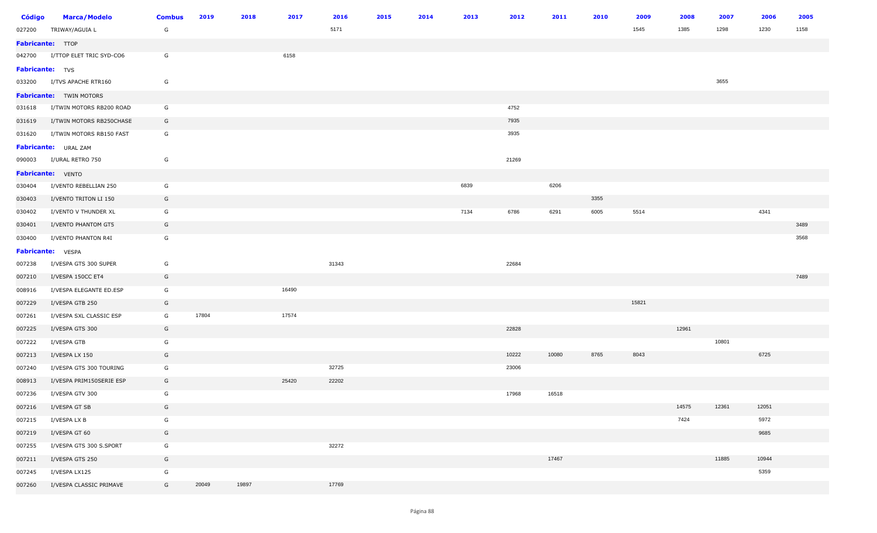| <b>Código</b>    | <b>Marca/Modelo</b>             | <b>Combus</b> | 2019  | 2018  | 2017  | 2016  | 2015 | 2014 | 2013 | 2012  | 2011  | 2010 | 2009  | 2008  | 2007  | 2006  | 2005 |
|------------------|---------------------------------|---------------|-------|-------|-------|-------|------|------|------|-------|-------|------|-------|-------|-------|-------|------|
| 027200           | TRIWAY/AGUIA L                  | G             |       |       |       | 5171  |      |      |      |       |       |      | 1545  | 1385  | 1298  | 1230  | 1158 |
| Fabricante: TTOP |                                 |               |       |       |       |       |      |      |      |       |       |      |       |       |       |       |      |
|                  | 042700 I/TTOP ELET TRIC SYD-CO6 | G             |       |       | 6158  |       |      |      |      |       |       |      |       |       |       |       |      |
| Fabricante: TVS  |                                 |               |       |       |       |       |      |      |      |       |       |      |       |       |       |       |      |
| 033200           | I/TVS APACHE RTR160             | G             |       |       |       |       |      |      |      |       |       |      |       |       | 3655  |       |      |
|                  | <b>Fabricante:</b> TWIN MOTORS  |               |       |       |       |       |      |      |      |       |       |      |       |       |       |       |      |
| 031618           | I/TWIN MOTORS RB200 ROAD        | G             |       |       |       |       |      |      |      | 4752  |       |      |       |       |       |       |      |
| 031619           | I/TWIN MOTORS RB250CHASE        | G             |       |       |       |       |      |      |      | 7935  |       |      |       |       |       |       |      |
| 031620           | I/TWIN MOTORS RB150 FAST        | G             |       |       |       |       |      |      |      | 3935  |       |      |       |       |       |       |      |
|                  | Fabricante: URAL ZAM            |               |       |       |       |       |      |      |      |       |       |      |       |       |       |       |      |
| 090003           | I/URAL RETRO 750                | G             |       |       |       |       |      |      |      | 21269 |       |      |       |       |       |       |      |
|                  | Fabricante: VENTO               |               |       |       |       |       |      |      |      |       |       |      |       |       |       |       |      |
| 030404           | I/VENTO REBELLIAN 250           | G             |       |       |       |       |      |      | 6839 |       | 6206  |      |       |       |       |       |      |
| 030403           | I/VENTO TRITON LI 150           | G             |       |       |       |       |      |      |      |       |       | 3355 |       |       |       |       |      |
| 030402           | I/VENTO V THUNDER XL            | G             |       |       |       |       |      |      | 7134 | 6786  | 6291  | 6005 | 5514  |       |       | 4341  |      |
| 030401           | I/VENTO PHANTOM GT5             | G             |       |       |       |       |      |      |      |       |       |      |       |       |       |       | 3489 |
| 030400           | I/VENTO PHANTON R4I             | G             |       |       |       |       |      |      |      |       |       |      |       |       |       |       | 3568 |
|                  | Fabricante: VESPA               |               |       |       |       |       |      |      |      |       |       |      |       |       |       |       |      |
| 007238           | I/VESPA GTS 300 SUPER           | G             |       |       |       | 31343 |      |      |      | 22684 |       |      |       |       |       |       |      |
| 007210           | I/VESPA 150CC ET4               | G             |       |       |       |       |      |      |      |       |       |      |       |       |       |       | 7489 |
| 008916           | I/VESPA ELEGANTE ED.ESP         | G             |       |       | 16490 |       |      |      |      |       |       |      |       |       |       |       |      |
| 007229           | I/VESPA GTB 250                 | G             |       |       |       |       |      |      |      |       |       |      | 15821 |       |       |       |      |
| 007261           | I/VESPA SXL CLASSIC ESP         | G             | 17804 |       | 17574 |       |      |      |      |       |       |      |       |       |       |       |      |
| 007225           | I/VESPA GTS 300                 | G             |       |       |       |       |      |      |      | 22828 |       |      |       | 12961 |       |       |      |
| 007222           | I/VESPA GTB                     | G             |       |       |       |       |      |      |      |       |       |      |       |       | 10801 |       |      |
| 007213           | I/VESPA LX 150                  | G             |       |       |       |       |      |      |      | 10222 | 10080 | 8765 | 8043  |       |       | 6725  |      |
| 007240           | I/VESPA GTS 300 TOURING         | G             |       |       |       | 32725 |      |      |      | 23006 |       |      |       |       |       |       |      |
| 008913           | I/VESPA PRIM150SERIE ESP        | G             |       |       | 25420 | 22202 |      |      |      |       |       |      |       |       |       |       |      |
| 007236           | I/VESPA GTV 300                 | G             |       |       |       |       |      |      |      | 17968 | 16518 |      |       |       |       |       |      |
| 007216           | I/VESPA GT SB                   | G             |       |       |       |       |      |      |      |       |       |      |       | 14575 | 12361 | 12051 |      |
| 007215           | I/VESPA LX B                    | G             |       |       |       |       |      |      |      |       |       |      |       | 7424  |       | 5972  |      |
| 007219           | I/VESPA GT 60                   | G             |       |       |       |       |      |      |      |       |       |      |       |       |       | 9685  |      |
| 007255           | I/VESPA GTS 300 S.SPORT         | G             |       |       |       | 32272 |      |      |      |       |       |      |       |       |       |       |      |
| 007211           | I/VESPA GTS 250                 | G             |       |       |       |       |      |      |      |       | 17467 |      |       |       | 11885 | 10944 |      |
| 007245           | I/VESPA LX125                   | G             |       |       |       |       |      |      |      |       |       |      |       |       |       | 5359  |      |
| 007260           | I/VESPA CLASSIC PRIMAVE         | G             | 20049 | 19897 |       | 17769 |      |      |      |       |       |      |       |       |       |       |      |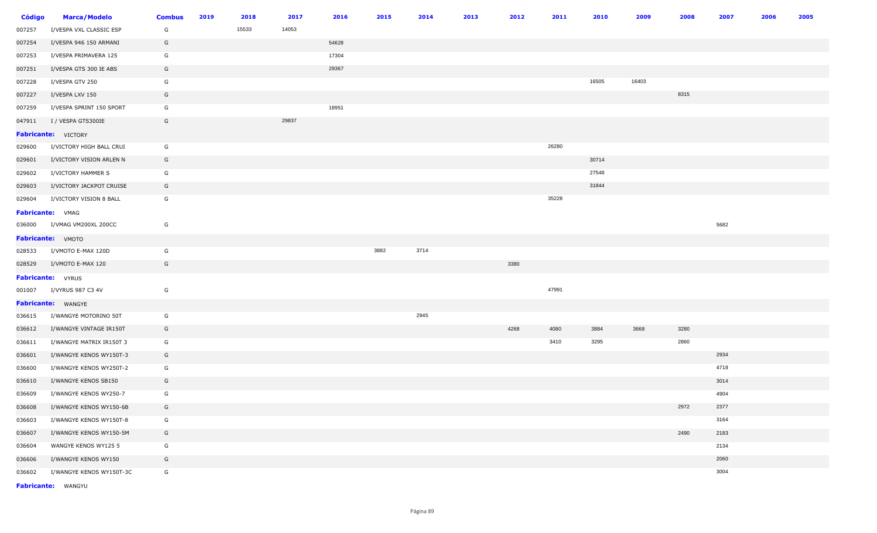| <b>Código</b> | <b>Marca/Modelo</b>        | <b>Combus</b> | 2019 | 2018  | 2017  | 2016  | 2015 | 2014 | 2013 | 2012 | 2011  | 2010  | 2009  | 2008 | 2007 | 2006 | 2005 |
|---------------|----------------------------|---------------|------|-------|-------|-------|------|------|------|------|-------|-------|-------|------|------|------|------|
| 007257        | I/VESPA VXL CLASSIC ESP    | G             |      | 15533 | 14053 |       |      |      |      |      |       |       |       |      |      |      |      |
| 007254        | I/VESPA 946 150 ARMANI     | G             |      |       |       | 54628 |      |      |      |      |       |       |       |      |      |      |      |
| 007253        | I/VESPA PRIMAVERA 125      | G             |      |       |       | 17304 |      |      |      |      |       |       |       |      |      |      |      |
| 007251        | I/VESPA GTS 300 IE ABS     | G             |      |       |       | 29367 |      |      |      |      |       |       |       |      |      |      |      |
| 007228        | I/VESPA GTV 250            | G             |      |       |       |       |      |      |      |      |       | 16505 | 16403 |      |      |      |      |
| 007227        | I/VESPA LXV 150            | G             |      |       |       |       |      |      |      |      |       |       |       | 8315 |      |      |      |
| 007259        | I/VESPA SPRINT 150 SPORT   | G             |      |       |       | 18951 |      |      |      |      |       |       |       |      |      |      |      |
| 047911        | I / VESPA GTS300IE         | G             |      |       | 29837 |       |      |      |      |      |       |       |       |      |      |      |      |
|               | <b>Fabricante:</b> VICTORY |               |      |       |       |       |      |      |      |      |       |       |       |      |      |      |      |
| 029600        | I/VICTORY HIGH BALL CRUI   | G             |      |       |       |       |      |      |      |      | 26280 |       |       |      |      |      |      |
| 029601        | I/VICTORY VISION ARLEN N   | G             |      |       |       |       |      |      |      |      |       | 30714 |       |      |      |      |      |
| 029602        | I/VICTORY HAMMER S         | G             |      |       |       |       |      |      |      |      |       | 27548 |       |      |      |      |      |
| 029603        | I/VICTORY JACKPOT CRUISE   | G             |      |       |       |       |      |      |      |      |       | 31844 |       |      |      |      |      |
| 029604        | I/VICTORY VISION 8 BALL    | G             |      |       |       |       |      |      |      |      | 35228 |       |       |      |      |      |      |
|               | Fabricante: VMAG           |               |      |       |       |       |      |      |      |      |       |       |       |      |      |      |      |
| 036000        | I/VMAG VM200XL 200CC       | G             |      |       |       |       |      |      |      |      |       |       |       |      | 5682 |      |      |
|               | Fabricante: VMOTO          |               |      |       |       |       |      |      |      |      |       |       |       |      |      |      |      |
| 028533        | I/VMOTO E-MAX 120D         | G             |      |       |       |       | 3882 | 3714 |      |      |       |       |       |      |      |      |      |
| 028529        | I/VMOTO E-MAX 120          | G             |      |       |       |       |      |      |      | 3380 |       |       |       |      |      |      |      |
|               | <b>Fabricante:</b> VYRUS   |               |      |       |       |       |      |      |      |      |       |       |       |      |      |      |      |
| 001007        | I/VYRUS 987 C3 4V          | G             |      |       |       |       |      |      |      |      | 47991 |       |       |      |      |      |      |
|               | Fabricante: WANGYE         |               |      |       |       |       |      |      |      |      |       |       |       |      |      |      |      |
| 036615        | I/WANGYE MOTORINO 50T      | G             |      |       |       |       |      | 2945 |      |      |       |       |       |      |      |      |      |
| 036612        | I/WANGYE VINTAGE IR150T    | G             |      |       |       |       |      |      |      | 4268 | 4080  | 3884  | 3668  | 3280 |      |      |      |
| 036611        | I/WANGYE MATRIX IR150T 3   | G             |      |       |       |       |      |      |      |      | 3410  | 3295  |       | 2860 |      |      |      |
| 036601        | I/WANGYE KENOS WY150T-3    | G             |      |       |       |       |      |      |      |      |       |       |       |      | 2934 |      |      |
| 036600        | I/WANGYE KENOS WY250T-2    | G             |      |       |       |       |      |      |      |      |       |       |       |      | 4718 |      |      |
| 036610        | I/WANGYE KENOS SB150       | G             |      |       |       |       |      |      |      |      |       |       |       |      | 3014 |      |      |
| 036609        | I/WANGYE KENOS WY250-7     | G             |      |       |       |       |      |      |      |      |       |       |       |      | 4904 |      |      |
| 036608        | I/WANGYE KENOS WY150-6B    | G             |      |       |       |       |      |      |      |      |       |       |       | 2972 | 2377 |      |      |
| 036603        | I/WANGYE KENOS WY150T-8    | G             |      |       |       |       |      |      |      |      |       |       |       |      | 3164 |      |      |
| 036607        | I/WANGYE KENOS WY150-5M    | G             |      |       |       |       |      |      |      |      |       |       |       | 2490 | 2183 |      |      |
| 036604        | WANGYE KENOS WY125 5       | G             |      |       |       |       |      |      |      |      |       |       |       |      | 2134 |      |      |
| 036606        | I/WANGYE KENOS WY150       | G             |      |       |       |       |      |      |      |      |       |       |       |      | 2060 |      |      |
| 036602        | I/WANGYE KENOS WY150T-3C   | G             |      |       |       |       |      |      |      |      |       |       |       |      | 3004 |      |      |

**Fabricante:** WANGYU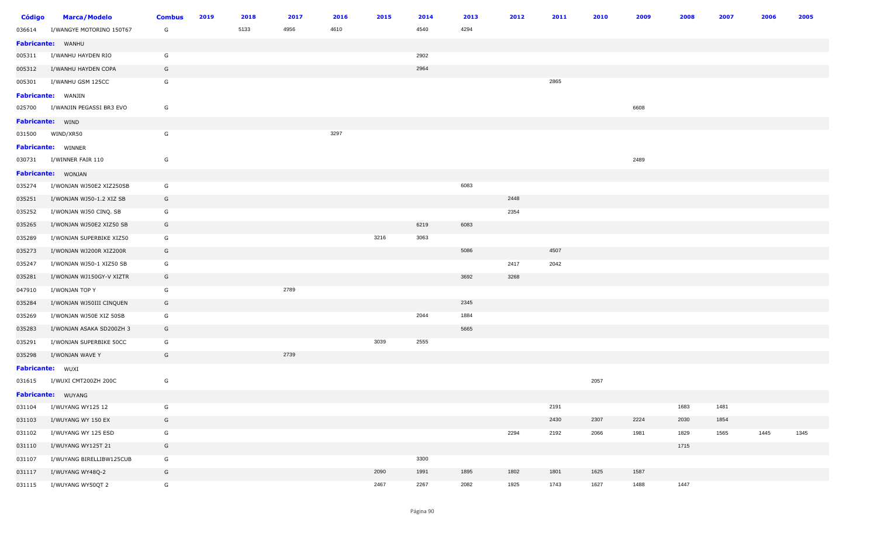| Código | <b>Marca/Modelo</b>             | <b>Combus</b> | 2019 | 2018 | 2017 | 2016 | 2015 | 2014 | 2013 | 2012 | 2011 | 2010 | 2009 | 2008 | 2007 | 2006 | 2005 |
|--------|---------------------------------|---------------|------|------|------|------|------|------|------|------|------|------|------|------|------|------|------|
| 036614 | I/WANGYE MOTORINO 150T67        | G             |      | 5133 | 4956 | 4610 |      | 4540 | 4294 |      |      |      |      |      |      |      |      |
|        | Fabricante: WANHU               |               |      |      |      |      |      |      |      |      |      |      |      |      |      |      |      |
| 005311 | I/WANHU HAYDEN RIO              | G             |      |      |      |      |      | 2902 |      |      |      |      |      |      |      |      |      |
| 005312 | I/WANHU HAYDEN COPA             | G             |      |      |      |      |      | 2964 |      |      |      |      |      |      |      |      |      |
| 005301 | I/WANHU GSM 125CC               | G             |      |      |      |      |      |      |      |      | 2865 |      |      |      |      |      |      |
|        | <b>Fabricante:</b> WANJIN       |               |      |      |      |      |      |      |      |      |      |      |      |      |      |      |      |
|        | 025700 I/WANJIN PEGASSI BR3 EVO | G             |      |      |      |      |      |      |      |      |      |      | 6608 |      |      |      |      |
|        | Fabricante: WIND                |               |      |      |      |      |      |      |      |      |      |      |      |      |      |      |      |
|        | 031500 WIND/XR50                | G             |      |      |      | 3297 |      |      |      |      |      |      |      |      |      |      |      |
|        | <b>Fabricante:</b> WINNER       |               |      |      |      |      |      |      |      |      |      |      |      |      |      |      |      |
|        | 030731 I/WINNER FAIR 110        | G             |      |      |      |      |      |      |      |      |      |      | 2489 |      |      |      |      |
|        | Fabricante: WONJAN              |               |      |      |      |      |      |      |      |      |      |      |      |      |      |      |      |
| 035274 | I/WONJAN WJ50E2 XIZ250SB        | G             |      |      |      |      |      |      | 6083 |      |      |      |      |      |      |      |      |
| 035251 | I/WONJAN WJ50-1.2 XIZ SB        | G             |      |      |      |      |      |      |      | 2448 |      |      |      |      |      |      |      |
| 035252 | I/WONJAN WJ50 CINQ. SB          | G             |      |      |      |      |      |      |      | 2354 |      |      |      |      |      |      |      |
| 035265 | I/WONJAN WJ50E2 XIZ50 SB        | G             |      |      |      |      |      | 6219 | 6083 |      |      |      |      |      |      |      |      |
| 035289 | I/WONJAN SUPERBIKE XIZ50        | G             |      |      |      |      | 3216 | 3063 |      |      |      |      |      |      |      |      |      |
| 035273 | I/WONJAN WJ200R XIZ200R         | G             |      |      |      |      |      |      | 5086 |      | 4507 |      |      |      |      |      |      |
| 035247 | I/WONJAN WJ50-1 XIZ50 SB        | G             |      |      |      |      |      |      |      | 2417 | 2042 |      |      |      |      |      |      |
| 035281 | I/WONJAN WJ150GY-V XIZTR        | G             |      |      |      |      |      |      | 3692 | 3268 |      |      |      |      |      |      |      |
| 047910 | I/WONJAN TOP Y                  | G             |      |      | 2789 |      |      |      |      |      |      |      |      |      |      |      |      |
| 035284 | I/WONJAN WJ50III CINQUEN        | G             |      |      |      |      |      |      | 2345 |      |      |      |      |      |      |      |      |
| 035269 | I/WONJAN WJ50E XIZ 50SB         | G             |      |      |      |      |      | 2044 | 1884 |      |      |      |      |      |      |      |      |
| 035283 | I/WONJAN ASAKA SD200ZH 3        | G             |      |      |      |      |      |      | 5665 |      |      |      |      |      |      |      |      |
| 035291 | I/WONJAN SUPERBIKE 50CC         | G             |      |      |      |      | 3039 | 2555 |      |      |      |      |      |      |      |      |      |
| 035298 | I/WONJAN WAVE Y                 | G             |      |      | 2739 |      |      |      |      |      |      |      |      |      |      |      |      |
|        | Fabricante: WUXI                |               |      |      |      |      |      |      |      |      |      |      |      |      |      |      |      |
| 031615 | I/WUXI CMT200ZH 200C            | G             |      |      |      |      |      |      |      |      |      | 2057 |      |      |      |      |      |
|        | Fabricante: WUYANG              |               |      |      |      |      |      |      |      |      |      |      |      |      |      |      |      |
| 031104 | I/WUYANG WY125 12               | G             |      |      |      |      |      |      |      |      | 2191 |      |      | 1683 | 1481 |      |      |
| 031103 | I/WUYANG WY 150 EX              | G             |      |      |      |      |      |      |      |      | 2430 | 2307 | 2224 | 2030 | 1854 |      |      |
| 031102 | I/WUYANG WY 125 ESD             | G             |      |      |      |      |      |      |      | 2294 | 2192 | 2066 | 1981 | 1829 | 1565 | 1445 | 1345 |
| 031110 | I/WUYANG WY125T 21              | G             |      |      |      |      |      |      |      |      |      |      |      | 1715 |      |      |      |
| 031107 | I/WUYANG BIRELLIBW125CUB        | G             |      |      |      |      |      | 3300 |      |      |      |      |      |      |      |      |      |
| 031117 | I/WUYANG WY48Q-2                | G             |      |      |      |      | 2090 | 1991 | 1895 | 1802 | 1801 | 1625 | 1587 |      |      |      |      |
| 031115 | I/WUYANG WY50QT 2               | G             |      |      |      |      | 2467 | 2267 | 2082 | 1925 | 1743 | 1627 | 1488 | 1447 |      |      |      |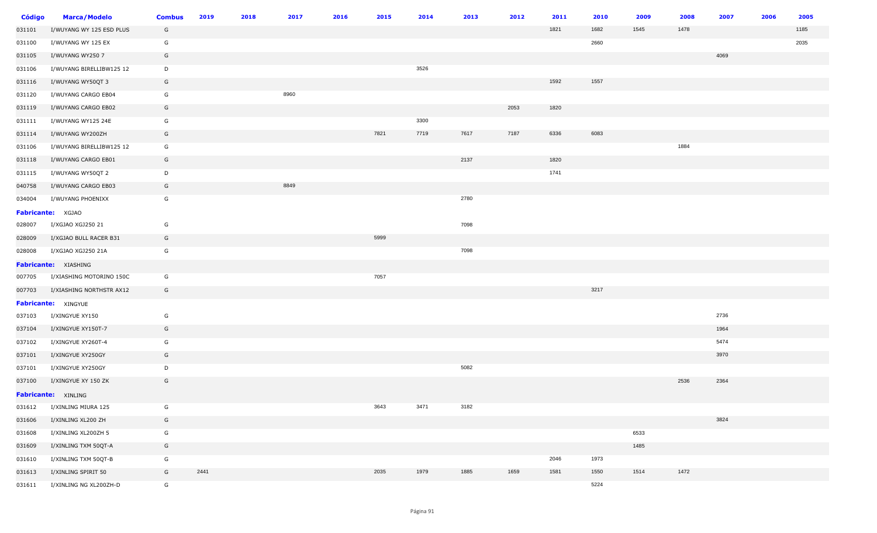| Código | <b>Marca/Modelo</b>      | <b>Combus</b> | 2019 | 2018 | 2017 | 2016 | 2015 | 2014 | 2013 | 2012 | 2011 | 2010 | 2009 | 2008 | 2007 | 2006 | 2005 |
|--------|--------------------------|---------------|------|------|------|------|------|------|------|------|------|------|------|------|------|------|------|
| 031101 | I/WUYANG WY 125 ESD PLUS | G             |      |      |      |      |      |      |      |      | 1821 | 1682 | 1545 | 1478 |      |      | 1185 |
| 031100 | I/WUYANG WY 125 EX       | G             |      |      |      |      |      |      |      |      |      | 2660 |      |      |      |      | 2035 |
| 031105 | I/WUYANG WY250 7         | G             |      |      |      |      |      |      |      |      |      |      |      |      | 4069 |      |      |
| 031106 | I/WUYANG BIRELLIBW125 12 | D             |      |      |      |      |      | 3526 |      |      |      |      |      |      |      |      |      |
| 031116 | I/WUYANG WY50QT 3        | G             |      |      |      |      |      |      |      |      | 1592 | 1557 |      |      |      |      |      |
| 031120 | I/WUYANG CARGO EB04      | G             |      |      | 8960 |      |      |      |      |      |      |      |      |      |      |      |      |
| 031119 | I/WUYANG CARGO EB02      | G             |      |      |      |      |      |      |      | 2053 | 1820 |      |      |      |      |      |      |
| 031111 | I/WUYANG WY125 24E       | G             |      |      |      |      |      | 3300 |      |      |      |      |      |      |      |      |      |
| 031114 | I/WUYANG WY200ZH         | G             |      |      |      |      | 7821 | 7719 | 7617 | 7187 | 6336 | 6083 |      |      |      |      |      |
| 031106 | I/WUYANG BIRELLIBW125 12 | G             |      |      |      |      |      |      |      |      |      |      |      | 1884 |      |      |      |
| 031118 | I/WUYANG CARGO EB01      | G             |      |      |      |      |      |      | 2137 |      | 1820 |      |      |      |      |      |      |
| 031115 | I/WUYANG WY50QT 2        | D             |      |      |      |      |      |      |      |      | 1741 |      |      |      |      |      |      |
| 040758 | I/WUYANG CARGO EB03      | G             |      |      | 8849 |      |      |      |      |      |      |      |      |      |      |      |      |
| 034004 | I/WUYANG PHOENIXX        | G             |      |      |      |      |      |      | 2780 |      |      |      |      |      |      |      |      |
|        | Fabricante: XGJAO        |               |      |      |      |      |      |      |      |      |      |      |      |      |      |      |      |
| 028007 | I/XGJAO XGJ250 21        | G             |      |      |      |      |      |      | 7098 |      |      |      |      |      |      |      |      |
| 028009 | I/XGJAO BULL RACER B31   | G             |      |      |      |      | 5999 |      |      |      |      |      |      |      |      |      |      |
| 028008 | I/XGJAO XGJ250 21A       | G             |      |      |      |      |      |      | 7098 |      |      |      |      |      |      |      |      |
|        | Fabricante: XIASHING     |               |      |      |      |      |      |      |      |      |      |      |      |      |      |      |      |
| 007705 | I/XIASHING MOTORINO 150C | G             |      |      |      |      | 7057 |      |      |      |      |      |      |      |      |      |      |
| 007703 | I/XIASHING NORTHSTR AX12 | G             |      |      |      |      |      |      |      |      |      | 3217 |      |      |      |      |      |
|        | Fabricante: XINGYUE      |               |      |      |      |      |      |      |      |      |      |      |      |      |      |      |      |
| 037103 | I/XINGYUE XY150          | G             |      |      |      |      |      |      |      |      |      |      |      |      | 2736 |      |      |
| 037104 | I/XINGYUE XY150T-7       | G             |      |      |      |      |      |      |      |      |      |      |      |      | 1964 |      |      |
| 037102 | I/XINGYUE XY260T-4       | G             |      |      |      |      |      |      |      |      |      |      |      |      | 5474 |      |      |
| 037101 | I/XINGYUE XY250GY        | G             |      |      |      |      |      |      |      |      |      |      |      |      | 3970 |      |      |
| 037101 | I/XINGYUE XY250GY        | D             |      |      |      |      |      |      | 5082 |      |      |      |      |      |      |      |      |
| 037100 | I/XINGYUE XY 150 ZK      | G             |      |      |      |      |      |      |      |      |      |      |      | 2536 | 2364 |      |      |
|        | Fabricante: XINLING      |               |      |      |      |      |      |      |      |      |      |      |      |      |      |      |      |
| 031612 | I/XINLING MIURA 125      | G             |      |      |      |      | 3643 | 3471 | 3182 |      |      |      |      |      |      |      |      |
| 031606 | I/XINLING XL200 ZH       | G             |      |      |      |      |      |      |      |      |      |      |      |      | 3824 |      |      |
| 031608 | I/XINLING XL200ZH 5      | G             |      |      |      |      |      |      |      |      |      |      | 6533 |      |      |      |      |
| 031609 | I/XINLING TXM 50QT-A     | G             |      |      |      |      |      |      |      |      |      |      | 1485 |      |      |      |      |
| 031610 | I/XINLING TXM 50QT-B     | G             |      |      |      |      |      |      |      |      | 2046 | 1973 |      |      |      |      |      |
| 031613 | I/XINLING SPIRIT 50      | G             | 2441 |      |      |      | 2035 | 1979 | 1885 | 1659 | 1581 | 1550 | 1514 | 1472 |      |      |      |
| 031611 | I/XINLING NG XL200ZH-D   | G             |      |      |      |      |      |      |      |      |      | 5224 |      |      |      |      |      |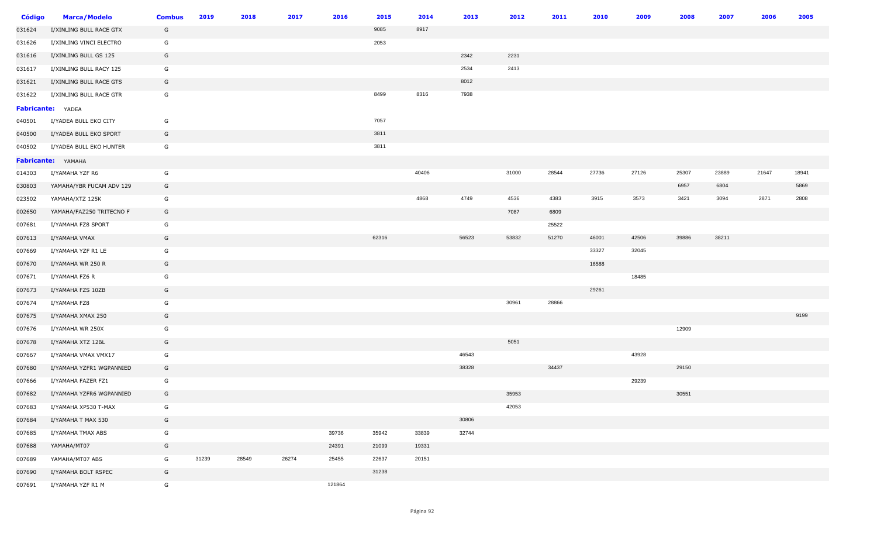| Código | <b>Marca/Modelo</b>      | <b>Combus</b> | 2019  | 2018  | 2017  | 2016   | 2015  | 2014  | 2013  | 2012  | 2011  | 2010  | 2009  | 2008  | 2007  | 2006  | 2005  |
|--------|--------------------------|---------------|-------|-------|-------|--------|-------|-------|-------|-------|-------|-------|-------|-------|-------|-------|-------|
| 031624 | I/XINLING BULL RACE GTX  | G             |       |       |       |        | 9085  | 8917  |       |       |       |       |       |       |       |       |       |
| 031626 | I/XINLING VINCI ELECTRO  | G             |       |       |       |        | 2053  |       |       |       |       |       |       |       |       |       |       |
| 031616 | I/XINLING BULL GS 125    | G             |       |       |       |        |       |       | 2342  | 2231  |       |       |       |       |       |       |       |
| 031617 | I/XINLING BULL RACY 125  | G             |       |       |       |        |       |       | 2534  | 2413  |       |       |       |       |       |       |       |
| 031621 | I/XINLING BULL RACE GTS  | G             |       |       |       |        |       |       | 8012  |       |       |       |       |       |       |       |       |
| 031622 | I/XINLING BULL RACE GTR  | G             |       |       |       |        | 8499  | 8316  | 7938  |       |       |       |       |       |       |       |       |
|        | Fabricante: YADEA        |               |       |       |       |        |       |       |       |       |       |       |       |       |       |       |       |
| 040501 | I/YADEA BULL EKO CITY    | G             |       |       |       |        | 7057  |       |       |       |       |       |       |       |       |       |       |
| 040500 | I/YADEA BULL EKO SPORT   | G             |       |       |       |        | 3811  |       |       |       |       |       |       |       |       |       |       |
| 040502 | I/YADEA BULL EKO HUNTER  | G             |       |       |       |        | 3811  |       |       |       |       |       |       |       |       |       |       |
|        | Fabricante: YAMAHA       |               |       |       |       |        |       |       |       |       |       |       |       |       |       |       |       |
| 014303 | I/YAMAHA YZF R6          | G             |       |       |       |        |       | 40406 |       | 31000 | 28544 | 27736 | 27126 | 25307 | 23889 | 21647 | 18941 |
| 030803 | YAMAHA/YBR FUCAM ADV 129 | G             |       |       |       |        |       |       |       |       |       |       |       | 6957  | 6804  |       | 5869  |
| 023502 | YAMAHA/XTZ 125K          | G             |       |       |       |        |       | 4868  | 4749  | 4536  | 4383  | 3915  | 3573  | 3421  | 3094  | 2871  | 2808  |
| 002650 | YAMAHA/FAZ250 TRITECNO F | G             |       |       |       |        |       |       |       | 7087  | 6809  |       |       |       |       |       |       |
| 007681 | I/YAMAHA FZ8 SPORT       | G             |       |       |       |        |       |       |       |       | 25522 |       |       |       |       |       |       |
| 007613 | I/YAMAHA VMAX            | G             |       |       |       |        | 62316 |       | 56523 | 53832 | 51270 | 46001 | 42506 | 39886 | 38211 |       |       |
| 007669 | I/YAMAHA YZF R1 LE       | G             |       |       |       |        |       |       |       |       |       | 33327 | 32045 |       |       |       |       |
| 007670 | I/YAMAHA WR 250 R        | G             |       |       |       |        |       |       |       |       |       | 16588 |       |       |       |       |       |
| 007671 | I/YAMAHA FZ6 R           | G             |       |       |       |        |       |       |       |       |       |       | 18485 |       |       |       |       |
| 007673 | I/YAMAHA FZS 10ZB        | G             |       |       |       |        |       |       |       |       |       | 29261 |       |       |       |       |       |
| 007674 | I/YAMAHA FZ8             | G             |       |       |       |        |       |       |       | 30961 | 28866 |       |       |       |       |       |       |
| 007675 | I/YAMAHA XMAX 250        | G             |       |       |       |        |       |       |       |       |       |       |       |       |       |       | 9199  |
| 007676 | I/YAMAHA WR 250X         | G             |       |       |       |        |       |       |       |       |       |       |       | 12909 |       |       |       |
| 007678 | I/YAMAHA XTZ 12BL        | G             |       |       |       |        |       |       |       | 5051  |       |       |       |       |       |       |       |
| 007667 | I/YAMAHA VMAX VMX17      | G             |       |       |       |        |       |       | 46543 |       |       |       | 43928 |       |       |       |       |
| 007680 | I/YAMAHA YZFR1 WGPANNIED | G             |       |       |       |        |       |       | 38328 |       | 34437 |       |       | 29150 |       |       |       |
| 007666 | I/YAMAHA FAZER FZ1       | G             |       |       |       |        |       |       |       |       |       |       | 29239 |       |       |       |       |
| 007682 | I/YAMAHA YZFR6 WGPANNIED | G             |       |       |       |        |       |       |       | 35953 |       |       |       | 30551 |       |       |       |
| 007683 | I/YAMAHA XP530 T-MAX     | G             |       |       |       |        |       |       |       | 42053 |       |       |       |       |       |       |       |
| 007684 | I/YAMAHA T MAX 530       | G             |       |       |       |        |       |       | 30806 |       |       |       |       |       |       |       |       |
| 007685 | I/YAMAHA TMAX ABS        | G             |       |       |       | 39736  | 35942 | 33839 | 32744 |       |       |       |       |       |       |       |       |
| 007688 | YAMAHA/MT07              | G             |       |       |       | 24391  | 21099 | 19331 |       |       |       |       |       |       |       |       |       |
| 007689 | YAMAHA/MT07 ABS          | G             | 31239 | 28549 | 26274 | 25455  | 22637 | 20151 |       |       |       |       |       |       |       |       |       |
| 007690 | I/YAMAHA BOLT RSPEC      | G             |       |       |       |        | 31238 |       |       |       |       |       |       |       |       |       |       |
| 007691 | I/YAMAHA YZF R1 M        | G             |       |       |       | 121864 |       |       |       |       |       |       |       |       |       |       |       |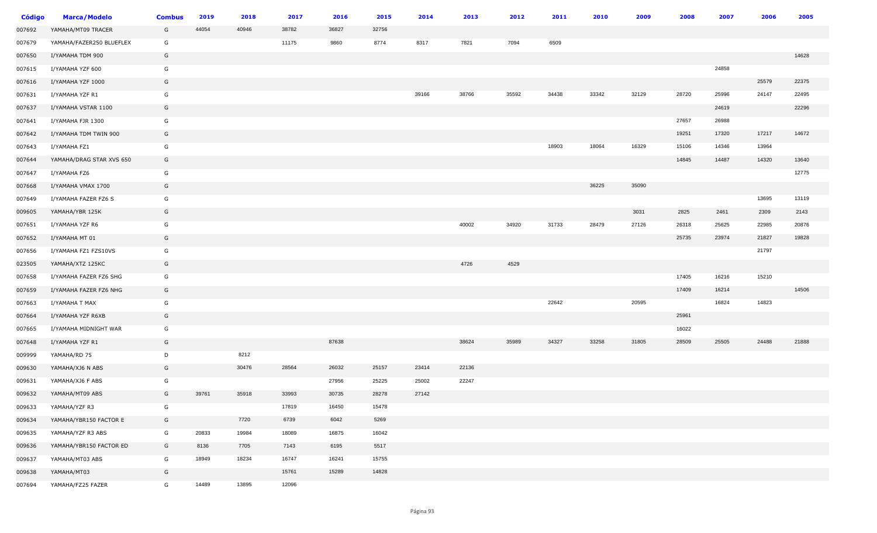| <b>Código</b> | <b>Marca/Modelo</b>      | <b>Combus</b> | 2019  | 2018  | 2017  | 2016  | 2015  | 2014  | 2013  | 2012  | 2011  | 2010  | 2009  | 2008  | 2007  | 2006  | 2005  |
|---------------|--------------------------|---------------|-------|-------|-------|-------|-------|-------|-------|-------|-------|-------|-------|-------|-------|-------|-------|
| 007692        | YAMAHA/MT09 TRACER       | G             | 44054 | 40946 | 38782 | 36827 | 32756 |       |       |       |       |       |       |       |       |       |       |
| 007679        | YAMAHA/FAZER250 BLUEFLEX | G             |       |       | 11175 | 9860  | 8774  | 8317  | 7821  | 7094  | 6509  |       |       |       |       |       |       |
| 007650        | I/YAMAHA TDM 900         | G             |       |       |       |       |       |       |       |       |       |       |       |       |       |       | 14628 |
| 007615        | I/YAMAHA YZF 600         | G             |       |       |       |       |       |       |       |       |       |       |       |       | 24858 |       |       |
| 007616        | I/YAMAHA YZF 1000        | G             |       |       |       |       |       |       |       |       |       |       |       |       |       | 25579 | 22375 |
| 007631        | I/YAMAHA YZF R1          | G             |       |       |       |       |       | 39166 | 38766 | 35592 | 34438 | 33342 | 32129 | 28720 | 25996 | 24147 | 22495 |
| 007637        | I/YAMAHA VSTAR 1100      | G             |       |       |       |       |       |       |       |       |       |       |       |       | 24619 |       | 22296 |
| 007641        | I/YAMAHA FJR 1300        | G             |       |       |       |       |       |       |       |       |       |       |       | 27657 | 26988 |       |       |
| 007642        | I/YAMAHA TDM TWIN 900    | G             |       |       |       |       |       |       |       |       |       |       |       | 19251 | 17320 | 17217 | 14672 |
| 007643        | I/YAMAHA FZ1             | G             |       |       |       |       |       |       |       |       | 18903 | 18064 | 16329 | 15106 | 14346 | 13964 |       |
| 007644        | YAMAHA/DRAG STAR XVS 650 | G             |       |       |       |       |       |       |       |       |       |       |       | 14845 | 14487 | 14320 | 13640 |
| 007647        | I/YAMAHA FZ6             | G             |       |       |       |       |       |       |       |       |       |       |       |       |       |       | 12775 |
| 007668        | I/YAMAHA VMAX 1700       | G             |       |       |       |       |       |       |       |       |       | 36225 | 35090 |       |       |       |       |
| 007649        | I/YAMAHA FAZER FZ6 S     | G             |       |       |       |       |       |       |       |       |       |       |       |       |       | 13695 | 13119 |
| 009605        | YAMAHA/YBR 125K          | G             |       |       |       |       |       |       |       |       |       |       | 3031  | 2825  | 2461  | 2309  | 2143  |
| 007651        | I/YAMAHA YZF R6          | G             |       |       |       |       |       |       | 40002 | 34920 | 31733 | 28479 | 27126 | 26318 | 25625 | 22985 | 20876 |
| 007652        | I/YAMAHA MT 01           | G             |       |       |       |       |       |       |       |       |       |       |       | 25735 | 23974 | 21827 | 19828 |
| 007656        | I/YAMAHA FZ1 FZS10VS     | G             |       |       |       |       |       |       |       |       |       |       |       |       |       | 21797 |       |
| 023505        | YAMAHA/XTZ 125KC         | G             |       |       |       |       |       |       | 4726  | 4529  |       |       |       |       |       |       |       |
| 007658        | I/YAMAHA FAZER FZ6 SHG   | G             |       |       |       |       |       |       |       |       |       |       |       | 17405 | 16216 | 15210 |       |
| 007659        | I/YAMAHA FAZER FZ6 NHG   | G             |       |       |       |       |       |       |       |       |       |       |       | 17409 | 16214 |       | 14506 |
| 007663        | I/YAMAHA T MAX           | G             |       |       |       |       |       |       |       |       | 22642 |       | 20595 |       | 16824 | 14823 |       |
| 007664        | I/YAMAHA YZF R6XB        | G             |       |       |       |       |       |       |       |       |       |       |       | 25961 |       |       |       |
| 007665        | I/YAMAHA MIDNIGHT WAR    | G             |       |       |       |       |       |       |       |       |       |       |       | 16022 |       |       |       |
| 007648        | I/YAMAHA YZF R1          | G             |       |       |       | 87638 |       |       | 38624 | 35989 | 34327 | 33258 | 31805 | 28509 | 25505 | 24488 | 21888 |
| 009999        | YAMAHA/RD 75             | D             |       | 8212  |       |       |       |       |       |       |       |       |       |       |       |       |       |
| 009630        | YAMAHA/XJ6 N ABS         | G             |       | 30476 | 28564 | 26032 | 25157 | 23414 | 22136 |       |       |       |       |       |       |       |       |
| 009631        | YAMAHA/XJ6 F ABS         | G             |       |       |       | 27956 | 25225 | 25002 | 22247 |       |       |       |       |       |       |       |       |
| 009632        | YAMAHA/MT09 ABS          | G             | 39761 | 35918 | 33993 | 30735 | 28278 | 27142 |       |       |       |       |       |       |       |       |       |
| 009633        | YAMAHA/YZF R3            | G             |       |       | 17819 | 16450 | 15478 |       |       |       |       |       |       |       |       |       |       |
| 009634        | YAMAHA/YBR150 FACTOR E   | G             |       | 7720  | 6739  | 6042  | 5269  |       |       |       |       |       |       |       |       |       |       |
| 009635        | YAMAHA/YZF R3 ABS        | G             | 20833 | 19984 | 18089 | 16875 | 16042 |       |       |       |       |       |       |       |       |       |       |
| 009636        | YAMAHA/YBR150 FACTOR ED  | G             | 8136  | 7705  | 7143  | 6195  | 5517  |       |       |       |       |       |       |       |       |       |       |
| 009637        | YAMAHA/MT03 ABS          | G             | 18949 | 18234 | 16747 | 16241 | 15755 |       |       |       |       |       |       |       |       |       |       |
| 009638        | YAMAHA/MT03              | G             |       |       | 15761 | 15289 | 14828 |       |       |       |       |       |       |       |       |       |       |
| 007694        | YAMAHA/FZ25 FAZER        | G             | 14489 | 13895 | 12096 |       |       |       |       |       |       |       |       |       |       |       |       |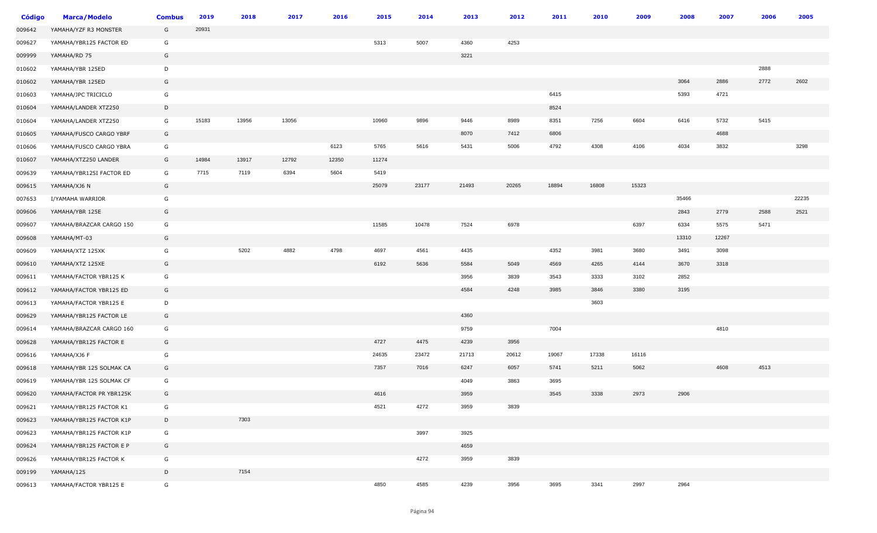| <b>Código</b> | <b>Marca/Modelo</b>      | <b>Combus</b> | 2019  | 2018  | 2017  | 2016  | 2015  | 2014  | 2013  | 2012  | 2011  | 2010  | 2009  | 2008  | 2007  | 2006 | 2005  |
|---------------|--------------------------|---------------|-------|-------|-------|-------|-------|-------|-------|-------|-------|-------|-------|-------|-------|------|-------|
| 009642        | YAMAHA/YZF R3 MONSTER    | G             | 20931 |       |       |       |       |       |       |       |       |       |       |       |       |      |       |
| 009627        | YAMAHA/YBR125 FACTOR ED  | G             |       |       |       |       | 5313  | 5007  | 4360  | 4253  |       |       |       |       |       |      |       |
| 009999        | YAMAHA/RD 75             | G             |       |       |       |       |       |       | 3221  |       |       |       |       |       |       |      |       |
| 010602        | YAMAHA/YBR 125ED         | D             |       |       |       |       |       |       |       |       |       |       |       |       |       | 2888 |       |
| 010602        | YAMAHA/YBR 125ED         | G             |       |       |       |       |       |       |       |       |       |       |       | 3064  | 2886  | 2772 | 2602  |
| 010603        | YAMAHA/JPC TRICICLO      | G             |       |       |       |       |       |       |       |       | 6415  |       |       | 5393  | 4721  |      |       |
| 010604        | YAMAHA/LANDER XTZ250     | D             |       |       |       |       |       |       |       |       | 8524  |       |       |       |       |      |       |
| 010604        | YAMAHA/LANDER XTZ250     | G             | 15183 | 13956 | 13056 |       | 10960 | 9896  | 9446  | 8989  | 8351  | 7256  | 6604  | 6416  | 5732  | 5415 |       |
| 010605        | YAMAHA/FUSCO CARGO YBRF  | G             |       |       |       |       |       |       | 8070  | 7412  | 6806  |       |       |       | 4688  |      |       |
| 010606        | YAMAHA/FUSCO CARGO YBRA  | G             |       |       |       | 6123  | 5765  | 5616  | 5431  | 5006  | 4792  | 4308  | 4106  | 4034  | 3832  |      | 3298  |
| 010607        | YAMAHA/XTZ250 LANDER     | G             | 14984 | 13917 | 12792 | 12350 | 11274 |       |       |       |       |       |       |       |       |      |       |
| 009639        | YAMAHA/YBR125I FACTOR ED | G             | 7715  | 7119  | 6394  | 5604  | 5419  |       |       |       |       |       |       |       |       |      |       |
| 009615        | YAMAHA/XJ6 N             | G             |       |       |       |       | 25079 | 23177 | 21493 | 20265 | 18894 | 16808 | 15323 |       |       |      |       |
| 007653        | I/YAMAHA WARRIOR         | G             |       |       |       |       |       |       |       |       |       |       |       | 35466 |       |      | 22235 |
| 009606        | YAMAHA/YBR 125E          | G             |       |       |       |       |       |       |       |       |       |       |       | 2843  | 2779  | 2588 | 2521  |
| 009607        | YAMAHA/BRAZCAR CARGO 150 | G             |       |       |       |       | 11585 | 10478 | 7524  | 6978  |       |       | 6397  | 6334  | 5575  | 5471 |       |
| 009608        | YAMAHA/MT-03             | G             |       |       |       |       |       |       |       |       |       |       |       | 13310 | 12267 |      |       |
| 009609        | YAMAHA/XTZ 125XK         | G             |       | 5202  | 4882  | 4798  | 4697  | 4561  | 4435  |       | 4352  | 3981  | 3680  | 3491  | 3098  |      |       |
| 009610        | YAMAHA/XTZ 125XE         | G             |       |       |       |       | 6192  | 5636  | 5584  | 5049  | 4569  | 4265  | 4144  | 3670  | 3318  |      |       |
| 009611        | YAMAHA/FACTOR YBR125 K   | G             |       |       |       |       |       |       | 3956  | 3839  | 3543  | 3333  | 3102  | 2852  |       |      |       |
| 009612        | YAMAHA/FACTOR YBR125 ED  | G             |       |       |       |       |       |       | 4584  | 4248  | 3985  | 3846  | 3380  | 3195  |       |      |       |
| 009613        | YAMAHA/FACTOR YBR125 E   | D             |       |       |       |       |       |       |       |       |       | 3603  |       |       |       |      |       |
| 009629        | YAMAHA/YBR125 FACTOR LE  | G             |       |       |       |       |       |       | 4360  |       |       |       |       |       |       |      |       |
| 009614        | YAMAHA/BRAZCAR CARGO 160 | G             |       |       |       |       |       |       | 9759  |       | 7004  |       |       |       | 4810  |      |       |
| 009628        | YAMAHA/YBR125 FACTOR E   | G             |       |       |       |       | 4727  | 4475  | 4239  | 3956  |       |       |       |       |       |      |       |
| 009616        | YAMAHA/XJ6 F             | G             |       |       |       |       | 24635 | 23472 | 21713 | 20612 | 19067 | 17338 | 16116 |       |       |      |       |
| 009618        | YAMAHA/YBR 125 SOLMAK CA | G             |       |       |       |       | 7357  | 7016  | 6247  | 6057  | 5741  | 5211  | 5062  |       | 4608  | 4513 |       |
| 009619        | YAMAHA/YBR 125 SOLMAK CF | G             |       |       |       |       |       |       | 4049  | 3863  | 3695  |       |       |       |       |      |       |
| 009620        | YAMAHA/FACTOR PR YBR125K | G             |       |       |       |       | 4616  |       | 3959  |       | 3545  | 3338  | 2973  | 2906  |       |      |       |
| 009621        | YAMAHA/YBR125 FACTOR K1  | G             |       |       |       |       | 4521  | 4272  | 3959  | 3839  |       |       |       |       |       |      |       |
| 009623        | YAMAHA/YBR125 FACTOR K1P | D             |       | 7303  |       |       |       |       |       |       |       |       |       |       |       |      |       |
| 009623        | YAMAHA/YBR125 FACTOR K1P | G             |       |       |       |       |       | 3997  | 3925  |       |       |       |       |       |       |      |       |
| 009624        | YAMAHA/YBR125 FACTOR E P | G             |       |       |       |       |       |       | 4659  |       |       |       |       |       |       |      |       |
| 009626        | YAMAHA/YBR125 FACTOR K   | G             |       |       |       |       |       | 4272  | 3959  | 3839  |       |       |       |       |       |      |       |
| 009199        | YAMAHA/125               | D             |       | 7154  |       |       |       |       |       |       |       |       |       |       |       |      |       |
| 009613        | YAMAHA/FACTOR YBR125 E   | G             |       |       |       |       | 4850  | 4585  | 4239  | 3956  | 3695  | 3341  | 2997  | 2964  |       |      |       |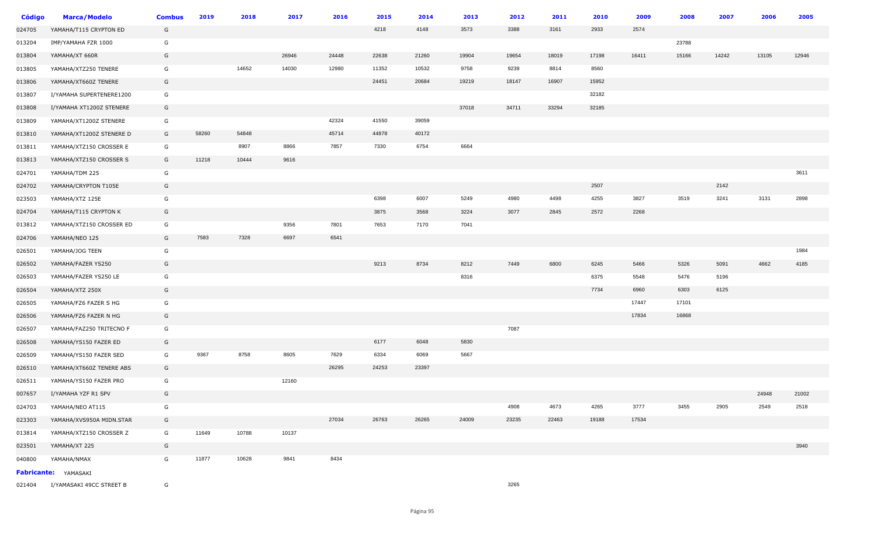| <b>Código</b> | <b>Marca/Modelo</b>         | <b>Combus</b> | 2019  | 2018  | 2017  | 2016  | 2015  | 2014  | 2013  | 2012  | 2011  | 2010  | 2009  | 2008  | 2007  | 2006  | 2005  |
|---------------|-----------------------------|---------------|-------|-------|-------|-------|-------|-------|-------|-------|-------|-------|-------|-------|-------|-------|-------|
| 024705        | YAMAHA/T115 CRYPTON ED      | G             |       |       |       |       | 4218  | 4148  | 3573  | 3388  | 3161  | 2933  | 2574  |       |       |       |       |
| 013204        | IMP/YAMAHA FZR 1000         | G             |       |       |       |       |       |       |       |       |       |       |       | 23788 |       |       |       |
| 013804        | YAMAHA/XT 660R              | G             |       |       | 26946 | 24448 | 22638 | 21260 | 19904 | 19654 | 18019 | 17198 | 16411 | 15166 | 14242 | 13105 | 12946 |
| 013805        | YAMAHA/XTZ250 TENERE        | G             |       | 14652 | 14030 | 12980 | 11352 | 10532 | 9758  | 9239  | 8814  | 8560  |       |       |       |       |       |
| 013806        | YAMAHA/XT660Z TENERE        | G             |       |       |       |       | 24451 | 20684 | 19219 | 18147 | 16907 | 15952 |       |       |       |       |       |
| 013807        | I/YAMAHA SUPERTENERE1200    | G             |       |       |       |       |       |       |       |       |       | 32182 |       |       |       |       |       |
| 013808        | I/YAMAHA XT1200Z STENERE    | G             |       |       |       |       |       |       | 37018 | 34711 | 33294 | 32185 |       |       |       |       |       |
| 013809        | YAMAHA/XT1200Z STENERE      | G             |       |       |       | 42324 | 41550 | 39059 |       |       |       |       |       |       |       |       |       |
| 013810        | YAMAHA/XT1200Z STENERE D    | G             | 58260 | 54848 |       | 45714 | 44878 | 40172 |       |       |       |       |       |       |       |       |       |
| 013811        | YAMAHA/XTZ150 CROSSER E     | G             |       | 8907  | 8866  | 7857  | 7330  | 6754  | 6664  |       |       |       |       |       |       |       |       |
| 013813        | YAMAHA/XTZ150 CROSSER S     | G             | 11218 | 10444 | 9616  |       |       |       |       |       |       |       |       |       |       |       |       |
| 024701        | YAMAHA/TDM 225              | G             |       |       |       |       |       |       |       |       |       |       |       |       |       |       | 3611  |
| 024702        | YAMAHA/CRYPTON T105E        | G             |       |       |       |       |       |       |       |       |       | 2507  |       |       | 2142  |       |       |
| 023503        | YAMAHA/XTZ 125E             | G             |       |       |       |       | 6398  | 6007  | 5249  | 4980  | 4498  | 4255  | 3827  | 3519  | 3241  | 3131  | 2898  |
| 024704        | YAMAHA/T115 CRYPTON K       | G             |       |       |       |       | 3875  | 3568  | 3224  | 3077  | 2845  | 2572  | 2268  |       |       |       |       |
| 013812        | YAMAHA/XTZ150 CROSSER ED    | G             |       |       | 9356  | 7801  | 7653  | 7170  | 7041  |       |       |       |       |       |       |       |       |
| 024706        | YAMAHA/NEO 125              | G             | 7583  | 7328  | 6697  | 6541  |       |       |       |       |       |       |       |       |       |       |       |
| 026501        | YAMAHA/JOG TEEN             | G             |       |       |       |       |       |       |       |       |       |       |       |       |       |       | 1984  |
| 026502        | YAMAHA/FAZER YS250          | G             |       |       |       |       | 9213  | 8734  | 8212  | 7449  | 6800  | 6245  | 5466  | 5326  | 5091  | 4662  | 4185  |
| 026503        | YAMAHA/FAZER YS250 LE       | G             |       |       |       |       |       |       | 8316  |       |       | 6375  | 5548  | 5476  | 5196  |       |       |
| 026504        | YAMAHA/XTZ 250X             | G             |       |       |       |       |       |       |       |       |       | 7734  | 6960  | 6303  | 6125  |       |       |
| 026505        | YAMAHA/FZ6 FAZER S HG       | G             |       |       |       |       |       |       |       |       |       |       | 17447 | 17101 |       |       |       |
| 026506        | YAMAHA/FZ6 FAZER N HG       | G             |       |       |       |       |       |       |       |       |       |       | 17834 | 16868 |       |       |       |
| 026507        | YAMAHA/FAZ250 TRITECNO F    | G             |       |       |       |       |       |       |       | 7087  |       |       |       |       |       |       |       |
| 026508        | YAMAHA/YS150 FAZER ED       | G             |       |       |       |       | 6177  | 6048  | 5830  |       |       |       |       |       |       |       |       |
| 026509        | YAMAHA/YS150 FAZER SED      | G             | 9367  | 8758  | 8605  | 7629  | 6334  | 6069  | 5667  |       |       |       |       |       |       |       |       |
| 026510        | YAMAHA/XT660Z TENERE ABS    | G             |       |       |       | 26295 | 24253 | 23397 |       |       |       |       |       |       |       |       |       |
| 026511        | YAMAHA/YS150 FAZER PRO      | G             |       |       | 12160 |       |       |       |       |       |       |       |       |       |       |       |       |
| 007657        | I/YAMAHA YZF R1 SPV         | G             |       |       |       |       |       |       |       |       |       |       |       |       |       | 24948 | 21002 |
| 024703        | YAMAHA/NEO AT115            | G             |       |       |       |       |       |       |       | 4908  | 4673  | 4265  | 3777  | 3455  | 2905  | 2549  | 2518  |
| 023303        | YAMAHA/XVS950A MIDN.STAR    | G             |       |       |       | 27034 | 26763 | 26265 | 24009 | 23235 | 22463 | 19188 | 17534 |       |       |       |       |
| 013814        | YAMAHA/XTZ150 CROSSER Z     | G             | 11649 | 10788 | 10137 |       |       |       |       |       |       |       |       |       |       |       |       |
| 023501        | YAMAHA/XT 225               | G             |       |       |       |       |       |       |       |       |       |       |       |       |       |       | 3940  |
| 040800        | YAMAHA/NMAX                 | G             | 11877 | 10628 | 9841  | 8434  |       |       |       |       |       |       |       |       |       |       |       |
|               | <b>Fabricante:</b> YAMASAKI |               |       |       |       |       |       |       |       |       |       |       |       |       |       |       |       |
| 021404        | I/YAMASAKI 49CC STREET B    | G             |       |       |       |       |       |       |       | 3265  |       |       |       |       |       |       |       |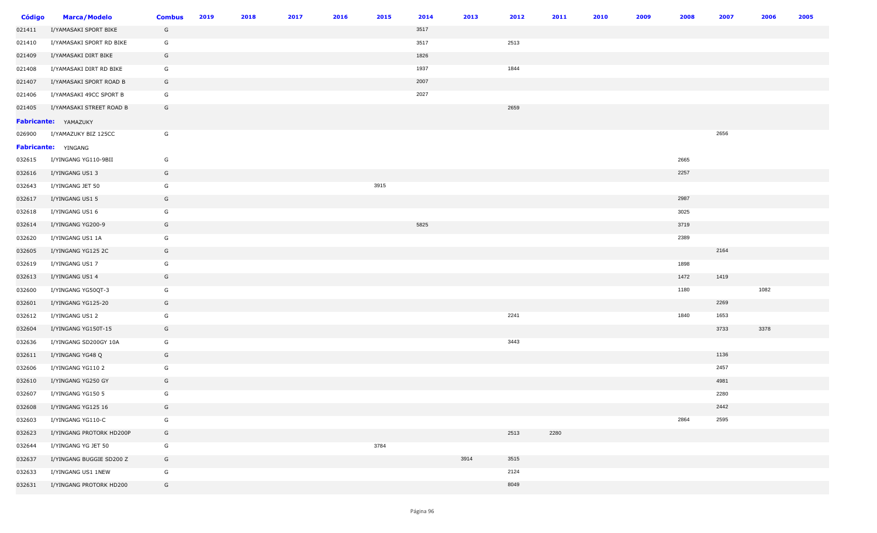| <b>Código</b> | <b>Marca/Modelo</b>      | <b>Combus</b> | 2019 | 2018 | 2017 | 2016 | 2015 | 2014 | 2013 | 2012 | 2011 | 2010 | 2009 | 2008 | 2007 | 2006 | 2005 |
|---------------|--------------------------|---------------|------|------|------|------|------|------|------|------|------|------|------|------|------|------|------|
| 021411        | I/YAMASAKI SPORT BIKE    | G             |      |      |      |      |      | 3517 |      |      |      |      |      |      |      |      |      |
| 021410        | I/YAMASAKI SPORT RD BIKE | G             |      |      |      |      |      | 3517 |      | 2513 |      |      |      |      |      |      |      |
| 021409        | I/YAMASAKI DIRT BIKE     | G             |      |      |      |      |      | 1826 |      |      |      |      |      |      |      |      |      |
| 021408        | I/YAMASAKI DIRT RD BIKE  | G             |      |      |      |      |      | 1937 |      | 1844 |      |      |      |      |      |      |      |
| 021407        | I/YAMASAKI SPORT ROAD B  | G             |      |      |      |      |      | 2007 |      |      |      |      |      |      |      |      |      |
| 021406        | I/YAMASAKI 49CC SPORT B  | G             |      |      |      |      |      | 2027 |      |      |      |      |      |      |      |      |      |
| 021405        | I/YAMASAKI STREET ROAD B | G             |      |      |      |      |      |      |      | 2659 |      |      |      |      |      |      |      |
|               | Fabricante: YAMAZUKY     |               |      |      |      |      |      |      |      |      |      |      |      |      |      |      |      |
| 026900        | I/YAMAZUKY BIZ 125CC     | G             |      |      |      |      |      |      |      |      |      |      |      |      | 2656 |      |      |
|               | Fabricante: YINGANG      |               |      |      |      |      |      |      |      |      |      |      |      |      |      |      |      |
| 032615        | I/YINGANG YG110-9BII     | G             |      |      |      |      |      |      |      |      |      |      |      | 2665 |      |      |      |
| 032616        | I/YINGANG US1 3          | G             |      |      |      |      |      |      |      |      |      |      |      | 2257 |      |      |      |
| 032643        | I/YINGANG JET 50         | G             |      |      |      |      | 3915 |      |      |      |      |      |      |      |      |      |      |
| 032617        | I/YINGANG US1 5          | G             |      |      |      |      |      |      |      |      |      |      |      | 2987 |      |      |      |
| 032618        | I/YINGANG US1 6          | G             |      |      |      |      |      |      |      |      |      |      |      | 3025 |      |      |      |
| 032614        | I/YINGANG YG200-9        | G             |      |      |      |      |      | 5825 |      |      |      |      |      | 3719 |      |      |      |
| 032620        | I/YINGANG US1 1A         | G             |      |      |      |      |      |      |      |      |      |      |      | 2389 |      |      |      |
| 032605        | I/YINGANG YG125 2C       | G             |      |      |      |      |      |      |      |      |      |      |      |      | 2164 |      |      |
| 032619        | I/YINGANG US1 7          | G             |      |      |      |      |      |      |      |      |      |      |      | 1898 |      |      |      |
| 032613        | I/YINGANG US1 4          | G             |      |      |      |      |      |      |      |      |      |      |      | 1472 | 1419 |      |      |
| 032600        | I/YINGANG YG50QT-3       | G             |      |      |      |      |      |      |      |      |      |      |      | 1180 |      | 1082 |      |
| 032601        | I/YINGANG YG125-20       | G             |      |      |      |      |      |      |      |      |      |      |      |      | 2269 |      |      |
| 032612        | I/YINGANG US1 2          | G             |      |      |      |      |      |      |      | 2241 |      |      |      | 1840 | 1653 |      |      |
| 032604        | I/YINGANG YG150T-15      | G             |      |      |      |      |      |      |      |      |      |      |      |      | 3733 | 3378 |      |
| 032636        | I/YINGANG SD200GY 10A    | G             |      |      |      |      |      |      |      | 3443 |      |      |      |      |      |      |      |
| 032611        | I/YINGANG YG48 Q         | G             |      |      |      |      |      |      |      |      |      |      |      |      | 1136 |      |      |
| 032606        | I/YINGANG YG110 2        | G             |      |      |      |      |      |      |      |      |      |      |      |      | 2457 |      |      |
| 032610        | I/YINGANG YG250 GY       | G             |      |      |      |      |      |      |      |      |      |      |      |      | 4981 |      |      |
| 032607        | I/YINGANG YG150 5        | G             |      |      |      |      |      |      |      |      |      |      |      |      | 2280 |      |      |
| 032608        | I/YINGANG YG125 16       | G             |      |      |      |      |      |      |      |      |      |      |      |      | 2442 |      |      |
| 032603        | I/YINGANG YG110-C        | G             |      |      |      |      |      |      |      |      |      |      |      | 2864 | 2595 |      |      |
| 032623        | I/YINGANG PROTORK HD200P | G             |      |      |      |      |      |      |      | 2513 | 2280 |      |      |      |      |      |      |
| 032644        | I/YINGANG YG JET 50      | G             |      |      |      |      | 3784 |      |      |      |      |      |      |      |      |      |      |
| 032637        | I/YINGANG BUGGIE SD200 Z | G             |      |      |      |      |      |      | 3914 | 3515 |      |      |      |      |      |      |      |
| 032633        | I/YINGANG US1 1NEW       | G             |      |      |      |      |      |      |      | 2124 |      |      |      |      |      |      |      |
| 032631        | I/YINGANG PROTORK HD200  | G             |      |      |      |      |      |      |      | 8049 |      |      |      |      |      |      |      |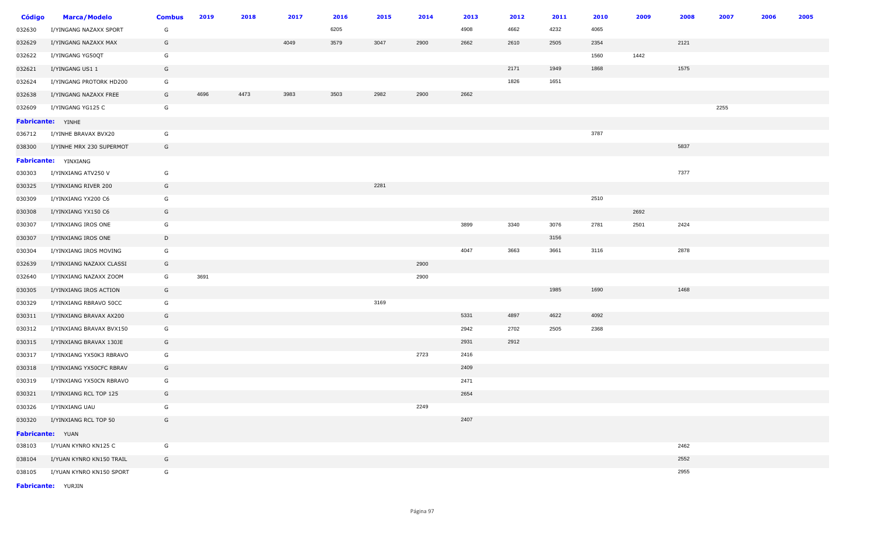| <b>Código</b>    | <b>Marca/Modelo</b>         | <b>Combus</b> | 2019 | 2018 | 2017 | 2016 | 2015 | 2014 | 2013 | 2012 | 2011 | 2010 | 2009 | 2008 | 2007 | 2006 | 2005 |
|------------------|-----------------------------|---------------|------|------|------|------|------|------|------|------|------|------|------|------|------|------|------|
| 032630           | I/YINGANG NAZAXX SPORT      | G             |      |      |      | 6205 |      |      | 4908 | 4662 | 4232 | 4065 |      |      |      |      |      |
| 032629           | I/YINGANG NAZAXX MAX        | G             |      |      | 4049 | 3579 | 3047 | 2900 | 2662 | 2610 | 2505 | 2354 |      | 2121 |      |      |      |
| 032622           | I/YINGANG YG50QT            | G             |      |      |      |      |      |      |      |      |      | 1560 | 1442 |      |      |      |      |
| 032621           | I/YINGANG US1 1             | G             |      |      |      |      |      |      |      | 2171 | 1949 | 1868 |      | 1575 |      |      |      |
| 032624           | I/YINGANG PROTORK HD200     | G             |      |      |      |      |      |      |      | 1826 | 1651 |      |      |      |      |      |      |
| 032638           | I/YINGANG NAZAXX FREE       | G             | 4696 | 4473 | 3983 | 3503 | 2982 | 2900 | 2662 |      |      |      |      |      |      |      |      |
| 032609           | I/YINGANG YG125 C           | G             |      |      |      |      |      |      |      |      |      |      |      |      | 2255 |      |      |
|                  | Fabricante: YINHE           |               |      |      |      |      |      |      |      |      |      |      |      |      |      |      |      |
| 036712           | I/YINHE BRAVAX BVX20        | G             |      |      |      |      |      |      |      |      |      | 3787 |      |      |      |      |      |
| 038300           | I/YINHE MRX 230 SUPERMOT    | G             |      |      |      |      |      |      |      |      |      |      |      | 5837 |      |      |      |
|                  | <b>Fabricante: YINXIANG</b> |               |      |      |      |      |      |      |      |      |      |      |      |      |      |      |      |
| 030303           | I/YINXIANG ATV250 V         | G             |      |      |      |      |      |      |      |      |      |      |      | 7377 |      |      |      |
| 030325           | I/YINXIANG RIVER 200        | G             |      |      |      |      | 2281 |      |      |      |      |      |      |      |      |      |      |
| 030309           | I/YINXIANG YX200 C6         | G             |      |      |      |      |      |      |      |      |      | 2510 |      |      |      |      |      |
| 030308           | I/YINXIANG YX150 C6         | G             |      |      |      |      |      |      |      |      |      |      | 2692 |      |      |      |      |
| 030307           | I/YINXIANG IROS ONE         | G             |      |      |      |      |      |      | 3899 | 3340 | 3076 | 2781 | 2501 | 2424 |      |      |      |
| 030307           | I/YINXIANG IROS ONE         | D             |      |      |      |      |      |      |      |      | 3156 |      |      |      |      |      |      |
| 030304           | I/YINXIANG IROS MOVING      | G             |      |      |      |      |      |      | 4047 | 3663 | 3661 | 3116 |      | 2878 |      |      |      |
| 032639           | I/YINXIANG NAZAXX CLASSI    | G             |      |      |      |      |      | 2900 |      |      |      |      |      |      |      |      |      |
| 032640           | I/YINXIANG NAZAXX ZOOM      | G             | 3691 |      |      |      |      | 2900 |      |      |      |      |      |      |      |      |      |
| 030305           | I/YINXIANG IROS ACTION      | G             |      |      |      |      |      |      |      |      | 1985 | 1690 |      | 1468 |      |      |      |
| 030329           | I/YINXIANG RBRAVO 50CC      | G             |      |      |      |      | 3169 |      |      |      |      |      |      |      |      |      |      |
| 030311           | I/YINXIANG BRAVAX AX200     | G             |      |      |      |      |      |      | 5331 | 4897 | 4622 | 4092 |      |      |      |      |      |
| 030312           | I/YINXIANG BRAVAX BVX150    | G             |      |      |      |      |      |      | 2942 | 2702 | 2505 | 2368 |      |      |      |      |      |
| 030315           | I/YINXIANG BRAVAX 130JE     | G             |      |      |      |      |      |      | 2931 | 2912 |      |      |      |      |      |      |      |
| 030317           | I/YINXIANG YX50K3 RBRAVO    | G             |      |      |      |      |      | 2723 | 2416 |      |      |      |      |      |      |      |      |
| 030318           | I/YINXIANG YX50CFC RBRAV    | G             |      |      |      |      |      |      | 2409 |      |      |      |      |      |      |      |      |
| 030319           | I/YINXIANG YX50CN RBRAVO    | G             |      |      |      |      |      |      | 2471 |      |      |      |      |      |      |      |      |
| 030321           | I/YINXIANG RCL TOP 125      | G             |      |      |      |      |      |      | 2654 |      |      |      |      |      |      |      |      |
| 030326           | I/YINXIANG UAU              | G             |      |      |      |      |      | 2249 |      |      |      |      |      |      |      |      |      |
| 030320           | I/YINXIANG RCL TOP 50       | G             |      |      |      |      |      |      | 2407 |      |      |      |      |      |      |      |      |
| Fabricante: YUAN |                             |               |      |      |      |      |      |      |      |      |      |      |      |      |      |      |      |
| 038103           | I/YUAN KYNRO KN125 C        | G             |      |      |      |      |      |      |      |      |      |      |      | 2462 |      |      |      |
| 038104           | I/YUAN KYNRO KN150 TRAIL    | G             |      |      |      |      |      |      |      |      |      |      |      | 2552 |      |      |      |
| 038105           | I/YUAN KYNRO KN150 SPORT    | G             |      |      |      |      |      |      |      |      |      |      |      | 2955 |      |      |      |

**Fabricante:** YURJIN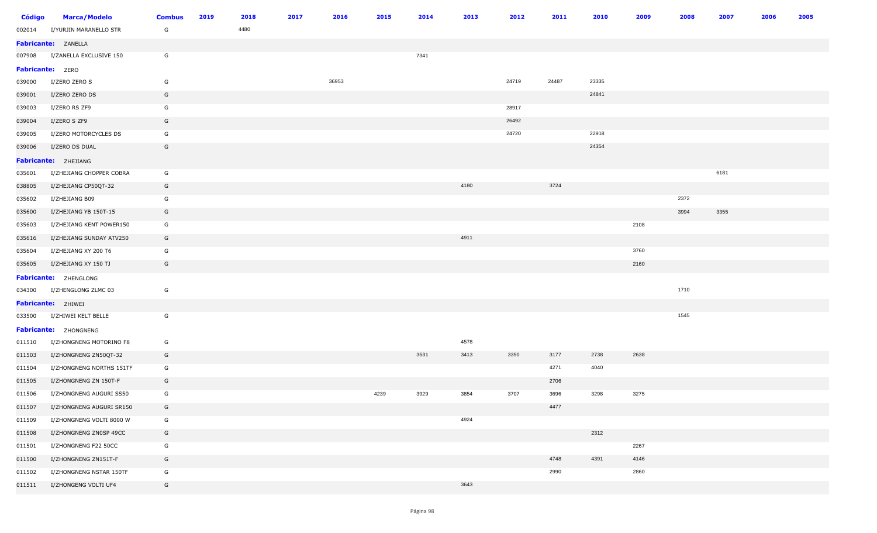| <b>Código</b>           | <b>Marca/Modelo</b>         | <b>Combus</b> | 2019 | 2018 | 2017 | 2016  | 2015 | 2014 | 2013 | 2012  | 2011  | 2010  | 2009 | 2008 | 2007 | 2006 | 2005 |
|-------------------------|-----------------------------|---------------|------|------|------|-------|------|------|------|-------|-------|-------|------|------|------|------|------|
| 002014                  | I/YURJIN MARANELLO STR      | G             |      | 4480 |      |       |      |      |      |       |       |       |      |      |      |      |      |
|                         | Fabricante: ZANELLA         |               |      |      |      |       |      |      |      |       |       |       |      |      |      |      |      |
| 007908                  | I/ZANELLA EXCLUSIVE 150     | G             |      |      |      |       |      | 7341 |      |       |       |       |      |      |      |      |      |
| <b>Fabricante: ZERO</b> |                             |               |      |      |      |       |      |      |      |       |       |       |      |      |      |      |      |
| 039000                  | I/ZERO ZERO S               | G             |      |      |      | 36953 |      |      |      | 24719 | 24487 | 23335 |      |      |      |      |      |
| 039001                  | I/ZERO ZERO DS              | G             |      |      |      |       |      |      |      |       |       | 24841 |      |      |      |      |      |
| 039003                  | I/ZERO RS ZF9               | G             |      |      |      |       |      |      |      | 28917 |       |       |      |      |      |      |      |
| 039004                  | I/ZERO S ZF9                | G             |      |      |      |       |      |      |      | 26492 |       |       |      |      |      |      |      |
| 039005                  | I/ZERO MOTORCYCLES DS       | G             |      |      |      |       |      |      |      | 24720 |       | 22918 |      |      |      |      |      |
| 039006                  | I/ZERO DS DUAL              | G             |      |      |      |       |      |      |      |       |       | 24354 |      |      |      |      |      |
|                         | <b>Fabricante: ZHEJIANG</b> |               |      |      |      |       |      |      |      |       |       |       |      |      |      |      |      |
| 035601                  | I/ZHEJIANG CHOPPER COBRA    | G             |      |      |      |       |      |      |      |       |       |       |      |      | 6181 |      |      |
| 038805                  | I/ZHEJIANG CP50QT-32        | G             |      |      |      |       |      |      | 4180 |       | 3724  |       |      |      |      |      |      |
| 035602                  | I/ZHEJIANG B09              | G             |      |      |      |       |      |      |      |       |       |       |      | 2372 |      |      |      |
| 035600                  | I/ZHEJIANG YB 150T-15       | G             |      |      |      |       |      |      |      |       |       |       |      | 3994 | 3355 |      |      |
| 035603                  | I/ZHEJIANG KENT POWER150    | G             |      |      |      |       |      |      |      |       |       |       | 2108 |      |      |      |      |
| 035616                  | I/ZHEJIANG SUNDAY ATV250    | G             |      |      |      |       |      |      | 4911 |       |       |       |      |      |      |      |      |
| 035604                  | I/ZHEJIANG XY 200 T6        | G             |      |      |      |       |      |      |      |       |       |       | 3760 |      |      |      |      |
| 035605                  | I/ZHEJIANG XY 150 TJ        | G             |      |      |      |       |      |      |      |       |       |       | 2160 |      |      |      |      |
|                         | Fabricante: ZHENGLONG       |               |      |      |      |       |      |      |      |       |       |       |      |      |      |      |      |
| 034300                  | I/ZHENGLONG ZLMC 03         | G             |      |      |      |       |      |      |      |       |       |       |      | 1710 |      |      |      |
|                         | Fabricante: ZHIWEI          |               |      |      |      |       |      |      |      |       |       |       |      |      |      |      |      |
| 033500                  | I/ZHIWEI KELT BELLE         | G             |      |      |      |       |      |      |      |       |       |       |      | 1545 |      |      |      |
|                         | Fabricante: ZHONGNENG       |               |      |      |      |       |      |      |      |       |       |       |      |      |      |      |      |
| 011510                  | I/ZHONGNENG MOTORINO F8     | G             |      |      |      |       |      |      | 4578 |       |       |       |      |      |      |      |      |
| 011503                  | I/ZHONGNENG ZN50QT-32       | G             |      |      |      |       |      | 3531 | 3413 | 3350  | 3177  | 2738  | 2638 |      |      |      |      |
| 011504                  | I/ZHONGNENG NORTHS 151TF    | G             |      |      |      |       |      |      |      |       | 4271  | 4040  |      |      |      |      |      |
| 011505                  | I/ZHONGNENG ZN 150T-F       | G             |      |      |      |       |      |      |      |       | 2706  |       |      |      |      |      |      |
| 011506                  | I/ZHONGNENG AUGURI SS50     | G             |      |      |      |       | 4239 | 3929 | 3854 | 3707  | 3696  | 3298  | 3275 |      |      |      |      |
| 011507                  | I/ZHONGNENG AUGURI SR150    | G             |      |      |      |       |      |      |      |       | 4477  |       |      |      |      |      |      |
| 011509                  | I/ZHONGNENG VOLTI 8000 W    | G             |      |      |      |       |      |      | 4924 |       |       |       |      |      |      |      |      |
| 011508                  | I/ZHONGNENG ZN0SP 49CC      | G             |      |      |      |       |      |      |      |       |       | 2312  |      |      |      |      |      |
| 011501                  | I/ZHONGNENG F22 50CC        | G             |      |      |      |       |      |      |      |       |       |       | 2267 |      |      |      |      |
| 011500                  | I/ZHONGNENG ZN151T-F        | G             |      |      |      |       |      |      |      |       | 4748  | 4391  | 4146 |      |      |      |      |
| 011502                  | I/ZHONGNENG NSTAR 150TF     | G             |      |      |      |       |      |      |      |       | 2990  |       | 2860 |      |      |      |      |
| 011511                  | I/ZHONGENG VOLTI UF4        | G             |      |      |      |       |      |      | 3643 |       |       |       |      |      |      |      |      |